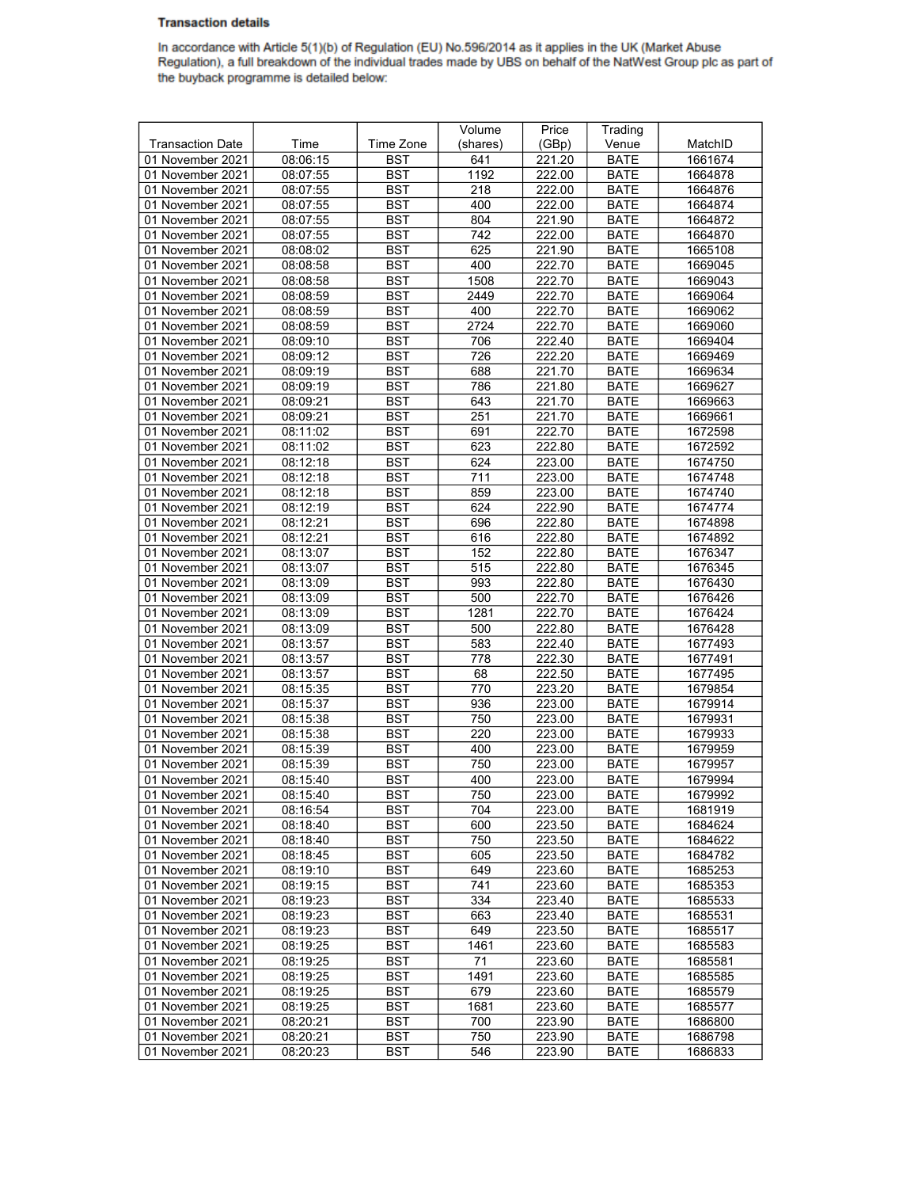## **Transaction details**

In accordance with Article 5(1)(b) of Regulation (EU) No.596/2014 as it applies in the UK (Market Abuse<br>Regulation), a full breakdown of the individual trades made by UBS on behalf of the NatWest Group plc as part of the buyback programme is detailed below:

|                         |          |            | Volume   | Price  | Trading     |         |
|-------------------------|----------|------------|----------|--------|-------------|---------|
| <b>Transaction Date</b> | Time     | Time Zone  | (shares) | (GBp)  | Venue       | MatchID |
| 01 November 2021        | 08:06:15 | <b>BST</b> | 641      | 221.20 | <b>BATE</b> | 1661674 |
| 01 November 2021        | 08:07:55 | <b>BST</b> | 1192     | 222.00 | <b>BATE</b> | 1664878 |
| 01 November 2021        | 08:07:55 | <b>BST</b> | 218      | 222.00 | <b>BATE</b> | 1664876 |
| 01 November 2021        | 08:07:55 | <b>BST</b> | 400      | 222.00 | <b>BATE</b> | 1664874 |
| 01 November 2021        | 08:07:55 | <b>BST</b> | 804      | 221.90 | <b>BATE</b> | 1664872 |
| 01 November 2021        | 08:07:55 | <b>BST</b> | 742      | 222.00 | <b>BATE</b> | 1664870 |
| 01 November 2021        | 08:08:02 | <b>BST</b> | 625      | 221.90 | <b>BATE</b> | 1665108 |
| 01 November 2021        | 08:08:58 | <b>BST</b> | 400      | 222.70 | <b>BATE</b> | 1669045 |
| 01 November 2021        | 08:08:58 | <b>BST</b> | 1508     | 222.70 | <b>BATE</b> | 1669043 |
| 01 November 2021        | 08:08:59 | <b>BST</b> | 2449     | 222.70 | <b>BATE</b> | 1669064 |
| 01 November 2021        | 08:08:59 | <b>BST</b> | 400      | 222.70 | <b>BATE</b> | 1669062 |
| 01 November 2021        | 08:08:59 | <b>BST</b> | 2724     |        | <b>BATE</b> | 1669060 |
|                         |          | <b>BST</b> | 706      | 222.70 | <b>BATE</b> |         |
| 01 November 2021        | 08:09:10 |            |          | 222.40 |             | 1669404 |
| 01 November 2021        | 08:09:12 | <b>BST</b> | 726      | 222.20 | <b>BATE</b> | 1669469 |
| 01 November 2021        | 08:09:19 | <b>BST</b> | 688      | 221.70 | <b>BATE</b> | 1669634 |
| 01 November 2021        | 08:09:19 | <b>BST</b> | 786      | 221.80 | <b>BATE</b> | 1669627 |
| 01 November 2021        | 08:09:21 | <b>BST</b> | 643      | 221.70 | <b>BATE</b> | 1669663 |
| 01 November 2021        | 08:09:21 | <b>BST</b> | 251      | 221.70 | <b>BATE</b> | 1669661 |
| 01 November 2021        | 08:11:02 | <b>BST</b> | 691      | 222.70 | <b>BATE</b> | 1672598 |
| 01 November 2021        | 08:11:02 | <b>BST</b> | 623      | 222.80 | <b>BATE</b> | 1672592 |
| 01 November 2021        | 08:12:18 | <b>BST</b> | 624      | 223.00 | <b>BATE</b> | 1674750 |
| 01 November 2021        | 08:12:18 | <b>BST</b> | 711      | 223.00 | <b>BATE</b> | 1674748 |
| 01 November 2021        | 08:12:18 | <b>BST</b> | 859      | 223.00 | <b>BATE</b> | 1674740 |
| 01 November 2021        | 08:12:19 | <b>BST</b> | 624      | 222.90 | <b>BATE</b> | 1674774 |
| 01 November 2021        | 08:12:21 | <b>BST</b> | 696      | 222.80 | <b>BATE</b> | 1674898 |
| 01 November 2021        | 08:12:21 | <b>BST</b> | 616      | 222.80 | <b>BATE</b> | 1674892 |
| 01 November 2021        | 08:13:07 | <b>BST</b> | 152      | 222.80 | <b>BATE</b> | 1676347 |
| 01 November 2021        | 08:13:07 | <b>BST</b> | 515      | 222.80 | <b>BATE</b> | 1676345 |
| 01 November 2021        | 08:13:09 | <b>BST</b> | 993      | 222.80 | <b>BATE</b> | 1676430 |
| 01 November 2021        | 08:13:09 | <b>BST</b> | 500      | 222.70 | <b>BATE</b> | 1676426 |
| 01 November 2021        | 08:13:09 | <b>BST</b> | 1281     | 222.70 | <b>BATE</b> | 1676424 |
| 01 November 2021        | 08:13:09 | <b>BST</b> | 500      | 222.80 | <b>BATE</b> | 1676428 |
| 01 November 2021        | 08:13:57 | <b>BST</b> | 583      | 222.40 | <b>BATE</b> | 1677493 |
| 01 November 2021        | 08:13:57 | <b>BST</b> | 778      | 222.30 | <b>BATE</b> | 1677491 |
| 01 November 2021        | 08:13:57 | <b>BST</b> | 68       | 222.50 | <b>BATE</b> | 1677495 |
| 01 November 2021        | 08:15:35 | <b>BST</b> | 770      | 223.20 | <b>BATE</b> | 1679854 |
| 01 November 2021        | 08:15:37 | <b>BST</b> | 936      | 223.00 | <b>BATE</b> | 1679914 |
| 01 November 2021        | 08:15:38 | <b>BST</b> | 750      | 223.00 | <b>BATE</b> | 1679931 |
| 01 November 2021        | 08:15:38 | <b>BST</b> | 220      | 223.00 | <b>BATE</b> | 1679933 |
| 01 November 2021        | 08:15:39 | <b>BST</b> | 400      | 223.00 | <b>BATE</b> | 1679959 |
| 01 November 2021        | 08:15:39 | <b>BST</b> | 750      | 223.00 | <b>BATE</b> | 1679957 |
| 01 November 2021        | 08:15:40 | <b>BST</b> | 400      | 223.00 | <b>BATE</b> | 1679994 |
| 01 November 2021        | 08:15:40 | <b>BST</b> | 750      | 223.00 | <b>BATE</b> | 1679992 |
| 01 November 2021        | 08:16:54 | <b>BST</b> | 704      | 223.00 | BATE        | 1681919 |
| 01 November 2021        | 08:18:40 | <b>BST</b> | 600      | 223.50 | <b>BATE</b> | 1684624 |
| 01 November 2021        | 08:18:40 | <b>BST</b> | 750      | 223.50 | <b>BATE</b> | 1684622 |
| 01 November 2021        | 08:18:45 | BST        | 605      | 223.50 | <b>BATE</b> | 1684782 |
| 01 November 2021        | 08:19:10 | <b>BST</b> | 649      | 223.60 | <b>BATE</b> | 1685253 |
| 01 November 2021        | 08:19:15 | <b>BST</b> | 741      | 223.60 | <b>BATE</b> | 1685353 |
| 01 November 2021        | 08:19:23 | BST        | 334      | 223.40 | <b>BATE</b> | 1685533 |
| 01 November 2021        | 08:19:23 | <b>BST</b> | 663      | 223.40 | <b>BATE</b> | 1685531 |
| 01 November 2021        | 08:19:23 | <b>BST</b> | 649      | 223.50 | <b>BATE</b> | 1685517 |
| 01 November 2021        | 08:19:25 | <b>BST</b> | 1461     | 223.60 | <b>BATE</b> | 1685583 |
| 01 November 2021        | 08:19:25 | <b>BST</b> | 71       | 223.60 | <b>BATE</b> | 1685581 |
| 01 November 2021        | 08:19:25 | <b>BST</b> | 1491     | 223.60 | <b>BATE</b> | 1685585 |
| 01 November 2021        | 08:19:25 | <b>BST</b> | 679      | 223.60 | <b>BATE</b> | 1685579 |
| 01 November 2021        | 08:19:25 | <b>BST</b> | 1681     | 223.60 | <b>BATE</b> | 1685577 |
| 01 November 2021        | 08:20:21 | <b>BST</b> | 700      | 223.90 | <b>BATE</b> | 1686800 |
| 01 November 2021        | 08:20:21 | <b>BST</b> | 750      | 223.90 | <b>BATE</b> | 1686798 |
| 01 November 2021        | 08:20:23 | <b>BST</b> | 546      | 223.90 | <b>BATE</b> | 1686833 |
|                         |          |            |          |        |             |         |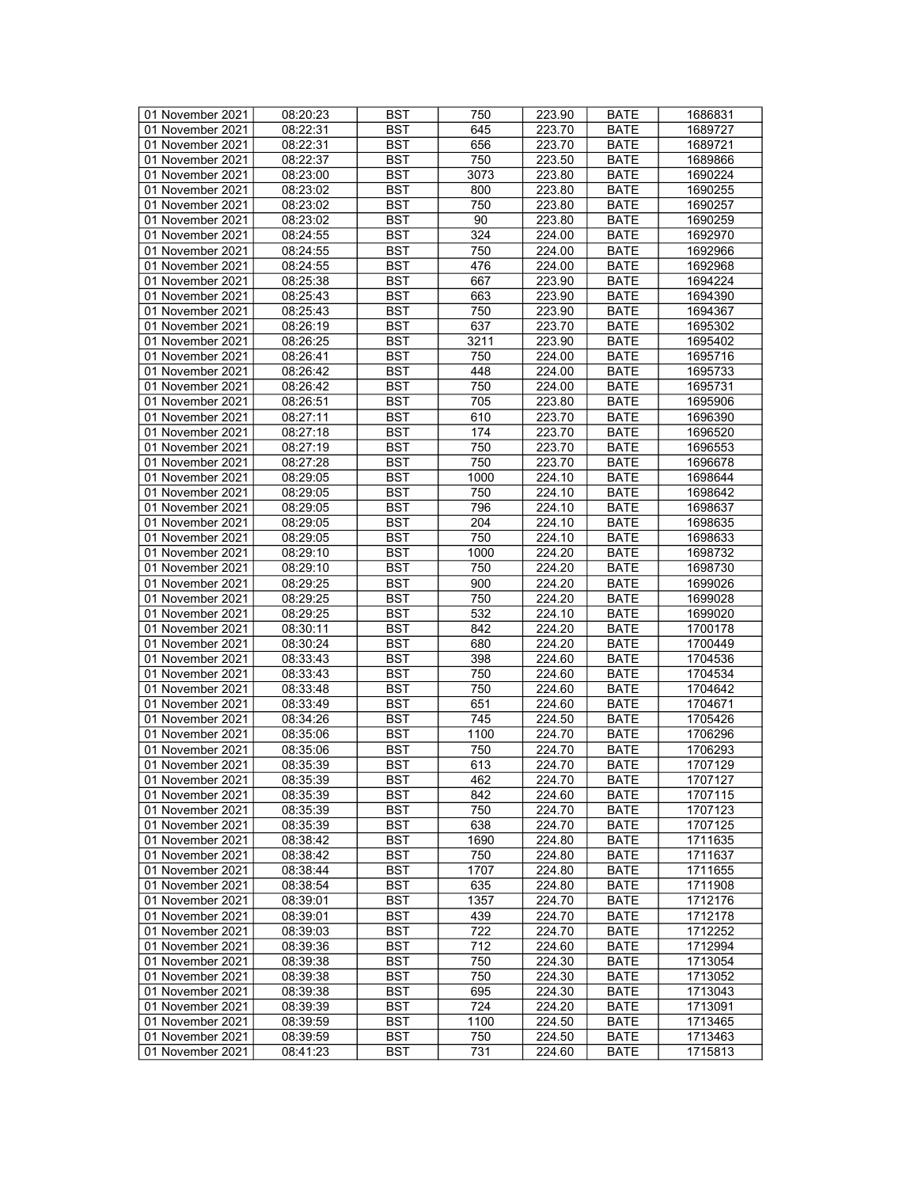| 01 November 2021 | 08:20:23             | <b>BST</b> | 750  | 223.90           | <b>BATE</b>                | 1686831            |
|------------------|----------------------|------------|------|------------------|----------------------------|--------------------|
| 01 November 2021 | 08:22:31             | BST        | 645  | 223.70           | <b>BATE</b>                | 1689727            |
| 01 November 2021 | 08:22:31             | <b>BST</b> | 656  | 223.70           | <b>BATE</b>                | 1689721            |
| 01 November 2021 | 08:22:37             | <b>BST</b> | 750  | 223.50           | <b>BATE</b>                | 1689866            |
| 01 November 2021 | 08:23:00             | <b>BST</b> | 3073 | 223.80           | <b>BATE</b>                | 1690224            |
| 01 November 2021 | 08:23:02             | <b>BST</b> | 800  | 223.80           | <b>BATE</b>                | 1690255            |
| 01 November 2021 | 08:23:02             | <b>BST</b> | 750  | 223.80           | <b>BATE</b>                | 1690257            |
| 01 November 2021 | 08:23:02             | <b>BST</b> | 90   | 223.80           | <b>BATE</b>                | 1690259            |
| 01 November 2021 | 08:24:55             | <b>BST</b> | 324  | 224.00           | <b>BATE</b>                | 1692970            |
| 01 November 2021 | 08:24:55             | <b>BST</b> | 750  | 224.00           | <b>BATE</b>                | 1692966            |
| 01 November 2021 | 08:24:55             | <b>BST</b> | 476  | 224.00           | <b>BATE</b>                | 1692968            |
| 01 November 2021 | 08:25:38             | <b>BST</b> | 667  | 223.90           | <b>BATE</b>                | 1694224            |
| 01 November 2021 | 08:25:43             | <b>BST</b> | 663  | 223.90           | <b>BATE</b>                | 1694390            |
| 01 November 2021 | 08:25:43             | <b>BST</b> | 750  | 223.90           | <b>BATE</b>                | 1694367            |
| 01 November 2021 | 08:26:19             | <b>BST</b> | 637  | 223.70           | <b>BATE</b>                | 1695302            |
| 01 November 2021 | 08:26:25             | <b>BST</b> | 3211 | 223.90           | <b>BATE</b>                | 1695402            |
| 01 November 2021 | 08:26:41             | <b>BST</b> | 750  | 224.00           | <b>BATE</b>                | 1695716            |
| 01 November 2021 | 08:26:42             | <b>BST</b> | 448  | 224.00           | <b>BATE</b>                | 1695733            |
| 01 November 2021 |                      | <b>BST</b> | 750  |                  |                            |                    |
| 01 November 2021 | 08:26:42<br>08:26:51 | <b>BST</b> | 705  | 224.00           | <b>BATE</b><br><b>BATE</b> | 1695731<br>1695906 |
|                  |                      |            |      | 223.80<br>223.70 |                            |                    |
| 01 November 2021 | 08:27:11             | <b>BST</b> | 610  |                  | <b>BATE</b>                | 1696390            |
| 01 November 2021 | 08:27:18             | <b>BST</b> | 174  | 223.70           | <b>BATE</b>                | 1696520            |
| 01 November 2021 | 08:27:19             | <b>BST</b> | 750  | 223.70           | <b>BATE</b>                | 1696553            |
| 01 November 2021 | 08:27:28             | <b>BST</b> | 750  | 223.70           | <b>BATE</b>                | 1696678            |
| 01 November 2021 | 08:29:05             | <b>BST</b> | 1000 | 224.10           | <b>BATE</b>                | 1698644            |
| 01 November 2021 | 08:29:05             | <b>BST</b> | 750  | 224.10           | <b>BATE</b>                | 1698642            |
| 01 November 2021 | 08:29:05             | <b>BST</b> | 796  | 224.10           | <b>BATE</b>                | 1698637            |
| 01 November 2021 | 08:29:05             | <b>BST</b> | 204  | 224.10           | <b>BATE</b>                | 1698635            |
| 01 November 2021 | 08:29:05             | <b>BST</b> | 750  | 224.10           | <b>BATE</b>                | 1698633            |
| 01 November 2021 | 08:29:10             | <b>BST</b> | 1000 | 224.20           | <b>BATE</b>                | 1698732            |
| 01 November 2021 | 08:29:10             | <b>BST</b> | 750  | 224.20           | <b>BATE</b>                | 1698730            |
| 01 November 2021 | 08:29:25             | <b>BST</b> | 900  | 224.20           | <b>BATE</b>                | 1699026            |
| 01 November 2021 | 08:29:25             | <b>BST</b> | 750  | 224.20           | <b>BATE</b>                | 1699028            |
| 01 November 2021 | 08:29:25             | <b>BST</b> | 532  | 224.10           | <b>BATE</b>                | 1699020            |
| 01 November 2021 | 08:30:11             | <b>BST</b> | 842  | 224.20           | <b>BATE</b>                | 1700178            |
| 01 November 2021 | 08:30:24             | <b>BST</b> | 680  | 224.20           | <b>BATE</b>                | 1700449            |
| 01 November 2021 | 08:33:43             | <b>BST</b> | 398  | 224.60           | <b>BATE</b>                | 1704536            |
| 01 November 2021 | 08:33:43             | <b>BST</b> | 750  | 224.60           | <b>BATE</b>                | 1704534            |
| 01 November 2021 | 08:33:48             | <b>BST</b> | 750  | 224.60           | <b>BATE</b>                | 1704642            |
| 01 November 2021 | 08:33:49             | <b>BST</b> | 651  | 224.60           | <b>BATE</b>                | 1704671            |
| 01 November 2021 | 08:34:26             | <b>BST</b> | 745  | 224.50           | <b>BATE</b>                | 1705426            |
| 01 November 2021 | 08:35:06             | <b>BST</b> | 1100 | 224.70           | <b>BATE</b>                | 1706296            |
| 01 November 2021 | 08:35:06             | <b>BST</b> | 750  | 224.70           | <b>BATE</b>                | 1706293            |
| 01 November 2021 | 08:35:39             | <b>BST</b> | 613  | 224.70           | <b>BATE</b>                | 1707129            |
| 01 November 2021 | 08:35:39             | <b>BST</b> | 462  | 224.70           | <b>BATE</b>                | 1707127            |
| 01 November 2021 | 08:35:39             | BST        | 842  | 224.60           | <b>BATE</b>                | 1707115            |
| 01 November 2021 | 08:35:39             | <b>BST</b> | 750  | 224.70           | BATE                       | 1707123            |
| 01 November 2021 | 08:35:39             | <b>BST</b> | 638  | 224.70           | <b>BATE</b>                | 1707125            |
| 01 November 2021 | 08:38:42             | BST        | 1690 | 224.80           | <b>BATE</b>                | 1711635            |
| 01 November 2021 | 08:38:42             | <b>BST</b> | 750  | 224.80           | <b>BATE</b>                | 1711637            |
| 01 November 2021 | 08:38:44             | <b>BST</b> | 1707 | 224.80           | <b>BATE</b>                | 1711655            |
| 01 November 2021 | 08:38:54             | BST        | 635  | 224.80           | <b>BATE</b>                | 1711908            |
| 01 November 2021 | 08:39:01             | <b>BST</b> | 1357 | 224.70           | <b>BATE</b>                | 1712176            |
| 01 November 2021 | 08:39:01             | <b>BST</b> | 439  | 224.70           | <b>BATE</b>                | 1712178            |
| 01 November 2021 | 08:39:03             | <b>BST</b> | 722  | 224.70           | <b>BATE</b>                | 1712252            |
| 01 November 2021 | 08:39:36             | <b>BST</b> | 712  | 224.60           | <b>BATE</b>                | 1712994            |
| 01 November 2021 | 08:39:38             | <b>BST</b> | 750  | 224.30           | <b>BATE</b>                | 1713054            |
| 01 November 2021 | 08:39:38             | <b>BST</b> | 750  | 224.30           | <b>BATE</b>                | 1713052            |
| 01 November 2021 | 08:39:38             | <b>BST</b> | 695  | 224.30           | <b>BATE</b>                | 1713043            |
| 01 November 2021 | 08:39:39             | <b>BST</b> | 724  | 224.20           | <b>BATE</b>                | 1713091            |
| 01 November 2021 | 08:39:59             | BST        | 1100 | 224.50           | BATE                       | 1713465            |
| 01 November 2021 | 08:39:59             | <b>BST</b> | 750  | 224.50           | <b>BATE</b>                | 1713463            |
| 01 November 2021 | 08:41:23             | <b>BST</b> | 731  | 224.60           | <b>BATE</b>                | 1715813            |
|                  |                      |            |      |                  |                            |                    |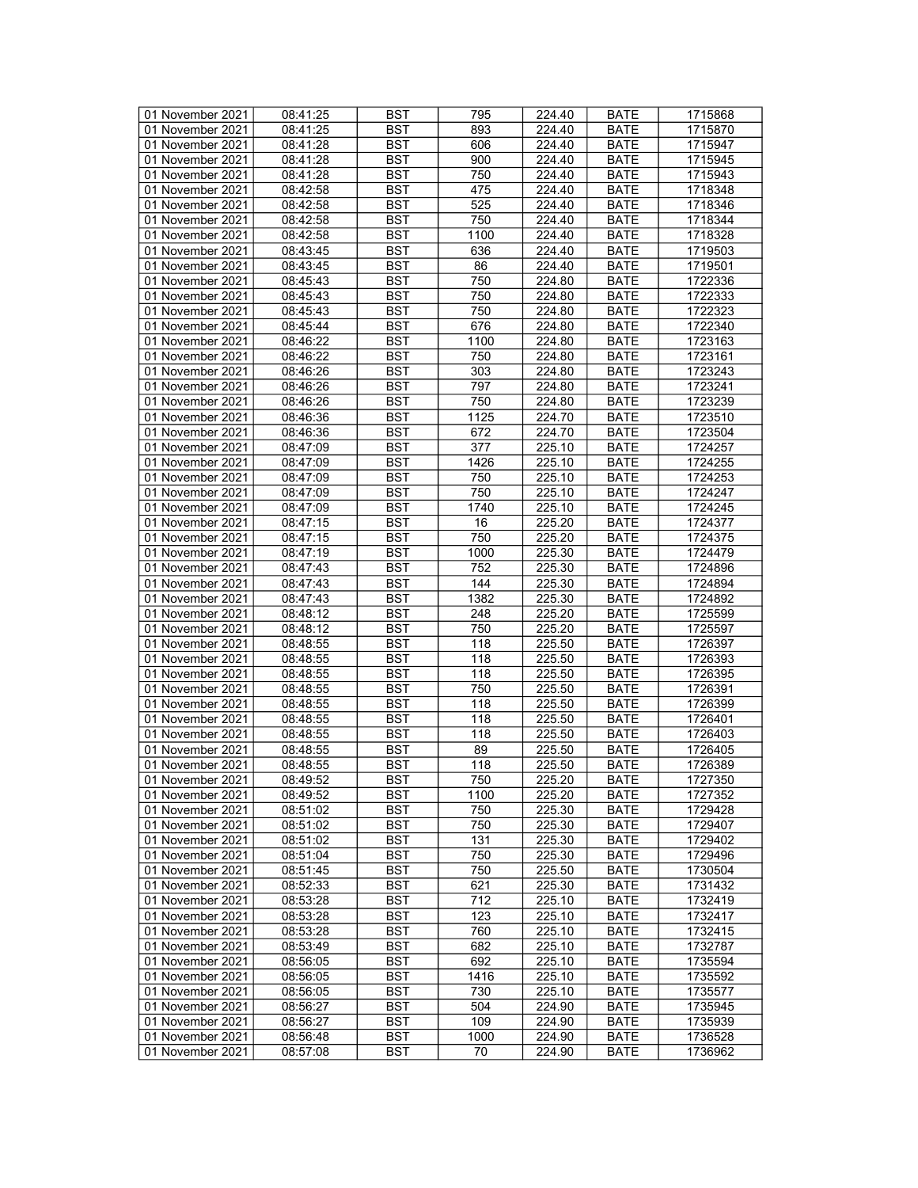| 01 November 2021 | 08:41:25 | <b>BST</b> | 795  | 224.40 | <b>BATE</b> | 1715868 |
|------------------|----------|------------|------|--------|-------------|---------|
| 01 November 2021 | 08:41:25 | BST        | 893  | 224.40 | <b>BATE</b> | 1715870 |
| 01 November 2021 | 08:41:28 | <b>BST</b> | 606  | 224.40 | <b>BATE</b> | 1715947 |
|                  |          |            |      |        |             |         |
| 01 November 2021 | 08:41:28 | <b>BST</b> | 900  | 224.40 | <b>BATE</b> | 1715945 |
| 01 November 2021 | 08:41:28 | <b>BST</b> | 750  | 224.40 | <b>BATE</b> | 1715943 |
| 01 November 2021 | 08:42:58 | <b>BST</b> | 475  | 224.40 | <b>BATE</b> | 1718348 |
| 01 November 2021 | 08:42:58 | <b>BST</b> | 525  | 224.40 | <b>BATE</b> | 1718346 |
| 01 November 2021 | 08:42:58 | <b>BST</b> | 750  | 224.40 | <b>BATE</b> | 1718344 |
| 01 November 2021 | 08:42:58 | <b>BST</b> | 1100 | 224.40 | <b>BATE</b> | 1718328 |
| 01 November 2021 | 08:43:45 | <b>BST</b> | 636  | 224.40 | <b>BATE</b> | 1719503 |
| 01 November 2021 | 08:43:45 | <b>BST</b> | 86   | 224.40 | <b>BATE</b> | 1719501 |
| 01 November 2021 | 08:45:43 | <b>BST</b> | 750  | 224.80 | <b>BATE</b> | 1722336 |
| 01 November 2021 | 08:45:43 | <b>BST</b> | 750  | 224.80 | <b>BATE</b> | 1722333 |
| 01 November 2021 | 08:45:43 | <b>BST</b> | 750  | 224.80 | <b>BATE</b> | 1722323 |
| 01 November 2021 | 08:45:44 | <b>BST</b> | 676  | 224.80 | <b>BATE</b> | 1722340 |
|                  |          |            |      |        |             |         |
| 01 November 2021 | 08:46:22 | <b>BST</b> | 1100 | 224.80 | <b>BATE</b> | 1723163 |
| 01 November 2021 | 08:46:22 | <b>BST</b> | 750  | 224.80 | <b>BATE</b> | 1723161 |
| 01 November 2021 | 08:46:26 | <b>BST</b> | 303  | 224.80 | <b>BATE</b> | 1723243 |
| 01 November 2021 | 08:46:26 | <b>BST</b> | 797  | 224.80 | <b>BATE</b> | 1723241 |
| 01 November 2021 | 08:46:26 | <b>BST</b> | 750  | 224.80 | <b>BATE</b> | 1723239 |
| 01 November 2021 | 08:46:36 | <b>BST</b> | 1125 | 224.70 | <b>BATE</b> | 1723510 |
| 01 November 2021 | 08:46:36 | <b>BST</b> | 672  | 224.70 | <b>BATE</b> | 1723504 |
| 01 November 2021 | 08:47:09 | <b>BST</b> | 377  | 225.10 | <b>BATE</b> | 1724257 |
| 01 November 2021 | 08:47:09 | <b>BST</b> | 1426 | 225.10 | <b>BATE</b> | 1724255 |
| 01 November 2021 | 08:47:09 | <b>BST</b> | 750  | 225.10 | <b>BATE</b> | 1724253 |
| 01 November 2021 | 08:47:09 | <b>BST</b> | 750  | 225.10 | <b>BATE</b> | 1724247 |
| 01 November 2021 | 08:47:09 | <b>BST</b> | 1740 | 225.10 | BATE        | 1724245 |
| 01 November 2021 | 08:47:15 | <b>BST</b> | 16   | 225.20 | <b>BATE</b> | 1724377 |
| 01 November 2021 | 08:47:15 | <b>BST</b> | 750  | 225.20 | <b>BATE</b> | 1724375 |
| 01 November 2021 | 08:47:19 | <b>BST</b> | 1000 | 225.30 | <b>BATE</b> | 1724479 |
|                  |          |            |      |        |             |         |
| 01 November 2021 | 08:47:43 | <b>BST</b> | 752  | 225.30 | <b>BATE</b> | 1724896 |
| 01 November 2021 | 08:47:43 | <b>BST</b> | 144  | 225.30 | <b>BATE</b> | 1724894 |
| 01 November 2021 | 08:47:43 | <b>BST</b> | 1382 | 225.30 | <b>BATE</b> | 1724892 |
| 01 November 2021 | 08:48:12 | <b>BST</b> | 248  | 225.20 | <b>BATE</b> | 1725599 |
| 01 November 2021 | 08:48:12 | <b>BST</b> | 750  | 225.20 | <b>BATE</b> | 1725597 |
| 01 November 2021 | 08:48:55 | <b>BST</b> | 118  | 225.50 | <b>BATE</b> | 1726397 |
| 01 November 2021 | 08:48:55 | <b>BST</b> | 118  | 225.50 | <b>BATE</b> | 1726393 |
| 01 November 2021 | 08:48:55 | <b>BST</b> | 118  | 225.50 | <b>BATE</b> | 1726395 |
| 01 November 2021 | 08:48:55 | <b>BST</b> | 750  | 225.50 | <b>BATE</b> | 1726391 |
| 01 November 2021 | 08:48:55 | <b>BST</b> | 118  | 225.50 | <b>BATE</b> | 1726399 |
| 01 November 2021 | 08:48:55 | <b>BST</b> | 118  | 225.50 | <b>BATE</b> | 1726401 |
| 01 November 2021 | 08:48:55 | <b>BST</b> | 118  | 225.50 | <b>BATE</b> | 1726403 |
| 01 November 2021 | 08:48:55 | <b>BST</b> | 89   | 225.50 | <b>BATE</b> | 1726405 |
| 01 November 2021 | 08:48:55 | <b>BST</b> | 118  | 225.50 | <b>BATE</b> | 1726389 |
| 01 November 2021 | 08:49:52 | <b>BST</b> | 750  | 225.20 | <b>BATE</b> | 1727350 |
| 01 November 2021 | 08:49:52 | BST        | 1100 | 225.20 | <b>BATE</b> | 1727352 |
| 01 November 2021 | 08:51:02 | <b>BST</b> | 750  | 225.30 | BATE        | 1729428 |
| 01 November 2021 | 08:51:02 | <b>BST</b> | 750  | 225.30 | <b>BATE</b> | 1729407 |
| 01 November 2021 | 08:51:02 | <b>BST</b> | 131  | 225.30 | <b>BATE</b> | 1729402 |
| 01 November 2021 | 08:51:04 | <b>BST</b> | 750  | 225.30 | <b>BATE</b> | 1729496 |
|                  |          |            |      |        |             |         |
| 01 November 2021 | 08:51:45 | <b>BST</b> | 750  | 225.50 | <b>BATE</b> | 1730504 |
| 01 November 2021 | 08:52:33 | BST        | 621  | 225.30 | <b>BATE</b> | 1731432 |
| 01 November 2021 | 08:53:28 | <b>BST</b> | 712  | 225.10 | <b>BATE</b> | 1732419 |
| 01 November 2021 | 08:53:28 | <b>BST</b> | 123  | 225.10 | <b>BATE</b> | 1732417 |
| 01 November 2021 | 08:53:28 | <b>BST</b> | 760  | 225.10 | <b>BATE</b> | 1732415 |
| 01 November 2021 | 08:53:49 | BST        | 682  | 225.10 | <b>BATE</b> | 1732787 |
| 01 November 2021 | 08:56:05 | <b>BST</b> | 692  | 225.10 | <b>BATE</b> | 1735594 |
| 01 November 2021 | 08:56:05 | BST        | 1416 | 225.10 | <b>BATE</b> | 1735592 |
| 01 November 2021 | 08:56:05 | <b>BST</b> | 730  | 225.10 | <b>BATE</b> | 1735577 |
| 01 November 2021 | 08:56:27 | <b>BST</b> | 504  | 224.90 | <b>BATE</b> | 1735945 |
| 01 November 2021 | 08:56:27 | BST        | 109  | 224.90 | BATE        | 1735939 |
| 01 November 2021 | 08:56:48 | <b>BST</b> | 1000 | 224.90 | <b>BATE</b> | 1736528 |
| 01 November 2021 | 08:57:08 | BST        | 70   | 224.90 | <b>BATE</b> | 1736962 |
|                  |          |            |      |        |             |         |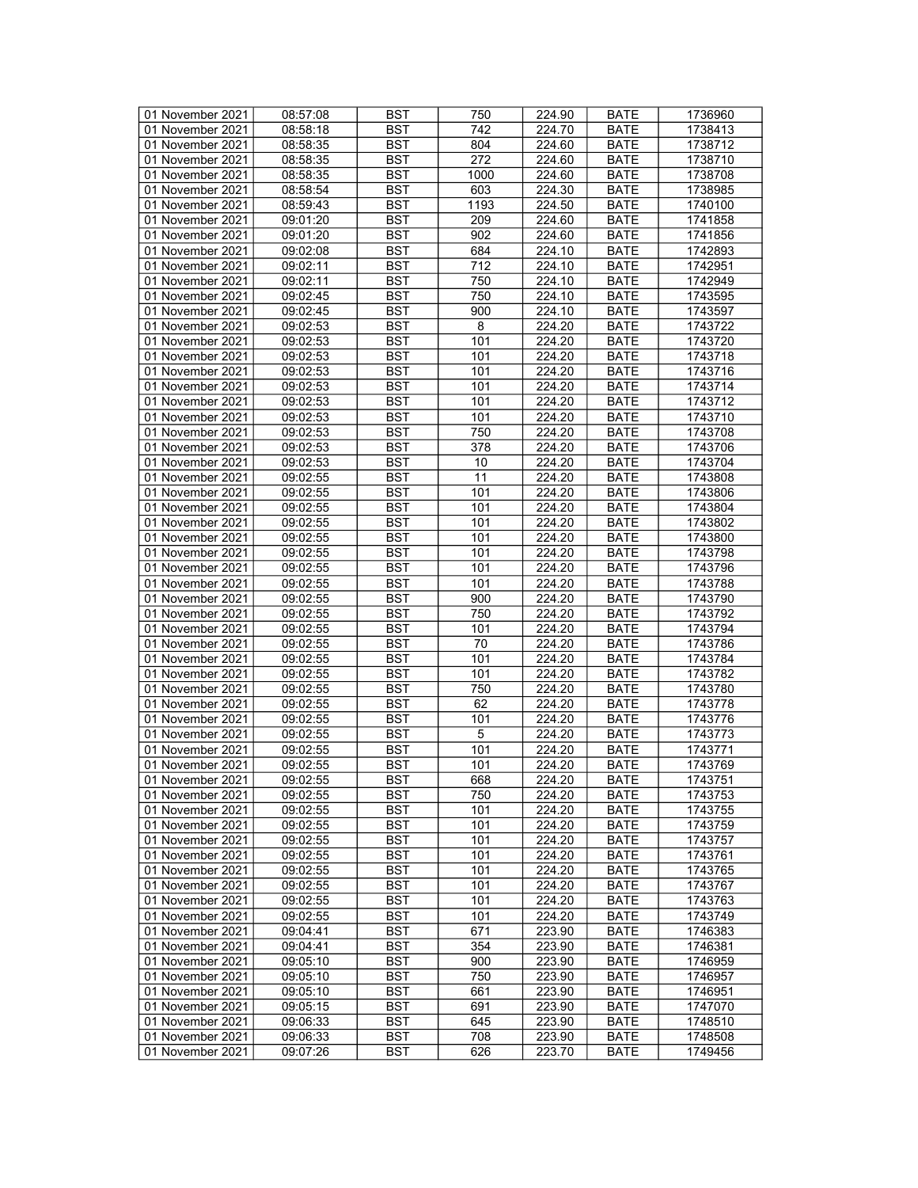| 01 November 2021 | 08:57:08 | <b>BST</b> | 750  | 224.90              | <b>BATE</b> | 1736960 |
|------------------|----------|------------|------|---------------------|-------------|---------|
| 01 November 2021 | 08:58:18 | BST        | 742  | $\overline{224.70}$ | <b>BATE</b> | 1738413 |
| 01 November 2021 | 08:58:35 | <b>BST</b> | 804  | 224.60              | <b>BATE</b> | 1738712 |
| 01 November 2021 | 08:58:35 | <b>BST</b> | 272  | 224.60              | <b>BATE</b> | 1738710 |
| 01 November 2021 | 08:58:35 | <b>BST</b> | 1000 | 224.60              | <b>BATE</b> | 1738708 |
| 01 November 2021 | 08:58:54 | <b>BST</b> | 603  | 224.30              | <b>BATE</b> | 1738985 |
| 01 November 2021 | 08:59:43 | <b>BST</b> | 1193 | 224.50              | <b>BATE</b> | 1740100 |
|                  | 09:01:20 | <b>BST</b> | 209  | 224.60              |             | 1741858 |
| 01 November 2021 |          |            |      |                     | <b>BATE</b> |         |
| 01 November 2021 | 09:01:20 | <b>BST</b> | 902  | 224.60              | <b>BATE</b> | 1741856 |
| 01 November 2021 | 09:02:08 | <b>BST</b> | 684  | 224.10              | <b>BATE</b> | 1742893 |
| 01 November 2021 | 09:02:11 | <b>BST</b> | 712  | 224.10              | <b>BATE</b> | 1742951 |
| 01 November 2021 | 09:02:11 | <b>BST</b> | 750  | 224.10              | <b>BATE</b> | 1742949 |
| 01 November 2021 | 09:02:45 | <b>BST</b> | 750  | 224.10              | <b>BATE</b> | 1743595 |
| 01 November 2021 | 09:02:45 | <b>BST</b> | 900  | 224.10              | <b>BATE</b> | 1743597 |
| 01 November 2021 | 09:02:53 | <b>BST</b> | 8    | 224.20              | <b>BATE</b> | 1743722 |
| 01 November 2021 | 09:02:53 | <b>BST</b> | 101  | 224.20              | <b>BATE</b> | 1743720 |
| 01 November 2021 | 09:02:53 | <b>BST</b> | 101  | 224.20              | <b>BATE</b> | 1743718 |
| 01 November 2021 | 09:02:53 | <b>BST</b> | 101  | 224.20              | <b>BATE</b> | 1743716 |
| 01 November 2021 | 09:02:53 | <b>BST</b> | 101  | 224.20              | <b>BATE</b> | 1743714 |
| 01 November 2021 | 09:02:53 | <b>BST</b> | 101  | 224.20              | <b>BATE</b> | 1743712 |
| 01 November 2021 | 09:02:53 | <b>BST</b> | 101  | 224.20              | <b>BATE</b> | 1743710 |
| 01 November 2021 | 09:02:53 | <b>BST</b> | 750  | 224.20              | <b>BATE</b> | 1743708 |
| 01 November 2021 | 09:02:53 | <b>BST</b> | 378  | 224.20              | <b>BATE</b> | 1743706 |
| 01 November 2021 | 09:02:53 | <b>BST</b> | 10   | 224.20              | <b>BATE</b> | 1743704 |
| 01 November 2021 | 09:02:55 | <b>BST</b> | 11   | 224.20              | <b>BATE</b> | 1743808 |
| 01 November 2021 | 09:02:55 | <b>BST</b> | 101  | 224.20              | <b>BATE</b> | 1743806 |
| 01 November 2021 | 09:02:55 | <b>BST</b> | 101  | 224.20              | <b>BATE</b> | 1743804 |
|                  |          | <b>BST</b> | 101  | 224.20              |             | 1743802 |
| 01 November 2021 | 09:02:55 |            |      |                     | <b>BATE</b> |         |
| 01 November 2021 | 09:02:55 | <b>BST</b> | 101  | 224.20              | <b>BATE</b> | 1743800 |
| 01 November 2021 | 09:02:55 | <b>BST</b> | 101  | 224.20              | <b>BATE</b> | 1743798 |
| 01 November 2021 | 09:02:55 | <b>BST</b> | 101  | 224.20              | <b>BATE</b> | 1743796 |
| 01 November 2021 | 09:02:55 | <b>BST</b> | 101  | 224.20              | <b>BATE</b> | 1743788 |
| 01 November 2021 | 09:02:55 | <b>BST</b> | 900  | 224.20              | <b>BATE</b> | 1743790 |
| 01 November 2021 | 09:02:55 | <b>BST</b> | 750  | 224.20              | <b>BATE</b> | 1743792 |
| 01 November 2021 | 09:02:55 | <b>BST</b> | 101  | 224.20              | <b>BATE</b> | 1743794 |
| 01 November 2021 | 09:02:55 | <b>BST</b> | 70   | 224.20              | <b>BATE</b> | 1743786 |
| 01 November 2021 | 09:02:55 | <b>BST</b> | 101  | 224.20              | <b>BATE</b> | 1743784 |
| 01 November 2021 | 09:02:55 | <b>BST</b> | 101  | 224.20              | <b>BATE</b> | 1743782 |
| 01 November 2021 | 09:02:55 | <b>BST</b> | 750  | 224.20              | <b>BATE</b> | 1743780 |
| 01 November 2021 | 09:02:55 | <b>BST</b> | 62   | 224.20              | <b>BATE</b> | 1743778 |
| 01 November 2021 | 09:02:55 | <b>BST</b> | 101  | 224.20              | <b>BATE</b> | 1743776 |
| 01 November 2021 | 09:02:55 | <b>BST</b> | 5    | 224.20              | <b>BATE</b> | 1743773 |
| 01 November 2021 | 09:02:55 | <b>BST</b> | 101  | 224.20              | <b>BATE</b> | 1743771 |
| 01 November 2021 | 09:02:55 | <b>BST</b> | 101  | 224.20              | <b>BATE</b> | 1743769 |
| 01 November 2021 | 09:02:55 | <b>BST</b> | 668  | 224.20              | <b>BATE</b> | 1743751 |
| 01 November 2021 | 09:02:55 | BST        | 750  | 224.20              | <b>BATE</b> | 1743753 |
| 01 November 2021 | 09:02:55 | <b>BST</b> | 101  | 224.20              | <b>BATE</b> | 1743755 |
| 01 November 2021 | 09:02:55 | <b>BST</b> | 101  | 224.20              | <b>BATE</b> | 1743759 |
| 01 November 2021 | 09:02:55 | <b>BST</b> | 101  | 224.20              | <b>BATE</b> | 1743757 |
| 01 November 2021 | 09:02:55 | <b>BST</b> | 101  | 224.20              | <b>BATE</b> | 1743761 |
| 01 November 2021 | 09:02:55 | <b>BST</b> | 101  | 224.20              | <b>BATE</b> | 1743765 |
|                  |          |            |      |                     |             |         |
| 01 November 2021 | 09:02:55 | BST        | 101  | 224.20              | <b>BATE</b> | 1743767 |
| 01 November 2021 | 09:02:55 | <b>BST</b> | 101  | 224.20              | <b>BATE</b> | 1743763 |
| 01 November 2021 | 09:02:55 | <b>BST</b> | 101  | 224.20              | <b>BATE</b> | 1743749 |
| 01 November 2021 | 09:04:41 | <b>BST</b> | 671  | 223.90              | <b>BATE</b> | 1746383 |
| 01 November 2021 | 09:04:41 | <b>BST</b> | 354  | 223.90              | <b>BATE</b> | 1746381 |
| 01 November 2021 | 09:05:10 | <b>BST</b> | 900  | 223.90              | <b>BATE</b> | 1746959 |
| 01 November 2021 | 09:05:10 | <b>BST</b> | 750  | 223.90              | <b>BATE</b> | 1746957 |
| 01 November 2021 | 09:05:10 | <b>BST</b> | 661  | 223.90              | <b>BATE</b> | 1746951 |
| 01 November 2021 | 09:05:15 | <b>BST</b> | 691  | 223.90              | <b>BATE</b> | 1747070 |
| 01 November 2021 | 09:06:33 | BST        | 645  | 223.90              | BATE        | 1748510 |
| 01 November 2021 | 09:06:33 | <b>BST</b> | 708  | 223.90              | <b>BATE</b> | 1748508 |
| 01 November 2021 | 09:07:26 | <b>BST</b> | 626  | 223.70              | <b>BATE</b> | 1749456 |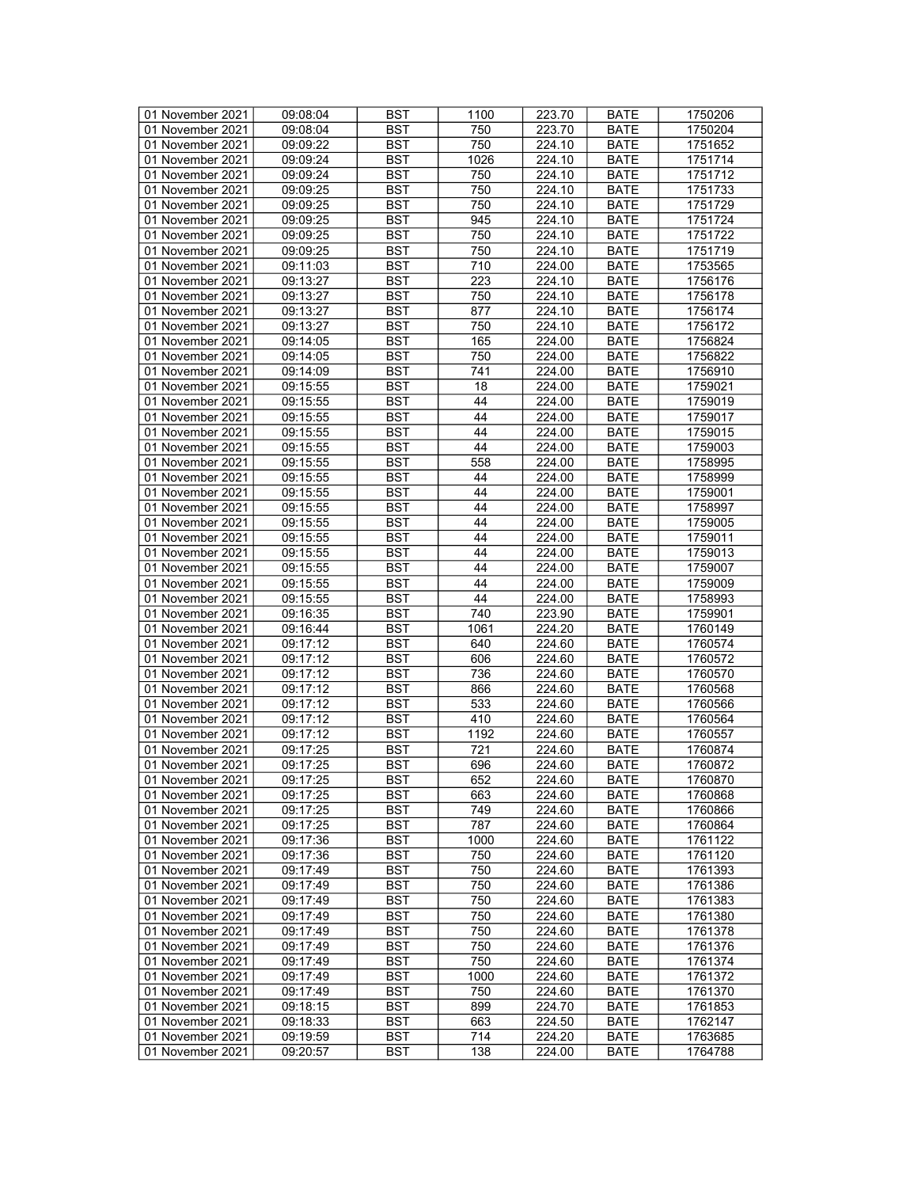| 01 November 2021 | 09:08:04 | <b>BST</b> | 1100 | 223.70           | <b>BATE</b>                | 1750206 |
|------------------|----------|------------|------|------------------|----------------------------|---------|
| 01 November 2021 | 09:08:04 | BST        | 750  | 223.70           | <b>BATE</b>                | 1750204 |
| 01 November 2021 | 09:09:22 | <b>BST</b> | 750  | 224.10           | <b>BATE</b>                | 1751652 |
| 01 November 2021 | 09:09:24 | <b>BST</b> | 1026 | 224.10           | <b>BATE</b>                | 1751714 |
| 01 November 2021 | 09:09:24 | <b>BST</b> | 750  | 224.10           | <b>BATE</b>                | 1751712 |
|                  |          |            |      |                  |                            |         |
| 01 November 2021 | 09:09:25 | <b>BST</b> | 750  | 224.10           | <b>BATE</b>                | 1751733 |
| 01 November 2021 | 09:09:25 | <b>BST</b> | 750  | 224.10           | <b>BATE</b>                | 1751729 |
| 01 November 2021 | 09:09:25 | <b>BST</b> | 945  | 224.10           | <b>BATE</b>                | 1751724 |
| 01 November 2021 | 09:09:25 | <b>BST</b> | 750  | 224.10           | <b>BATE</b>                | 1751722 |
| 01 November 2021 | 09:09:25 | <b>BST</b> | 750  | 224.10           | <b>BATE</b>                | 1751719 |
| 01 November 2021 | 09:11:03 | <b>BST</b> | 710  | 224.00           | <b>BATE</b>                | 1753565 |
| 01 November 2021 | 09:13:27 | <b>BST</b> | 223  | 224.10           | <b>BATE</b>                | 1756176 |
| 01 November 2021 | 09:13:27 | <b>BST</b> | 750  | 224.10           | <b>BATE</b>                | 1756178 |
| 01 November 2021 | 09:13:27 | <b>BST</b> | 877  | 224.10           | <b>BATE</b>                | 1756174 |
| 01 November 2021 | 09:13:27 | <b>BST</b> | 750  | 224.10           | <b>BATE</b>                | 1756172 |
| 01 November 2021 | 09:14:05 | <b>BST</b> | 165  | 224.00           | <b>BATE</b>                | 1756824 |
| 01 November 2021 | 09:14:05 | <b>BST</b> | 750  | 224.00           | <b>BATE</b>                | 1756822 |
| 01 November 2021 | 09:14:09 | <b>BST</b> | 741  | 224.00           | <b>BATE</b>                | 1756910 |
| 01 November 2021 | 09:15:55 | <b>BST</b> | 18   | 224.00           | <b>BATE</b>                | 1759021 |
| 01 November 2021 | 09:15:55 | <b>BST</b> | 44   | 224.00           | <b>BATE</b>                | 1759019 |
| 01 November 2021 | 09:15:55 | <b>BST</b> | 44   | 224.00           | <b>BATE</b>                | 1759017 |
|                  | 09:15:55 |            |      | 224.00           |                            |         |
| 01 November 2021 |          | <b>BST</b> | 44   |                  | <b>BATE</b>                | 1759015 |
| 01 November 2021 | 09:15:55 | <b>BST</b> | 44   | 224.00           | <b>BATE</b>                | 1759003 |
| 01 November 2021 | 09:15:55 | <b>BST</b> | 558  | 224.00           | <b>BATE</b>                | 1758995 |
| 01 November 2021 | 09:15:55 | <b>BST</b> | 44   | 224.00           | <b>BATE</b>                | 1758999 |
| 01 November 2021 | 09:15:55 | <b>BST</b> | 44   | 224.00           | <b>BATE</b>                | 1759001 |
| 01 November 2021 | 09:15:55 | <b>BST</b> | 44   | 224.00           | <b>BATE</b>                | 1758997 |
| 01 November 2021 | 09:15:55 | <b>BST</b> | 44   | 224.00           | <b>BATE</b>                | 1759005 |
| 01 November 2021 | 09:15:55 | <b>BST</b> | 44   | 224.00           | <b>BATE</b>                | 1759011 |
| 01 November 2021 | 09:15:55 | <b>BST</b> | 44   | 224.00           | <b>BATE</b>                | 1759013 |
| 01 November 2021 | 09:15:55 | <b>BST</b> | 44   | 224.00           | <b>BATE</b>                | 1759007 |
| 01 November 2021 | 09:15:55 | <b>BST</b> | 44   | 224.00           | <b>BATE</b>                | 1759009 |
| 01 November 2021 | 09:15:55 | <b>BST</b> | 44   | 224.00           | <b>BATE</b>                | 1758993 |
| 01 November 2021 | 09:16:35 | <b>BST</b> | 740  | 223.90           | <b>BATE</b>                | 1759901 |
| 01 November 2021 | 09:16:44 | <b>BST</b> | 1061 | 224.20           | <b>BATE</b>                | 1760149 |
| 01 November 2021 | 09:17:12 | <b>BST</b> | 640  | 224.60           | <b>BATE</b>                | 1760574 |
| 01 November 2021 | 09:17:12 | <b>BST</b> | 606  | 224.60           | <b>BATE</b>                | 1760572 |
| 01 November 2021 | 09:17:12 | <b>BST</b> | 736  | 224.60           | <b>BATE</b>                | 1760570 |
| 01 November 2021 | 09:17:12 | <b>BST</b> | 866  | 224.60           | <b>BATE</b>                | 1760568 |
| 01 November 2021 | 09:17:12 | <b>BST</b> | 533  | 224.60           | <b>BATE</b>                | 1760566 |
| 01 November 2021 | 09:17:12 | <b>BST</b> | 410  | 224.60           | <b>BATE</b>                | 1760564 |
| 01 November 2021 |          |            |      |                  |                            |         |
|                  | 09:17:12 | <b>BST</b> | 1192 | 224.60<br>224.60 | <b>BATE</b><br><b>BATE</b> | 1760557 |
| 01 November 2021 | 09:17:25 | <b>BST</b> | 721  |                  |                            | 1760874 |
| 01 November 2021 | 09:17:25 | <b>BST</b> | 696  | 224.60           | <b>BATE</b>                | 1760872 |
| 01 November 2021 | 09:17:25 | <b>BST</b> | 652  | 224.60           | <b>BATE</b>                | 1760870 |
| 01 November 2021 | 09:17:25 | BST        | 663  | 224.60           | <b>BATE</b>                | 1760868 |
| 01 November 2021 | 09:17:25 | <b>BST</b> | 749  | 224.60           | BATE                       | 1760866 |
| 01 November 2021 | 09:17:25 | <b>BST</b> | 787  | 224.60           | <b>BATE</b>                | 1760864 |
| 01 November 2021 | 09:17:36 | <b>BST</b> | 1000 | 224.60           | <b>BATE</b>                | 1761122 |
| 01 November 2021 | 09:17:36 | <b>BST</b> | 750  | 224.60           | <b>BATE</b>                | 1761120 |
| 01 November 2021 | 09:17:49 | <b>BST</b> | 750  | 224.60           | <b>BATE</b>                | 1761393 |
| 01 November 2021 | 09:17:49 | BST        | 750  | 224.60           | <b>BATE</b>                | 1761386 |
| 01 November 2021 | 09:17:49 | <b>BST</b> | 750  | 224.60           | <b>BATE</b>                | 1761383 |
| 01 November 2021 | 09:17:49 | <b>BST</b> | 750  | 224.60           | <b>BATE</b>                | 1761380 |
| 01 November 2021 | 09:17:49 | <b>BST</b> | 750  | 224.60           | <b>BATE</b>                | 1761378 |
| 01 November 2021 | 09:17:49 | <b>BST</b> | 750  | 224.60           | <b>BATE</b>                | 1761376 |
| 01 November 2021 | 09:17:49 | <b>BST</b> | 750  | 224.60           | <b>BATE</b>                | 1761374 |
| 01 November 2021 | 09:17:49 | <b>BST</b> | 1000 | 224.60           | <b>BATE</b>                | 1761372 |
| 01 November 2021 | 09:17:49 | <b>BST</b> | 750  | 224.60           | <b>BATE</b>                | 1761370 |
| 01 November 2021 | 09:18:15 | <b>BST</b> | 899  | 224.70           | <b>BATE</b>                | 1761853 |
| 01 November 2021 | 09:18:33 | BST        | 663  | 224.50           | BATE                       | 1762147 |
| 01 November 2021 | 09:19:59 | <b>BST</b> | 714  | 224.20           | <b>BATE</b>                | 1763685 |
| 01 November 2021 |          |            |      |                  |                            |         |
|                  | 09:20:57 | BST        | 138  | 224.00           | <b>BATE</b>                | 1764788 |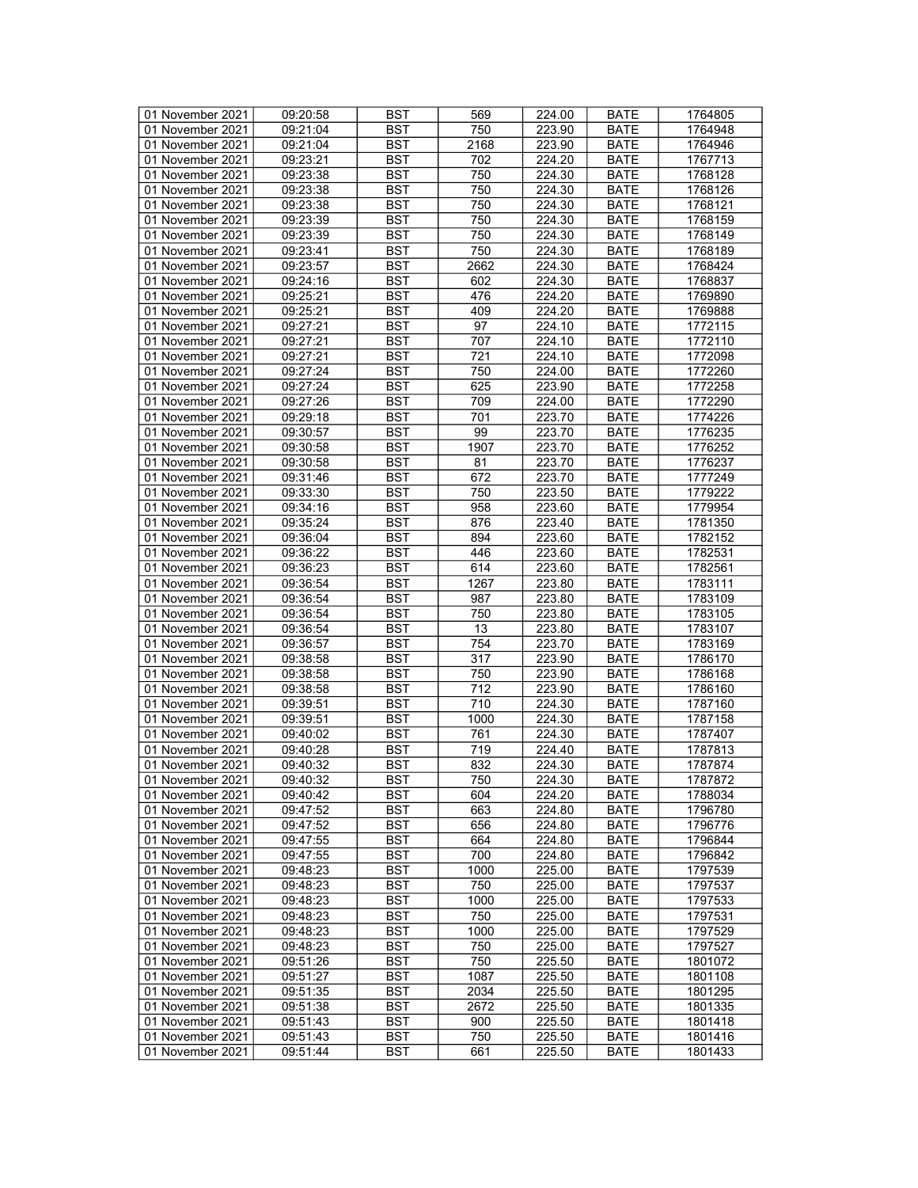| 01 November 2021 | 09:20:58 | <b>BST</b> | 569  | 224.00 | <b>BATE</b> | 1764805 |
|------------------|----------|------------|------|--------|-------------|---------|
| 01 November 2021 | 09:21:04 | BST        | 750  | 223.90 | <b>BATE</b> | 1764948 |
| 01 November 2021 | 09:21:04 | <b>BST</b> | 2168 | 223.90 | <b>BATE</b> | 1764946 |
| 01 November 2021 | 09:23:21 | <b>BST</b> | 702  | 224.20 | <b>BATE</b> | 1767713 |
| 01 November 2021 | 09:23:38 | <b>BST</b> | 750  | 224.30 | <b>BATE</b> | 1768128 |
|                  |          |            |      |        |             |         |
| 01 November 2021 | 09:23:38 | <b>BST</b> | 750  | 224.30 | <b>BATE</b> | 1768126 |
| 01 November 2021 | 09:23:38 | <b>BST</b> | 750  | 224.30 | <b>BATE</b> | 1768121 |
| 01 November 2021 | 09:23:39 | <b>BST</b> | 750  | 224.30 | <b>BATE</b> | 1768159 |
| 01 November 2021 | 09:23:39 | <b>BST</b> | 750  | 224.30 | <b>BATE</b> | 1768149 |
| 01 November 2021 | 09:23:41 | <b>BST</b> | 750  | 224.30 | <b>BATE</b> | 1768189 |
| 01 November 2021 | 09:23:57 | <b>BST</b> | 2662 | 224.30 | <b>BATE</b> | 1768424 |
| 01 November 2021 | 09:24:16 | <b>BST</b> | 602  | 224.30 | <b>BATE</b> | 1768837 |
| 01 November 2021 | 09:25:21 | <b>BST</b> | 476  | 224.20 | <b>BATE</b> | 1769890 |
| 01 November 2021 | 09:25:21 | <b>BST</b> | 409  | 224.20 | <b>BATE</b> | 1769888 |
| 01 November 2021 | 09:27:21 | <b>BST</b> | 97   | 224.10 | <b>BATE</b> | 1772115 |
| 01 November 2021 | 09:27:21 | <b>BST</b> | 707  | 224.10 | <b>BATE</b> | 1772110 |
| 01 November 2021 | 09:27:21 | <b>BST</b> | 721  | 224.10 | <b>BATE</b> | 1772098 |
| 01 November 2021 | 09:27:24 | <b>BST</b> | 750  | 224.00 | <b>BATE</b> | 1772260 |
| 01 November 2021 | 09:27:24 | <b>BST</b> | 625  | 223.90 | <b>BATE</b> | 1772258 |
| 01 November 2021 | 09:27:26 | <b>BST</b> | 709  | 224.00 | <b>BATE</b> | 1772290 |
| 01 November 2021 | 09:29:18 | <b>BST</b> | 701  | 223.70 | <b>BATE</b> | 1774226 |
|                  | 09:30:57 |            |      | 223.70 |             | 1776235 |
| 01 November 2021 |          | <b>BST</b> | 99   |        | <b>BATE</b> |         |
| 01 November 2021 | 09:30:58 | <b>BST</b> | 1907 | 223.70 | <b>BATE</b> | 1776252 |
| 01 November 2021 | 09:30:58 | <b>BST</b> | 81   | 223.70 | <b>BATE</b> | 1776237 |
| 01 November 2021 | 09:31:46 | <b>BST</b> | 672  | 223.70 | <b>BATE</b> | 1777249 |
| 01 November 2021 | 09:33:30 | <b>BST</b> | 750  | 223.50 | <b>BATE</b> | 1779222 |
| 01 November 2021 | 09:34:16 | <b>BST</b> | 958  | 223.60 | <b>BATE</b> | 1779954 |
| 01 November 2021 | 09:35:24 | <b>BST</b> | 876  | 223.40 | <b>BATE</b> | 1781350 |
| 01 November 2021 | 09:36:04 | <b>BST</b> | 894  | 223.60 | <b>BATE</b> | 1782152 |
| 01 November 2021 | 09:36:22 | <b>BST</b> | 446  | 223.60 | <b>BATE</b> | 1782531 |
| 01 November 2021 | 09:36:23 | <b>BST</b> | 614  | 223.60 | <b>BATE</b> | 1782561 |
| 01 November 2021 | 09:36:54 | <b>BST</b> | 1267 | 223.80 | <b>BATE</b> | 1783111 |
| 01 November 2021 | 09:36:54 | <b>BST</b> | 987  | 223.80 | <b>BATE</b> | 1783109 |
| 01 November 2021 | 09:36:54 | <b>BST</b> | 750  | 223.80 | <b>BATE</b> | 1783105 |
| 01 November 2021 | 09:36:54 | <b>BST</b> | 13   | 223.80 | <b>BATE</b> | 1783107 |
| 01 November 2021 | 09:36:57 | <b>BST</b> | 754  | 223.70 | <b>BATE</b> | 1783169 |
| 01 November 2021 | 09:38:58 | <b>BST</b> | 317  | 223.90 | <b>BATE</b> | 1786170 |
| 01 November 2021 | 09:38:58 | <b>BST</b> | 750  | 223.90 | <b>BATE</b> | 1786168 |
| 01 November 2021 | 09:38:58 | <b>BST</b> | 712  | 223.90 | <b>BATE</b> | 1786160 |
| 01 November 2021 | 09:39:51 | <b>BST</b> | 710  | 224.30 | <b>BATE</b> | 1787160 |
|                  |          |            |      |        |             |         |
| 01 November 2021 | 09:39:51 | <b>BST</b> | 1000 | 224.30 | <b>BATE</b> | 1787158 |
| 01 November 2021 | 09:40:02 | <b>BST</b> | 761  | 224.30 | <b>BATE</b> | 1787407 |
| 01 November 2021 | 09:40:28 | <b>BST</b> | 719  | 224.40 | <b>BATE</b> | 1787813 |
| 01 November 2021 | 09:40:32 | <b>BST</b> | 832  | 224.30 | <b>BATE</b> | 1787874 |
| 01 November 2021 | 09:40:32 | <b>BST</b> | 750  | 224.30 | <b>BATE</b> | 1787872 |
| 01 November 2021 | 09:40:42 | BST        | 604  | 224.20 | <b>BATE</b> | 1788034 |
| 01 November 2021 | 09:47:52 | <b>BST</b> | 663  | 224.80 | BATE        | 1796780 |
| 01 November 2021 | 09:47:52 | <b>BST</b> | 656  | 224.80 | <b>BATE</b> | 1796776 |
| 01 November 2021 | 09:47:55 | <b>BST</b> | 664  | 224.80 | <b>BATE</b> | 1796844 |
| 01 November 2021 | 09:47:55 | <b>BST</b> | 700  | 224.80 | <b>BATE</b> | 1796842 |
| 01 November 2021 | 09:48:23 | <b>BST</b> | 1000 | 225.00 | <b>BATE</b> | 1797539 |
| 01 November 2021 | 09:48:23 | BST        | 750  | 225.00 | <b>BATE</b> | 1797537 |
| 01 November 2021 | 09:48:23 | <b>BST</b> | 1000 | 225.00 | <b>BATE</b> | 1797533 |
| 01 November 2021 | 09:48:23 | <b>BST</b> | 750  | 225.00 | <b>BATE</b> | 1797531 |
| 01 November 2021 | 09:48:23 | <b>BST</b> | 1000 | 225.00 | <b>BATE</b> | 1797529 |
| 01 November 2021 | 09:48:23 | <b>BST</b> | 750  | 225.00 | <b>BATE</b> | 1797527 |
| 01 November 2021 | 09:51:26 | <b>BST</b> | 750  | 225.50 | <b>BATE</b> | 1801072 |
| 01 November 2021 | 09:51:27 | <b>BST</b> | 1087 | 225.50 | <b>BATE</b> | 1801108 |
|                  |          |            |      |        |             |         |
| 01 November 2021 | 09:51:35 | <b>BST</b> | 2034 | 225.50 | <b>BATE</b> | 1801295 |
| 01 November 2021 | 09:51:38 | <b>BST</b> | 2672 | 225.50 | <b>BATE</b> | 1801335 |
| 01 November 2021 | 09:51:43 | BST        | 900  | 225.50 | BATE        | 1801418 |
| 01 November 2021 | 09:51:43 | <b>BST</b> | 750  | 225.50 | <b>BATE</b> | 1801416 |
| 01 November 2021 | 09:51:44 | BST        | 661  | 225.50 | <b>BATE</b> | 1801433 |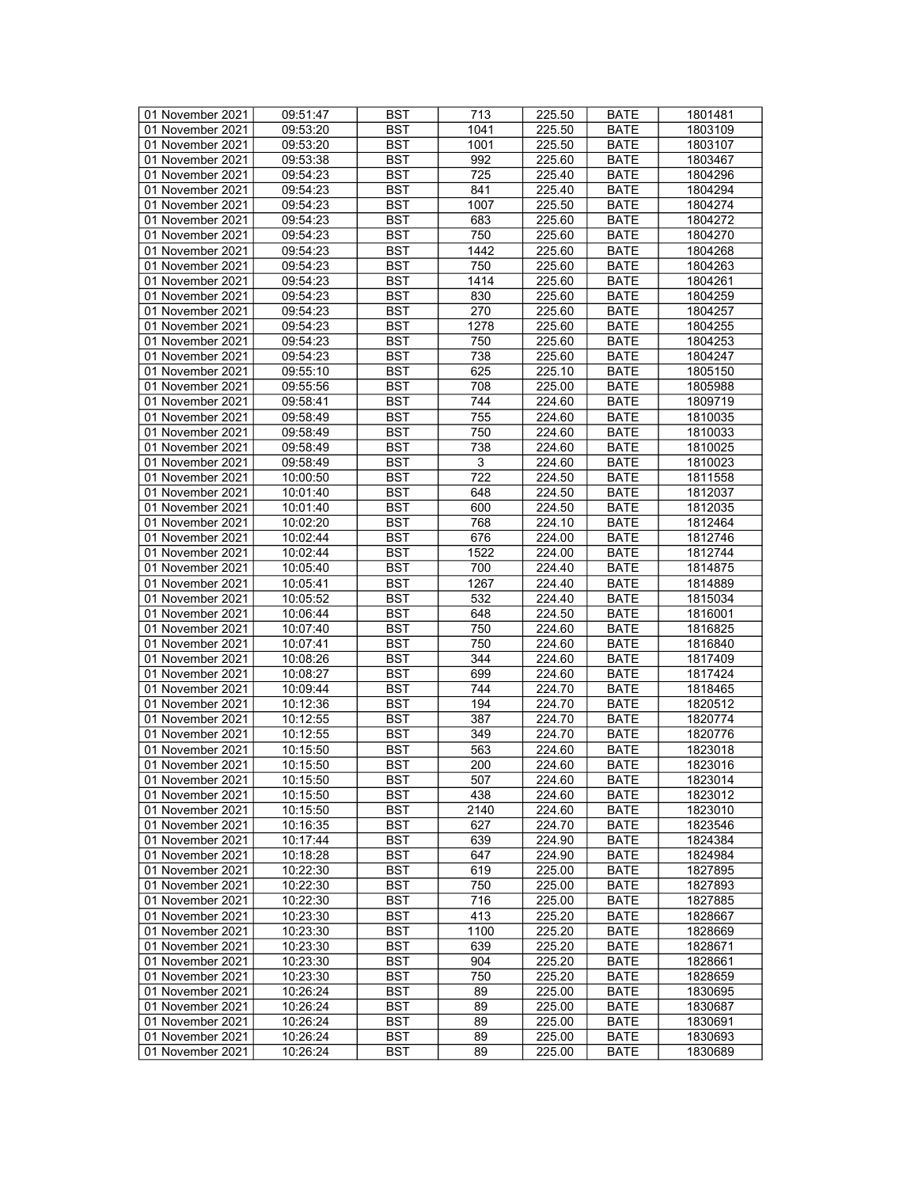| 01 November 2021 | 09:51:47 | <b>BST</b> | 713            | 225.50 | <b>BATE</b> | 1801481 |
|------------------|----------|------------|----------------|--------|-------------|---------|
| 01 November 2021 | 09:53:20 | BST        | 1041           | 225.50 | BATE        | 1803109 |
| 01 November 2021 | 09:53:20 | <b>BST</b> | 1001           | 225.50 | <b>BATE</b> | 1803107 |
| 01 November 2021 | 09:53:38 | <b>BST</b> | 992            | 225.60 | <b>BATE</b> | 1803467 |
| 01 November 2021 | 09:54:23 | <b>BST</b> | 725            | 225.40 | <b>BATE</b> | 1804296 |
| 01 November 2021 | 09:54:23 | <b>BST</b> | 841            | 225.40 | <b>BATE</b> | 1804294 |
| 01 November 2021 | 09:54:23 | <b>BST</b> | 1007           | 225.50 |             | 1804274 |
|                  |          |            |                |        | <b>BATE</b> |         |
| 01 November 2021 | 09:54:23 | <b>BST</b> | 683            | 225.60 | <b>BATE</b> | 1804272 |
| 01 November 2021 | 09:54:23 | <b>BST</b> | 750            | 225.60 | <b>BATE</b> | 1804270 |
| 01 November 2021 | 09:54:23 | <b>BST</b> | 1442           | 225.60 | <b>BATE</b> | 1804268 |
| 01 November 2021 | 09:54:23 | <b>BST</b> | 750            | 225.60 | <b>BATE</b> | 1804263 |
| 01 November 2021 | 09:54:23 | <b>BST</b> | 1414           | 225.60 | <b>BATE</b> | 1804261 |
| 01 November 2021 | 09:54:23 | <b>BST</b> | 830            | 225.60 | <b>BATE</b> | 1804259 |
| 01 November 2021 | 09:54:23 | <b>BST</b> | 270            | 225.60 | <b>BATE</b> | 1804257 |
| 01 November 2021 | 09:54:23 | <b>BST</b> | 1278           | 225.60 | <b>BATE</b> | 1804255 |
| 01 November 2021 | 09:54:23 | <b>BST</b> | 750            | 225.60 | <b>BATE</b> | 1804253 |
| 01 November 2021 | 09:54:23 | <b>BST</b> | 738            | 225.60 | <b>BATE</b> | 1804247 |
| 01 November 2021 | 09:55:10 | <b>BST</b> | 625            | 225.10 | <b>BATE</b> | 1805150 |
| 01 November 2021 | 09:55:56 | <b>BST</b> | 708            | 225.00 | <b>BATE</b> | 1805988 |
| 01 November 2021 | 09:58:41 | <b>BST</b> | 744            | 224.60 | <b>BATE</b> | 1809719 |
| 01 November 2021 | 09:58:49 | <b>BST</b> | 755            | 224.60 | <b>BATE</b> | 1810035 |
| 01 November 2021 | 09:58:49 | <b>BST</b> | 750            | 224.60 | <b>BATE</b> | 1810033 |
| 01 November 2021 | 09:58:49 | <b>BST</b> | 738            | 224.60 | <b>BATE</b> | 1810025 |
|                  |          |            |                |        |             |         |
| 01 November 2021 | 09:58:49 | <b>BST</b> | $\overline{3}$ | 224.60 | <b>BATE</b> | 1810023 |
| 01 November 2021 | 10:00:50 | <b>BST</b> | 722            | 224.50 | <b>BATE</b> | 1811558 |
| 01 November 2021 | 10:01:40 | <b>BST</b> | 648            | 224.50 | <b>BATE</b> | 1812037 |
| 01 November 2021 | 10:01:40 | <b>BST</b> | 600            | 224.50 | <b>BATE</b> | 1812035 |
| 01 November 2021 | 10:02:20 | <b>BST</b> | 768            | 224.10 | <b>BATE</b> | 1812464 |
| 01 November 2021 | 10:02:44 | <b>BST</b> | 676            | 224.00 | <b>BATE</b> | 1812746 |
| 01 November 2021 | 10:02:44 | <b>BST</b> | 1522           | 224.00 | <b>BATE</b> | 1812744 |
| 01 November 2021 | 10:05:40 | <b>BST</b> | 700            | 224.40 | <b>BATE</b> | 1814875 |
| 01 November 2021 | 10:05:41 | <b>BST</b> | 1267           | 224.40 | <b>BATE</b> | 1814889 |
| 01 November 2021 | 10:05:52 | <b>BST</b> | 532            | 224.40 | <b>BATE</b> | 1815034 |
| 01 November 2021 | 10:06:44 | <b>BST</b> | 648            | 224.50 | <b>BATE</b> | 1816001 |
| 01 November 2021 | 10:07:40 | <b>BST</b> | 750            | 224.60 | <b>BATE</b> | 1816825 |
| 01 November 2021 | 10:07:41 | <b>BST</b> | 750            | 224.60 | <b>BATE</b> | 1816840 |
| 01 November 2021 | 10:08:26 | <b>BST</b> | 344            | 224.60 | <b>BATE</b> | 1817409 |
| 01 November 2021 | 10:08:27 | <b>BST</b> | 699            | 224.60 | <b>BATE</b> | 1817424 |
| 01 November 2021 | 10:09:44 | <b>BST</b> | 744            | 224.70 | <b>BATE</b> | 1818465 |
| 01 November 2021 | 10:12:36 | <b>BST</b> | 194            | 224.70 | <b>BATE</b> | 1820512 |
| 01 November 2021 | 10:12:55 | <b>BST</b> | 387            | 224.70 | <b>BATE</b> | 1820774 |
|                  |          |            | 349            |        |             |         |
| 01 November 2021 | 10:12:55 | <b>BST</b> |                | 224.70 | <b>BATE</b> | 1820776 |
| 01 November 2021 | 10:15:50 | <b>BST</b> | 563            | 224.60 | <b>BATE</b> | 1823018 |
| 01 November 2021 | 10:15:50 | <b>BST</b> | 200            | 224.60 | <b>BATE</b> | 1823016 |
| 01 November 2021 | 10:15:50 | <b>BST</b> | 507            | 224.60 | <b>BATE</b> | 1823014 |
| 01 November 2021 | 10:15:50 | BST        | 438            | 224.60 | <b>BATE</b> | 1823012 |
| 01 November 2021 | 10:15:50 | <b>BST</b> | 2140           | 224.60 | BATE        | 1823010 |
| 01 November 2021 | 10:16:35 | <b>BST</b> | 627            | 224.70 | <b>BATE</b> | 1823546 |
| 01 November 2021 | 10:17:44 | BST        | 639            | 224.90 | <b>BATE</b> | 1824384 |
| 01 November 2021 | 10:18:28 | <b>BST</b> | 647            | 224.90 | <b>BATE</b> | 1824984 |
| 01 November 2021 | 10:22:30 | <b>BST</b> | 619            | 225.00 | <b>BATE</b> | 1827895 |
| 01 November 2021 | 10:22:30 | BST        | 750            | 225.00 | <b>BATE</b> | 1827893 |
| 01 November 2021 | 10:22:30 | <b>BST</b> | 716            | 225.00 | <b>BATE</b> | 1827885 |
| 01 November 2021 | 10:23:30 | <b>BST</b> | 413            | 225.20 | <b>BATE</b> | 1828667 |
| 01 November 2021 | 10:23:30 | <b>BST</b> | 1100           | 225.20 | <b>BATE</b> | 1828669 |
| 01 November 2021 | 10:23:30 | <b>BST</b> | 639            | 225.20 | <b>BATE</b> | 1828671 |
| 01 November 2021 | 10:23:30 | <b>BST</b> | 904            | 225.20 | <b>BATE</b> | 1828661 |
|                  |          | <b>BST</b> |                |        |             |         |
| 01 November 2021 | 10:23:30 |            | 750            | 225.20 | <b>BATE</b> | 1828659 |
| 01 November 2021 | 10:26:24 | <b>BST</b> | 89             | 225.00 | <b>BATE</b> | 1830695 |
| 01 November 2021 | 10:26:24 | <b>BST</b> | 89             | 225.00 | <b>BATE</b> | 1830687 |
| 01 November 2021 | 10:26:24 | BST        | 89             | 225.00 | BATE        | 1830691 |
| 01 November 2021 | 10:26:24 | <b>BST</b> | 89             | 225.00 | <b>BATE</b> | 1830693 |
| 01 November 2021 | 10:26:24 | <b>BST</b> | 89             | 225.00 | <b>BATE</b> | 1830689 |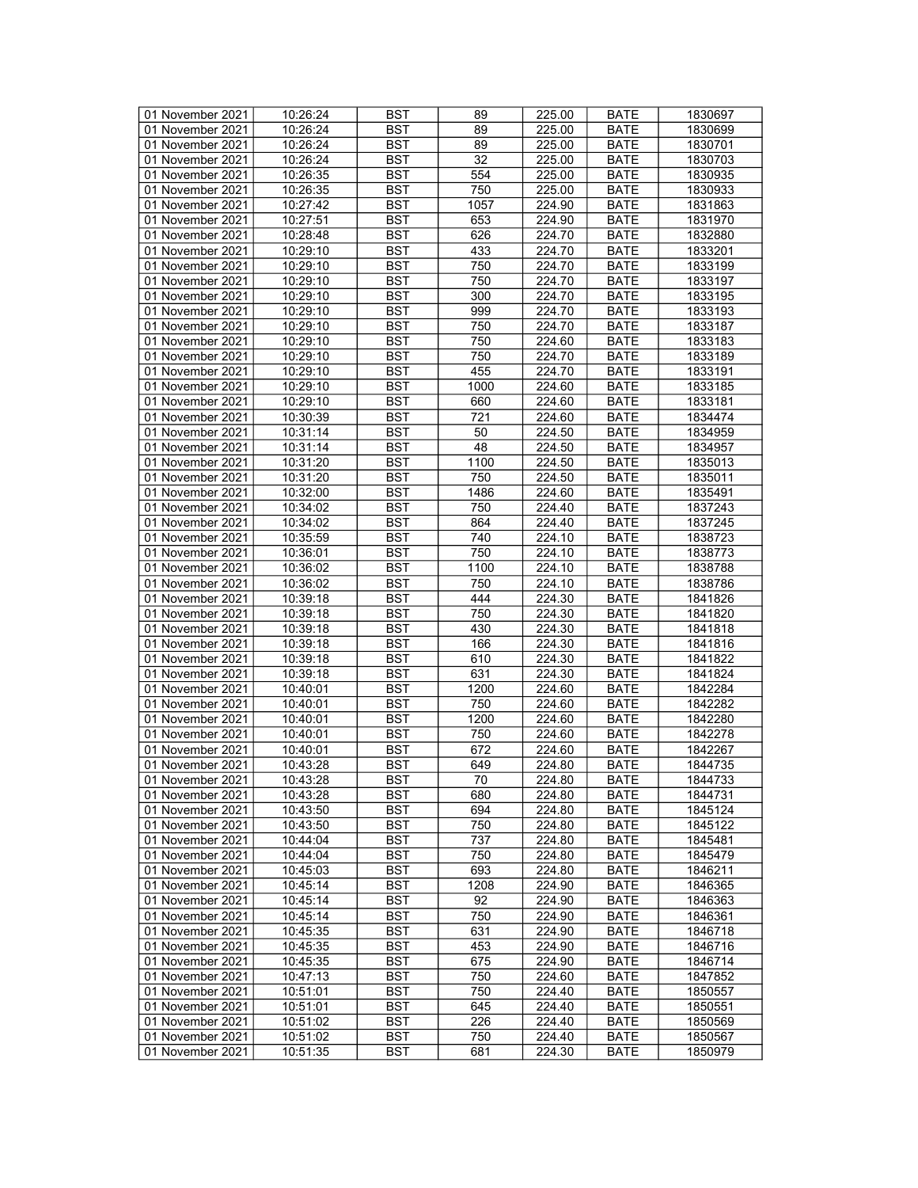| 01 November 2021 | 10:26:24 | <b>BST</b> | 89              | 225.00 | <b>BATE</b> | 1830697 |
|------------------|----------|------------|-----------------|--------|-------------|---------|
| 01 November 2021 | 10:26:24 | <b>BST</b> | 89              | 225.00 | <b>BATE</b> | 1830699 |
| 01 November 2021 | 10:26:24 | <b>BST</b> | 89              | 225.00 | <b>BATE</b> | 1830701 |
| 01 November 2021 | 10:26:24 | <b>BST</b> | $\overline{32}$ | 225.00 | <b>BATE</b> | 1830703 |
| 01 November 2021 | 10:26:35 | <b>BST</b> | 554             | 225.00 | <b>BATE</b> | 1830935 |
| 01 November 2021 | 10:26:35 | <b>BST</b> | 750             | 225.00 | <b>BATE</b> | 1830933 |
| 01 November 2021 |          |            |                 |        |             |         |
|                  | 10:27:42 | <b>BST</b> | 1057            | 224.90 | <b>BATE</b> | 1831863 |
| 01 November 2021 | 10:27:51 | <b>BST</b> | 653             | 224.90 | <b>BATE</b> | 1831970 |
| 01 November 2021 | 10:28:48 | <b>BST</b> | 626             | 224.70 | <b>BATE</b> | 1832880 |
| 01 November 2021 | 10:29:10 | <b>BST</b> | 433             | 224.70 | <b>BATE</b> | 1833201 |
| 01 November 2021 | 10:29:10 | <b>BST</b> | 750             | 224.70 | <b>BATE</b> | 1833199 |
| 01 November 2021 | 10:29:10 | <b>BST</b> | 750             | 224.70 | <b>BATE</b> | 1833197 |
| 01 November 2021 | 10:29:10 | <b>BST</b> | 300             | 224.70 | <b>BATE</b> | 1833195 |
| 01 November 2021 | 10:29:10 | <b>BST</b> | 999             | 224.70 | <b>BATE</b> | 1833193 |
| 01 November 2021 | 10:29:10 | <b>BST</b> | 750             | 224.70 | <b>BATE</b> | 1833187 |
| 01 November 2021 | 10:29:10 | <b>BST</b> | 750             | 224.60 | <b>BATE</b> | 1833183 |
| 01 November 2021 | 10:29:10 | <b>BST</b> | 750             | 224.70 | <b>BATE</b> | 1833189 |
| 01 November 2021 | 10:29:10 | <b>BST</b> | 455             | 224.70 | <b>BATE</b> | 1833191 |
| 01 November 2021 | 10:29:10 | <b>BST</b> | 1000            | 224.60 | <b>BATE</b> | 1833185 |
| 01 November 2021 | 10:29:10 | <b>BST</b> | 660             | 224.60 | <b>BATE</b> | 1833181 |
| 01 November 2021 | 10:30:39 | <b>BST</b> | 721             | 224.60 | <b>BATE</b> | 1834474 |
| 01 November 2021 | 10:31:14 | <b>BST</b> | 50              | 224.50 | <b>BATE</b> | 1834959 |
|                  | 10:31:14 |            |                 |        |             |         |
| 01 November 2021 |          | <b>BST</b> | 48              | 224.50 | <b>BATE</b> | 1834957 |
| 01 November 2021 | 10:31:20 | <b>BST</b> | 1100            | 224.50 | <b>BATE</b> | 1835013 |
| 01 November 2021 | 10:31:20 | <b>BST</b> | 750             | 224.50 | <b>BATE</b> | 1835011 |
| 01 November 2021 | 10:32:00 | <b>BST</b> | 1486            | 224.60 | <b>BATE</b> | 1835491 |
| 01 November 2021 | 10:34:02 | <b>BST</b> | 750             | 224.40 | <b>BATE</b> | 1837243 |
| 01 November 2021 | 10:34:02 | <b>BST</b> | 864             | 224.40 | <b>BATE</b> | 1837245 |
| 01 November 2021 | 10:35:59 | <b>BST</b> | 740             | 224.10 | <b>BATE</b> | 1838723 |
| 01 November 2021 | 10:36:01 | <b>BST</b> | 750             | 224.10 | <b>BATE</b> | 1838773 |
| 01 November 2021 | 10:36:02 | <b>BST</b> | 1100            | 224.10 | <b>BATE</b> | 1838788 |
| 01 November 2021 | 10:36:02 | <b>BST</b> | 750             | 224.10 | <b>BATE</b> | 1838786 |
| 01 November 2021 | 10:39:18 | <b>BST</b> | 444             | 224.30 | <b>BATE</b> | 1841826 |
| 01 November 2021 | 10:39:18 | <b>BST</b> | 750             | 224.30 | <b>BATE</b> | 1841820 |
| 01 November 2021 | 10:39:18 | <b>BST</b> | 430             | 224.30 | <b>BATE</b> | 1841818 |
| 01 November 2021 | 10:39:18 | <b>BST</b> | 166             | 224.30 | <b>BATE</b> | 1841816 |
| 01 November 2021 | 10:39:18 | <b>BST</b> | 610             | 224.30 | <b>BATE</b> | 1841822 |
| 01 November 2021 | 10:39:18 | <b>BST</b> | 631             | 224.30 | <b>BATE</b> | 1841824 |
| 01 November 2021 | 10:40:01 | <b>BST</b> | 1200            | 224.60 | <b>BATE</b> | 1842284 |
|                  |          |            |                 | 224.60 |             |         |
| 01 November 2021 | 10:40:01 | <b>BST</b> | 750             |        | <b>BATE</b> | 1842282 |
| 01 November 2021 | 10:40:01 | <b>BST</b> | 1200            | 224.60 | BATE        | 1842280 |
| 01 November 2021 | 10:40:01 | <b>BST</b> | 750             | 224.60 | <b>BATE</b> | 1842278 |
| 01 November 2021 | 10:40:01 | <b>BST</b> | 672             | 224.60 | <b>BATE</b> | 1842267 |
| 01 November 2021 | 10:43:28 | BST        | 649             | 224.80 | <b>BATE</b> | 1844735 |
| 01 November 2021 | 10:43:28 | <b>BST</b> | $\overline{70}$ | 224.80 | <b>BATE</b> | 1844733 |
| 01 November 2021 | 10:43:28 | BST        | 680             | 224.80 | <b>BATE</b> | 1844731 |
| 01 November 2021 | 10:43:50 | <b>BST</b> | 694             | 224.80 | <b>BATE</b> | 1845124 |
| 01 November 2021 | 10:43:50 | <b>BST</b> | 750             | 224.80 | <b>BATE</b> | 1845122 |
| 01 November 2021 | 10:44:04 | <b>BST</b> | 737             | 224.80 | <b>BATE</b> | 1845481 |
| 01 November 2021 | 10:44:04 | <b>BST</b> | 750             | 224.80 | <b>BATE</b> | 1845479 |
| 01 November 2021 | 10:45:03 | <b>BST</b> | 693             | 224.80 | <b>BATE</b> | 1846211 |
| 01 November 2021 | 10:45:14 | <b>BST</b> | 1208            | 224.90 | <b>BATE</b> | 1846365 |
| 01 November 2021 | 10:45:14 | <b>BST</b> | 92              | 224.90 | <b>BATE</b> | 1846363 |
| 01 November 2021 | 10:45:14 | <b>BST</b> | 750             | 224.90 | <b>BATE</b> | 1846361 |
| 01 November 2021 | 10:45:35 | <b>BST</b> | 631             | 224.90 | <b>BATE</b> | 1846718 |
| 01 November 2021 | 10:45:35 | <b>BST</b> | 453             | 224.90 | <b>BATE</b> | 1846716 |
|                  |          |            |                 |        |             |         |
| 01 November 2021 | 10:45:35 | <b>BST</b> | 675             | 224.90 | <b>BATE</b> | 1846714 |
| 01 November 2021 | 10:47:13 | <b>BST</b> | 750             | 224.60 | <b>BATE</b> | 1847852 |
| 01 November 2021 | 10:51:01 | <b>BST</b> | 750             | 224.40 | <b>BATE</b> | 1850557 |
| 01 November 2021 | 10:51:01 | <b>BST</b> | 645             | 224.40 | <b>BATE</b> | 1850551 |
| 01 November 2021 | 10:51:02 | <b>BST</b> | 226             | 224.40 | <b>BATE</b> | 1850569 |
| 01 November 2021 | 10:51:02 | BST        | 750             | 224.40 | <b>BATE</b> | 1850567 |
| 01 November 2021 | 10:51:35 | <b>BST</b> | 681             | 224.30 | <b>BATE</b> | 1850979 |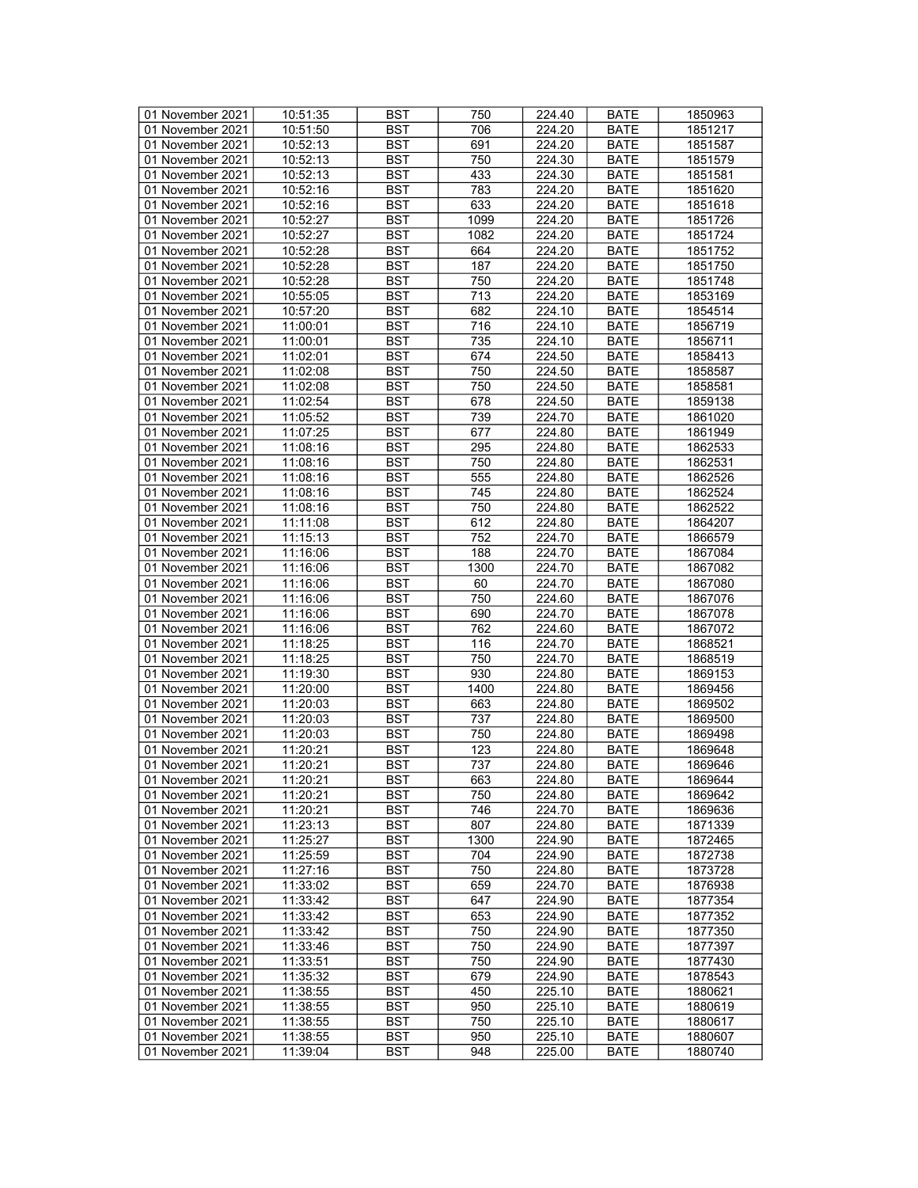| 01 November 2021 | 10:51:35 | <b>BST</b> | 750  | 224.40 | <b>BATE</b>                | 1850963 |
|------------------|----------|------------|------|--------|----------------------------|---------|
| 01 November 2021 | 10:51:50 | BST        | 706  | 224.20 | <b>BATE</b>                | 1851217 |
| 01 November 2021 | 10:52:13 | <b>BST</b> | 691  | 224.20 | <b>BATE</b>                | 1851587 |
| 01 November 2021 | 10:52:13 | <b>BST</b> | 750  | 224.30 | <b>BATE</b>                | 1851579 |
| 01 November 2021 | 10:52:13 | <b>BST</b> | 433  | 224.30 | <b>BATE</b>                | 1851581 |
| 01 November 2021 | 10:52:16 | <b>BST</b> | 783  | 224.20 | <b>BATE</b>                | 1851620 |
| 01 November 2021 | 10:52:16 | <b>BST</b> | 633  | 224.20 |                            |         |
|                  |          |            |      |        | <b>BATE</b>                | 1851618 |
| 01 November 2021 | 10:52:27 | <b>BST</b> | 1099 | 224.20 | <b>BATE</b>                | 1851726 |
| 01 November 2021 | 10:52:27 | <b>BST</b> | 1082 | 224.20 | <b>BATE</b>                | 1851724 |
| 01 November 2021 | 10:52:28 | <b>BST</b> | 664  | 224.20 | <b>BATE</b>                | 1851752 |
| 01 November 2021 | 10:52:28 | <b>BST</b> | 187  | 224.20 | <b>BATE</b>                | 1851750 |
| 01 November 2021 | 10:52:28 | <b>BST</b> | 750  | 224.20 | <b>BATE</b>                | 1851748 |
| 01 November 2021 | 10:55:05 | <b>BST</b> | 713  | 224.20 | <b>BATE</b>                | 1853169 |
| 01 November 2021 | 10:57:20 | <b>BST</b> | 682  | 224.10 | <b>BATE</b>                | 1854514 |
| 01 November 2021 | 11:00:01 | <b>BST</b> | 716  | 224.10 | <b>BATE</b>                | 1856719 |
| 01 November 2021 | 11:00:01 | <b>BST</b> | 735  | 224.10 | <b>BATE</b>                | 1856711 |
| 01 November 2021 | 11:02:01 | <b>BST</b> | 674  | 224.50 | <b>BATE</b>                | 1858413 |
| 01 November 2021 | 11:02:08 | <b>BST</b> | 750  | 224.50 | <b>BATE</b>                | 1858587 |
| 01 November 2021 | 11:02:08 | <b>BST</b> | 750  | 224.50 | <b>BATE</b>                | 1858581 |
| 01 November 2021 | 11:02:54 | <b>BST</b> | 678  | 224.50 | <b>BATE</b>                | 1859138 |
| 01 November 2021 | 11:05:52 | <b>BST</b> | 739  | 224.70 | <b>BATE</b>                | 1861020 |
| 01 November 2021 | 11:07:25 | <b>BST</b> | 677  | 224.80 | <b>BATE</b>                | 1861949 |
| 01 November 2021 | 11:08:16 | <b>BST</b> | 295  | 224.80 | <b>BATE</b>                | 1862533 |
|                  |          |            |      |        |                            |         |
| 01 November 2021 | 11:08:16 | <b>BST</b> | 750  | 224.80 | <b>BATE</b>                | 1862531 |
| 01 November 2021 | 11:08:16 | <b>BST</b> | 555  | 224.80 | <b>BATE</b>                | 1862526 |
| 01 November 2021 | 11:08:16 | <b>BST</b> | 745  | 224.80 | <b>BATE</b>                | 1862524 |
| 01 November 2021 | 11:08:16 | <b>BST</b> | 750  | 224.80 | <b>BATE</b>                | 1862522 |
| 01 November 2021 | 11:11:08 | <b>BST</b> | 612  | 224.80 | <b>BATE</b>                | 1864207 |
| 01 November 2021 | 11:15:13 | <b>BST</b> | 752  | 224.70 | <b>BATE</b>                | 1866579 |
| 01 November 2021 | 11:16:06 | <b>BST</b> | 188  | 224.70 | <b>BATE</b>                | 1867084 |
| 01 November 2021 | 11:16:06 | <b>BST</b> | 1300 | 224.70 | <b>BATE</b>                | 1867082 |
| 01 November 2021 | 11:16:06 | <b>BST</b> | 60   | 224.70 | <b>BATE</b>                | 1867080 |
| 01 November 2021 | 11:16:06 | <b>BST</b> | 750  | 224.60 | <b>BATE</b>                | 1867076 |
| 01 November 2021 | 11:16:06 | <b>BST</b> | 690  | 224.70 | <b>BATE</b>                | 1867078 |
| 01 November 2021 | 11:16:06 | <b>BST</b> | 762  | 224.60 | <b>BATE</b>                | 1867072 |
| 01 November 2021 | 11:18:25 | <b>BST</b> | 116  | 224.70 | <b>BATE</b>                | 1868521 |
| 01 November 2021 | 11:18:25 | <b>BST</b> | 750  | 224.70 | <b>BATE</b>                | 1868519 |
| 01 November 2021 | 11:19:30 | <b>BST</b> | 930  | 224.80 | <b>BATE</b>                | 1869153 |
| 01 November 2021 | 11:20:00 | <b>BST</b> | 1400 | 224.80 | <b>BATE</b>                | 1869456 |
| 01 November 2021 | 11:20:03 | <b>BST</b> | 663  | 224.80 | <b>BATE</b>                | 1869502 |
| 01 November 2021 | 11:20:03 | <b>BST</b> | 737  | 224.80 | <b>BATE</b>                | 1869500 |
|                  |          |            |      |        |                            |         |
| 01 November 2021 | 11:20:03 | <b>BST</b> | 750  | 224.80 | <b>BATE</b><br><b>BATE</b> | 1869498 |
| 01 November 2021 | 11:20:21 | <b>BST</b> | 123  | 224.80 |                            | 1869648 |
| 01 November 2021 | 11:20:21 | <b>BST</b> | 737  | 224.80 | <b>BATE</b>                | 1869646 |
| 01 November 2021 | 11:20:21 | <b>BST</b> | 663  | 224.80 | <b>BATE</b>                | 1869644 |
| 01 November 2021 | 11:20:21 | BST        | 750  | 224.80 | <b>BATE</b>                | 1869642 |
| 01 November 2021 | 11:20:21 | <b>BST</b> | 746  | 224.70 | BATE                       | 1869636 |
| 01 November 2021 | 11:23:13 | <b>BST</b> | 807  | 224.80 | <b>BATE</b>                | 1871339 |
| 01 November 2021 | 11:25:27 | <b>BST</b> | 1300 | 224.90 | <b>BATE</b>                | 1872465 |
| 01 November 2021 | 11:25:59 | <b>BST</b> | 704  | 224.90 | <b>BATE</b>                | 1872738 |
| 01 November 2021 | 11:27:16 | <b>BST</b> | 750  | 224.80 | <b>BATE</b>                | 1873728 |
| 01 November 2021 | 11:33:02 | BST        | 659  | 224.70 | <b>BATE</b>                | 1876938 |
| 01 November 2021 | 11:33:42 | <b>BST</b> | 647  | 224.90 | <b>BATE</b>                | 1877354 |
| 01 November 2021 | 11:33:42 | <b>BST</b> | 653  | 224.90 | <b>BATE</b>                | 1877352 |
| 01 November 2021 | 11:33:42 | <b>BST</b> | 750  | 224.90 | <b>BATE</b>                | 1877350 |
| 01 November 2021 | 11:33:46 | <b>BST</b> | 750  | 224.90 | <b>BATE</b>                | 1877397 |
| 01 November 2021 | 11:33:51 | <b>BST</b> | 750  | 224.90 | <b>BATE</b>                | 1877430 |
|                  |          | <b>BST</b> | 679  |        |                            |         |
| 01 November 2021 | 11:35:32 |            |      | 224.90 | <b>BATE</b>                | 1878543 |
| 01 November 2021 | 11:38:55 | <b>BST</b> | 450  | 225.10 | <b>BATE</b>                | 1880621 |
| 01 November 2021 | 11:38:55 | <b>BST</b> | 950  | 225.10 | <b>BATE</b>                | 1880619 |
| 01 November 2021 | 11:38:55 | BST        | 750  | 225.10 | BATE                       | 1880617 |
| 01 November 2021 | 11:38:55 | <b>BST</b> | 950  | 225.10 | <b>BATE</b>                | 1880607 |
| 01 November 2021 | 11:39:04 | <b>BST</b> | 948  | 225.00 | <b>BATE</b>                | 1880740 |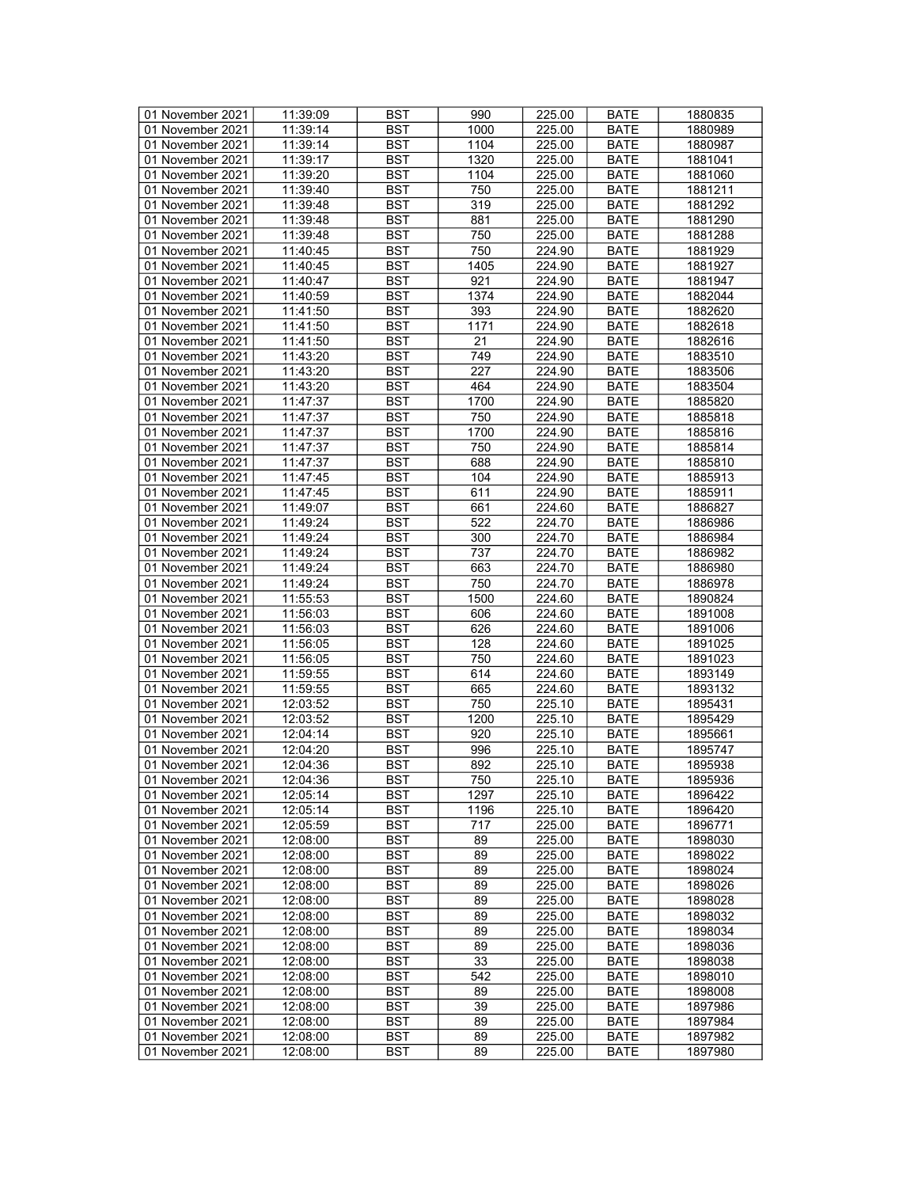| 01 November 2021 | 11:39:09 | <b>BST</b> | 990  | 225.00 | <b>BATE</b> | 1880835 |
|------------------|----------|------------|------|--------|-------------|---------|
| 01 November 2021 | 11:39:14 | BST        | 1000 | 225.00 | BATE        | 1880989 |
| 01 November 2021 | 11:39:14 | <b>BST</b> | 1104 | 225.00 | <b>BATE</b> | 1880987 |
| 01 November 2021 | 11:39:17 | <b>BST</b> | 1320 | 225.00 | <b>BATE</b> | 1881041 |
| 01 November 2021 | 11:39:20 | <b>BST</b> | 1104 | 225.00 | <b>BATE</b> | 1881060 |
| 01 November 2021 | 11:39:40 | <b>BST</b> | 750  | 225.00 | <b>BATE</b> | 1881211 |
| 01 November 2021 | 11:39:48 | <b>BST</b> | 319  |        |             | 1881292 |
|                  |          |            |      | 225.00 | <b>BATE</b> |         |
| 01 November 2021 | 11:39:48 | <b>BST</b> | 881  | 225.00 | <b>BATE</b> | 1881290 |
| 01 November 2021 | 11:39:48 | <b>BST</b> | 750  | 225.00 | <b>BATE</b> | 1881288 |
| 01 November 2021 | 11:40:45 | <b>BST</b> | 750  | 224.90 | <b>BATE</b> | 1881929 |
| 01 November 2021 | 11:40:45 | <b>BST</b> | 1405 | 224.90 | <b>BATE</b> | 1881927 |
| 01 November 2021 | 11:40:47 | <b>BST</b> | 921  | 224.90 | <b>BATE</b> | 1881947 |
| 01 November 2021 | 11:40:59 | <b>BST</b> | 1374 | 224.90 | <b>BATE</b> | 1882044 |
| 01 November 2021 | 11:41:50 | <b>BST</b> | 393  | 224.90 | <b>BATE</b> | 1882620 |
| 01 November 2021 | 11:41:50 | <b>BST</b> | 1171 | 224.90 | <b>BATE</b> | 1882618 |
| 01 November 2021 | 11:41:50 | <b>BST</b> | 21   | 224.90 | <b>BATE</b> | 1882616 |
| 01 November 2021 | 11:43:20 | <b>BST</b> | 749  | 224.90 | <b>BATE</b> | 1883510 |
| 01 November 2021 | 11:43:20 | <b>BST</b> | 227  | 224.90 | <b>BATE</b> | 1883506 |
| 01 November 2021 | 11:43:20 | <b>BST</b> | 464  | 224.90 | <b>BATE</b> | 1883504 |
| 01 November 2021 | 11:47:37 | <b>BST</b> | 1700 | 224.90 | <b>BATE</b> | 1885820 |
| 01 November 2021 | 11:47:37 | <b>BST</b> | 750  | 224.90 | <b>BATE</b> | 1885818 |
| 01 November 2021 | 11:47:37 | <b>BST</b> | 1700 | 224.90 | <b>BATE</b> | 1885816 |
| 01 November 2021 | 11:47:37 | <b>BST</b> | 750  | 224.90 | <b>BATE</b> |         |
|                  |          |            |      |        |             | 1885814 |
| 01 November 2021 | 11:47:37 | <b>BST</b> | 688  | 224.90 | <b>BATE</b> | 1885810 |
| 01 November 2021 | 11:47:45 | <b>BST</b> | 104  | 224.90 | <b>BATE</b> | 1885913 |
| 01 November 2021 | 11:47:45 | <b>BST</b> | 611  | 224.90 | <b>BATE</b> | 1885911 |
| 01 November 2021 | 11:49:07 | <b>BST</b> | 661  | 224.60 | <b>BATE</b> | 1886827 |
| 01 November 2021 | 11:49:24 | <b>BST</b> | 522  | 224.70 | <b>BATE</b> | 1886986 |
| 01 November 2021 | 11:49:24 | <b>BST</b> | 300  | 224.70 | <b>BATE</b> | 1886984 |
| 01 November 2021 | 11:49:24 | <b>BST</b> | 737  | 224.70 | <b>BATE</b> | 1886982 |
| 01 November 2021 | 11:49:24 | <b>BST</b> | 663  | 224.70 | <b>BATE</b> | 1886980 |
| 01 November 2021 | 11:49:24 | <b>BST</b> | 750  | 224.70 | <b>BATE</b> | 1886978 |
| 01 November 2021 | 11:55:53 | <b>BST</b> | 1500 | 224.60 | <b>BATE</b> | 1890824 |
| 01 November 2021 | 11:56:03 | <b>BST</b> | 606  | 224.60 | <b>BATE</b> | 1891008 |
| 01 November 2021 | 11:56:03 | <b>BST</b> | 626  | 224.60 | <b>BATE</b> | 1891006 |
| 01 November 2021 | 11:56:05 | <b>BST</b> | 128  | 224.60 | <b>BATE</b> | 1891025 |
| 01 November 2021 | 11:56:05 | <b>BST</b> | 750  | 224.60 | <b>BATE</b> | 1891023 |
| 01 November 2021 | 11:59:55 | <b>BST</b> | 614  | 224.60 | <b>BATE</b> | 1893149 |
| 01 November 2021 | 11:59:55 | <b>BST</b> | 665  | 224.60 | <b>BATE</b> | 1893132 |
| 01 November 2021 | 12:03:52 | <b>BST</b> | 750  | 225.10 | <b>BATE</b> | 1895431 |
| 01 November 2021 | 12:03:52 | <b>BST</b> | 1200 | 225.10 | <b>BATE</b> | 1895429 |
| 01 November 2021 |          |            | 920  |        |             |         |
|                  | 12:04:14 | <b>BST</b> |      | 225.10 | <b>BATE</b> | 1895661 |
| 01 November 2021 | 12:04:20 | <b>BST</b> | 996  | 225.10 | <b>BATE</b> | 1895747 |
| 01 November 2021 | 12:04:36 | <b>BST</b> | 892  | 225.10 | <b>BATE</b> | 1895938 |
| 01 November 2021 | 12:04:36 | <b>BST</b> | 750  | 225.10 | <b>BATE</b> | 1895936 |
| 01 November 2021 | 12:05:14 | BST        | 1297 | 225.10 | <b>BATE</b> | 1896422 |
| 01 November 2021 | 12:05:14 | <b>BST</b> | 1196 | 225.10 | BATE        | 1896420 |
| 01 November 2021 | 12:05:59 | <b>BST</b> | 717  | 225.00 | <b>BATE</b> | 1896771 |
| 01 November 2021 | 12:08:00 | <b>BST</b> | 89   | 225.00 | <b>BATE</b> | 1898030 |
| 01 November 2021 | 12:08:00 | <b>BST</b> | 89   | 225.00 | <b>BATE</b> | 1898022 |
| 01 November 2021 | 12:08:00 | <b>BST</b> | 89   | 225.00 | <b>BATE</b> | 1898024 |
| 01 November 2021 | 12:08:00 | BST        | 89   | 225.00 | <b>BATE</b> | 1898026 |
| 01 November 2021 | 12:08:00 | <b>BST</b> | 89   | 225.00 | <b>BATE</b> | 1898028 |
| 01 November 2021 | 12:08:00 | <b>BST</b> | 89   | 225.00 | <b>BATE</b> | 1898032 |
| 01 November 2021 | 12:08:00 | <b>BST</b> | 89   | 225.00 | <b>BATE</b> | 1898034 |
| 01 November 2021 | 12:08:00 | <b>BST</b> | 89   | 225.00 | <b>BATE</b> | 1898036 |
| 01 November 2021 | 12:08:00 | <b>BST</b> | 33   | 225.00 | <b>BATE</b> | 1898038 |
|                  |          | <b>BST</b> | 542  |        |             |         |
| 01 November 2021 | 12:08:00 |            |      | 225.00 | <b>BATE</b> | 1898010 |
| 01 November 2021 | 12:08:00 | <b>BST</b> | 89   | 225.00 | <b>BATE</b> | 1898008 |
| 01 November 2021 | 12:08:00 | <b>BST</b> | 39   | 225.00 | <b>BATE</b> | 1897986 |
| 01 November 2021 | 12:08:00 | BST        | 89   | 225.00 | BATE        | 1897984 |
| 01 November 2021 | 12:08:00 | <b>BST</b> | 89   | 225.00 | <b>BATE</b> | 1897982 |
| 01 November 2021 | 12:08:00 | BST        | 89   | 225.00 | <b>BATE</b> | 1897980 |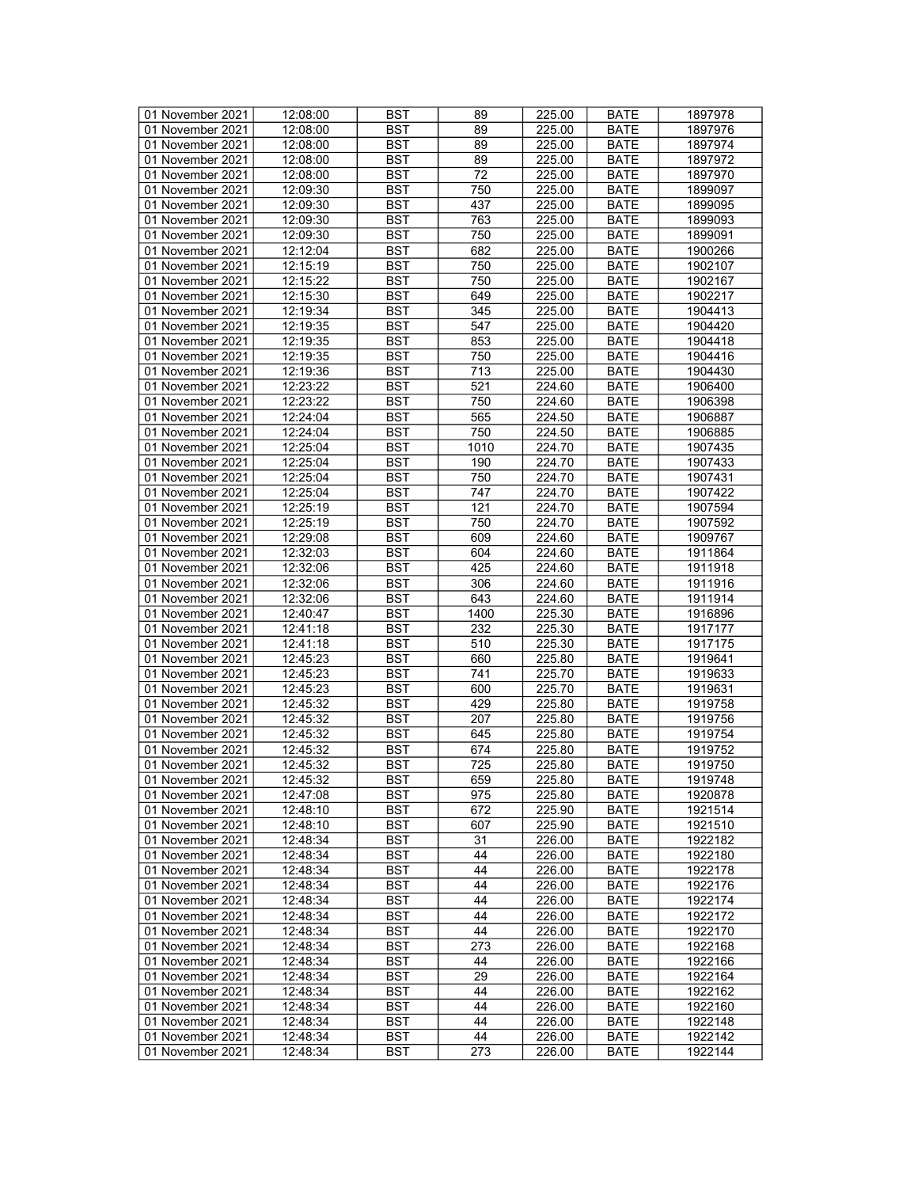| 01 November 2021 | 12:08:00 | <b>BST</b>       | 89   | 225.00 | <b>BATE</b> | 1897978 |
|------------------|----------|------------------|------|--------|-------------|---------|
| 01 November 2021 | 12:08:00 | BST              | 89   | 225.00 | <b>BATE</b> | 1897976 |
| 01 November 2021 | 12:08:00 | <b>BST</b>       | 89   | 225.00 | <b>BATE</b> | 1897974 |
| 01 November 2021 | 12:08:00 | <b>BST</b>       | 89   | 225.00 | <b>BATE</b> | 1897972 |
| 01 November 2021 | 12:08:00 | <b>BST</b>       | 72   | 225.00 | <b>BATE</b> | 1897970 |
| 01 November 2021 | 12:09:30 | <b>BST</b>       | 750  | 225.00 | <b>BATE</b> | 1899097 |
| 01 November 2021 |          | <b>BST</b>       | 437  |        |             | 1899095 |
|                  | 12:09:30 |                  |      | 225.00 | <b>BATE</b> |         |
| 01 November 2021 | 12:09:30 | <b>BST</b>       | 763  | 225.00 | <b>BATE</b> | 1899093 |
| 01 November 2021 | 12:09:30 | <b>BST</b>       | 750  | 225.00 | <b>BATE</b> | 1899091 |
| 01 November 2021 | 12:12:04 | <b>BST</b>       | 682  | 225.00 | <b>BATE</b> | 1900266 |
| 01 November 2021 | 12:15:19 | <b>BST</b>       | 750  | 225.00 | <b>BATE</b> | 1902107 |
| 01 November 2021 | 12:15:22 | <b>BST</b>       | 750  | 225.00 | <b>BATE</b> | 1902167 |
| 01 November 2021 | 12:15:30 | <b>BST</b>       | 649  | 225.00 | <b>BATE</b> | 1902217 |
| 01 November 2021 | 12:19:34 | <b>BST</b>       | 345  | 225.00 | <b>BATE</b> | 1904413 |
| 01 November 2021 | 12:19:35 | <b>BST</b>       | 547  | 225.00 | <b>BATE</b> | 1904420 |
| 01 November 2021 | 12:19:35 | <b>BST</b>       | 853  | 225.00 | <b>BATE</b> | 1904418 |
| 01 November 2021 | 12:19:35 | <b>BST</b>       | 750  | 225.00 | <b>BATE</b> | 1904416 |
| 01 November 2021 | 12:19:36 | <b>BST</b>       | 713  | 225.00 | <b>BATE</b> | 1904430 |
| 01 November 2021 | 12:23:22 | <b>BST</b>       | 521  | 224.60 | <b>BATE</b> | 1906400 |
| 01 November 2021 | 12:23:22 | <b>BST</b>       | 750  | 224.60 | <b>BATE</b> | 1906398 |
| 01 November 2021 | 12:24:04 | <b>BST</b>       | 565  | 224.50 | <b>BATE</b> | 1906887 |
| 01 November 2021 | 12:24:04 | <b>BST</b>       | 750  | 224.50 | <b>BATE</b> | 1906885 |
| 01 November 2021 | 12:25:04 | <b>BST</b>       | 1010 | 224.70 | <b>BATE</b> | 1907435 |
|                  |          |                  |      |        |             |         |
| 01 November 2021 | 12:25:04 | <b>BST</b>       | 190  | 224.70 | <b>BATE</b> | 1907433 |
| 01 November 2021 | 12:25:04 | <b>BST</b>       | 750  | 224.70 | <b>BATE</b> | 1907431 |
| 01 November 2021 | 12:25:04 | <b>BST</b>       | 747  | 224.70 | <b>BATE</b> | 1907422 |
| 01 November 2021 | 12:25:19 | <b>BST</b>       | 121  | 224.70 | <b>BATE</b> | 1907594 |
| 01 November 2021 | 12:25:19 | <b>BST</b>       | 750  | 224.70 | <b>BATE</b> | 1907592 |
| 01 November 2021 | 12:29:08 | <b>BST</b>       | 609  | 224.60 | <b>BATE</b> | 1909767 |
| 01 November 2021 | 12:32:03 | <b>BST</b>       | 604  | 224.60 | <b>BATE</b> | 1911864 |
| 01 November 2021 | 12:32:06 | <b>BST</b>       | 425  | 224.60 | <b>BATE</b> | 1911918 |
| 01 November 2021 | 12:32:06 | <b>BST</b>       | 306  | 224.60 | <b>BATE</b> | 1911916 |
| 01 November 2021 | 12:32:06 | <b>BST</b>       | 643  | 224.60 | <b>BATE</b> | 1911914 |
| 01 November 2021 | 12:40:47 | <b>BST</b>       | 1400 | 225.30 | <b>BATE</b> | 1916896 |
| 01 November 2021 | 12:41:18 | <b>BST</b>       | 232  | 225.30 | <b>BATE</b> | 1917177 |
| 01 November 2021 | 12:41:18 | <b>BST</b>       | 510  | 225.30 | <b>BATE</b> | 1917175 |
| 01 November 2021 | 12:45:23 | <b>BST</b>       | 660  | 225.80 | <b>BATE</b> | 1919641 |
| 01 November 2021 | 12:45:23 | <b>BST</b>       | 741  | 225.70 | <b>BATE</b> | 1919633 |
| 01 November 2021 | 12:45:23 | <b>BST</b>       | 600  | 225.70 | <b>BATE</b> | 1919631 |
|                  | 12:45:32 | <b>BST</b>       | 429  | 225.80 | <b>BATE</b> |         |
| 01 November 2021 |          |                  |      |        |             | 1919758 |
| 01 November 2021 | 12:45:32 | <b>BST</b>       | 207  | 225.80 | <b>BATE</b> | 1919756 |
| 01 November 2021 | 12:45:32 | <b>BST</b>       | 645  | 225.80 | <b>BATE</b> | 1919754 |
| 01 November 2021 | 12:45:32 | <b>BST</b>       | 674  | 225.80 | <b>BATE</b> | 1919752 |
| 01 November 2021 | 12:45:32 | <b>BST</b>       | 725  | 225.80 | <b>BATE</b> | 1919750 |
| 01 November 2021 | 12:45:32 | $\overline{BST}$ | 659  | 225.80 | <b>BATE</b> | 1919748 |
| 01 November 2021 | 12:47:08 | BST              | 975  | 225.80 | BATE        | 1920878 |
| 01 November 2021 | 12:48:10 | <b>BST</b>       | 672  | 225.90 | BATE        | 1921514 |
| 01 November 2021 | 12:48:10 | <b>BST</b>       | 607  | 225.90 | <b>BATE</b> | 1921510 |
| 01 November 2021 | 12:48:34 | <b>BST</b>       | 31   | 226.00 | <b>BATE</b> | 1922182 |
| 01 November 2021 | 12:48:34 | <b>BST</b>       | 44   | 226.00 | <b>BATE</b> | 1922180 |
| 01 November 2021 | 12:48:34 | <b>BST</b>       | 44   | 226.00 | <b>BATE</b> | 1922178 |
| 01 November 2021 | 12:48:34 | BST              | 44   | 226.00 | <b>BATE</b> | 1922176 |
| 01 November 2021 | 12:48:34 | <b>BST</b>       | 44   | 226.00 | <b>BATE</b> | 1922174 |
| 01 November 2021 | 12:48:34 | <b>BST</b>       | 44   | 226.00 | <b>BATE</b> | 1922172 |
| 01 November 2021 | 12:48:34 | <b>BST</b>       | 44   | 226.00 | <b>BATE</b> | 1922170 |
| 01 November 2021 | 12:48:34 | <b>BST</b>       | 273  | 226.00 | <b>BATE</b> | 1922168 |
|                  |          |                  |      |        |             |         |
| 01 November 2021 | 12:48:34 | <b>BST</b>       | 44   | 226.00 | <b>BATE</b> | 1922166 |
| 01 November 2021 | 12:48:34 | BST              | 29   | 226.00 | BATE        | 1922164 |
| 01 November 2021 | 12:48:34 | <b>BST</b>       | 44   | 226.00 | <b>BATE</b> | 1922162 |
| 01 November 2021 | 12:48:34 | <b>BST</b>       | 44   | 226.00 | <b>BATE</b> | 1922160 |
| 01 November 2021 | 12:48:34 | BST              | 44   | 226.00 | BATE        | 1922148 |
| 01 November 2021 | 12:48:34 | <b>BST</b>       | 44   | 226.00 | <b>BATE</b> | 1922142 |
| 01 November 2021 | 12:48:34 | <b>BST</b>       | 273  | 226.00 | <b>BATE</b> | 1922144 |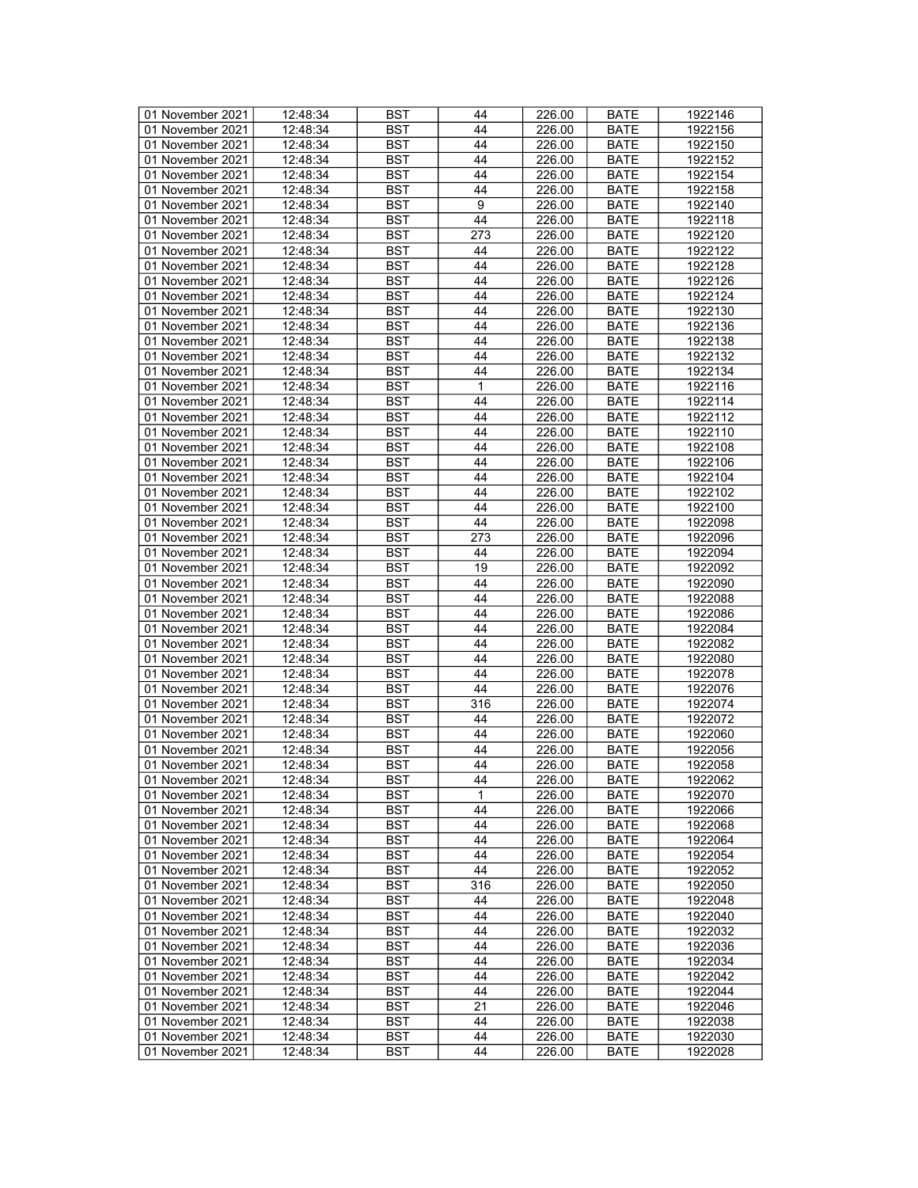| 01 November 2021 | 12:48:34 | BST        | 44               | 226.00 | <b>BATE</b> | 1922146 |
|------------------|----------|------------|------------------|--------|-------------|---------|
| 01 November 2021 | 12:48:34 | <b>BST</b> | 44               | 226.00 | <b>BATE</b> | 1922156 |
| 01 November 2021 | 12:48:34 | <b>BST</b> | 44               | 226.00 | <b>BATE</b> | 1922150 |
| 01 November 2021 | 12:48:34 | <b>BST</b> | 44               | 226.00 | <b>BATE</b> | 1922152 |
| 01 November 2021 | 12:48:34 | <b>BST</b> | 44               | 226.00 | <b>BATE</b> | 1922154 |
| 01 November 2021 | 12:48:34 | <b>BST</b> | 44               | 226.00 | <b>BATE</b> | 1922158 |
| 01 November 2021 |          |            |                  |        |             |         |
|                  | 12:48:34 | <b>BST</b> | $\boldsymbol{9}$ | 226.00 | <b>BATE</b> | 1922140 |
| 01 November 2021 | 12:48:34 | <b>BST</b> | 44               | 226.00 | <b>BATE</b> | 1922118 |
| 01 November 2021 | 12:48:34 | <b>BST</b> | 273              | 226.00 | <b>BATE</b> | 1922120 |
| 01 November 2021 | 12:48:34 | <b>BST</b> | 44               | 226.00 | <b>BATE</b> | 1922122 |
| 01 November 2021 | 12:48:34 | <b>BST</b> | 44               | 226.00 | <b>BATE</b> | 1922128 |
| 01 November 2021 | 12:48:34 | <b>BST</b> | 44               | 226.00 | <b>BATE</b> | 1922126 |
| 01 November 2021 | 12:48:34 | <b>BST</b> | 44               | 226.00 | <b>BATE</b> | 1922124 |
| 01 November 2021 | 12:48:34 | <b>BST</b> | 44               | 226.00 | <b>BATE</b> | 1922130 |
| 01 November 2021 | 12:48:34 | <b>BST</b> | 44               | 226.00 | <b>BATE</b> | 1922136 |
| 01 November 2021 | 12:48:34 | <b>BST</b> | 44               | 226.00 | <b>BATE</b> | 1922138 |
| 01 November 2021 | 12:48:34 | <b>BST</b> | 44               | 226.00 | <b>BATE</b> | 1922132 |
| 01 November 2021 | 12:48:34 | <b>BST</b> | 44               | 226.00 | <b>BATE</b> | 1922134 |
| 01 November 2021 | 12:48:34 | <b>BST</b> | 1                | 226.00 | <b>BATE</b> | 1922116 |
| 01 November 2021 | 12:48:34 | <b>BST</b> | 44               | 226.00 | <b>BATE</b> | 1922114 |
| 01 November 2021 | 12:48:34 | <b>BST</b> | 44               | 226.00 | <b>BATE</b> | 1922112 |
| 01 November 2021 | 12:48:34 | <b>BST</b> | 44               | 226.00 | <b>BATE</b> | 1922110 |
|                  |          |            | 44               |        |             |         |
| 01 November 2021 | 12:48:34 | <b>BST</b> |                  | 226.00 | <b>BATE</b> | 1922108 |
| 01 November 2021 | 12:48:34 | <b>BST</b> | 44               | 226.00 | <b>BATE</b> | 1922106 |
| 01 November 2021 | 12:48:34 | <b>BST</b> | 44               | 226.00 | <b>BATE</b> | 1922104 |
| 01 November 2021 | 12:48:34 | <b>BST</b> | 44               | 226.00 | <b>BATE</b> | 1922102 |
| 01 November 2021 | 12:48:34 | <b>BST</b> | 44               | 226.00 | <b>BATE</b> | 1922100 |
| 01 November 2021 | 12:48:34 | <b>BST</b> | 44               | 226.00 | <b>BATE</b> | 1922098 |
| 01 November 2021 | 12:48:34 | <b>BST</b> | 273              | 226.00 | <b>BATE</b> | 1922096 |
| 01 November 2021 | 12:48:34 | <b>BST</b> | 44               | 226.00 | <b>BATE</b> | 1922094 |
| 01 November 2021 | 12:48:34 | <b>BST</b> | 19               | 226.00 | <b>BATE</b> | 1922092 |
| 01 November 2021 | 12:48:34 | <b>BST</b> | 44               | 226.00 | <b>BATE</b> | 1922090 |
| 01 November 2021 | 12:48:34 | <b>BST</b> | 44               | 226.00 | <b>BATE</b> | 1922088 |
| 01 November 2021 | 12:48:34 | <b>BST</b> | 44               | 226.00 | <b>BATE</b> | 1922086 |
| 01 November 2021 | 12:48:34 | <b>BST</b> | 44               | 226.00 | <b>BATE</b> | 1922084 |
| 01 November 2021 | 12:48:34 | <b>BST</b> | 44               | 226.00 | <b>BATE</b> | 1922082 |
| 01 November 2021 | 12:48:34 | <b>BST</b> | 44               | 226.00 | <b>BATE</b> | 1922080 |
| 01 November 2021 | 12:48:34 | <b>BST</b> | 44               | 226.00 | <b>BATE</b> | 1922078 |
| 01 November 2021 | 12:48:34 | <b>BST</b> | 44               | 226.00 | <b>BATE</b> | 1922076 |
| 01 November 2021 | 12:48:34 | <b>BST</b> | 316              | 226.00 | <b>BATE</b> | 1922074 |
|                  | 12:48:34 | <b>BST</b> | 44               |        |             |         |
| 01 November 2021 |          |            |                  | 226.00 | <b>BATE</b> | 1922072 |
| 01 November 2021 | 12:48:34 | <b>BST</b> | 44               | 226.00 | <b>BATE</b> | 1922060 |
| 01 November 2021 | 12:48:34 | <b>BST</b> | 44               | 226.00 | <b>BATE</b> | 1922056 |
| 01 November 2021 | 12:48:34 | BST        | 44               | 226.00 | <b>BATE</b> | 1922058 |
| 01 November 2021 | 12:48:34 | <b>BST</b> | 44               | 226.00 | <b>BATE</b> | 1922062 |
| 01 November 2021 | 12:48:34 | BST        | 1                | 226.00 | <b>BATE</b> | 1922070 |
| 01 November 2021 | 12:48:34 | <b>BST</b> | 44               | 226.00 | <b>BATE</b> | 1922066 |
| 01 November 2021 | 12:48:34 | <b>BST</b> | 44               | 226.00 | <b>BATE</b> | 1922068 |
| 01 November 2021 | 12:48:34 | <b>BST</b> | 44               | 226.00 | <b>BATE</b> | 1922064 |
| 01 November 2021 | 12:48:34 | <b>BST</b> | 44               | 226.00 | <b>BATE</b> | 1922054 |
| 01 November 2021 | 12:48:34 | BST        | 44               | 226.00 | <b>BATE</b> | 1922052 |
| 01 November 2021 | 12:48:34 | BST        | 316              | 226.00 | <b>BATE</b> | 1922050 |
| 01 November 2021 | 12:48:34 | <b>BST</b> | 44               | 226.00 | <b>BATE</b> | 1922048 |
| 01 November 2021 | 12:48:34 | <b>BST</b> | 44               | 226.00 | <b>BATE</b> | 1922040 |
| 01 November 2021 | 12:48:34 | BST        | 44               | 226.00 | <b>BATE</b> | 1922032 |
| 01 November 2021 | 12:48:34 | <b>BST</b> | 44               | 226.00 | <b>BATE</b> | 1922036 |
| 01 November 2021 | 12:48:34 | <b>BST</b> | 44               | 226.00 | <b>BATE</b> | 1922034 |
| 01 November 2021 | 12:48:34 | <b>BST</b> | 44               | 226.00 | <b>BATE</b> | 1922042 |
| 01 November 2021 | 12:48:34 | <b>BST</b> | 44               | 226.00 | <b>BATE</b> | 1922044 |
|                  |          |            |                  |        |             |         |
| 01 November 2021 | 12:48:34 | <b>BST</b> | 21               | 226.00 | <b>BATE</b> | 1922046 |
| 01 November 2021 | 12:48:34 | <b>BST</b> | 44               | 226.00 | <b>BATE</b> | 1922038 |
| 01 November 2021 | 12:48:34 | BST        | 44               | 226.00 | <b>BATE</b> | 1922030 |
| 01 November 2021 | 12:48:34 | <b>BST</b> | 44               | 226.00 | <b>BATE</b> | 1922028 |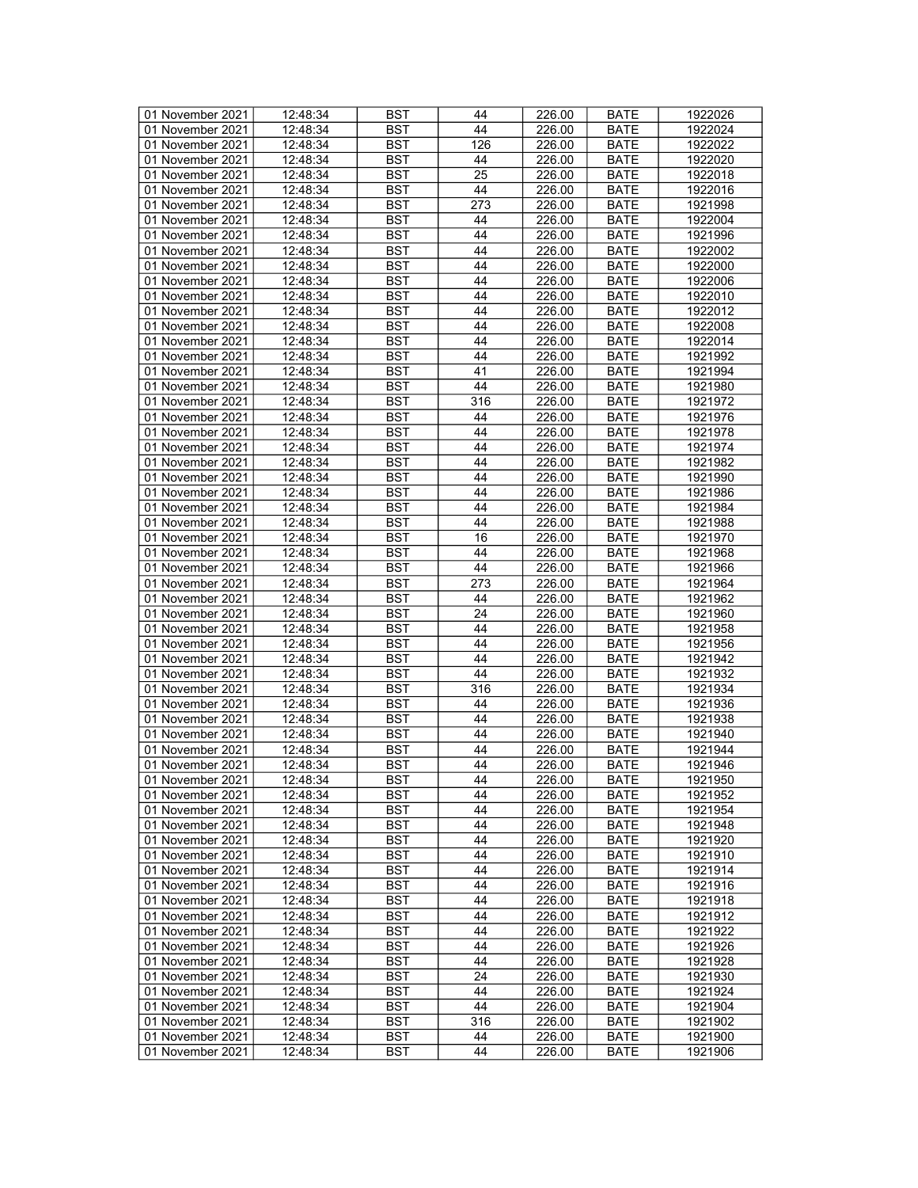| 01 November 2021 | 12:48:34 | BST        | 44  | 226.00 | <b>BATE</b> | 1922026 |
|------------------|----------|------------|-----|--------|-------------|---------|
| 01 November 2021 | 12:48:34 | <b>BST</b> | 44  | 226.00 | <b>BATE</b> | 1922024 |
| 01 November 2021 | 12:48:34 | <b>BST</b> | 126 | 226.00 | <b>BATE</b> | 1922022 |
| 01 November 2021 | 12:48:34 | <b>BST</b> | 44  | 226.00 | <b>BATE</b> | 1922020 |
| 01 November 2021 | 12:48:34 | <b>BST</b> | 25  | 226.00 | <b>BATE</b> | 1922018 |
| 01 November 2021 | 12:48:34 | <b>BST</b> | 44  | 226.00 | <b>BATE</b> | 1922016 |
| 01 November 2021 |          |            |     |        |             |         |
|                  | 12:48:34 | <b>BST</b> | 273 | 226.00 | <b>BATE</b> | 1921998 |
| 01 November 2021 | 12:48:34 | <b>BST</b> | 44  | 226.00 | <b>BATE</b> | 1922004 |
| 01 November 2021 | 12:48:34 | <b>BST</b> | 44  | 226.00 | <b>BATE</b> | 1921996 |
| 01 November 2021 | 12:48:34 | <b>BST</b> | 44  | 226.00 | <b>BATE</b> | 1922002 |
| 01 November 2021 | 12:48:34 | <b>BST</b> | 44  | 226.00 | <b>BATE</b> | 1922000 |
| 01 November 2021 | 12:48:34 | <b>BST</b> | 44  | 226.00 | <b>BATE</b> | 1922006 |
| 01 November 2021 | 12:48:34 | <b>BST</b> | 44  | 226.00 | <b>BATE</b> | 1922010 |
| 01 November 2021 | 12:48:34 | <b>BST</b> | 44  | 226.00 | <b>BATE</b> | 1922012 |
| 01 November 2021 | 12:48:34 | <b>BST</b> | 44  | 226.00 | <b>BATE</b> | 1922008 |
| 01 November 2021 | 12:48:34 | <b>BST</b> | 44  | 226.00 | <b>BATE</b> | 1922014 |
| 01 November 2021 | 12:48:34 | <b>BST</b> | 44  | 226.00 | <b>BATE</b> | 1921992 |
| 01 November 2021 | 12:48:34 | <b>BST</b> | 41  | 226.00 | <b>BATE</b> | 1921994 |
| 01 November 2021 | 12:48:34 | <b>BST</b> | 44  | 226.00 | <b>BATE</b> | 1921980 |
| 01 November 2021 | 12:48:34 | <b>BST</b> | 316 | 226.00 | <b>BATE</b> | 1921972 |
| 01 November 2021 | 12:48:34 | <b>BST</b> | 44  | 226.00 | <b>BATE</b> | 1921976 |
| 01 November 2021 | 12:48:34 | <b>BST</b> | 44  | 226.00 | <b>BATE</b> | 1921978 |
|                  |          |            | 44  |        |             |         |
| 01 November 2021 | 12:48:34 | <b>BST</b> |     | 226.00 | <b>BATE</b> | 1921974 |
| 01 November 2021 | 12:48:34 | <b>BST</b> | 44  | 226.00 | <b>BATE</b> | 1921982 |
| 01 November 2021 | 12:48:34 | <b>BST</b> | 44  | 226.00 | <b>BATE</b> | 1921990 |
| 01 November 2021 | 12:48:34 | <b>BST</b> | 44  | 226.00 | <b>BATE</b> | 1921986 |
| 01 November 2021 | 12:48:34 | <b>BST</b> | 44  | 226.00 | <b>BATE</b> | 1921984 |
| 01 November 2021 | 12:48:34 | <b>BST</b> | 44  | 226.00 | <b>BATE</b> | 1921988 |
| 01 November 2021 | 12:48:34 | <b>BST</b> | 16  | 226.00 | <b>BATE</b> | 1921970 |
| 01 November 2021 | 12:48:34 | <b>BST</b> | 44  | 226.00 | <b>BATE</b> | 1921968 |
| 01 November 2021 | 12:48:34 | <b>BST</b> | 44  | 226.00 | <b>BATE</b> | 1921966 |
| 01 November 2021 | 12:48:34 | <b>BST</b> | 273 | 226.00 | <b>BATE</b> | 1921964 |
| 01 November 2021 | 12:48:34 | <b>BST</b> | 44  | 226.00 | <b>BATE</b> | 1921962 |
| 01 November 2021 | 12:48:34 | <b>BST</b> | 24  | 226.00 | <b>BATE</b> | 1921960 |
| 01 November 2021 | 12:48:34 | <b>BST</b> | 44  | 226.00 | <b>BATE</b> | 1921958 |
| 01 November 2021 | 12:48:34 | <b>BST</b> | 44  | 226.00 | <b>BATE</b> | 1921956 |
| 01 November 2021 | 12:48:34 | <b>BST</b> | 44  | 226.00 | <b>BATE</b> | 1921942 |
| 01 November 2021 | 12:48:34 | <b>BST</b> | 44  | 226.00 | <b>BATE</b> | 1921932 |
|                  |          | <b>BST</b> |     |        |             | 1921934 |
| 01 November 2021 | 12:48:34 |            | 316 | 226.00 | <b>BATE</b> |         |
| 01 November 2021 | 12:48:34 | <b>BST</b> | 44  | 226.00 | <b>BATE</b> | 1921936 |
| 01 November 2021 | 12:48:34 | <b>BST</b> | 44  | 226.00 | <b>BATE</b> | 1921938 |
| 01 November 2021 | 12:48:34 | <b>BST</b> | 44  | 226.00 | <b>BATE</b> | 1921940 |
| 01 November 2021 | 12:48:34 | <b>BST</b> | 44  | 226.00 | <b>BATE</b> | 1921944 |
| 01 November 2021 | 12:48:34 | BST        | 44  | 226.00 | <b>BATE</b> | 1921946 |
| 01 November 2021 | 12:48:34 | <b>BST</b> | 44  | 226.00 | <b>BATE</b> | 1921950 |
| 01 November 2021 | 12:48:34 | BST        | 44  | 226.00 | <b>BATE</b> | 1921952 |
| 01 November 2021 | 12:48:34 | <b>BST</b> | 44  | 226.00 | <b>BATE</b> | 1921954 |
| 01 November 2021 | 12:48:34 | <b>BST</b> | 44  | 226.00 | <b>BATE</b> | 1921948 |
| 01 November 2021 | 12:48:34 | <b>BST</b> | 44  | 226.00 | <b>BATE</b> | 1921920 |
| 01 November 2021 | 12:48:34 | <b>BST</b> | 44  | 226.00 | <b>BATE</b> | 1921910 |
| 01 November 2021 | 12:48:34 | BST        | 44  | 226.00 | <b>BATE</b> | 1921914 |
| 01 November 2021 | 12:48:34 | <b>BST</b> | 44  | 226.00 | <b>BATE</b> | 1921916 |
| 01 November 2021 | 12:48:34 | <b>BST</b> | 44  | 226.00 | <b>BATE</b> | 1921918 |
| 01 November 2021 | 12:48:34 | <b>BST</b> | 44  | 226.00 | <b>BATE</b> | 1921912 |
| 01 November 2021 | 12:48:34 | BST        | 44  | 226.00 | <b>BATE</b> | 1921922 |
| 01 November 2021 | 12:48:34 | <b>BST</b> | 44  | 226.00 | <b>BATE</b> | 1921926 |
|                  |          |            |     |        |             |         |
| 01 November 2021 | 12:48:34 | <b>BST</b> | 44  | 226.00 | <b>BATE</b> | 1921928 |
| 01 November 2021 | 12:48:34 | <b>BST</b> | 24  | 226.00 | <b>BATE</b> | 1921930 |
| 01 November 2021 | 12:48:34 | <b>BST</b> | 44  | 226.00 | <b>BATE</b> | 1921924 |
| 01 November 2021 | 12:48:34 | <b>BST</b> | 44  | 226.00 | <b>BATE</b> | 1921904 |
| 01 November 2021 | 12:48:34 | <b>BST</b> | 316 | 226.00 | <b>BATE</b> | 1921902 |
| 01 November 2021 | 12:48:34 | BST        | 44  | 226.00 | <b>BATE</b> | 1921900 |
| 01 November 2021 | 12:48:34 | <b>BST</b> | 44  | 226.00 | <b>BATE</b> | 1921906 |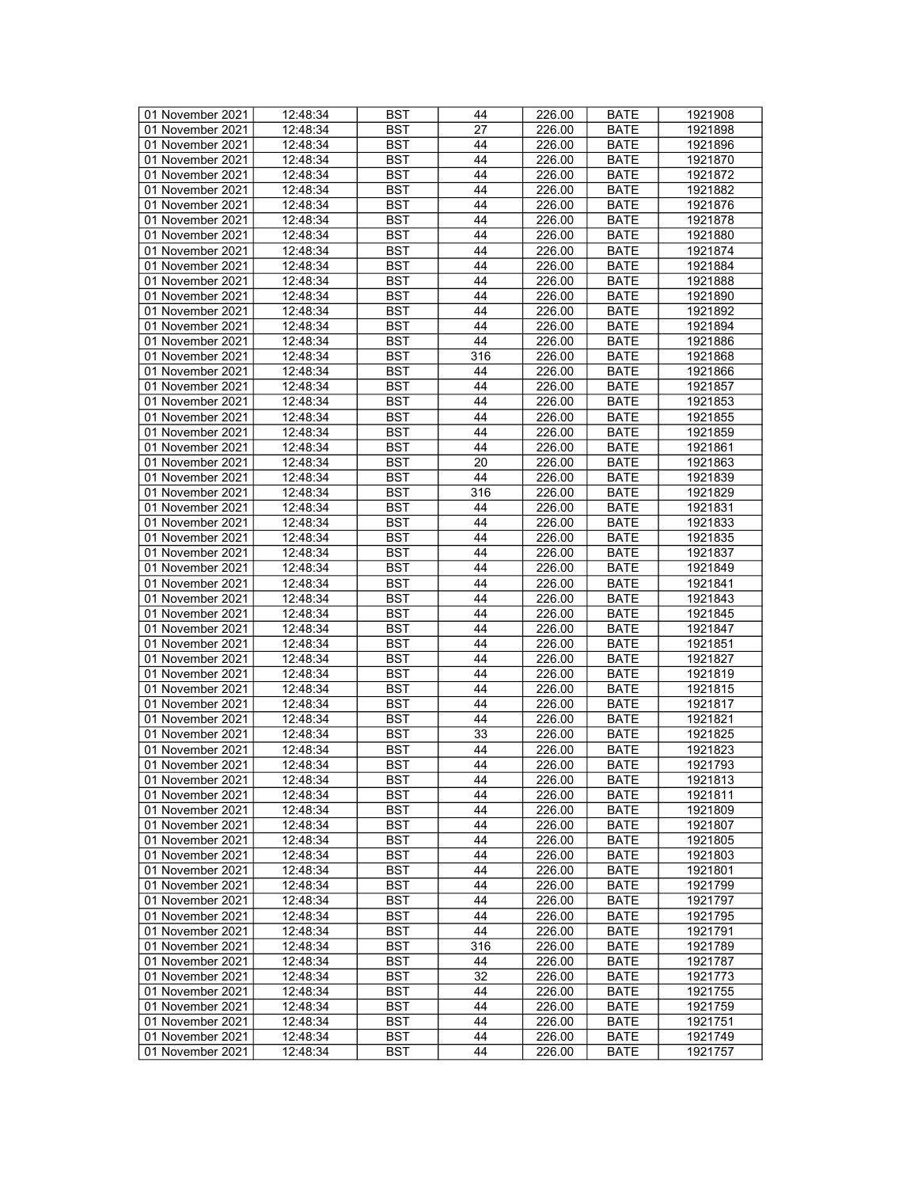| 01 November 2021 | 12:48:34 | BST        | 44              | 226.00 | <b>BATE</b> | 1921908 |
|------------------|----------|------------|-----------------|--------|-------------|---------|
| 01 November 2021 | 12:48:34 | BST        | 27              | 226.00 | <b>BATE</b> | 1921898 |
| 01 November 2021 | 12:48:34 | <b>BST</b> | 44              | 226.00 | <b>BATE</b> | 1921896 |
| 01 November 2021 | 12:48:34 | <b>BST</b> | 44              | 226.00 | <b>BATE</b> | 1921870 |
| 01 November 2021 | 12:48:34 | <b>BST</b> | 44              | 226.00 | <b>BATE</b> | 1921872 |
| 01 November 2021 | 12:48:34 | <b>BST</b> | 44              | 226.00 | <b>BATE</b> | 1921882 |
| 01 November 2021 | 12:48:34 | <b>BST</b> | 44              |        |             | 1921876 |
|                  |          |            |                 | 226.00 | <b>BATE</b> |         |
| 01 November 2021 | 12:48:34 | <b>BST</b> | 44              | 226.00 | <b>BATE</b> | 1921878 |
| 01 November 2021 | 12:48:34 | <b>BST</b> | 44              | 226.00 | <b>BATE</b> | 1921880 |
| 01 November 2021 | 12:48:34 | <b>BST</b> | 44              | 226.00 | <b>BATE</b> | 1921874 |
| 01 November 2021 | 12:48:34 | BST        | 44              | 226.00 | <b>BATE</b> | 1921884 |
| 01 November 2021 | 12:48:34 | <b>BST</b> | 44              | 226.00 | <b>BATE</b> | 1921888 |
| 01 November 2021 | 12:48:34 | <b>BST</b> | 44              | 226.00 | <b>BATE</b> | 1921890 |
| 01 November 2021 | 12:48:34 | <b>BST</b> | 44              | 226.00 | <b>BATE</b> | 1921892 |
| 01 November 2021 | 12:48:34 | <b>BST</b> | 44              | 226.00 | <b>BATE</b> | 1921894 |
| 01 November 2021 | 12:48:34 | <b>BST</b> | 44              | 226.00 | <b>BATE</b> | 1921886 |
| 01 November 2021 | 12:48:34 | <b>BST</b> | 316             | 226.00 | <b>BATE</b> | 1921868 |
| 01 November 2021 | 12:48:34 | <b>BST</b> | 44              | 226.00 | <b>BATE</b> | 1921866 |
| 01 November 2021 | 12:48:34 | <b>BST</b> | 44              | 226.00 | <b>BATE</b> | 1921857 |
| 01 November 2021 | 12:48:34 | <b>BST</b> | 44              | 226.00 | <b>BATE</b> | 1921853 |
| 01 November 2021 | 12:48:34 | <b>BST</b> | 44              | 226.00 | <b>BATE</b> | 1921855 |
| 01 November 2021 | 12:48:34 | <b>BST</b> | 44              | 226.00 | <b>BATE</b> | 1921859 |
| 01 November 2021 | 12:48:34 | <b>BST</b> | 44              |        | <b>BATE</b> |         |
|                  |          |            |                 | 226.00 |             | 1921861 |
| 01 November 2021 | 12:48:34 | <b>BST</b> | 20              | 226.00 | <b>BATE</b> | 1921863 |
| 01 November 2021 | 12:48:34 | <b>BST</b> | 44              | 226.00 | <b>BATE</b> | 1921839 |
| 01 November 2021 | 12:48:34 | <b>BST</b> | 316             | 226.00 | <b>BATE</b> | 1921829 |
| 01 November 2021 | 12:48:34 | <b>BST</b> | 44              | 226.00 | <b>BATE</b> | 1921831 |
| 01 November 2021 | 12:48:34 | <b>BST</b> | 44              | 226.00 | <b>BATE</b> | 1921833 |
| 01 November 2021 | 12:48:34 | <b>BST</b> | 44              | 226.00 | <b>BATE</b> | 1921835 |
| 01 November 2021 | 12:48:34 | <b>BST</b> | 44              | 226.00 | <b>BATE</b> | 1921837 |
| 01 November 2021 | 12:48:34 | <b>BST</b> | 44              | 226.00 | <b>BATE</b> | 1921849 |
| 01 November 2021 | 12:48:34 | <b>BST</b> | 44              | 226.00 | <b>BATE</b> | 1921841 |
| 01 November 2021 | 12:48:34 | <b>BST</b> | 44              | 226.00 | <b>BATE</b> | 1921843 |
| 01 November 2021 | 12:48:34 | <b>BST</b> | 44              | 226.00 | <b>BATE</b> | 1921845 |
| 01 November 2021 | 12:48:34 | <b>BST</b> | 44              | 226.00 | <b>BATE</b> | 1921847 |
| 01 November 2021 | 12:48:34 | <b>BST</b> | 44              | 226.00 | <b>BATE</b> | 1921851 |
| 01 November 2021 | 12:48:34 | <b>BST</b> | 44              | 226.00 | <b>BATE</b> | 1921827 |
| 01 November 2021 | 12:48:34 | <b>BST</b> | 44              | 226.00 | <b>BATE</b> | 1921819 |
| 01 November 2021 | 12:48:34 | <b>BST</b> | 44              | 226.00 | <b>BATE</b> | 1921815 |
| 01 November 2021 | 12:48:34 | <b>BST</b> | 44              | 226.00 | <b>BATE</b> |         |
| 01 November 2021 |          |            |                 |        |             | 1921817 |
|                  | 12:48:34 | <b>BST</b> | 44              | 226.00 | <b>BATE</b> | 1921821 |
| 01 November 2021 | 12:48:34 | <b>BST</b> | 33              | 226.00 | <b>BATE</b> | 1921825 |
| 01 November 2021 | 12:48:34 | <b>BST</b> | 44              | 226.00 | <b>BATE</b> | 1921823 |
| 01 November 2021 | 12:48:34 | <b>BST</b> | 44              | 226.00 | <b>BATE</b> | 1921793 |
| 01 November 2021 | 12:48:34 | <b>BST</b> | $\overline{44}$ | 226.00 | <b>BATE</b> | 1921813 |
| 01 November 2021 | 12:48:34 | BST        | 44              | 226.00 | BATE        | 1921811 |
| 01 November 2021 | 12:48:34 | BST        | 44              | 226.00 | BATE        | 1921809 |
| 01 November 2021 | 12:48:34 | <b>BST</b> | 44              | 226.00 | <b>BATE</b> | 1921807 |
| 01 November 2021 | 12:48:34 | <b>BST</b> | 44              | 226.00 | <b>BATE</b> | 1921805 |
| 01 November 2021 | 12:48:34 | <b>BST</b> | 44              | 226.00 | <b>BATE</b> | 1921803 |
| 01 November 2021 | 12:48:34 | <b>BST</b> | 44              | 226.00 | <b>BATE</b> | 1921801 |
| 01 November 2021 | 12:48:34 | BST        | 44              | 226.00 | <b>BATE</b> | 1921799 |
| 01 November 2021 | 12:48:34 | <b>BST</b> | 44              | 226.00 | <b>BATE</b> | 1921797 |
| 01 November 2021 | 12:48:34 | <b>BST</b> | 44              | 226.00 | <b>BATE</b> | 1921795 |
| 01 November 2021 | 12:48:34 | <b>BST</b> | 44              | 226.00 | <b>BATE</b> | 1921791 |
| 01 November 2021 | 12:48:34 | <b>BST</b> | 316             | 226.00 | <b>BATE</b> | 1921789 |
|                  |          |            |                 |        |             |         |
| 01 November 2021 | 12:48:34 | <b>BST</b> | 44              | 226.00 | <b>BATE</b> | 1921787 |
| 01 November 2021 | 12:48:34 | BST        | 32              | 226.00 | BATE        | 1921773 |
| 01 November 2021 | 12:48:34 | <b>BST</b> | 44              | 226.00 | <b>BATE</b> | 1921755 |
| 01 November 2021 | 12:48:34 | <b>BST</b> | 44              | 226.00 | <b>BATE</b> | 1921759 |
| 01 November 2021 | 12:48:34 | BST        | 44              | 226.00 | BATE        | 1921751 |
| 01 November 2021 | 12:48:34 | <b>BST</b> | 44              | 226.00 | <b>BATE</b> | 1921749 |
| 01 November 2021 | 12:48:34 | <b>BST</b> | 44              | 226.00 | <b>BATE</b> | 1921757 |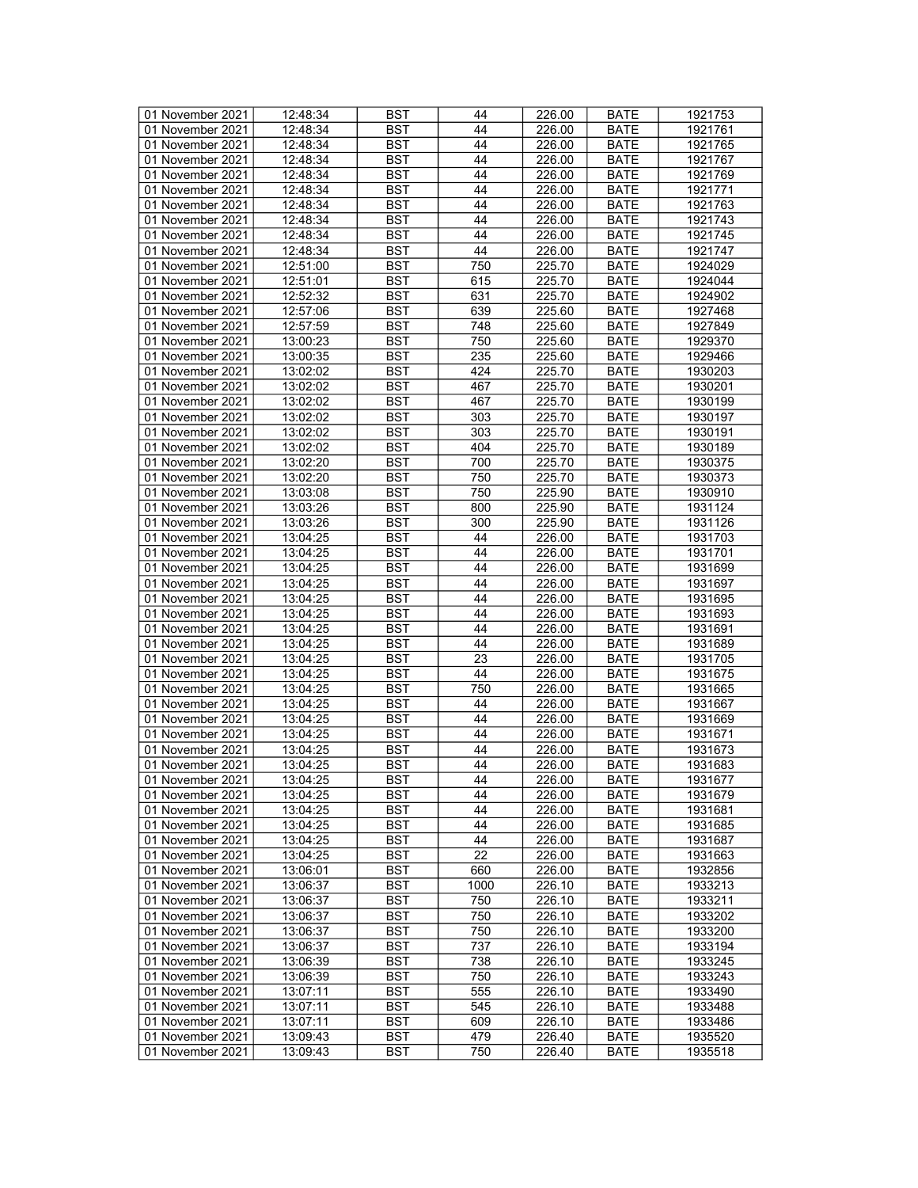| 01 November 2021 | 12:48:34 | <b>BST</b> | 44              | 226.00 | <b>BATE</b> | 1921753 |
|------------------|----------|------------|-----------------|--------|-------------|---------|
| 01 November 2021 | 12:48:34 | BST        | 44              | 226.00 | <b>BATE</b> | 1921761 |
| 01 November 2021 | 12:48:34 | <b>BST</b> | 44              | 226.00 | <b>BATE</b> | 1921765 |
| 01 November 2021 | 12:48:34 | <b>BST</b> | 44              | 226.00 | <b>BATE</b> | 1921767 |
| 01 November 2021 | 12:48:34 | <b>BST</b> | 44              | 226.00 | <b>BATE</b> | 1921769 |
| 01 November 2021 | 12:48:34 | <b>BST</b> | 44              | 226.00 | <b>BATE</b> | 1921771 |
|                  |          |            |                 |        |             |         |
| 01 November 2021 | 12:48:34 | <b>BST</b> | 44              | 226.00 | <b>BATE</b> | 1921763 |
| 01 November 2021 | 12:48:34 | <b>BST</b> | 44              | 226.00 | <b>BATE</b> | 1921743 |
| 01 November 2021 | 12:48:34 | <b>BST</b> | 44              | 226.00 | <b>BATE</b> | 1921745 |
| 01 November 2021 | 12:48:34 | <b>BST</b> | 44              | 226.00 | <b>BATE</b> | 1921747 |
| 01 November 2021 | 12:51:00 | <b>BST</b> | 750             | 225.70 | <b>BATE</b> | 1924029 |
| 01 November 2021 | 12:51:01 | <b>BST</b> | 615             | 225.70 | <b>BATE</b> | 1924044 |
| 01 November 2021 | 12:52:32 | <b>BST</b> | 631             | 225.70 | <b>BATE</b> | 1924902 |
| 01 November 2021 | 12:57:06 | <b>BST</b> | 639             | 225.60 | <b>BATE</b> | 1927468 |
| 01 November 2021 | 12:57:59 | <b>BST</b> | 748             | 225.60 | <b>BATE</b> | 1927849 |
| 01 November 2021 | 13:00:23 | <b>BST</b> | 750             | 225.60 | <b>BATE</b> | 1929370 |
| 01 November 2021 | 13:00:35 | <b>BST</b> | 235             | 225.60 | <b>BATE</b> | 1929466 |
| 01 November 2021 | 13:02:02 | <b>BST</b> | 424             | 225.70 | <b>BATE</b> | 1930203 |
| 01 November 2021 |          | <b>BST</b> | 467             | 225.70 |             |         |
|                  | 13:02:02 |            |                 |        | <b>BATE</b> | 1930201 |
| 01 November 2021 | 13:02:02 | <b>BST</b> | 467             | 225.70 | <b>BATE</b> | 1930199 |
| 01 November 2021 | 13:02:02 | <b>BST</b> | 303             | 225.70 | <b>BATE</b> | 1930197 |
| 01 November 2021 | 13:02:02 | <b>BST</b> | 303             | 225.70 | <b>BATE</b> | 1930191 |
| 01 November 2021 | 13:02:02 | <b>BST</b> | 404             | 225.70 | <b>BATE</b> | 1930189 |
| 01 November 2021 | 13:02:20 | <b>BST</b> | 700             | 225.70 | <b>BATE</b> | 1930375 |
| 01 November 2021 | 13:02:20 | <b>BST</b> | 750             | 225.70 | <b>BATE</b> | 1930373 |
| 01 November 2021 | 13:03:08 | <b>BST</b> | 750             | 225.90 | <b>BATE</b> | 1930910 |
| 01 November 2021 | 13:03:26 | <b>BST</b> | 800             | 225.90 | <b>BATE</b> | 1931124 |
| 01 November 2021 | 13:03:26 | <b>BST</b> | 300             | 225.90 | <b>BATE</b> | 1931126 |
| 01 November 2021 | 13:04:25 | <b>BST</b> | 44              | 226.00 | <b>BATE</b> | 1931703 |
| 01 November 2021 | 13:04:25 | <b>BST</b> | 44              | 226.00 | <b>BATE</b> | 1931701 |
| 01 November 2021 | 13:04:25 | <b>BST</b> | 44              | 226.00 | <b>BATE</b> | 1931699 |
| 01 November 2021 |          | <b>BST</b> | 44              |        |             | 1931697 |
|                  | 13:04:25 |            |                 | 226.00 | <b>BATE</b> |         |
| 01 November 2021 | 13:04:25 | <b>BST</b> | 44              | 226.00 | <b>BATE</b> | 1931695 |
| 01 November 2021 | 13:04:25 | <b>BST</b> | 44              | 226.00 | <b>BATE</b> | 1931693 |
| 01 November 2021 | 13:04:25 | <b>BST</b> | 44              | 226.00 | <b>BATE</b> | 1931691 |
| 01 November 2021 | 13:04:25 | <b>BST</b> | 44              | 226.00 | <b>BATE</b> | 1931689 |
| 01 November 2021 | 13:04:25 | <b>BST</b> | 23              | 226.00 | <b>BATE</b> | 1931705 |
| 01 November 2021 | 13:04:25 | <b>BST</b> | 44              | 226.00 | <b>BATE</b> | 1931675 |
| 01 November 2021 | 13:04:25 | <b>BST</b> | 750             | 226.00 | <b>BATE</b> | 1931665 |
| 01 November 2021 | 13:04:25 | <b>BST</b> | 44              | 226.00 | <b>BATE</b> | 1931667 |
| 01 November 2021 | 13:04:25 | <b>BST</b> | 44              | 226.00 | <b>BATE</b> | 1931669 |
| 01 November 2021 | 13:04:25 | <b>BST</b> | 44              | 226.00 | <b>BATE</b> | 1931671 |
| 01 November 2021 | 13:04:25 | <b>BST</b> | 44              | 226.00 | <b>BATE</b> | 1931673 |
| 01 November 2021 | 13:04:25 | <b>BST</b> | 44              | 226.00 | <b>BATE</b> | 1931683 |
| 01 November 2021 | 13:04:25 | <b>BST</b> | $\overline{44}$ | 226.00 | <b>BATE</b> | 1931677 |
| 01 November 2021 | 13:04:25 | <b>BST</b> | 44              | 226.00 | <b>BATE</b> | 1931679 |
| 01 November 2021 | 13:04:25 | <b>BST</b> | 44              | 226.00 |             | 1931681 |
|                  |          |            | 44              |        | BATE        |         |
| 01 November 2021 | 13:04:25 | <b>BST</b> |                 | 226.00 | <b>BATE</b> | 1931685 |
| 01 November 2021 | 13:04:25 | <b>BST</b> | 44              | 226.00 | <b>BATE</b> | 1931687 |
| 01 November 2021 | 13:04:25 | <b>BST</b> | 22              | 226.00 | <b>BATE</b> | 1931663 |
| 01 November 2021 | 13:06:01 | <b>BST</b> | 660             | 226.00 | <b>BATE</b> | 1932856 |
| 01 November 2021 | 13:06:37 | BST        | 1000            | 226.10 | <b>BATE</b> | 1933213 |
| 01 November 2021 | 13:06:37 | <b>BST</b> | 750             | 226.10 | <b>BATE</b> | 1933211 |
| 01 November 2021 | 13:06:37 | <b>BST</b> | 750             | 226.10 | <b>BATE</b> | 1933202 |
| 01 November 2021 | 13:06:37 | <b>BST</b> | 750             | 226.10 | <b>BATE</b> | 1933200 |
| 01 November 2021 | 13:06:37 | <b>BST</b> | 737             | 226.10 | <b>BATE</b> | 1933194 |
| 01 November 2021 | 13:06:39 | <b>BST</b> | 738             | 226.10 | <b>BATE</b> | 1933245 |
| 01 November 2021 | 13:06:39 | <b>BST</b> | 750             | 226.10 | <b>BATE</b> | 1933243 |
| 01 November 2021 | 13:07:11 | <b>BST</b> | 555             | 226.10 | <b>BATE</b> | 1933490 |
| 01 November 2021 | 13:07:11 | <b>BST</b> | 545             | 226.10 | <b>BATE</b> | 1933488 |
|                  |          |            |                 |        |             |         |
| 01 November 2021 | 13:07:11 | BST        | 609             | 226.10 | BATE        | 1933486 |
| 01 November 2021 | 13:09:43 | <b>BST</b> | 479             | 226.40 | <b>BATE</b> | 1935520 |
| 01 November 2021 | 13:09:43 | <b>BST</b> | 750             | 226.40 | <b>BATE</b> | 1935518 |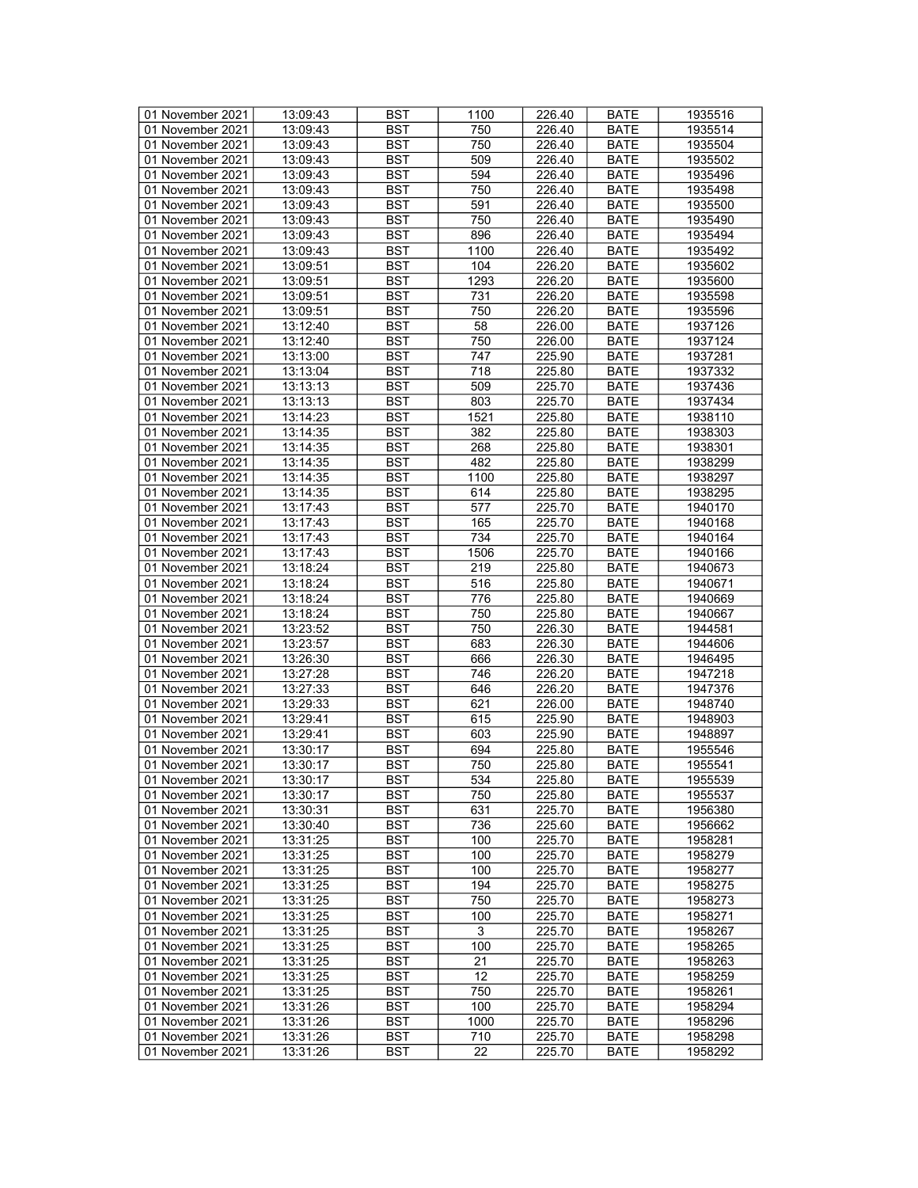| 01 November 2021 | 13:09:43 | <b>BST</b>       | 1100            | 226.40 | <b>BATE</b> | 1935516 |
|------------------|----------|------------------|-----------------|--------|-------------|---------|
| 01 November 2021 | 13:09:43 | BST              | 750             | 226.40 | <b>BATE</b> | 1935514 |
| 01 November 2021 | 13:09:43 | <b>BST</b>       | 750             | 226.40 | <b>BATE</b> | 1935504 |
| 01 November 2021 | 13:09:43 | <b>BST</b>       | 509             | 226.40 | <b>BATE</b> | 1935502 |
| 01 November 2021 | 13:09:43 | <b>BST</b>       | 594             | 226.40 | <b>BATE</b> | 1935496 |
| 01 November 2021 | 13:09:43 | <b>BST</b>       | 750             | 226.40 | <b>BATE</b> | 1935498 |
| 01 November 2021 | 13:09:43 | <b>BST</b>       | 591             | 226.40 |             | 1935500 |
|                  |          |                  |                 |        | <b>BATE</b> |         |
| 01 November 2021 | 13:09:43 | <b>BST</b>       | 750             | 226.40 | <b>BATE</b> | 1935490 |
| 01 November 2021 | 13:09:43 | <b>BST</b>       | 896             | 226.40 | <b>BATE</b> | 1935494 |
| 01 November 2021 | 13:09:43 | <b>BST</b>       | 1100            | 226.40 | <b>BATE</b> | 1935492 |
| 01 November 2021 | 13:09:51 | <b>BST</b>       | 104             | 226.20 | <b>BATE</b> | 1935602 |
| 01 November 2021 | 13:09:51 | <b>BST</b>       | 1293            | 226.20 | <b>BATE</b> | 1935600 |
| 01 November 2021 | 13:09:51 | <b>BST</b>       | 731             | 226.20 | <b>BATE</b> | 1935598 |
| 01 November 2021 | 13:09:51 | <b>BST</b>       | 750             | 226.20 | <b>BATE</b> | 1935596 |
| 01 November 2021 | 13:12:40 | <b>BST</b>       | 58              | 226.00 | <b>BATE</b> | 1937126 |
| 01 November 2021 | 13:12:40 | <b>BST</b>       | 750             | 226.00 | <b>BATE</b> | 1937124 |
| 01 November 2021 | 13:13:00 | <b>BST</b>       | 747             | 225.90 | <b>BATE</b> | 1937281 |
| 01 November 2021 | 13:13:04 | <b>BST</b>       | 718             | 225.80 | <b>BATE</b> | 1937332 |
| 01 November 2021 | 13:13:13 | <b>BST</b>       | 509             | 225.70 | <b>BATE</b> | 1937436 |
| 01 November 2021 | 13:13:13 | <b>BST</b>       | 803             | 225.70 | <b>BATE</b> | 1937434 |
| 01 November 2021 | 13:14:23 | <b>BST</b>       | 1521            | 225.80 | <b>BATE</b> | 1938110 |
| 01 November 2021 | 13:14:35 | <b>BST</b>       | 382             | 225.80 | <b>BATE</b> | 1938303 |
| 01 November 2021 | 13:14:35 | <b>BST</b>       | 268             | 225.80 | <b>BATE</b> | 1938301 |
|                  |          |                  |                 |        |             |         |
| 01 November 2021 | 13:14:35 | <b>BST</b>       | 482             | 225.80 | <b>BATE</b> | 1938299 |
| 01 November 2021 | 13:14:35 | <b>BST</b>       | 1100            | 225.80 | <b>BATE</b> | 1938297 |
| 01 November 2021 | 13:14:35 | <b>BST</b>       | 614             | 225.80 | <b>BATE</b> | 1938295 |
| 01 November 2021 | 13:17:43 | <b>BST</b>       | 577             | 225.70 | <b>BATE</b> | 1940170 |
| 01 November 2021 | 13:17:43 | <b>BST</b>       | 165             | 225.70 | <b>BATE</b> | 1940168 |
| 01 November 2021 | 13:17:43 | <b>BST</b>       | 734             | 225.70 | <b>BATE</b> | 1940164 |
| 01 November 2021 | 13:17:43 | <b>BST</b>       | 1506            | 225.70 | <b>BATE</b> | 1940166 |
| 01 November 2021 | 13:18:24 | <b>BST</b>       | 219             | 225.80 | <b>BATE</b> | 1940673 |
| 01 November 2021 | 13:18:24 | <b>BST</b>       | 516             | 225.80 | <b>BATE</b> | 1940671 |
| 01 November 2021 | 13:18:24 | <b>BST</b>       | 776             | 225.80 | <b>BATE</b> | 1940669 |
| 01 November 2021 | 13:18:24 | <b>BST</b>       | 750             | 225.80 | <b>BATE</b> | 1940667 |
| 01 November 2021 | 13:23:52 | <b>BST</b>       | 750             | 226.30 | <b>BATE</b> | 1944581 |
| 01 November 2021 | 13:23:57 | <b>BST</b>       | 683             | 226.30 | <b>BATE</b> | 1944606 |
| 01 November 2021 | 13:26:30 | <b>BST</b>       | 666             | 226.30 | <b>BATE</b> | 1946495 |
| 01 November 2021 | 13:27:28 | <b>BST</b>       | 746             | 226.20 | <b>BATE</b> | 1947218 |
| 01 November 2021 | 13:27:33 | <b>BST</b>       | 646             | 226.20 | <b>BATE</b> | 1947376 |
| 01 November 2021 | 13:29:33 | <b>BST</b>       | 621             | 226.00 | <b>BATE</b> |         |
|                  |          |                  |                 |        |             | 1948740 |
| 01 November 2021 | 13:29:41 | <b>BST</b>       | 615             | 225.90 | <b>BATE</b> | 1948903 |
| 01 November 2021 | 13:29:41 | <b>BST</b>       | 603             | 225.90 | <b>BATE</b> | 1948897 |
| 01 November 2021 | 13:30:17 | <b>BST</b>       | 694             | 225.80 | <b>BATE</b> | 1955546 |
| 01 November 2021 | 13:30:17 | <b>BST</b>       | 750             | 225.80 | <b>BATE</b> | 1955541 |
| 01 November 2021 | 13:30:17 | $\overline{BST}$ | 534             | 225.80 | <b>BATE</b> | 1955539 |
| 01 November 2021 | 13:30:17 | BST              | 750             | 225.80 | <b>BATE</b> | 1955537 |
| 01 November 2021 | 13:30:31 | <b>BST</b>       | 631             | 225.70 | BATE        | 1956380 |
| 01 November 2021 | 13:30:40 | <b>BST</b>       | 736             | 225.60 | <b>BATE</b> | 1956662 |
| 01 November 2021 | 13:31:25 | BST              | 100             | 225.70 | <b>BATE</b> | 1958281 |
| 01 November 2021 | 13:31:25 | <b>BST</b>       | 100             | 225.70 | <b>BATE</b> | 1958279 |
| 01 November 2021 | 13:31:25 | <b>BST</b>       | 100             | 225.70 | <b>BATE</b> | 1958277 |
| 01 November 2021 | 13:31:25 | BST              | 194             | 225.70 | <b>BATE</b> | 1958275 |
| 01 November 2021 | 13:31:25 | <b>BST</b>       | 750             | 225.70 | <b>BATE</b> | 1958273 |
| 01 November 2021 | 13:31:25 | <b>BST</b>       | 100             | 225.70 | <b>BATE</b> | 1958271 |
| 01 November 2021 | 13:31:25 | <b>BST</b>       | 3               | 225.70 | <b>BATE</b> | 1958267 |
| 01 November 2021 | 13:31:25 | <b>BST</b>       | 100             | 225.70 | <b>BATE</b> | 1958265 |
|                  |          |                  |                 |        |             |         |
| 01 November 2021 | 13:31:25 | <b>BST</b>       | 21              | 225.70 | <b>BATE</b> | 1958263 |
| 01 November 2021 | 13:31:25 | <b>BST</b>       | 12              | 225.70 | <b>BATE</b> | 1958259 |
| 01 November 2021 | 13:31:25 | <b>BST</b>       | 750             | 225.70 | <b>BATE</b> | 1958261 |
| 01 November 2021 | 13:31:26 | <b>BST</b>       | 100             | 225.70 | <b>BATE</b> | 1958294 |
| 01 November 2021 | 13:31:26 | BST              | 1000            | 225.70 | BATE        | 1958296 |
| 01 November 2021 | 13:31:26 | <b>BST</b>       | 710             | 225.70 | <b>BATE</b> | 1958298 |
| 01 November 2021 | 13:31:26 | <b>BST</b>       | $\overline{2}2$ | 225.70 | <b>BATE</b> | 1958292 |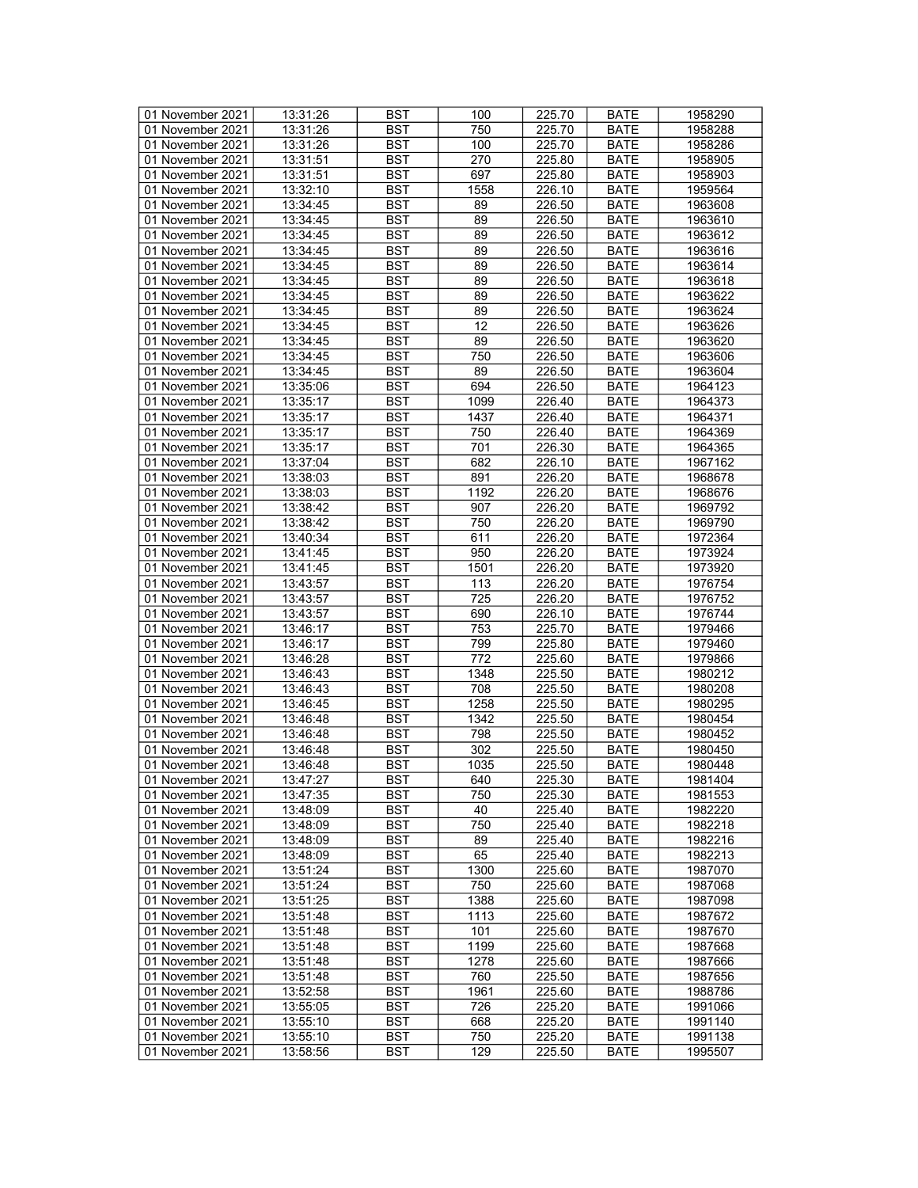| 01 November 2021 | 13:31:26 | <b>BST</b> | 100  | 225.70 | <b>BATE</b> | 1958290 |
|------------------|----------|------------|------|--------|-------------|---------|
| 01 November 2021 | 13:31:26 | BST        | 750  | 225.70 | <b>BATE</b> | 1958288 |
|                  | 13:31:26 | <b>BST</b> | 100  |        | <b>BATE</b> | 1958286 |
| 01 November 2021 |          |            |      | 225.70 |             |         |
| 01 November 2021 | 13:31:51 | <b>BST</b> | 270  | 225.80 | <b>BATE</b> | 1958905 |
| 01 November 2021 | 13:31:51 | <b>BST</b> | 697  | 225.80 | <b>BATE</b> | 1958903 |
| 01 November 2021 | 13:32:10 | <b>BST</b> | 1558 | 226.10 | <b>BATE</b> | 1959564 |
| 01 November 2021 | 13:34:45 | <b>BST</b> | 89   | 226.50 | <b>BATE</b> | 1963608 |
| 01 November 2021 | 13:34:45 | <b>BST</b> | 89   | 226.50 | <b>BATE</b> | 1963610 |
| 01 November 2021 | 13:34:45 | <b>BST</b> | 89   | 226.50 | <b>BATE</b> | 1963612 |
| 01 November 2021 | 13:34:45 | <b>BST</b> | 89   | 226.50 | <b>BATE</b> | 1963616 |
| 01 November 2021 | 13:34:45 | <b>BST</b> | 89   | 226.50 | <b>BATE</b> | 1963614 |
|                  |          |            |      |        |             |         |
| 01 November 2021 | 13:34:45 | <b>BST</b> | 89   | 226.50 | <b>BATE</b> | 1963618 |
| 01 November 2021 | 13:34:45 | <b>BST</b> | 89   | 226.50 | <b>BATE</b> | 1963622 |
| 01 November 2021 | 13:34:45 | <b>BST</b> | 89   | 226.50 | <b>BATE</b> | 1963624 |
| 01 November 2021 | 13:34:45 | <b>BST</b> | 12   | 226.50 | <b>BATE</b> | 1963626 |
| 01 November 2021 | 13:34:45 | <b>BST</b> | 89   | 226.50 | <b>BATE</b> | 1963620 |
| 01 November 2021 | 13:34:45 | <b>BST</b> | 750  | 226.50 | <b>BATE</b> | 1963606 |
| 01 November 2021 | 13:34:45 | <b>BST</b> | 89   | 226.50 | <b>BATE</b> | 1963604 |
| 01 November 2021 | 13:35:06 | <b>BST</b> | 694  | 226.50 | <b>BATE</b> | 1964123 |
|                  |          |            |      | 226.40 |             |         |
| 01 November 2021 | 13:35:17 | <b>BST</b> | 1099 |        | <b>BATE</b> | 1964373 |
| 01 November 2021 | 13:35:17 | <b>BST</b> | 1437 | 226.40 | <b>BATE</b> | 1964371 |
| 01 November 2021 | 13:35:17 | <b>BST</b> | 750  | 226.40 | <b>BATE</b> | 1964369 |
| 01 November 2021 | 13:35:17 | <b>BST</b> | 701  | 226.30 | <b>BATE</b> | 1964365 |
| 01 November 2021 | 13:37:04 | <b>BST</b> | 682  | 226.10 | <b>BATE</b> | 1967162 |
| 01 November 2021 | 13:38:03 | <b>BST</b> | 891  | 226.20 | <b>BATE</b> | 1968678 |
| 01 November 2021 | 13:38:03 | <b>BST</b> | 1192 | 226.20 | <b>BATE</b> | 1968676 |
| 01 November 2021 | 13:38:42 | <b>BST</b> | 907  | 226.20 | <b>BATE</b> | 1969792 |
| 01 November 2021 | 13:38:42 | <b>BST</b> | 750  | 226.20 | <b>BATE</b> | 1969790 |
| 01 November 2021 |          |            |      | 226.20 |             |         |
|                  | 13:40:34 | <b>BST</b> | 611  |        | <b>BATE</b> | 1972364 |
| 01 November 2021 | 13:41:45 | <b>BST</b> | 950  | 226.20 | <b>BATE</b> | 1973924 |
| 01 November 2021 | 13:41:45 | <b>BST</b> | 1501 | 226.20 | <b>BATE</b> | 1973920 |
| 01 November 2021 | 13:43:57 | <b>BST</b> | 113  | 226.20 | <b>BATE</b> | 1976754 |
| 01 November 2021 | 13:43:57 | <b>BST</b> | 725  | 226.20 | <b>BATE</b> | 1976752 |
| 01 November 2021 | 13:43:57 | <b>BST</b> | 690  | 226.10 | <b>BATE</b> | 1976744 |
| 01 November 2021 | 13:46:17 | <b>BST</b> | 753  | 225.70 | <b>BATE</b> | 1979466 |
| 01 November 2021 | 13:46:17 | <b>BST</b> | 799  | 225.80 | <b>BATE</b> | 1979460 |
| 01 November 2021 | 13:46:28 | <b>BST</b> | 772  | 225.60 | <b>BATE</b> | 1979866 |
| 01 November 2021 | 13:46:43 | <b>BST</b> | 1348 | 225.50 | <b>BATE</b> | 1980212 |
|                  |          |            |      |        |             |         |
| 01 November 2021 | 13:46:43 | <b>BST</b> | 708  | 225.50 | <b>BATE</b> | 1980208 |
| 01 November 2021 | 13:46:45 | <b>BST</b> | 1258 | 225.50 | <b>BATE</b> | 1980295 |
| 01 November 2021 | 13:46:48 | <b>BST</b> | 1342 | 225.50 | <b>BATE</b> | 1980454 |
| 01 November 2021 | 13:46:48 | <b>BST</b> | 798  | 225.50 | <b>BATE</b> | 1980452 |
| 01 November 2021 | 13:46:48 | <b>BST</b> | 302  | 225.50 | <b>BATE</b> | 1980450 |
| 01 November 2021 | 13:46:48 | <b>BST</b> | 1035 | 225.50 | <b>BATE</b> | 1980448 |
| 01 November 2021 | 13:47:27 | <b>BST</b> | 640  | 225.30 | <b>BATE</b> | 1981404 |
| 01 November 2021 | 13:47:35 | BST        | 750  | 225.30 | <b>BATE</b> | 1981553 |
| 01 November 2021 | 13:48:09 | <b>BST</b> | 40   | 225.40 | BATE        | 1982220 |
|                  |          |            |      |        |             |         |
| 01 November 2021 | 13:48:09 | <b>BST</b> | 750  | 225.40 | <b>BATE</b> | 1982218 |
| 01 November 2021 | 13:48:09 | <b>BST</b> | 89   | 225.40 | <b>BATE</b> | 1982216 |
| 01 November 2021 | 13:48:09 | <b>BST</b> | 65   | 225.40 | <b>BATE</b> | 1982213 |
| 01 November 2021 | 13:51:24 | <b>BST</b> | 1300 | 225.60 | <b>BATE</b> | 1987070 |
| 01 November 2021 | 13:51:24 | BST        | 750  | 225.60 | <b>BATE</b> | 1987068 |
| 01 November 2021 | 13:51:25 | <b>BST</b> | 1388 | 225.60 | <b>BATE</b> | 1987098 |
| 01 November 2021 | 13:51:48 | <b>BST</b> | 1113 | 225.60 | <b>BATE</b> | 1987672 |
| 01 November 2021 | 13:51:48 | <b>BST</b> | 101  | 225.60 | <b>BATE</b> | 1987670 |
| 01 November 2021 | 13:51:48 | BST        | 1199 | 225.60 | <b>BATE</b> | 1987668 |
|                  |          | <b>BST</b> | 1278 | 225.60 | <b>BATE</b> |         |
| 01 November 2021 | 13:51:48 |            |      |        |             | 1987666 |
| 01 November 2021 | 13:51:48 | BST        | 760  | 225.50 | BATE        | 1987656 |
| 01 November 2021 | 13:52:58 | <b>BST</b> | 1961 | 225.60 | <b>BATE</b> | 1988786 |
| 01 November 2021 | 13:55:05 | <b>BST</b> | 726  | 225.20 | <b>BATE</b> | 1991066 |
| 01 November 2021 | 13:55:10 | BST        | 668  | 225.20 | BATE        | 1991140 |
| 01 November 2021 | 13:55:10 | <b>BST</b> | 750  | 225.20 | BATE        | 1991138 |
| 01 November 2021 | 13:58:56 | BST        | 129  | 225.50 | <b>BATE</b> | 1995507 |
|                  |          |            |      |        |             |         |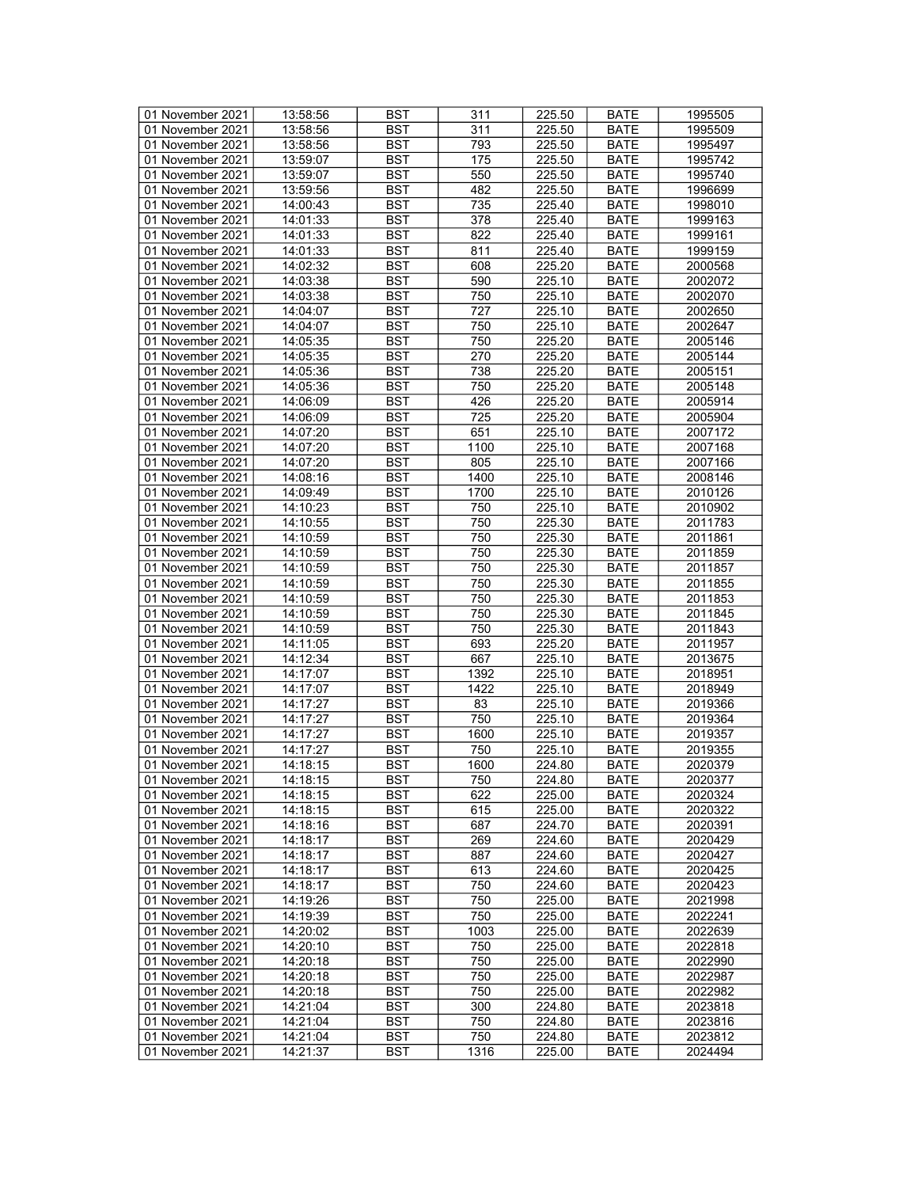| 01 November 2021 | 13:58:56 | <b>BST</b> | 311  | 225.50              | <b>BATE</b> | 1995505 |
|------------------|----------|------------|------|---------------------|-------------|---------|
| 01 November 2021 | 13:58:56 | <b>BST</b> | 311  | 225.50              | <b>BATE</b> | 1995509 |
| 01 November 2021 | 13:58:56 | <b>BST</b> |      |                     | <b>BATE</b> | 1995497 |
|                  |          |            | 793  | 225.50              |             |         |
| 01 November 2021 | 13:59:07 | <b>BST</b> | 175  | 225.50              | <b>BATE</b> | 1995742 |
| 01 November 2021 | 13:59:07 | <b>BST</b> | 550  | 225.50              | <b>BATE</b> | 1995740 |
| 01 November 2021 | 13:59:56 | <b>BST</b> | 482  | 225.50              | <b>BATE</b> | 1996699 |
| 01 November 2021 | 14:00:43 | <b>BST</b> | 735  | 225.40              | <b>BATE</b> | 1998010 |
| 01 November 2021 | 14:01:33 | <b>BST</b> | 378  | 225.40              | <b>BATE</b> | 1999163 |
| 01 November 2021 | 14:01:33 | <b>BST</b> | 822  | 225.40              | <b>BATE</b> | 1999161 |
| 01 November 2021 | 14:01:33 | <b>BST</b> | 811  | 225.40              | <b>BATE</b> | 1999159 |
| 01 November 2021 | 14:02:32 | <b>BST</b> | 608  | 225.20              | <b>BATE</b> | 2000568 |
| 01 November 2021 | 14:03:38 | <b>BST</b> | 590  | 225.10              | <b>BATE</b> | 2002072 |
|                  |          | <b>BST</b> |      |                     |             |         |
| 01 November 2021 | 14:03:38 |            | 750  | 225.10              | <b>BATE</b> | 2002070 |
| 01 November 2021 | 14:04:07 | <b>BST</b> | 727  | 225.10              | <b>BATE</b> | 2002650 |
| 01 November 2021 | 14:04:07 | <b>BST</b> | 750  | 225.10              | <b>BATE</b> | 2002647 |
| 01 November 2021 | 14:05:35 | <b>BST</b> | 750  | 225.20              | <b>BATE</b> | 2005146 |
| 01 November 2021 | 14:05:35 | <b>BST</b> | 270  | 225.20              | <b>BATE</b> | 2005144 |
| 01 November 2021 | 14:05:36 | <b>BST</b> | 738  | 225.20              | <b>BATE</b> | 2005151 |
| 01 November 2021 | 14:05:36 | <b>BST</b> | 750  | 225.20              | <b>BATE</b> | 2005148 |
| 01 November 2021 | 14:06:09 | <b>BST</b> | 426  | 225.20              | <b>BATE</b> | 2005914 |
| 01 November 2021 | 14:06:09 | <b>BST</b> | 725  | 225.20              | <b>BATE</b> | 2005904 |
| 01 November 2021 | 14:07:20 | <b>BST</b> | 651  | 225.10              | <b>BATE</b> | 2007172 |
| 01 November 2021 | 14:07:20 | <b>BST</b> | 1100 | 225.10              | <b>BATE</b> | 2007168 |
|                  | 14:07:20 |            |      |                     |             |         |
| 01 November 2021 |          | <b>BST</b> | 805  | 225.10              | <b>BATE</b> | 2007166 |
| 01 November 2021 | 14:08:16 | <b>BST</b> | 1400 | 225.10              | <b>BATE</b> | 2008146 |
| 01 November 2021 | 14:09:49 | <b>BST</b> | 1700 | 225.10              | <b>BATE</b> | 2010126 |
| 01 November 2021 | 14:10:23 | <b>BST</b> | 750  | 225.10              | <b>BATE</b> | 2010902 |
| 01 November 2021 | 14:10:55 | <b>BST</b> | 750  | 225.30              | <b>BATE</b> | 2011783 |
| 01 November 2021 | 14:10:59 | <b>BST</b> | 750  | 225.30              | <b>BATE</b> | 2011861 |
| 01 November 2021 | 14:10:59 | <b>BST</b> | 750  | 225.30              | <b>BATE</b> | 2011859 |
| 01 November 2021 | 14:10:59 | <b>BST</b> | 750  | 225.30              | <b>BATE</b> | 2011857 |
| 01 November 2021 | 14:10:59 | <b>BST</b> | 750  | 225.30              | <b>BATE</b> | 2011855 |
| 01 November 2021 | 14:10:59 | <b>BST</b> | 750  | 225.30              | <b>BATE</b> | 2011853 |
| 01 November 2021 | 14:10:59 | <b>BST</b> | 750  | 225.30              | <b>BATE</b> | 2011845 |
| 01 November 2021 | 14:10:59 | <b>BST</b> | 750  | 225.30              | <b>BATE</b> | 2011843 |
|                  |          |            |      |                     |             |         |
| 01 November 2021 | 14:11:05 | <b>BST</b> | 693  | 225.20              | <b>BATE</b> | 2011957 |
| 01 November 2021 | 14:12:34 | <b>BST</b> | 667  | 225.10              | <b>BATE</b> | 2013675 |
| 01 November 2021 | 14:17:07 | <b>BST</b> | 1392 | 225.10              | <b>BATE</b> | 2018951 |
| 01 November 2021 | 14:17:07 | <b>BST</b> | 1422 | 225.10              | <b>BATE</b> | 2018949 |
| 01 November 2021 | 14:17:27 | <b>BST</b> | 83   | 225.10              | <b>BATE</b> | 2019366 |
| 01 November 2021 | 14:17:27 | <b>BST</b> | 750  | 225.10              | <b>BATE</b> | 2019364 |
| 01 November 2021 | 14:17:27 | <b>BST</b> | 1600 | 225.10              | <b>BATE</b> | 2019357 |
| 01 November 2021 | 14:17:27 | <b>BST</b> | 750  | 225.10              | <b>BATE</b> | 2019355 |
| 01 November 2021 | 14:18:15 | BST        | 1600 | 224.80              | <b>BATE</b> | 2020379 |
| 01 November 2021 | 14:18:15 | <b>BST</b> | 750  | 224.80              | <b>BATE</b> | 2020377 |
| 01 November 2021 | 14:18:15 | BST        | 622  | 225.00              | <b>BATE</b> | 2020324 |
| 01 November 2021 | 14:18:15 | <b>BST</b> | 615  | 225.00              | <b>BATE</b> | 2020322 |
|                  |          |            |      |                     |             |         |
| 01 November 2021 | 14:18:16 | <b>BST</b> | 687  | 224.70              | <b>BATE</b> | 2020391 |
| 01 November 2021 | 14:18:17 | <b>BST</b> | 269  | 224.60              | <b>BATE</b> | 2020429 |
| 01 November 2021 | 14:18:17 | <b>BST</b> | 887  | 224.60              | <b>BATE</b> | 2020427 |
| 01 November 2021 | 14:18:17 | <b>BST</b> | 613  | 224.60              | <b>BATE</b> | 2020425 |
| 01 November 2021 | 14:18:17 | <b>BST</b> | 750  | 224.60              | <b>BATE</b> | 2020423 |
| 01 November 2021 | 14:19:26 | <b>BST</b> | 750  | 225.00              | <b>BATE</b> | 2021998 |
| 01 November 2021 | 14:19:39 | <b>BST</b> | 750  | 225.00              | <b>BATE</b> | 2022241 |
| 01 November 2021 | 14:20:02 | <b>BST</b> | 1003 | 225.00              | <b>BATE</b> | 2022639 |
| 01 November 2021 | 14:20:10 | <b>BST</b> | 750  | 225.00              | <b>BATE</b> | 2022818 |
| 01 November 2021 | 14:20:18 | <b>BST</b> | 750  | 225.00              | <b>BATE</b> | 2022990 |
| 01 November 2021 | 14:20:18 | <b>BST</b> | 750  | 225.00              | <b>BATE</b> | 2022987 |
|                  |          |            |      |                     |             |         |
| 01 November 2021 | 14:20:18 | <b>BST</b> | 750  | 225.00              | <b>BATE</b> | 2022982 |
| 01 November 2021 | 14:21:04 | <b>BST</b> | 300  | 224.80              | <b>BATE</b> | 2023818 |
| 01 November 2021 | 14:21:04 | <b>BST</b> | 750  | $\overline{224.80}$ | <b>BATE</b> | 2023816 |
| 01 November 2021 | 14:21:04 | BST        | 750  | 224.80              | <b>BATE</b> | 2023812 |
| 01 November 2021 | 14:21:37 | <b>BST</b> | 1316 | 225.00              | <b>BATE</b> | 2024494 |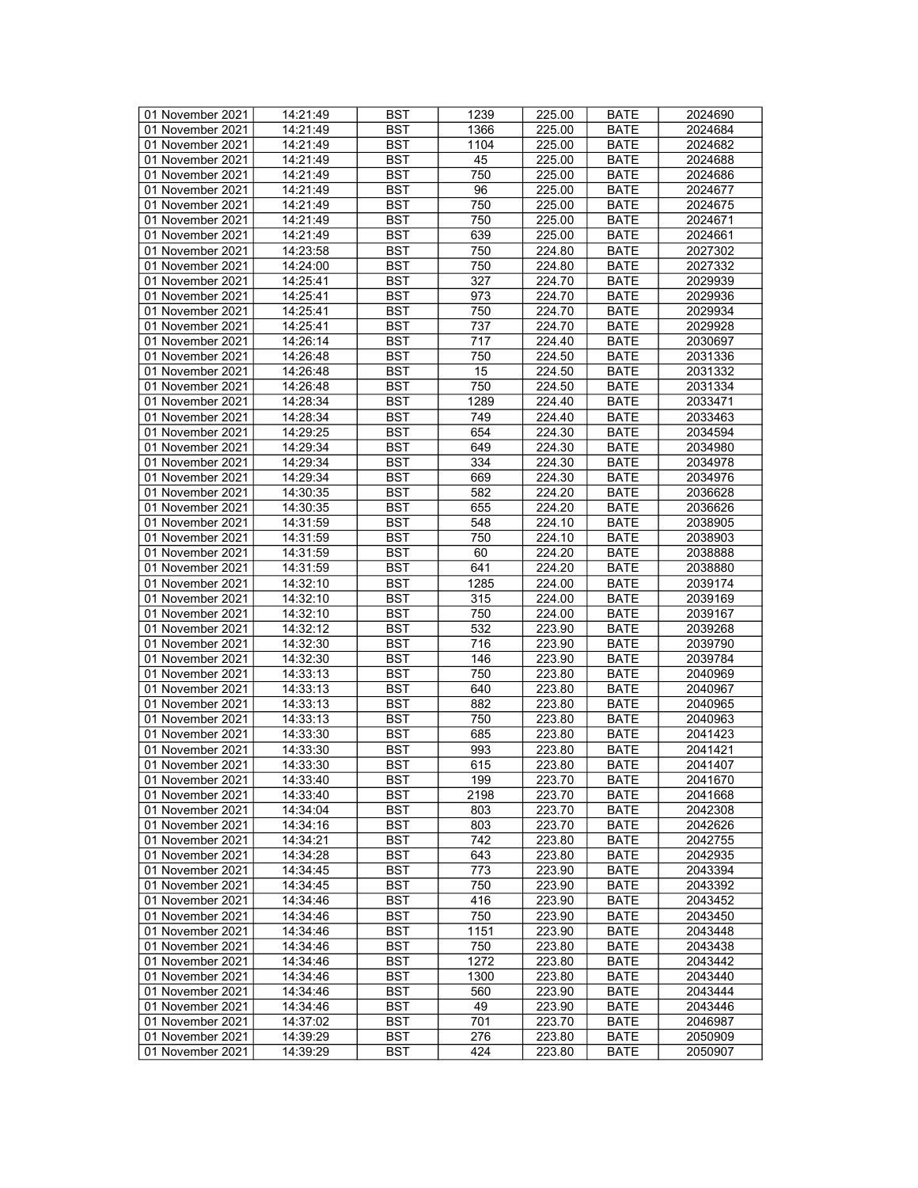| 01 November 2021 | 14:21:49 | <b>BST</b> | 1239             | 225.00 | <b>BATE</b> | 2024690 |
|------------------|----------|------------|------------------|--------|-------------|---------|
| 01 November 2021 | 14:21:49 | BST        | 1366             | 225.00 | BATE        | 2024684 |
| 01 November 2021 | 14:21:49 | <b>BST</b> | 1104             | 225.00 | <b>BATE</b> | 2024682 |
| 01 November 2021 | 14:21:49 | <b>BST</b> | 45               | 225.00 | <b>BATE</b> | 2024688 |
| 01 November 2021 | 14:21:49 | <b>BST</b> | 750              | 225.00 | <b>BATE</b> | 2024686 |
|                  |          |            |                  |        |             |         |
| 01 November 2021 | 14:21:49 | <b>BST</b> | 96               | 225.00 | <b>BATE</b> | 2024677 |
| 01 November 2021 | 14:21:49 | <b>BST</b> | 750              | 225.00 | <b>BATE</b> | 2024675 |
| 01 November 2021 | 14:21:49 | <b>BST</b> | 750              | 225.00 | <b>BATE</b> | 2024671 |
| 01 November 2021 | 14:21:49 | <b>BST</b> | 639              | 225.00 | <b>BATE</b> | 2024661 |
| 01 November 2021 | 14:23:58 | <b>BST</b> | 750              | 224.80 | <b>BATE</b> | 2027302 |
| 01 November 2021 | 14:24:00 | <b>BST</b> | 750              | 224.80 | <b>BATE</b> | 2027332 |
| 01 November 2021 | 14:25:41 | <b>BST</b> | 327              | 224.70 | <b>BATE</b> | 2029939 |
| 01 November 2021 | 14:25:41 | <b>BST</b> | 973              | 224.70 | <b>BATE</b> | 2029936 |
| 01 November 2021 | 14:25:41 | <b>BST</b> | 750              | 224.70 | <b>BATE</b> | 2029934 |
| 01 November 2021 | 14:25:41 | <b>BST</b> | 737              | 224.70 | <b>BATE</b> | 2029928 |
| 01 November 2021 | 14:26:14 | <b>BST</b> | 717              | 224.40 | <b>BATE</b> | 2030697 |
| 01 November 2021 | 14:26:48 | <b>BST</b> | 750              | 224.50 | <b>BATE</b> | 2031336 |
| 01 November 2021 | 14:26:48 | <b>BST</b> | 15               | 224.50 | <b>BATE</b> | 2031332 |
| 01 November 2021 | 14:26:48 | <b>BST</b> | 750              | 224.50 | <b>BATE</b> | 2031334 |
| 01 November 2021 | 14:28:34 | <b>BST</b> | 1289             | 224.40 | <b>BATE</b> | 2033471 |
| 01 November 2021 | 14:28:34 | <b>BST</b> | 749              | 224.40 | <b>BATE</b> | 2033463 |
|                  | 14:29:25 |            |                  |        |             |         |
| 01 November 2021 |          | <b>BST</b> | 654              | 224.30 | <b>BATE</b> | 2034594 |
| 01 November 2021 | 14:29:34 | <b>BST</b> | 649              | 224.30 | <b>BATE</b> | 2034980 |
| 01 November 2021 | 14:29:34 | <b>BST</b> | 334              | 224.30 | <b>BATE</b> | 2034978 |
| 01 November 2021 | 14:29:34 | <b>BST</b> | 669              | 224.30 | <b>BATE</b> | 2034976 |
| 01 November 2021 | 14:30:35 | <b>BST</b> | 582              | 224.20 | <b>BATE</b> | 2036628 |
| 01 November 2021 | 14:30:35 | <b>BST</b> | 655              | 224.20 | <b>BATE</b> | 2036626 |
| 01 November 2021 | 14:31:59 | <b>BST</b> | 548              | 224.10 | <b>BATE</b> | 2038905 |
| 01 November 2021 | 14:31:59 | <b>BST</b> | 750              | 224.10 | <b>BATE</b> | 2038903 |
| 01 November 2021 | 14:31:59 | <b>BST</b> | 60               | 224.20 | <b>BATE</b> | 2038888 |
| 01 November 2021 | 14:31:59 | <b>BST</b> | 641              | 224.20 | <b>BATE</b> | 2038880 |
| 01 November 2021 | 14:32:10 | <b>BST</b> | 1285             | 224.00 | <b>BATE</b> | 2039174 |
| 01 November 2021 | 14:32:10 | <b>BST</b> | 315              | 224.00 | <b>BATE</b> | 2039169 |
| 01 November 2021 | 14:32:10 | <b>BST</b> | 750              | 224.00 | <b>BATE</b> | 2039167 |
| 01 November 2021 | 14:32:12 | <b>BST</b> | 532              | 223.90 | <b>BATE</b> | 2039268 |
| 01 November 2021 | 14:32:30 | <b>BST</b> | 716              | 223.90 | <b>BATE</b> | 2039790 |
| 01 November 2021 | 14:32:30 | <b>BST</b> | 146              | 223.90 | <b>BATE</b> | 2039784 |
| 01 November 2021 | 14:33:13 | <b>BST</b> | 750              | 223.80 | <b>BATE</b> | 2040969 |
| 01 November 2021 | 14:33:13 | <b>BST</b> | 640              | 223.80 | <b>BATE</b> | 2040967 |
|                  |          |            |                  |        |             |         |
| 01 November 2021 | 14:33:13 | <b>BST</b> | 882              | 223.80 | <b>BATE</b> | 2040965 |
| 01 November 2021 | 14:33:13 | <b>BST</b> | 750              | 223.80 | <b>BATE</b> | 2040963 |
| 01 November 2021 | 14:33:30 | <b>BST</b> | 685              | 223.80 | <b>BATE</b> | 2041423 |
| 01 November 2021 | 14:33:30 | <b>BST</b> | 993              | 223.80 | <b>BATE</b> | 2041421 |
| 01 November 2021 | 14:33:30 | <b>BST</b> | 615              | 223.80 | <b>BATE</b> | 2041407 |
| 01 November 2021 | 14:33:40 | <b>BST</b> | $\overline{199}$ | 223.70 | <b>BATE</b> | 2041670 |
| 01 November 2021 | 14:33:40 | BST        | 2198             | 223.70 | BATE        | 2041668 |
| 01 November 2021 | 14:34:04 | <b>BST</b> | 803              | 223.70 | BATE        | 2042308 |
| 01 November 2021 | 14:34:16 | <b>BST</b> | 803              | 223.70 | <b>BATE</b> | 2042626 |
| 01 November 2021 | 14:34:21 | <b>BST</b> | 742              | 223.80 | <b>BATE</b> | 2042755 |
| 01 November 2021 | 14:34:28 | <b>BST</b> | 643              | 223.80 | <b>BATE</b> | 2042935 |
| 01 November 2021 | 14:34:45 | <b>BST</b> | 773              | 223.90 | <b>BATE</b> | 2043394 |
| 01 November 2021 | 14:34:45 | BST        | 750              | 223.90 | <b>BATE</b> | 2043392 |
| 01 November 2021 | 14:34:46 | <b>BST</b> | 416              | 223.90 | <b>BATE</b> | 2043452 |
| 01 November 2021 | 14:34:46 | <b>BST</b> | 750              | 223.90 | <b>BATE</b> | 2043450 |
| 01 November 2021 | 14:34:46 | <b>BST</b> | 1151             | 223.90 | <b>BATE</b> | 2043448 |
| 01 November 2021 | 14:34:46 | BST        | 750              | 223.80 | <b>BATE</b> | 2043438 |
| 01 November 2021 | 14:34:46 | <b>BST</b> | 1272             | 223.80 | <b>BATE</b> | 2043442 |
| 01 November 2021 | 14:34:46 | <b>BST</b> | 1300             | 223.80 |             | 2043440 |
|                  |          |            |                  |        | BATE        |         |
| 01 November 2021 | 14:34:46 | <b>BST</b> | 560              | 223.90 | <b>BATE</b> | 2043444 |
| 01 November 2021 | 14:34:46 | <b>BST</b> | 49               | 223.90 | <b>BATE</b> | 2043446 |
| 01 November 2021 | 14:37:02 | BST        | 701              | 223.70 | BATE        | 2046987 |
| 01 November 2021 | 14:39:29 | <b>BST</b> | 276              | 223.80 | BATE        | 2050909 |
| 01 November 2021 | 14:39:29 | BST        | 424              | 223.80 | <b>BATE</b> | 2050907 |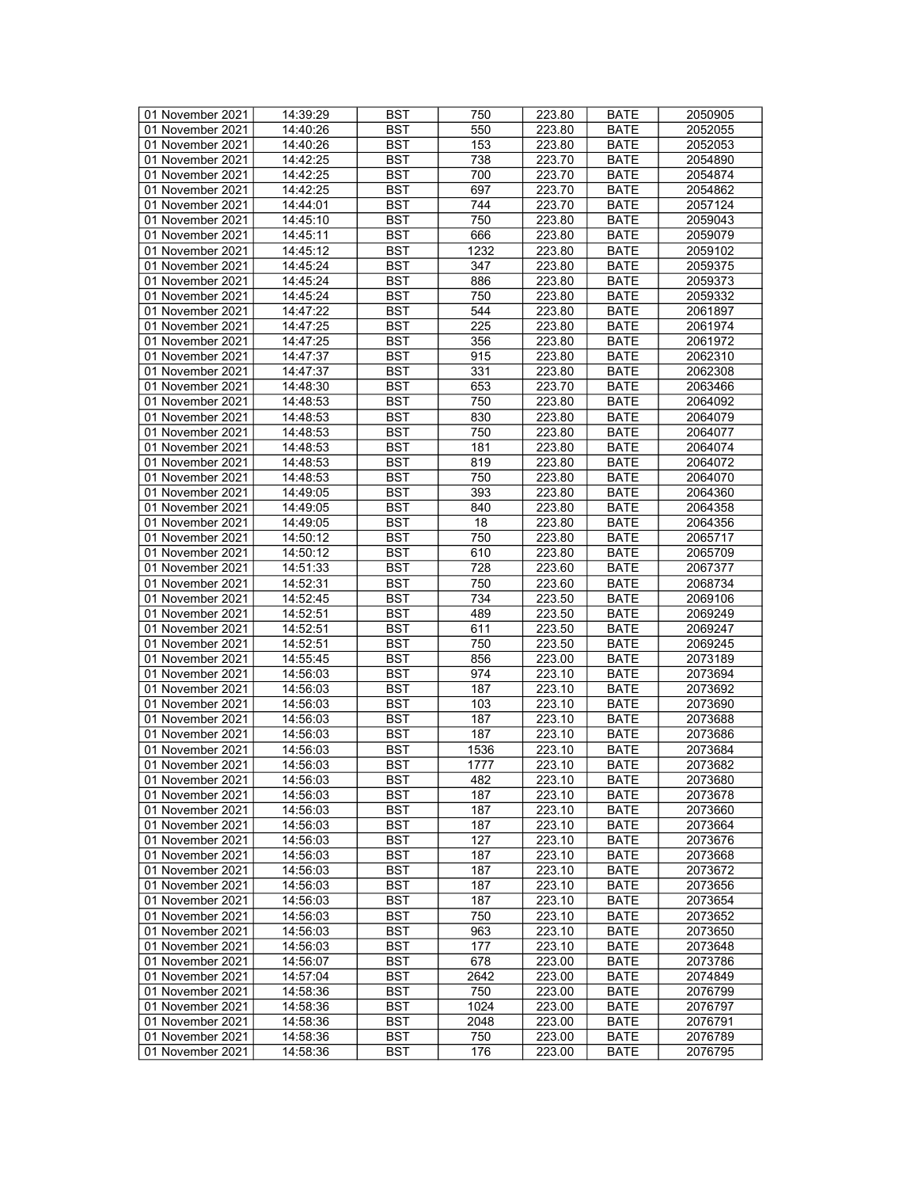| 01 November 2021 | 14:39:29 | <b>BST</b> | 750  | 223.80 | <b>BATE</b> | 2050905 |
|------------------|----------|------------|------|--------|-------------|---------|
|                  |          |            |      |        |             |         |
| 01 November 2021 | 14:40:26 | <b>BST</b> | 550  | 223.80 | <b>BATE</b> | 2052055 |
| 01 November 2021 | 14:40:26 | <b>BST</b> | 153  | 223.80 | <b>BATE</b> | 2052053 |
| 01 November 2021 | 14:42:25 | <b>BST</b> | 738  | 223.70 | <b>BATE</b> | 2054890 |
| 01 November 2021 | 14:42:25 | <b>BST</b> | 700  | 223.70 | <b>BATE</b> | 2054874 |
| 01 November 2021 | 14:42:25 | <b>BST</b> | 697  | 223.70 | <b>BATE</b> | 2054862 |
| 01 November 2021 | 14:44:01 | <b>BST</b> | 744  |        |             |         |
|                  |          |            |      | 223.70 | <b>BATE</b> | 2057124 |
| 01 November 2021 | 14:45:10 | <b>BST</b> | 750  | 223.80 | <b>BATE</b> | 2059043 |
| 01 November 2021 | 14:45:11 | <b>BST</b> | 666  | 223.80 | <b>BATE</b> | 2059079 |
| 01 November 2021 | 14:45:12 | <b>BST</b> | 1232 | 223.80 | <b>BATE</b> | 2059102 |
| 01 November 2021 | 14:45:24 | <b>BST</b> | 347  | 223.80 | <b>BATE</b> | 2059375 |
| 01 November 2021 | 14:45:24 | <b>BST</b> | 886  | 223.80 | <b>BATE</b> | 2059373 |
|                  |          |            |      |        |             |         |
| 01 November 2021 | 14:45:24 | <b>BST</b> | 750  | 223.80 | <b>BATE</b> | 2059332 |
| 01 November 2021 | 14:47:22 | <b>BST</b> | 544  | 223.80 | <b>BATE</b> | 2061897 |
| 01 November 2021 | 14:47:25 | <b>BST</b> | 225  | 223.80 | <b>BATE</b> | 2061974 |
| 01 November 2021 | 14:47:25 | <b>BST</b> | 356  | 223.80 | <b>BATE</b> | 2061972 |
| 01 November 2021 | 14:47:37 | <b>BST</b> | 915  | 223.80 | <b>BATE</b> | 2062310 |
| 01 November 2021 | 14:47:37 | <b>BST</b> | 331  | 223.80 | <b>BATE</b> | 2062308 |
|                  | 14:48:30 | <b>BST</b> |      |        |             |         |
| 01 November 2021 |          |            | 653  | 223.70 | <b>BATE</b> | 2063466 |
| 01 November 2021 | 14:48:53 | <b>BST</b> | 750  | 223.80 | <b>BATE</b> | 2064092 |
| 01 November 2021 | 14:48:53 | <b>BST</b> | 830  | 223.80 | <b>BATE</b> | 2064079 |
| 01 November 2021 | 14:48:53 | <b>BST</b> | 750  | 223.80 | <b>BATE</b> | 2064077 |
| 01 November 2021 | 14:48:53 | <b>BST</b> | 181  | 223.80 | <b>BATE</b> | 2064074 |
| 01 November 2021 | 14:48:53 | <b>BST</b> | 819  | 223.80 | <b>BATE</b> | 2064072 |
| 01 November 2021 | 14:48:53 | <b>BST</b> | 750  | 223.80 | <b>BATE</b> | 2064070 |
| 01 November 2021 | 14:49:05 | <b>BST</b> | 393  | 223.80 | <b>BATE</b> | 2064360 |
|                  |          |            |      |        |             |         |
| 01 November 2021 | 14:49:05 | <b>BST</b> | 840  | 223.80 | <b>BATE</b> | 2064358 |
| 01 November 2021 | 14:49:05 | <b>BST</b> | 18   | 223.80 | <b>BATE</b> | 2064356 |
| 01 November 2021 | 14:50:12 | <b>BST</b> | 750  | 223.80 | <b>BATE</b> | 2065717 |
| 01 November 2021 | 14:50:12 | <b>BST</b> | 610  | 223.80 | <b>BATE</b> | 2065709 |
| 01 November 2021 | 14:51:33 | <b>BST</b> | 728  | 223.60 | <b>BATE</b> | 2067377 |
| 01 November 2021 | 14:52:31 | <b>BST</b> | 750  | 223.60 | <b>BATE</b> | 2068734 |
| 01 November 2021 | 14:52:45 | <b>BST</b> | 734  | 223.50 | <b>BATE</b> | 2069106 |
|                  |          |            |      |        |             |         |
| 01 November 2021 | 14:52:51 | <b>BST</b> | 489  | 223.50 | <b>BATE</b> | 2069249 |
| 01 November 2021 | 14:52:51 | <b>BST</b> | 611  | 223.50 | <b>BATE</b> | 2069247 |
| 01 November 2021 | 14:52:51 | <b>BST</b> | 750  | 223.50 | <b>BATE</b> | 2069245 |
| 01 November 2021 | 14:55:45 | <b>BST</b> | 856  | 223.00 | <b>BATE</b> | 2073189 |
| 01 November 2021 | 14:56:03 | <b>BST</b> | 974  | 223.10 | <b>BATE</b> | 2073694 |
| 01 November 2021 | 14:56:03 | <b>BST</b> | 187  | 223.10 | <b>BATE</b> | 2073692 |
| 01 November 2021 | 14:56:03 | <b>BST</b> | 103  | 223.10 | <b>BATE</b> | 2073690 |
|                  | 14:56:03 | <b>BST</b> | 187  |        |             | 2073688 |
| 01 November 2021 |          |            |      | 223.10 | <b>BATE</b> |         |
| 01 November 2021 | 14:56:03 | <b>BST</b> | 187  | 223.10 | <b>BATE</b> | 2073686 |
| 01 November 2021 | 14:56:03 | <b>BST</b> | 1536 | 223.10 | <b>BATE</b> | 2073684 |
| 01 November 2021 | 14:56:03 | BST        | 1777 | 223.10 | <b>BATE</b> | 2073682 |
| 01 November 2021 | 14:56:03 | <b>BST</b> | 482  | 223.10 | <b>BATE</b> | 2073680 |
| 01 November 2021 | 14:56:03 | BST        | 187  | 223.10 | <b>BATE</b> | 2073678 |
| 01 November 2021 | 14:56:03 | <b>BST</b> | 187  | 223.10 | <b>BATE</b> | 2073660 |
| 01 November 2021 | 14:56:03 | <b>BST</b> | 187  | 223.10 | <b>BATE</b> | 2073664 |
|                  |          |            |      |        |             |         |
| 01 November 2021 | 14:56:03 | <b>BST</b> | 127  | 223.10 | <b>BATE</b> | 2073676 |
| 01 November 2021 | 14:56:03 | <b>BST</b> | 187  | 223.10 | <b>BATE</b> | 2073668 |
| 01 November 2021 | 14:56:03 | <b>BST</b> | 187  | 223.10 | <b>BATE</b> | 2073672 |
| 01 November 2021 | 14:56:03 | <b>BST</b> | 187  | 223.10 | <b>BATE</b> | 2073656 |
| 01 November 2021 | 14:56:03 | <b>BST</b> | 187  | 223.10 | <b>BATE</b> | 2073654 |
| 01 November 2021 | 14:56:03 | <b>BST</b> | 750  | 223.10 | <b>BATE</b> | 2073652 |
| 01 November 2021 | 14:56:03 | <b>BST</b> | 963  | 223.10 | <b>BATE</b> | 2073650 |
| 01 November 2021 | 14:56:03 |            |      |        |             | 2073648 |
|                  |          | <b>BST</b> | 177  | 223.10 | <b>BATE</b> |         |
| 01 November 2021 | 14:56:07 | <b>BST</b> | 678  | 223.00 | <b>BATE</b> | 2073786 |
| 01 November 2021 | 14:57:04 | <b>BST</b> | 2642 | 223.00 | <b>BATE</b> | 2074849 |
| 01 November 2021 | 14:58:36 | <b>BST</b> | 750  | 223.00 | <b>BATE</b> | 2076799 |
| 01 November 2021 | 14:58:36 | <b>BST</b> | 1024 | 223.00 | <b>BATE</b> | 2076797 |
| 01 November 2021 | 14:58:36 | <b>BST</b> | 2048 | 223.00 | <b>BATE</b> | 2076791 |
| 01 November 2021 | 14:58:36 | BST        | 750  | 223.00 | <b>BATE</b> | 2076789 |
| 01 November 2021 | 14:58:36 | <b>BST</b> | 176  | 223.00 | <b>BATE</b> | 2076795 |
|                  |          |            |      |        |             |         |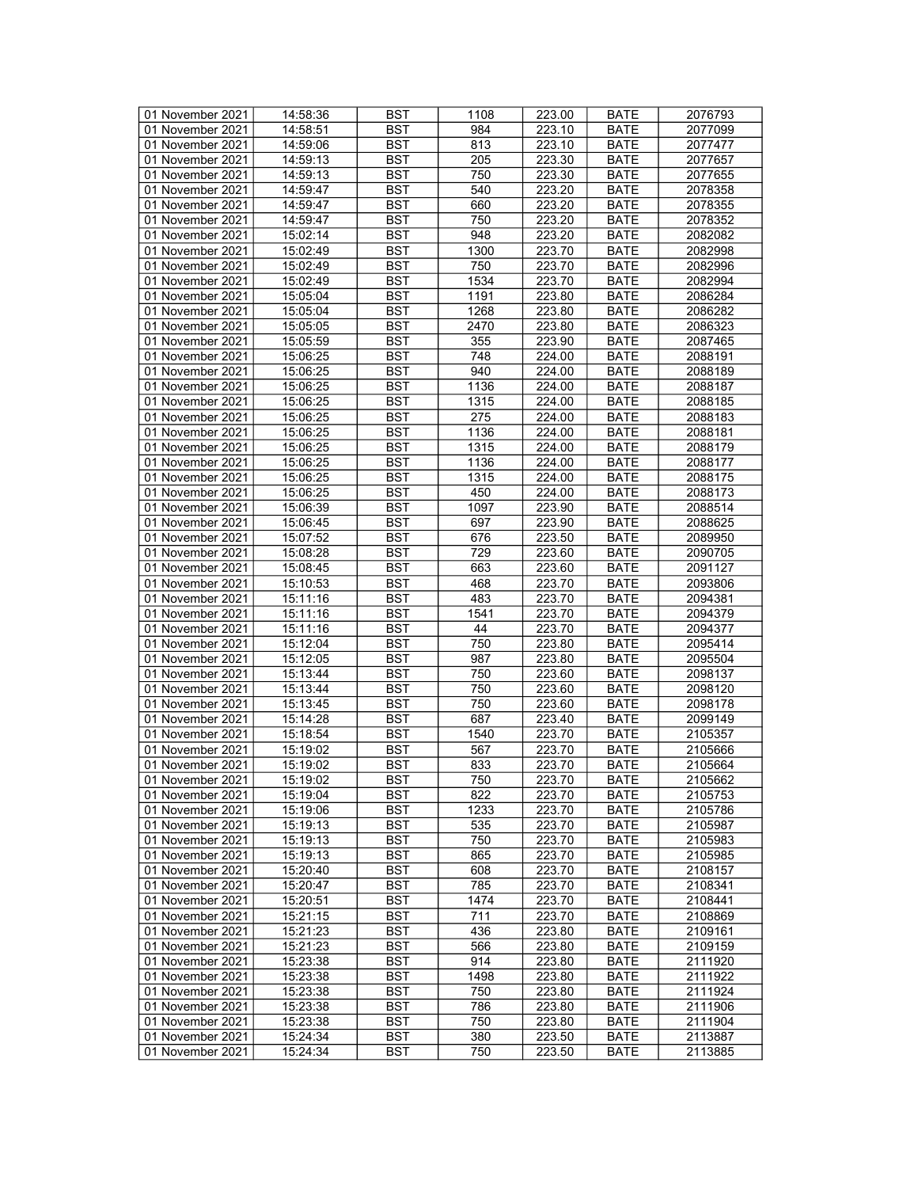| 01 November 2021 | 14:58:36 | <b>BST</b> | 1108 | 223.00 | <b>BATE</b> | 2076793 |
|------------------|----------|------------|------|--------|-------------|---------|
| 01 November 2021 | 14:58:51 | BST        | 984  | 223.10 | <b>BATE</b> | 2077099 |
| 01 November 2021 | 14:59:06 | <b>BST</b> | 813  | 223.10 | <b>BATE</b> | 2077477 |
| 01 November 2021 | 14:59:13 | <b>BST</b> | 205  | 223.30 | <b>BATE</b> | 2077657 |
| 01 November 2021 | 14:59:13 | <b>BST</b> | 750  | 223.30 | <b>BATE</b> | 2077655 |
|                  |          |            |      |        |             |         |
| 01 November 2021 | 14:59:47 | <b>BST</b> | 540  | 223.20 | <b>BATE</b> | 2078358 |
| 01 November 2021 | 14:59:47 | <b>BST</b> | 660  | 223.20 | <b>BATE</b> | 2078355 |
| 01 November 2021 | 14:59:47 | <b>BST</b> | 750  | 223.20 | <b>BATE</b> | 2078352 |
| 01 November 2021 | 15:02:14 | <b>BST</b> | 948  | 223.20 | <b>BATE</b> | 2082082 |
| 01 November 2021 | 15:02:49 | <b>BST</b> | 1300 | 223.70 | <b>BATE</b> | 2082998 |
| 01 November 2021 | 15:02:49 | <b>BST</b> | 750  | 223.70 | <b>BATE</b> | 2082996 |
| 01 November 2021 | 15:02:49 | <b>BST</b> | 1534 | 223.70 | <b>BATE</b> | 2082994 |
| 01 November 2021 | 15:05:04 | <b>BST</b> | 1191 | 223.80 | <b>BATE</b> | 2086284 |
| 01 November 2021 | 15:05:04 | <b>BST</b> | 1268 | 223.80 | <b>BATE</b> | 2086282 |
| 01 November 2021 | 15:05:05 | <b>BST</b> | 2470 | 223.80 | <b>BATE</b> | 2086323 |
| 01 November 2021 | 15:05:59 | <b>BST</b> | 355  | 223.90 | <b>BATE</b> | 2087465 |
| 01 November 2021 | 15:06:25 | <b>BST</b> | 748  | 224.00 | <b>BATE</b> | 2088191 |
| 01 November 2021 | 15:06:25 | <b>BST</b> | 940  | 224.00 | <b>BATE</b> | 2088189 |
| 01 November 2021 | 15:06:25 | <b>BST</b> | 1136 | 224.00 | <b>BATE</b> | 2088187 |
| 01 November 2021 | 15:06:25 | <b>BST</b> | 1315 | 224.00 | <b>BATE</b> | 2088185 |
|                  |          |            |      |        |             |         |
| 01 November 2021 | 15:06:25 | <b>BST</b> | 275  | 224.00 | <b>BATE</b> | 2088183 |
| 01 November 2021 | 15:06:25 | <b>BST</b> | 1136 | 224.00 | <b>BATE</b> | 2088181 |
| 01 November 2021 | 15:06:25 | <b>BST</b> | 1315 | 224.00 | <b>BATE</b> | 2088179 |
| 01 November 2021 | 15:06:25 | <b>BST</b> | 1136 | 224.00 | <b>BATE</b> | 2088177 |
| 01 November 2021 | 15:06:25 | <b>BST</b> | 1315 | 224.00 | <b>BATE</b> | 2088175 |
| 01 November 2021 | 15:06:25 | <b>BST</b> | 450  | 224.00 | <b>BATE</b> | 2088173 |
| 01 November 2021 | 15:06:39 | <b>BST</b> | 1097 | 223.90 | BATE        | 2088514 |
| 01 November 2021 | 15:06:45 | <b>BST</b> | 697  | 223.90 | <b>BATE</b> | 2088625 |
| 01 November 2021 | 15:07:52 | <b>BST</b> | 676  | 223.50 | <b>BATE</b> | 2089950 |
| 01 November 2021 | 15:08:28 | <b>BST</b> | 729  | 223.60 | <b>BATE</b> | 2090705 |
| 01 November 2021 | 15:08:45 | <b>BST</b> | 663  | 223.60 | <b>BATE</b> | 2091127 |
| 01 November 2021 | 15:10:53 | <b>BST</b> | 468  | 223.70 | <b>BATE</b> | 2093806 |
| 01 November 2021 | 15:11:16 | <b>BST</b> | 483  | 223.70 | <b>BATE</b> | 2094381 |
| 01 November 2021 | 15:11:16 | <b>BST</b> | 1541 | 223.70 | <b>BATE</b> | 2094379 |
| 01 November 2021 | 15:11:16 | <b>BST</b> | 44   | 223.70 | <b>BATE</b> | 2094377 |
| 01 November 2021 | 15:12:04 | <b>BST</b> | 750  | 223.80 | <b>BATE</b> | 2095414 |
| 01 November 2021 |          | <b>BST</b> | 987  | 223.80 | <b>BATE</b> |         |
|                  | 15:12:05 |            |      |        |             | 2095504 |
| 01 November 2021 | 15:13:44 | <b>BST</b> | 750  | 223.60 | <b>BATE</b> | 2098137 |
| 01 November 2021 | 15:13:44 | <b>BST</b> | 750  | 223.60 | <b>BATE</b> | 2098120 |
| 01 November 2021 | 15:13:45 | <b>BST</b> | 750  | 223.60 | <b>BATE</b> | 2098178 |
| 01 November 2021 | 15:14:28 | <b>BST</b> | 687  | 223.40 | <b>BATE</b> | 2099149 |
| 01 November 2021 | 15:18:54 | <b>BST</b> | 1540 | 223.70 | <b>BATE</b> | 2105357 |
| 01 November 2021 | 15:19:02 | <b>BST</b> | 567  | 223.70 | <b>BATE</b> | 2105666 |
| 01 November 2021 | 15:19:02 | <b>BST</b> | 833  | 223.70 | <b>BATE</b> | 2105664 |
| 01 November 2021 | 15:19:02 | <b>BST</b> | 750  | 223.70 | <b>BATE</b> | 2105662 |
| 01 November 2021 | 15:19:04 | BST        | 822  | 223.70 | BATE        | 2105753 |
| 01 November 2021 | 15:19:06 | <b>BST</b> | 1233 | 223.70 | BATE        | 2105786 |
| 01 November 2021 | 15:19:13 | <b>BST</b> | 535  | 223.70 | <b>BATE</b> | 2105987 |
| 01 November 2021 | 15:19:13 | <b>BST</b> | 750  | 223.70 | <b>BATE</b> | 2105983 |
| 01 November 2021 | 15:19:13 | <b>BST</b> | 865  | 223.70 | <b>BATE</b> | 2105985 |
| 01 November 2021 | 15:20:40 | <b>BST</b> | 608  | 223.70 | <b>BATE</b> | 2108157 |
| 01 November 2021 | 15:20:47 | BST        | 785  | 223.70 | <b>BATE</b> | 2108341 |
| 01 November 2021 | 15:20:51 | <b>BST</b> | 1474 | 223.70 | <b>BATE</b> | 2108441 |
|                  |          | <b>BST</b> | 711  | 223.70 |             |         |
| 01 November 2021 | 15:21:15 | <b>BST</b> |      |        | <b>BATE</b> | 2108869 |
| 01 November 2021 | 15:21:23 |            | 436  | 223.80 | <b>BATE</b> | 2109161 |
| 01 November 2021 | 15:21:23 | BST        | 566  | 223.80 | <b>BATE</b> | 2109159 |
| 01 November 2021 | 15:23:38 | <b>BST</b> | 914  | 223.80 | <b>BATE</b> | 2111920 |
| 01 November 2021 | 15:23:38 | BST        | 1498 | 223.80 | <b>BATE</b> | 2111922 |
| 01 November 2021 | 15:23:38 | <b>BST</b> | 750  | 223.80 | <b>BATE</b> | 2111924 |
| 01 November 2021 | 15:23:38 | <b>BST</b> | 786  | 223.80 | <b>BATE</b> | 2111906 |
| 01 November 2021 | 15:23:38 | BST        | 750  | 223.80 | BATE        | 2111904 |
| 01 November 2021 | 15:24:34 | <b>BST</b> | 380  | 223.50 | BATE        | 2113887 |
| 01 November 2021 | 15:24:34 | BST        | 750  | 223.50 | <b>BATE</b> | 2113885 |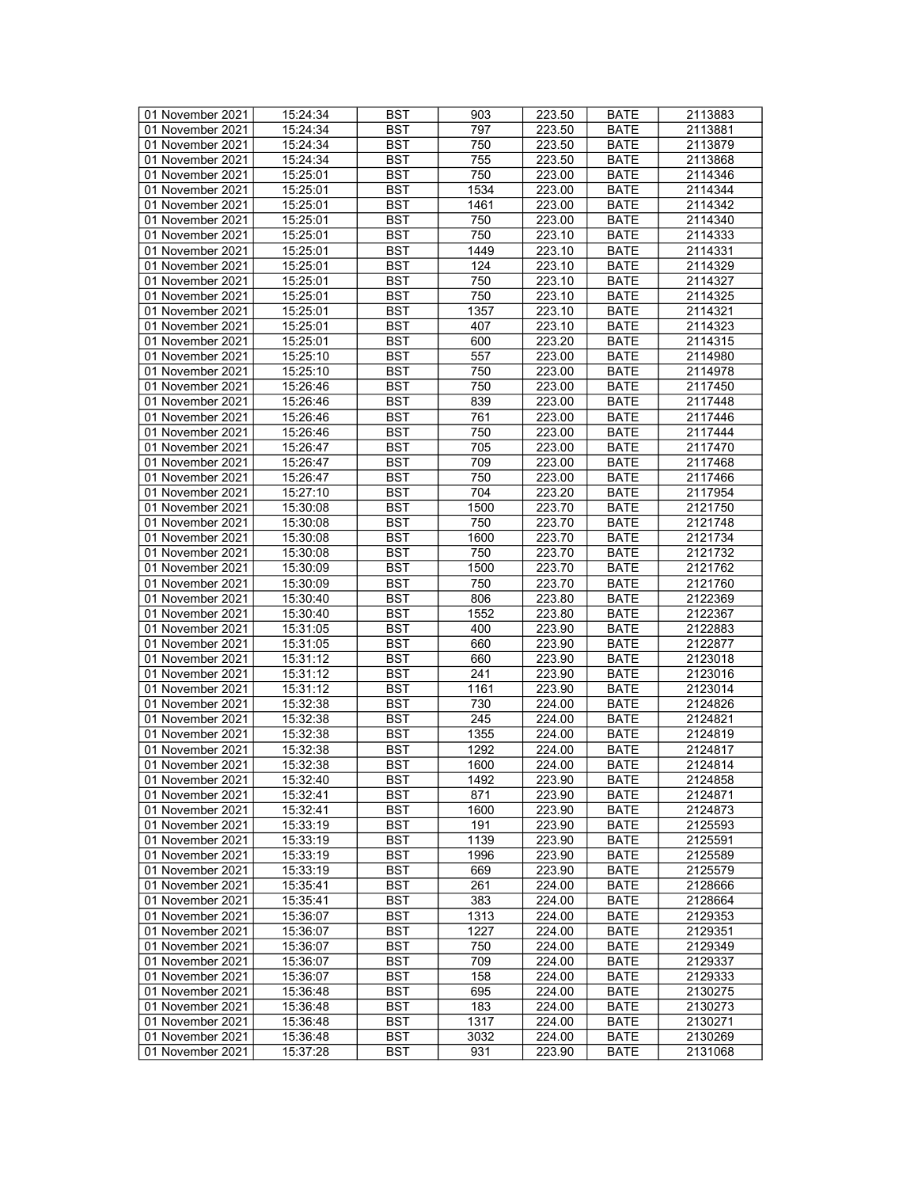| 01 November 2021 | 15:24:34 | <b>BST</b>               | 903          | 223.50           | <b>BATE</b>                | 2113883            |
|------------------|----------|--------------------------|--------------|------------------|----------------------------|--------------------|
| 01 November 2021 | 15:24:34 | BST                      | 797          | 223.50           | <b>BATE</b>                | 2113881            |
| 01 November 2021 | 15:24:34 | <b>BST</b>               | 750          | 223.50           | <b>BATE</b>                | 2113879            |
| 01 November 2021 | 15:24:34 | <b>BST</b>               | 755          | 223.50           | <b>BATE</b>                | 2113868            |
| 01 November 2021 | 15:25:01 | <b>BST</b>               | 750          | 223.00           | <b>BATE</b>                | 2114346            |
|                  | 15:25:01 |                          |              | 223.00           |                            | 2114344            |
| 01 November 2021 |          | <b>BST</b>               | 1534         |                  | <b>BATE</b>                |                    |
| 01 November 2021 | 15:25:01 | <b>BST</b>               | 1461         | 223.00           | <b>BATE</b>                | 2114342            |
| 01 November 2021 | 15:25:01 | <b>BST</b>               | 750          | 223.00           | <b>BATE</b>                | 2114340            |
| 01 November 2021 | 15:25:01 | <b>BST</b>               | 750          | 223.10           | <b>BATE</b>                | 2114333            |
| 01 November 2021 | 15:25:01 | <b>BST</b>               | 1449         | 223.10           | <b>BATE</b>                | 2114331            |
| 01 November 2021 | 15:25:01 | <b>BST</b>               | 124          | 223.10           | <b>BATE</b>                | 2114329            |
| 01 November 2021 | 15:25:01 | <b>BST</b>               | 750          | 223.10           | <b>BATE</b>                | 2114327            |
| 01 November 2021 | 15:25:01 | <b>BST</b>               | 750          | 223.10           | <b>BATE</b>                | 2114325            |
| 01 November 2021 | 15:25:01 | <b>BST</b>               | 1357         | 223.10           | <b>BATE</b>                | 2114321            |
| 01 November 2021 | 15:25:01 | <b>BST</b>               | 407          | 223.10           | <b>BATE</b>                | 2114323            |
| 01 November 2021 | 15:25:01 | <b>BST</b>               | 600          | 223.20           | <b>BATE</b>                | 2114315            |
| 01 November 2021 | 15:25:10 | <b>BST</b>               | 557          | 223.00           | <b>BATE</b>                | 2114980            |
| 01 November 2021 | 15:25:10 | <b>BST</b>               | 750          | 223.00           | <b>BATE</b>                | 2114978            |
| 01 November 2021 | 15:26:46 | <b>BST</b>               | 750          | 223.00           | <b>BATE</b>                | 2117450            |
| 01 November 2021 | 15:26:46 | <b>BST</b>               | 839          | 223.00           | <b>BATE</b>                | 2117448            |
| 01 November 2021 | 15:26:46 | <b>BST</b>               | 761          | 223.00           | <b>BATE</b>                | 2117446            |
|                  |          |                          |              |                  |                            |                    |
| 01 November 2021 | 15:26:46 | <b>BST</b>               | 750          | 223.00           | <b>BATE</b>                | 2117444            |
| 01 November 2021 | 15:26:47 | <b>BST</b>               | 705          | 223.00           | <b>BATE</b>                | 2117470            |
| 01 November 2021 | 15:26:47 | <b>BST</b>               | 709          | 223.00           | <b>BATE</b>                | 2117468            |
| 01 November 2021 | 15:26:47 | <b>BST</b>               | 750          | 223.00           | <b>BATE</b>                | 2117466            |
| 01 November 2021 | 15:27:10 | <b>BST</b>               | 704          | 223.20           | <b>BATE</b>                | 2117954            |
| 01 November 2021 | 15:30:08 | <b>BST</b>               | 1500         | 223.70           | BATE                       | 2121750            |
| 01 November 2021 | 15:30:08 | <b>BST</b>               | 750          | 223.70           | <b>BATE</b>                | 2121748            |
| 01 November 2021 | 15:30:08 | <b>BST</b>               | 1600         | 223.70           | <b>BATE</b>                | 2121734            |
| 01 November 2021 | 15:30:08 | <b>BST</b>               | 750          | 223.70           | <b>BATE</b>                | 2121732            |
| 01 November 2021 | 15:30:09 | <b>BST</b>               | 1500         | 223.70           | <b>BATE</b>                | 2121762            |
| 01 November 2021 | 15:30:09 | <b>BST</b>               | 750          | 223.70           | <b>BATE</b>                | 2121760            |
| 01 November 2021 | 15:30:40 | <b>BST</b>               | 806          | 223.80           | <b>BATE</b>                | 2122369            |
| 01 November 2021 | 15:30:40 | <b>BST</b>               | 1552         | 223.80           | <b>BATE</b>                | 2122367            |
| 01 November 2021 | 15:31:05 | <b>BST</b>               | 400          | 223.90           | <b>BATE</b>                | 2122883            |
| 01 November 2021 | 15:31:05 | <b>BST</b>               | 660          | 223.90           | <b>BATE</b>                | 2122877            |
| 01 November 2021 | 15:31:12 | <b>BST</b>               | 660          | 223.90           | <b>BATE</b>                | 2123018            |
| 01 November 2021 | 15:31:12 | <b>BST</b>               | 241          | 223.90           | <b>BATE</b>                | 2123016            |
| 01 November 2021 | 15:31:12 | <b>BST</b>               | 1161         | 223.90           | <b>BATE</b>                | 2123014            |
| 01 November 2021 | 15:32:38 | <b>BST</b>               | 730          | 224.00           | <b>BATE</b>                | 2124826            |
| 01 November 2021 | 15:32:38 | <b>BST</b>               | 245          | 224.00           | <b>BATE</b>                | 2124821            |
| 01 November 2021 |          |                          |              |                  |                            |                    |
|                  | 15:32:38 | <b>BST</b><br><b>BST</b> | 1355<br>1292 | 224.00<br>224.00 | <b>BATE</b><br><b>BATE</b> | 2124819<br>2124817 |
| 01 November 2021 | 15:32:38 |                          |              |                  |                            |                    |
| 01 November 2021 | 15:32:38 | <b>BST</b>               | 1600         | 224.00           | <b>BATE</b>                | 2124814            |
| 01 November 2021 | 15:32:40 | <b>BST</b>               | 1492         | 223.90           | <b>BATE</b>                | 2124858            |
| 01 November 2021 | 15:32:41 | BST                      | 871          | 223.90           | BATE                       | 2124871            |
| 01 November 2021 | 15:32:41 | <b>BST</b>               | 1600         | 223.90           | BATE                       | 2124873            |
| 01 November 2021 | 15:33:19 | <b>BST</b>               | 191          | 223.90           | <b>BATE</b>                | 2125593            |
| 01 November 2021 | 15:33:19 | <b>BST</b>               | 1139         | 223.90           | <b>BATE</b>                | 2125591            |
| 01 November 2021 | 15:33:19 | <b>BST</b>               | 1996         | 223.90           | <b>BATE</b>                | 2125589            |
| 01 November 2021 | 15:33:19 | <b>BST</b>               | 669          | 223.90           | <b>BATE</b>                | 2125579            |
| 01 November 2021 | 15:35:41 | BST                      | 261          | 224.00           | <b>BATE</b>                | 2128666            |
| 01 November 2021 | 15:35:41 | <b>BST</b>               | 383          | 224.00           | <b>BATE</b>                | 2128664            |
| 01 November 2021 | 15:36:07 | <b>BST</b>               | 1313         | 224.00           | <b>BATE</b>                | 2129353            |
| 01 November 2021 | 15:36:07 | <b>BST</b>               | 1227         | 224.00           | <b>BATE</b>                | 2129351            |
| 01 November 2021 | 15:36:07 | BST                      | 750          | 224.00           | <b>BATE</b>                | 2129349            |
| 01 November 2021 | 15:36:07 | <b>BST</b>               | 709          | 224.00           | <b>BATE</b>                | 2129337            |
| 01 November 2021 | 15:36:07 | BST                      | 158          | 224.00           | <b>BATE</b>                | 2129333            |
| 01 November 2021 | 15:36:48 | <b>BST</b>               | 695          | 224.00           | <b>BATE</b>                | 2130275            |
| 01 November 2021 | 15:36:48 | <b>BST</b>               | 183          | 224.00           | <b>BATE</b>                | 2130273            |
| 01 November 2021 | 15:36:48 | BST                      | 1317         | 224.00           | BATE                       | 2130271            |
| 01 November 2021 | 15:36:48 | <b>BST</b>               | 3032         | 224.00           | BATE                       | 2130269            |
| 01 November 2021 |          |                          |              |                  |                            |                    |
|                  | 15:37:28 | BST                      | 931          | 223.90           | <b>BATE</b>                | 2131068            |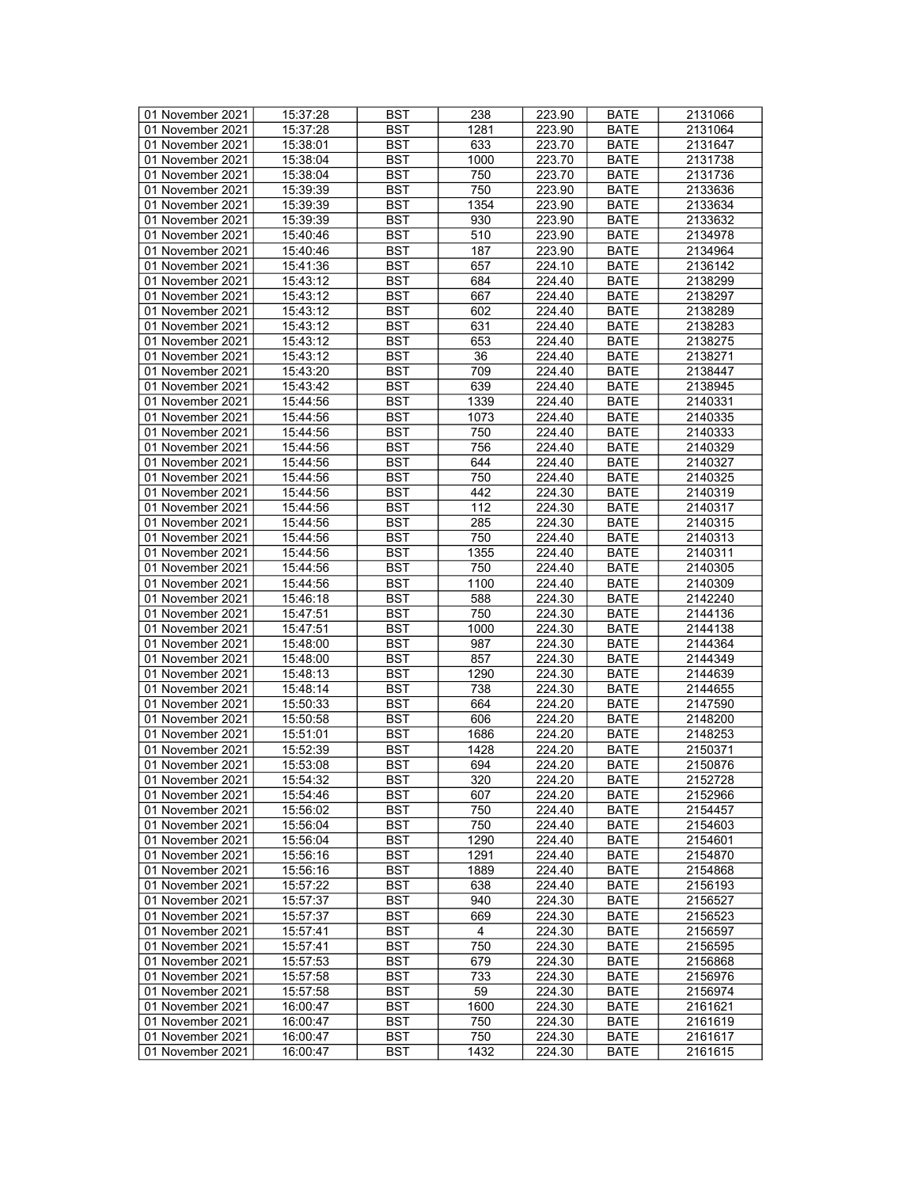| 01 November 2021 | 15:37:28 | <b>BST</b> | 238              | 223.90 | <b>BATE</b> | 2131066 |
|------------------|----------|------------|------------------|--------|-------------|---------|
| 01 November 2021 | 15:37:28 | BST        | 1281             | 223.90 | BATE        | 2131064 |
| 01 November 2021 | 15:38:01 | <b>BST</b> | 633              | 223.70 | <b>BATE</b> | 2131647 |
| 01 November 2021 | 15:38:04 | <b>BST</b> | 1000             | 223.70 | <b>BATE</b> | 2131738 |
| 01 November 2021 | 15:38:04 | <b>BST</b> | 750              | 223.70 | <b>BATE</b> | 2131736 |
| 01 November 2021 | 15:39:39 | <b>BST</b> | 750              | 223.90 | <b>BATE</b> | 2133636 |
| 01 November 2021 | 15:39:39 | <b>BST</b> | 1354             |        |             |         |
|                  |          |            |                  | 223.90 | <b>BATE</b> | 2133634 |
| 01 November 2021 | 15:39:39 | <b>BST</b> | 930              | 223.90 | <b>BATE</b> | 2133632 |
| 01 November 2021 | 15:40:46 | <b>BST</b> | 510              | 223.90 | <b>BATE</b> | 2134978 |
| 01 November 2021 | 15:40:46 | <b>BST</b> | 187              | 223.90 | <b>BATE</b> | 2134964 |
| 01 November 2021 | 15:41:36 | <b>BST</b> | 657              | 224.10 | <b>BATE</b> | 2136142 |
| 01 November 2021 | 15:43:12 | <b>BST</b> | 684              | 224.40 | <b>BATE</b> | 2138299 |
| 01 November 2021 | 15:43:12 | <b>BST</b> | 667              | 224.40 | <b>BATE</b> | 2138297 |
| 01 November 2021 | 15:43:12 | <b>BST</b> | 602              | 224.40 | <b>BATE</b> | 2138289 |
| 01 November 2021 | 15:43:12 | <b>BST</b> | 631              | 224.40 | <b>BATE</b> | 2138283 |
| 01 November 2021 | 15:43:12 | <b>BST</b> | 653              | 224.40 | <b>BATE</b> | 2138275 |
| 01 November 2021 | 15:43:12 | <b>BST</b> | 36               | 224.40 | <b>BATE</b> | 2138271 |
| 01 November 2021 | 15:43:20 | <b>BST</b> | 709              | 224.40 | <b>BATE</b> | 2138447 |
| 01 November 2021 | 15:43:42 | <b>BST</b> | 639              | 224.40 | <b>BATE</b> | 2138945 |
| 01 November 2021 | 15:44:56 | <b>BST</b> | 1339             | 224.40 | <b>BATE</b> | 2140331 |
| 01 November 2021 | 15:44:56 | <b>BST</b> | 1073             | 224.40 | <b>BATE</b> | 2140335 |
| 01 November 2021 | 15:44:56 | <b>BST</b> | 750              | 224.40 | <b>BATE</b> | 2140333 |
| 01 November 2021 | 15:44:56 | <b>BST</b> | 756              | 224.40 | <b>BATE</b> | 2140329 |
|                  |          |            |                  |        |             |         |
| 01 November 2021 | 15:44:56 | <b>BST</b> | 644              | 224.40 | <b>BATE</b> | 2140327 |
| 01 November 2021 | 15:44:56 | <b>BST</b> | 750              | 224.40 | <b>BATE</b> | 2140325 |
| 01 November 2021 | 15:44:56 | <b>BST</b> | 442              | 224.30 | <b>BATE</b> | 2140319 |
| 01 November 2021 | 15:44:56 | <b>BST</b> | 112              | 224.30 | <b>BATE</b> | 2140317 |
| 01 November 2021 | 15:44:56 | <b>BST</b> | 285              | 224.30 | <b>BATE</b> | 2140315 |
| 01 November 2021 | 15:44:56 | <b>BST</b> | 750              | 224.40 | <b>BATE</b> | 2140313 |
| 01 November 2021 | 15:44:56 | <b>BST</b> | 1355             | 224.40 | <b>BATE</b> | 2140311 |
| 01 November 2021 | 15:44:56 | <b>BST</b> | 750              | 224.40 | <b>BATE</b> | 2140305 |
| 01 November 2021 | 15:44:56 | <b>BST</b> | 1100             | 224.40 | <b>BATE</b> | 2140309 |
| 01 November 2021 | 15:46:18 | <b>BST</b> | 588              | 224.30 | <b>BATE</b> | 2142240 |
| 01 November 2021 | 15:47:51 | <b>BST</b> | 750              | 224.30 | <b>BATE</b> | 2144136 |
| 01 November 2021 | 15:47:51 | <b>BST</b> | 1000             | 224.30 | <b>BATE</b> | 2144138 |
| 01 November 2021 | 15:48:00 | <b>BST</b> | 987              | 224.30 | <b>BATE</b> | 2144364 |
| 01 November 2021 | 15:48:00 | <b>BST</b> | 857              | 224.30 | <b>BATE</b> | 2144349 |
| 01 November 2021 | 15:48:13 | <b>BST</b> | 1290             | 224.30 | <b>BATE</b> | 2144639 |
| 01 November 2021 | 15:48:14 | <b>BST</b> | 738              | 224.30 | <b>BATE</b> | 2144655 |
| 01 November 2021 | 15:50:33 | <b>BST</b> | 664              | 224.20 | <b>BATE</b> | 2147590 |
| 01 November 2021 | 15:50:58 | <b>BST</b> | 606              | 224.20 | <b>BATE</b> | 2148200 |
|                  |          |            |                  |        | <b>BATE</b> | 2148253 |
| 01 November 2021 | 15:51:01 | <b>BST</b> | 1686             | 224.20 |             |         |
| 01 November 2021 | 15:52:39 | <b>BST</b> | 1428             | 224.20 | <b>BATE</b> | 2150371 |
| 01 November 2021 | 15:53:08 | <b>BST</b> | 694              | 224.20 | <b>BATE</b> | 2150876 |
| 01 November 2021 | 15:54:32 | <b>BST</b> | $\overline{320}$ | 224.20 | <b>BATE</b> | 2152728 |
| 01 November 2021 | 15:54:46 | BST        | 607              | 224.20 | <b>BATE</b> | 2152966 |
| 01 November 2021 | 15:56:02 | <b>BST</b> | 750              | 224.40 | BATE        | 2154457 |
| 01 November 2021 | 15:56:04 | <b>BST</b> | 750              | 224.40 | <b>BATE</b> | 2154603 |
| 01 November 2021 | 15:56:04 | BST        | 1290             | 224.40 | <b>BATE</b> | 2154601 |
| 01 November 2021 | 15:56:16 | <b>BST</b> | 1291             | 224.40 | <b>BATE</b> | 2154870 |
| 01 November 2021 | 15:56:16 | <b>BST</b> | 1889             | 224.40 | <b>BATE</b> | 2154868 |
| 01 November 2021 | 15:57:22 | BST        | 638              | 224.40 | <b>BATE</b> | 2156193 |
| 01 November 2021 | 15:57:37 | <b>BST</b> | 940              | 224.30 | <b>BATE</b> | 2156527 |
| 01 November 2021 | 15:57:37 | <b>BST</b> | 669              | 224.30 | <b>BATE</b> | 2156523 |
| 01 November 2021 | 15:57:41 | <b>BST</b> | $\overline{4}$   | 224.30 | <b>BATE</b> | 2156597 |
| 01 November 2021 | 15:57:41 | <b>BST</b> | 750              | 224.30 | <b>BATE</b> | 2156595 |
| 01 November 2021 |          | <b>BST</b> | 679              | 224.30 |             | 2156868 |
|                  | 15:57:53 |            |                  |        | <b>BATE</b> |         |
| 01 November 2021 | 15:57:58 | <b>BST</b> | 733              | 224.30 | BATE        | 2156976 |
| 01 November 2021 | 15:57:58 | <b>BST</b> | 59               | 224.30 | <b>BATE</b> | 2156974 |
| 01 November 2021 | 16:00:47 | <b>BST</b> | 1600             | 224.30 | <b>BATE</b> | 2161621 |
| 01 November 2021 | 16:00:47 | BST        | 750              | 224.30 | BATE        | 2161619 |
| 01 November 2021 | 16:00:47 | <b>BST</b> | 750              | 224.30 | <b>BATE</b> | 2161617 |
| 01 November 2021 | 16:00:47 | <b>BST</b> | 1432             | 224.30 | <b>BATE</b> | 2161615 |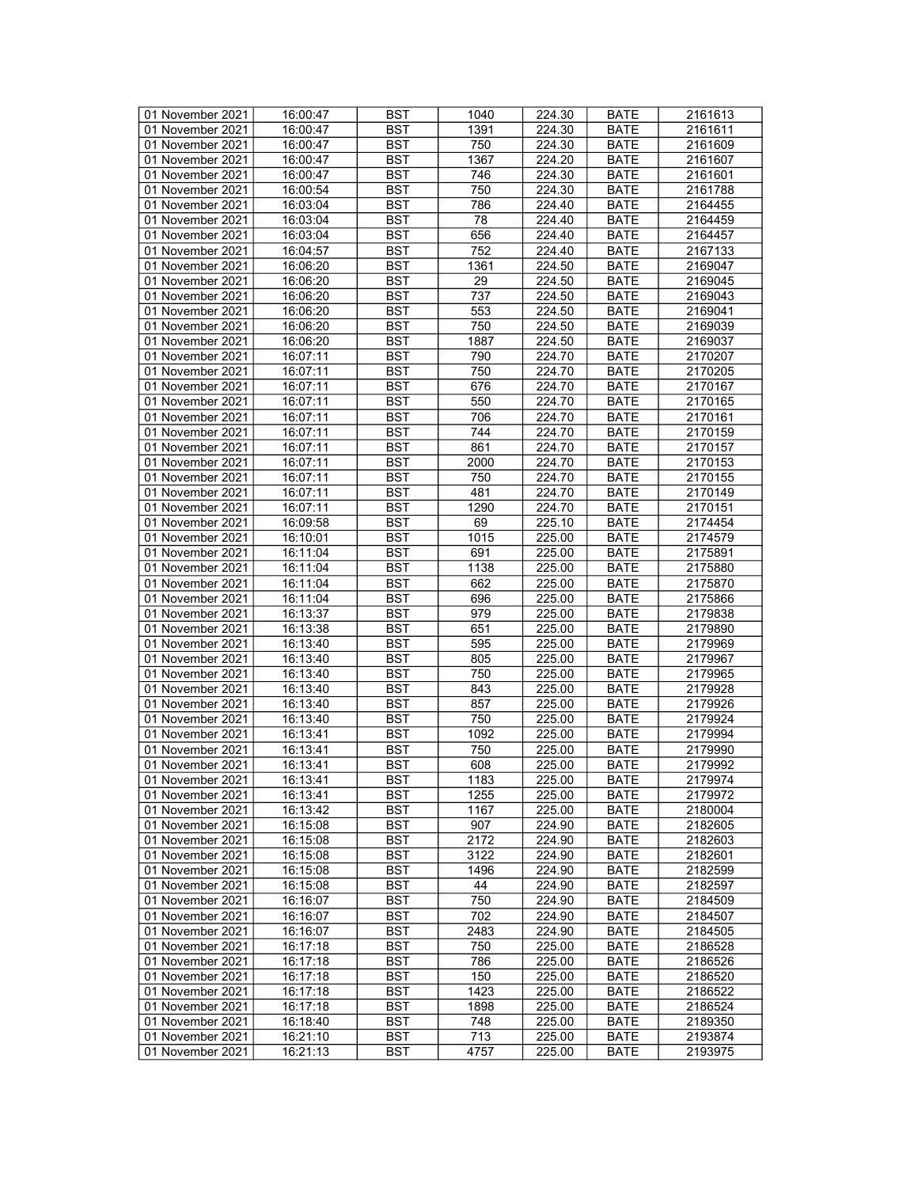| 01 November 2021 | 16:00:47 | <b>BST</b> | 1040 | 224.30 | <b>BATE</b> | 2161613 |
|------------------|----------|------------|------|--------|-------------|---------|
| 01 November 2021 | 16:00:47 | BST        | 1391 | 224.30 | BATE        | 2161611 |
| 01 November 2021 | 16:00:47 | <b>BST</b> | 750  | 224.30 | <b>BATE</b> | 2161609 |
|                  |          |            |      |        |             |         |
| 01 November 2021 | 16:00:47 | <b>BST</b> | 1367 | 224.20 | <b>BATE</b> | 2161607 |
| 01 November 2021 | 16:00:47 | <b>BST</b> | 746  | 224.30 | <b>BATE</b> | 2161601 |
| 01 November 2021 | 16:00:54 | <b>BST</b> | 750  | 224.30 | <b>BATE</b> | 2161788 |
| 01 November 2021 | 16:03:04 | <b>BST</b> | 786  | 224.40 | <b>BATE</b> | 2164455 |
| 01 November 2021 | 16:03:04 | <b>BST</b> | 78   | 224.40 | <b>BATE</b> | 2164459 |
| 01 November 2021 | 16:03:04 | <b>BST</b> | 656  | 224.40 | <b>BATE</b> | 2164457 |
| 01 November 2021 | 16:04:57 | <b>BST</b> | 752  | 224.40 | <b>BATE</b> | 2167133 |
| 01 November 2021 | 16:06:20 | <b>BST</b> | 1361 | 224.50 | <b>BATE</b> | 2169047 |
|                  |          |            |      |        |             |         |
| 01 November 2021 | 16:06:20 | <b>BST</b> | 29   | 224.50 | <b>BATE</b> | 2169045 |
| 01 November 2021 | 16:06:20 | <b>BST</b> | 737  | 224.50 | <b>BATE</b> | 2169043 |
| 01 November 2021 | 16:06:20 | <b>BST</b> | 553  | 224.50 | <b>BATE</b> | 2169041 |
| 01 November 2021 | 16:06:20 | <b>BST</b> | 750  | 224.50 | <b>BATE</b> | 2169039 |
| 01 November 2021 | 16:06:20 | <b>BST</b> | 1887 | 224.50 | <b>BATE</b> | 2169037 |
| 01 November 2021 | 16:07:11 | <b>BST</b> | 790  | 224.70 | <b>BATE</b> | 2170207 |
| 01 November 2021 | 16:07:11 | <b>BST</b> | 750  | 224.70 | <b>BATE</b> | 2170205 |
| 01 November 2021 | 16:07:11 | <b>BST</b> | 676  | 224.70 | <b>BATE</b> | 2170167 |
| 01 November 2021 | 16:07:11 | <b>BST</b> | 550  | 224.70 | <b>BATE</b> | 2170165 |
|                  |          |            |      |        |             |         |
| 01 November 2021 | 16:07:11 | <b>BST</b> | 706  | 224.70 | <b>BATE</b> | 2170161 |
| 01 November 2021 | 16:07:11 | <b>BST</b> | 744  | 224.70 | <b>BATE</b> | 2170159 |
| 01 November 2021 | 16:07:11 | <b>BST</b> | 861  | 224.70 | <b>BATE</b> | 2170157 |
| 01 November 2021 | 16:07:11 | <b>BST</b> | 2000 | 224.70 | <b>BATE</b> | 2170153 |
| 01 November 2021 | 16:07:11 | <b>BST</b> | 750  | 224.70 | <b>BATE</b> | 2170155 |
| 01 November 2021 | 16:07:11 | <b>BST</b> | 481  | 224.70 | <b>BATE</b> | 2170149 |
| 01 November 2021 | 16:07:11 | <b>BST</b> | 1290 | 224.70 | BATE        | 2170151 |
| 01 November 2021 | 16:09:58 | <b>BST</b> | 69   | 225.10 | <b>BATE</b> | 2174454 |
| 01 November 2021 |          |            |      |        |             |         |
|                  | 16:10:01 | <b>BST</b> | 1015 | 225.00 | <b>BATE</b> | 2174579 |
| 01 November 2021 | 16:11:04 | <b>BST</b> | 691  | 225.00 | <b>BATE</b> | 2175891 |
| 01 November 2021 | 16:11:04 | <b>BST</b> | 1138 | 225.00 | <b>BATE</b> | 2175880 |
| 01 November 2021 | 16:11:04 | <b>BST</b> | 662  | 225.00 | <b>BATE</b> | 2175870 |
| 01 November 2021 | 16:11:04 | <b>BST</b> | 696  | 225.00 | <b>BATE</b> | 2175866 |
| 01 November 2021 | 16:13:37 | <b>BST</b> | 979  | 225.00 | <b>BATE</b> | 2179838 |
| 01 November 2021 | 16:13:38 | <b>BST</b> | 651  | 225.00 | <b>BATE</b> | 2179890 |
| 01 November 2021 | 16:13:40 | <b>BST</b> | 595  | 225.00 | <b>BATE</b> | 2179969 |
| 01 November 2021 | 16:13:40 | <b>BST</b> | 805  | 225.00 | <b>BATE</b> | 2179967 |
| 01 November 2021 | 16:13:40 | <b>BST</b> | 750  | 225.00 | <b>BATE</b> | 2179965 |
|                  |          |            |      |        |             |         |
| 01 November 2021 | 16:13:40 | <b>BST</b> | 843  | 225.00 | <b>BATE</b> | 2179928 |
| 01 November 2021 | 16:13:40 | <b>BST</b> | 857  | 225.00 | <b>BATE</b> | 2179926 |
| 01 November 2021 | 16:13:40 | <b>BST</b> | 750  | 225.00 | <b>BATE</b> | 2179924 |
| 01 November 2021 | 16:13:41 | <b>BST</b> | 1092 | 225.00 | <b>BATE</b> | 2179994 |
| 01 November 2021 | 16:13:41 | <b>BST</b> | 750  | 225.00 | <b>BATE</b> | 2179990 |
| 01 November 2021 | 16:13:41 | <b>BST</b> | 608  | 225.00 | <b>BATE</b> | 2179992 |
| 01 November 2021 | 16:13:41 | <b>BST</b> | 1183 | 225.00 | <b>BATE</b> | 2179974 |
| 01 November 2021 | 16:13:41 | BST        | 1255 | 225.00 | <b>BATE</b> | 2179972 |
| 01 November 2021 | 16:13:42 | <b>BST</b> | 1167 | 225.00 | BATE        | 2180004 |
| 01 November 2021 |          |            | 907  |        |             | 2182605 |
|                  | 16:15:08 | <b>BST</b> |      | 224.90 | <b>BATE</b> |         |
| 01 November 2021 | 16:15:08 | <b>BST</b> | 2172 | 224.90 | <b>BATE</b> | 2182603 |
| 01 November 2021 | 16:15:08 | <b>BST</b> | 3122 | 224.90 | <b>BATE</b> | 2182601 |
| 01 November 2021 | 16:15:08 | <b>BST</b> | 1496 | 224.90 | <b>BATE</b> | 2182599 |
| 01 November 2021 | 16:15:08 | BST        | 44   | 224.90 | <b>BATE</b> | 2182597 |
| 01 November 2021 | 16:16:07 | <b>BST</b> | 750  | 224.90 | <b>BATE</b> | 2184509 |
| 01 November 2021 | 16:16:07 | <b>BST</b> | 702  | 224.90 | <b>BATE</b> | 2184507 |
| 01 November 2021 | 16:16:07 | <b>BST</b> | 2483 | 224.90 | <b>BATE</b> | 2184505 |
| 01 November 2021 | 16:17:18 | BST        | 750  | 225.00 | <b>BATE</b> | 2186528 |
|                  |          | <b>BST</b> |      | 225.00 |             |         |
| 01 November 2021 | 16:17:18 |            | 786  |        | <b>BATE</b> | 2186526 |
| 01 November 2021 | 16:17:18 | <b>BST</b> | 150  | 225.00 | <b>BATE</b> | 2186520 |
| 01 November 2021 | 16:17:18 | <b>BST</b> | 1423 | 225.00 | <b>BATE</b> | 2186522 |
| 01 November 2021 | 16:17:18 | <b>BST</b> | 1898 | 225.00 | <b>BATE</b> | 2186524 |
| 01 November 2021 | 16:18:40 | BST        | 748  | 225.00 | BATE        | 2189350 |
| 01 November 2021 | 16:21:10 | <b>BST</b> | 713  | 225.00 | BATE        | 2193874 |
| 01 November 2021 | 16:21:13 | BST        | 4757 | 225.00 | <b>BATE</b> | 2193975 |
|                  |          |            |      |        |             |         |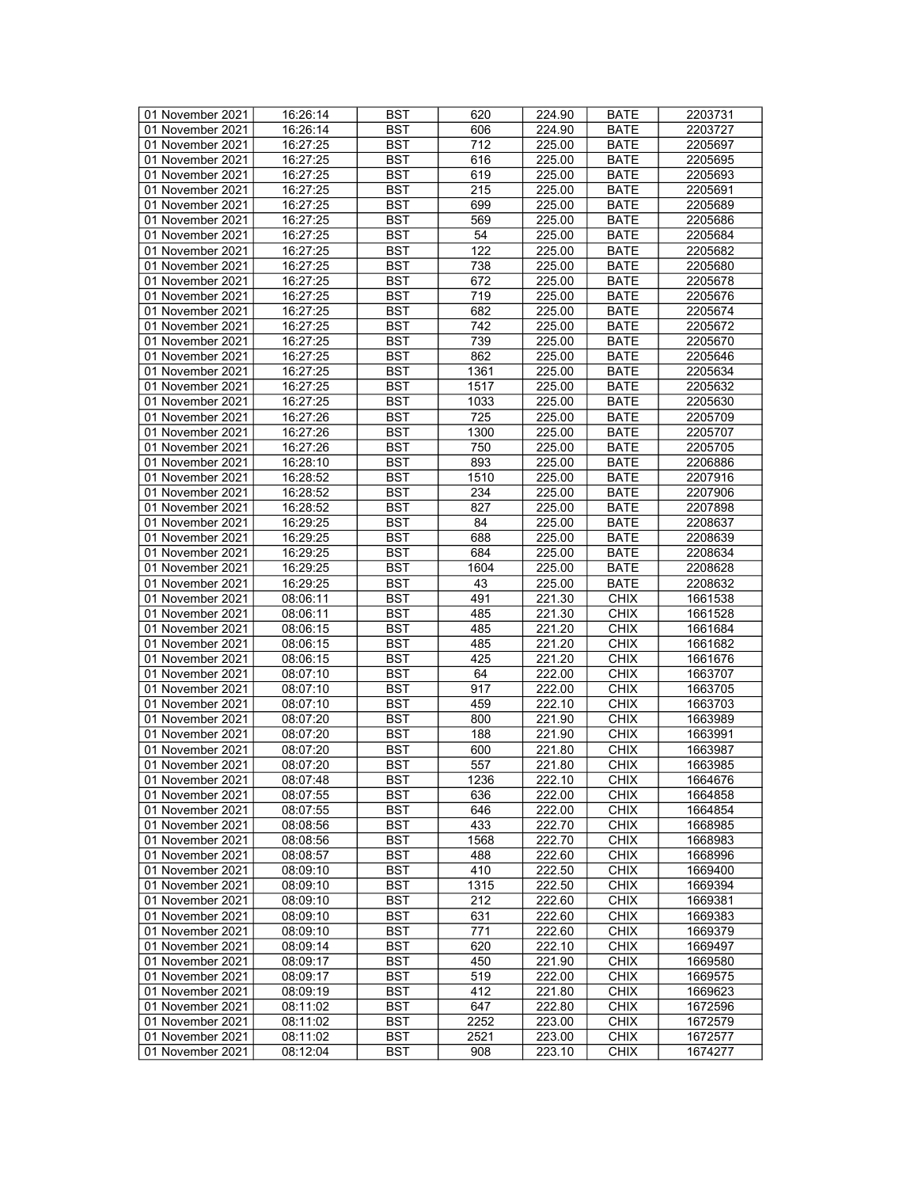| 01 November 2021 | 16:26:14 | <b>BST</b> | 620  | 224.90              | <b>BATE</b> | 2203731 |
|------------------|----------|------------|------|---------------------|-------------|---------|
| 01 November 2021 | 16:26:14 | BST        | 606  | 224.90              | <b>BATE</b> | 2203727 |
| 01 November 2021 | 16:27:25 | <b>BST</b> | 712  | 225.00              | <b>BATE</b> | 2205697 |
| 01 November 2021 | 16:27:25 | <b>BST</b> | 616  | 225.00              | <b>BATE</b> | 2205695 |
| 01 November 2021 | 16:27:25 | <b>BST</b> | 619  | 225.00              | <b>BATE</b> | 2205693 |
| 01 November 2021 | 16:27:25 | <b>BST</b> | 215  | 225.00              | <b>BATE</b> | 2205691 |
|                  | 16:27:25 | <b>BST</b> | 699  |                     |             |         |
| 01 November 2021 |          |            |      | 225.00              | <b>BATE</b> | 2205689 |
| 01 November 2021 | 16:27:25 | <b>BST</b> | 569  | 225.00              | <b>BATE</b> | 2205686 |
| 01 November 2021 | 16:27:25 | <b>BST</b> | 54   | 225.00              | <b>BATE</b> | 2205684 |
| 01 November 2021 | 16:27:25 | <b>BST</b> | 122  | 225.00              | <b>BATE</b> | 2205682 |
| 01 November 2021 | 16:27:25 | <b>BST</b> | 738  | 225.00              | <b>BATE</b> | 2205680 |
| 01 November 2021 | 16:27:25 | <b>BST</b> | 672  | 225.00              | <b>BATE</b> | 2205678 |
| 01 November 2021 | 16:27:25 | <b>BST</b> | 719  | 225.00              | <b>BATE</b> | 2205676 |
| 01 November 2021 | 16:27:25 | <b>BST</b> | 682  | 225.00              | <b>BATE</b> | 2205674 |
| 01 November 2021 | 16:27:25 | <b>BST</b> | 742  | 225.00              | <b>BATE</b> | 2205672 |
| 01 November 2021 | 16:27:25 | <b>BST</b> | 739  | 225.00              | <b>BATE</b> | 2205670 |
| 01 November 2021 | 16:27:25 | <b>BST</b> | 862  | 225.00              | <b>BATE</b> | 2205646 |
| 01 November 2021 | 16:27:25 | <b>BST</b> | 1361 | 225.00              | <b>BATE</b> | 2205634 |
| 01 November 2021 | 16:27:25 | <b>BST</b> | 1517 | 225.00              | <b>BATE</b> | 2205632 |
| 01 November 2021 | 16:27:25 | <b>BST</b> | 1033 | 225.00              | <b>BATE</b> | 2205630 |
| 01 November 2021 | 16:27:26 | <b>BST</b> | 725  | 225.00              | <b>BATE</b> | 2205709 |
| 01 November 2021 | 16:27:26 | <b>BST</b> | 1300 | 225.00              | <b>BATE</b> | 2205707 |
| 01 November 2021 | 16:27:26 | <b>BST</b> | 750  |                     | <b>BATE</b> |         |
|                  |          |            |      | 225.00              |             | 2205705 |
| 01 November 2021 | 16:28:10 | <b>BST</b> | 893  | 225.00              | <b>BATE</b> | 2206886 |
| 01 November 2021 | 16:28:52 | <b>BST</b> | 1510 | 225.00              | <b>BATE</b> | 2207916 |
| 01 November 2021 | 16:28:52 | <b>BST</b> | 234  | 225.00              | <b>BATE</b> | 2207906 |
| 01 November 2021 | 16:28:52 | <b>BST</b> | 827  | 225.00              | <b>BATE</b> | 2207898 |
| 01 November 2021 | 16:29:25 | <b>BST</b> | 84   | 225.00              | <b>BATE</b> | 2208637 |
| 01 November 2021 | 16:29:25 | <b>BST</b> | 688  | 225.00              | <b>BATE</b> | 2208639 |
| 01 November 2021 | 16:29:25 | <b>BST</b> | 684  | 225.00              | <b>BATE</b> | 2208634 |
| 01 November 2021 | 16:29:25 | <b>BST</b> | 1604 | 225.00              | <b>BATE</b> | 2208628 |
| 01 November 2021 | 16:29:25 | <b>BST</b> | 43   | 225.00              | <b>BATE</b> | 2208632 |
| 01 November 2021 | 08:06:11 | <b>BST</b> | 491  | 221.30              | <b>CHIX</b> | 1661538 |
| 01 November 2021 | 08:06:11 | <b>BST</b> | 485  | 221.30              | <b>CHIX</b> | 1661528 |
| 01 November 2021 | 08:06:15 | <b>BST</b> | 485  | 221.20              | <b>CHIX</b> | 1661684 |
| 01 November 2021 | 08:06:15 | <b>BST</b> | 485  | 221.20              | <b>CHIX</b> | 1661682 |
| 01 November 2021 | 08:06:15 | <b>BST</b> | 425  | 221.20              | <b>CHIX</b> | 1661676 |
| 01 November 2021 | 08:07:10 | <b>BST</b> | 64   | 222.00              | <b>CHIX</b> | 1663707 |
| 01 November 2021 | 08:07:10 | <b>BST</b> | 917  | 222.00              | <b>CHIX</b> | 1663705 |
| 01 November 2021 | 08:07:10 | <b>BST</b> | 459  | 222.10              | <b>CHIX</b> | 1663703 |
| 01 November 2021 | 08:07:20 | <b>BST</b> | 800  | 221.90              | <b>CHIX</b> | 1663989 |
|                  |          |            |      |                     |             |         |
| 01 November 2021 | 08:07:20 | <b>BST</b> | 188  | 221.90              | <b>CHIX</b> | 1663991 |
| 01 November 2021 | 08:07:20 | <b>BST</b> | 600  | 221.80              | <b>CHIX</b> | 1663987 |
| 01 November 2021 | 08:07:20 | <b>BST</b> | 557  | 221.80              | <b>CHIX</b> | 1663985 |
| 01 November 2021 | 08:07:48 | <b>BST</b> | 1236 | 222.10              | <b>CHIX</b> | 1664676 |
| 01 November 2021 | 08:07:55 | <b>BST</b> | 636  | 222.00              | <b>CHIX</b> | 1664858 |
| 01 November 2021 | 08:07:55 | <b>BST</b> | 646  | 222.00              | <b>CHIX</b> | 1664854 |
| 01 November 2021 | 08:08:56 | <b>BST</b> | 433  | 222.70              | <b>CHIX</b> | 1668985 |
| 01 November 2021 | 08:08:56 | <b>BST</b> | 1568 | 222.70              | <b>CHIX</b> | 1668983 |
| 01 November 2021 | 08:08:57 | <b>BST</b> | 488  | 222.60              | <b>CHIX</b> | 1668996 |
| 01 November 2021 | 08:09:10 | <b>BST</b> | 410  | 222.50              | <b>CHIX</b> | 1669400 |
| 01 November 2021 | 08:09:10 | BST        | 1315 | $\overline{222}.50$ | <b>CHIX</b> | 1669394 |
| 01 November 2021 | 08:09:10 | <b>BST</b> | 212  | 222.60              | <b>CHIX</b> | 1669381 |
| 01 November 2021 | 08:09:10 | <b>BST</b> | 631  | 222.60              | <b>CHIX</b> | 1669383 |
| 01 November 2021 | 08:09:10 | <b>BST</b> | 771  | 222.60              | <b>CHIX</b> | 1669379 |
| 01 November 2021 | 08:09:14 | <b>BST</b> | 620  | 222.10              | <b>CHIX</b> | 1669497 |
| 01 November 2021 | 08:09:17 | <b>BST</b> | 450  | 221.90              | <b>CHIX</b> | 1669580 |
|                  |          |            |      |                     |             |         |
| 01 November 2021 | 08:09:17 | <b>BST</b> | 519  | 222.00              | <b>CHIX</b> | 1669575 |
| 01 November 2021 | 08:09:19 | <b>BST</b> | 412  | 221.80              | <b>CHIX</b> | 1669623 |
| 01 November 2021 | 08:11:02 | <b>BST</b> | 647  | 222.80              | <b>CHIX</b> | 1672596 |
| 01 November 2021 | 08:11:02 | BST        | 2252 | 223.00              | <b>CHIX</b> | 1672579 |
| 01 November 2021 | 08:11:02 | <b>BST</b> | 2521 | 223.00              | <b>CHIX</b> | 1672577 |
| 01 November 2021 | 08:12:04 | <b>BST</b> | 908  | 223.10              | <b>CHIX</b> | 1674277 |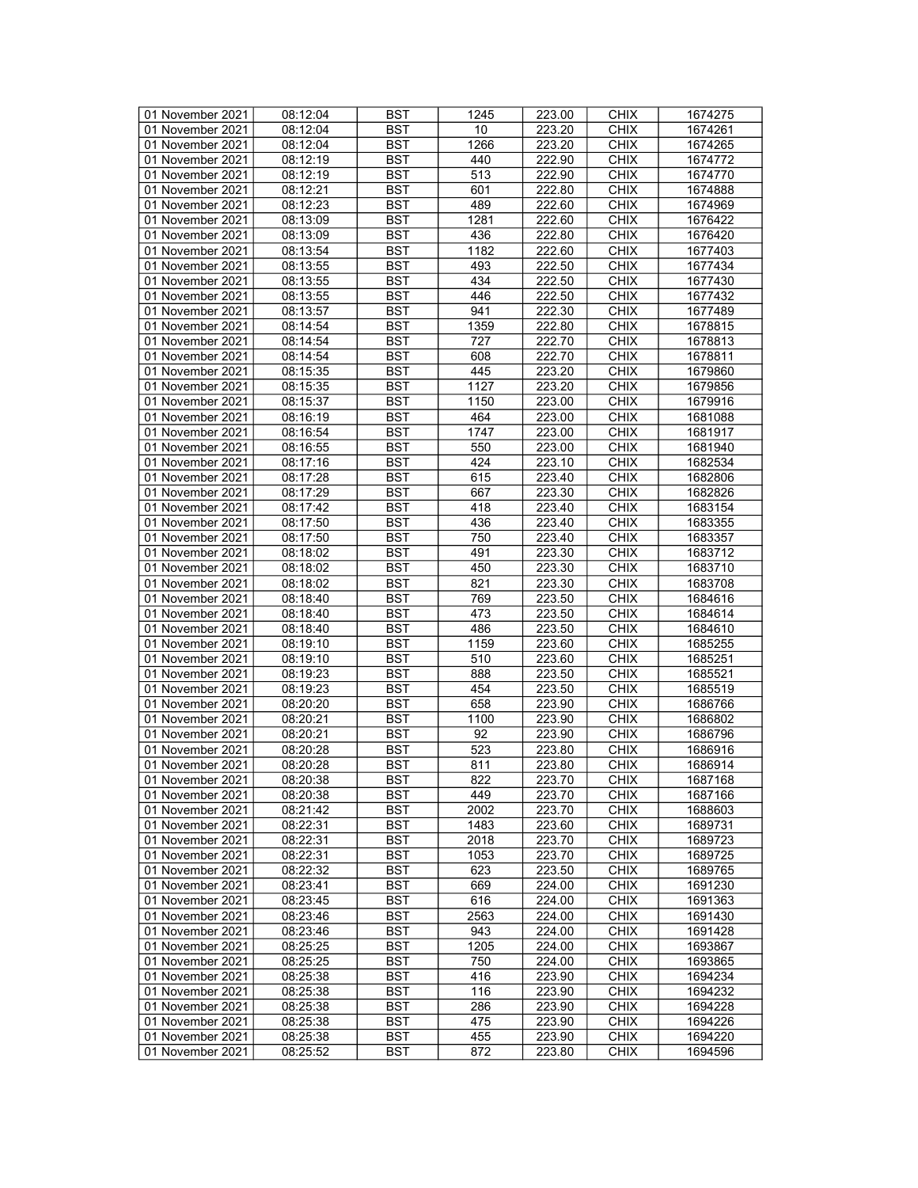| 01 November 2021 | 08:12:04 | <b>BST</b> | 1245 | 223.00 | <b>CHIX</b> | 1674275 |
|------------------|----------|------------|------|--------|-------------|---------|
| 01 November 2021 | 08:12:04 | BST        | 10   | 223.20 | <b>CHIX</b> | 1674261 |
| 01 November 2021 | 08:12:04 | <b>BST</b> | 1266 | 223.20 | <b>CHIX</b> | 1674265 |
| 01 November 2021 | 08:12:19 | <b>BST</b> | 440  | 222.90 | <b>CHIX</b> | 1674772 |
| 01 November 2021 | 08:12:19 | <b>BST</b> | 513  | 222.90 | <b>CHIX</b> | 1674770 |
| 01 November 2021 | 08:12:21 | <b>BST</b> | 601  | 222.80 | <b>CHIX</b> | 1674888 |
|                  | 08:12:23 | <b>BST</b> | 489  |        | <b>CHIX</b> | 1674969 |
| 01 November 2021 |          |            |      | 222.60 |             |         |
| 01 November 2021 | 08:13:09 | <b>BST</b> | 1281 | 222.60 | <b>CHIX</b> | 1676422 |
| 01 November 2021 | 08:13:09 | <b>BST</b> | 436  | 222.80 | <b>CHIX</b> | 1676420 |
| 01 November 2021 | 08:13:54 | <b>BST</b> | 1182 | 222.60 | <b>CHIX</b> | 1677403 |
| 01 November 2021 | 08:13:55 | <b>BST</b> | 493  | 222.50 | <b>CHIX</b> | 1677434 |
| 01 November 2021 | 08:13:55 | <b>BST</b> | 434  | 222.50 | <b>CHIX</b> | 1677430 |
| 01 November 2021 | 08:13:55 | <b>BST</b> | 446  | 222.50 | <b>CHIX</b> | 1677432 |
| 01 November 2021 | 08:13:57 | <b>BST</b> | 941  | 222.30 | <b>CHIX</b> | 1677489 |
| 01 November 2021 | 08:14:54 | <b>BST</b> | 1359 | 222.80 | <b>CHIX</b> | 1678815 |
| 01 November 2021 | 08:14:54 | <b>BST</b> | 727  | 222.70 | <b>CHIX</b> | 1678813 |
| 01 November 2021 | 08:14:54 | <b>BST</b> | 608  | 222.70 | <b>CHIX</b> | 1678811 |
| 01 November 2021 | 08:15:35 | <b>BST</b> | 445  | 223.20 | <b>CHIX</b> | 1679860 |
| 01 November 2021 | 08:15:35 | <b>BST</b> | 1127 | 223.20 | <b>CHIX</b> | 1679856 |
| 01 November 2021 | 08:15:37 | <b>BST</b> | 1150 | 223.00 | <b>CHIX</b> | 1679916 |
| 01 November 2021 | 08:16:19 | <b>BST</b> | 464  | 223.00 | <b>CHIX</b> | 1681088 |
| 01 November 2021 | 08:16:54 | <b>BST</b> | 1747 | 223.00 | <b>CHIX</b> | 1681917 |
| 01 November 2021 | 08:16:55 | <b>BST</b> | 550  | 223.00 | <b>CHIX</b> | 1681940 |
|                  |          |            |      |        |             |         |
| 01 November 2021 | 08:17:16 | <b>BST</b> | 424  | 223.10 | <b>CHIX</b> | 1682534 |
| 01 November 2021 | 08:17:28 | <b>BST</b> | 615  | 223.40 | <b>CHIX</b> | 1682806 |
| 01 November 2021 | 08:17:29 | <b>BST</b> | 667  | 223.30 | <b>CHIX</b> | 1682826 |
| 01 November 2021 | 08:17:42 | <b>BST</b> | 418  | 223.40 | <b>CHIX</b> | 1683154 |
| 01 November 2021 | 08:17:50 | <b>BST</b> | 436  | 223.40 | <b>CHIX</b> | 1683355 |
| 01 November 2021 | 08:17:50 | <b>BST</b> | 750  | 223.40 | <b>CHIX</b> | 1683357 |
| 01 November 2021 | 08:18:02 | <b>BST</b> | 491  | 223.30 | <b>CHIX</b> | 1683712 |
| 01 November 2021 | 08:18:02 | <b>BST</b> | 450  | 223.30 | <b>CHIX</b> | 1683710 |
| 01 November 2021 | 08:18:02 | <b>BST</b> | 821  | 223.30 | <b>CHIX</b> | 1683708 |
| 01 November 2021 | 08:18:40 | <b>BST</b> | 769  | 223.50 | <b>CHIX</b> | 1684616 |
| 01 November 2021 | 08:18:40 | <b>BST</b> | 473  | 223.50 | <b>CHIX</b> | 1684614 |
| 01 November 2021 | 08:18:40 | <b>BST</b> | 486  | 223.50 | <b>CHIX</b> | 1684610 |
| 01 November 2021 | 08:19:10 | <b>BST</b> | 1159 | 223.60 | <b>CHIX</b> | 1685255 |
| 01 November 2021 | 08:19:10 | <b>BST</b> | 510  | 223.60 | <b>CHIX</b> | 1685251 |
| 01 November 2021 | 08:19:23 | <b>BST</b> | 888  | 223.50 | <b>CHIX</b> | 1685521 |
| 01 November 2021 | 08:19:23 | <b>BST</b> | 454  | 223.50 | <b>CHIX</b> | 1685519 |
| 01 November 2021 | 08:20:20 | <b>BST</b> | 658  | 223.90 | <b>CHIX</b> | 1686766 |
| 01 November 2021 | 08:20:21 | <b>BST</b> | 1100 | 223.90 | <b>CHIX</b> | 1686802 |
|                  |          |            | 92   |        |             |         |
| 01 November 2021 | 08:20:21 | <b>BST</b> |      | 223.90 | <b>CHIX</b> | 1686796 |
| 01 November 2021 | 08:20:28 | <b>BST</b> | 523  | 223.80 | <b>CHIX</b> | 1686916 |
| 01 November 2021 | 08:20:28 | <b>BST</b> | 811  | 223.80 | <b>CHIX</b> | 1686914 |
| 01 November 2021 | 08:20:38 | <b>BST</b> | 822  | 223.70 | <b>CHIX</b> | 1687168 |
| 01 November 2021 | 08:20:38 | BST        | 449  | 223.70 | <b>CHIX</b> | 1687166 |
| 01 November 2021 | 08:21:42 | <b>BST</b> | 2002 | 223.70 | <b>CHIX</b> | 1688603 |
| 01 November 2021 | 08:22:31 | <b>BST</b> | 1483 | 223.60 | <b>CHIX</b> | 1689731 |
| 01 November 2021 | 08:22:31 | <b>BST</b> | 2018 | 223.70 | <b>CHIX</b> | 1689723 |
| 01 November 2021 | 08:22:31 | <b>BST</b> | 1053 | 223.70 | <b>CHIX</b> | 1689725 |
| 01 November 2021 | 08:22:32 | <b>BST</b> | 623  | 223.50 | <b>CHIX</b> | 1689765 |
| 01 November 2021 | 08:23:41 | BST        | 669  | 224.00 | <b>CHIX</b> | 1691230 |
| 01 November 2021 | 08:23:45 | <b>BST</b> | 616  | 224.00 | <b>CHIX</b> | 1691363 |
| 01 November 2021 | 08:23:46 | <b>BST</b> | 2563 | 224.00 | <b>CHIX</b> | 1691430 |
| 01 November 2021 | 08:23:46 | <b>BST</b> | 943  | 224.00 | <b>CHIX</b> | 1691428 |
| 01 November 2021 | 08:25:25 | <b>BST</b> | 1205 | 224.00 | <b>CHIX</b> | 1693867 |
| 01 November 2021 | 08:25:25 | <b>BST</b> | 750  | 224.00 | <b>CHIX</b> | 1693865 |
|                  |          |            | 416  |        |             |         |
| 01 November 2021 | 08:25:38 | <b>BST</b> |      | 223.90 | <b>CHIX</b> | 1694234 |
| 01 November 2021 | 08:25:38 | <b>BST</b> | 116  | 223.90 | <b>CHIX</b> | 1694232 |
| 01 November 2021 | 08:25:38 | <b>BST</b> | 286  | 223.90 | <b>CHIX</b> | 1694228 |
| 01 November 2021 | 08:25:38 | BST        | 475  | 223.90 | <b>CHIX</b> | 1694226 |
| 01 November 2021 | 08:25:38 | <b>BST</b> | 455  | 223.90 | <b>CHIX</b> | 1694220 |
| 01 November 2021 | 08:25:52 | <b>BST</b> | 872  | 223.80 | <b>CHIX</b> | 1694596 |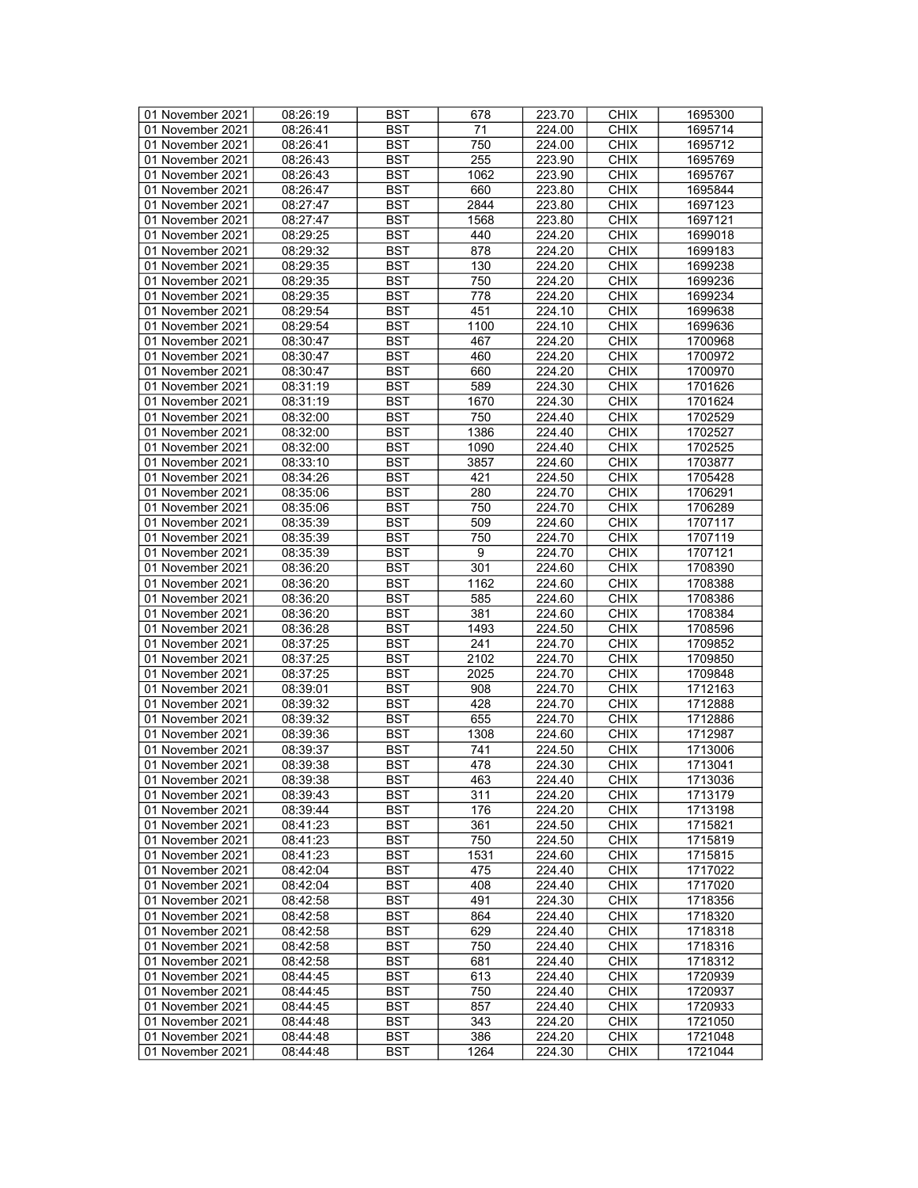| 01 November 2021 | 08:26:19 | <b>BST</b> | 678  | 223.70 | <b>CHIX</b> | 1695300 |
|------------------|----------|------------|------|--------|-------------|---------|
| 01 November 2021 | 08:26:41 | BST        | 71   | 224.00 | <b>CHIX</b> | 1695714 |
| 01 November 2021 | 08:26:41 | <b>BST</b> | 750  | 224.00 | <b>CHIX</b> | 1695712 |
| 01 November 2021 | 08:26:43 | <b>BST</b> | 255  | 223.90 | <b>CHIX</b> | 1695769 |
| 01 November 2021 | 08:26:43 | <b>BST</b> | 1062 | 223.90 | <b>CHIX</b> | 1695767 |
| 01 November 2021 |          |            |      |        |             |         |
|                  | 08:26:47 | <b>BST</b> | 660  | 223.80 | <b>CHIX</b> | 1695844 |
| 01 November 2021 | 08:27:47 | <b>BST</b> | 2844 | 223.80 | <b>CHIX</b> | 1697123 |
| 01 November 2021 | 08:27:47 | <b>BST</b> | 1568 | 223.80 | <b>CHIX</b> | 1697121 |
| 01 November 2021 | 08:29:25 | <b>BST</b> | 440  | 224.20 | <b>CHIX</b> | 1699018 |
| 01 November 2021 | 08:29:32 | <b>BST</b> | 878  | 224.20 | <b>CHIX</b> | 1699183 |
| 01 November 2021 | 08:29:35 | <b>BST</b> | 130  | 224.20 | <b>CHIX</b> | 1699238 |
| 01 November 2021 | 08:29:35 | <b>BST</b> | 750  | 224.20 | <b>CHIX</b> | 1699236 |
| 01 November 2021 | 08:29:35 | <b>BST</b> | 778  | 224.20 | <b>CHIX</b> | 1699234 |
| 01 November 2021 | 08:29:54 | <b>BST</b> | 451  | 224.10 | <b>CHIX</b> | 1699638 |
| 01 November 2021 | 08:29:54 | <b>BST</b> | 1100 | 224.10 | <b>CHIX</b> | 1699636 |
| 01 November 2021 | 08:30:47 | <b>BST</b> | 467  | 224.20 | <b>CHIX</b> | 1700968 |
| 01 November 2021 | 08:30:47 | <b>BST</b> | 460  | 224.20 | <b>CHIX</b> | 1700972 |
| 01 November 2021 | 08:30:47 | <b>BST</b> | 660  | 224.20 | <b>CHIX</b> | 1700970 |
| 01 November 2021 | 08:31:19 | <b>BST</b> | 589  | 224.30 | <b>CHIX</b> | 1701626 |
| 01 November 2021 | 08:31:19 | <b>BST</b> | 1670 | 224.30 | <b>CHIX</b> | 1701624 |
| 01 November 2021 | 08:32:00 | <b>BST</b> | 750  | 224.40 | <b>CHIX</b> | 1702529 |
| 01 November 2021 | 08:32:00 | <b>BST</b> | 1386 | 224.40 | <b>CHIX</b> | 1702527 |
| 01 November 2021 |          |            |      |        |             | 1702525 |
|                  | 08:32:00 | <b>BST</b> | 1090 | 224.40 | <b>CHIX</b> |         |
| 01 November 2021 | 08:33:10 | <b>BST</b> | 3857 | 224.60 | <b>CHIX</b> | 1703877 |
| 01 November 2021 | 08:34:26 | <b>BST</b> | 421  | 224.50 | <b>CHIX</b> | 1705428 |
| 01 November 2021 | 08:35:06 | <b>BST</b> | 280  | 224.70 | <b>CHIX</b> | 1706291 |
| 01 November 2021 | 08:35:06 | <b>BST</b> | 750  | 224.70 | <b>CHIX</b> | 1706289 |
| 01 November 2021 | 08:35:39 | <b>BST</b> | 509  | 224.60 | <b>CHIX</b> | 1707117 |
| 01 November 2021 | 08:35:39 | <b>BST</b> | 750  | 224.70 | <b>CHIX</b> | 1707119 |
| 01 November 2021 | 08:35:39 | <b>BST</b> | 9    | 224.70 | <b>CHIX</b> | 1707121 |
| 01 November 2021 | 08:36:20 | <b>BST</b> | 301  | 224.60 | <b>CHIX</b> | 1708390 |
| 01 November 2021 | 08:36:20 | <b>BST</b> | 1162 | 224.60 | <b>CHIX</b> | 1708388 |
| 01 November 2021 | 08:36:20 | <b>BST</b> | 585  | 224.60 | <b>CHIX</b> | 1708386 |
| 01 November 2021 | 08:36:20 | <b>BST</b> | 381  | 224.60 | <b>CHIX</b> | 1708384 |
| 01 November 2021 | 08:36:28 | <b>BST</b> | 1493 | 224.50 | <b>CHIX</b> | 1708596 |
| 01 November 2021 | 08:37:25 | <b>BST</b> | 241  | 224.70 | <b>CHIX</b> | 1709852 |
| 01 November 2021 | 08:37:25 | <b>BST</b> | 2102 | 224.70 | <b>CHIX</b> | 1709850 |
| 01 November 2021 | 08:37:25 | <b>BST</b> | 2025 | 224.70 | <b>CHIX</b> | 1709848 |
| 01 November 2021 | 08:39:01 | <b>BST</b> | 908  | 224.70 | <b>CHIX</b> | 1712163 |
| 01 November 2021 | 08:39:32 | <b>BST</b> | 428  | 224.70 | <b>CHIX</b> | 1712888 |
| 01 November 2021 | 08:39:32 | <b>BST</b> | 655  | 224.70 | <b>CHIX</b> | 1712886 |
| 01 November 2021 | 08:39:36 | <b>BST</b> | 1308 | 224.60 | <b>CHIX</b> | 1712987 |
|                  | 08:39:37 | <b>BST</b> | 741  | 224.50 | <b>CHIX</b> |         |
| 01 November 2021 |          |            |      |        |             | 1713006 |
| 01 November 2021 | 08:39:38 | <b>BST</b> | 478  | 224.30 | <b>CHIX</b> | 1713041 |
| 01 November 2021 | 08:39:38 | <b>BST</b> | 463  | 224.40 | <b>CHIX</b> | 1713036 |
| 01 November 2021 | 08:39:43 | BST        | 311  | 224.20 | <b>CHIX</b> | 1713179 |
| 01 November 2021 | 08:39:44 | <b>BST</b> | 176  | 224.20 | <b>CHIX</b> | 1713198 |
| 01 November 2021 | 08:41:23 | <b>BST</b> | 361  | 224.50 | <b>CHIX</b> | 1715821 |
| 01 November 2021 | 08:41:23 | <b>BST</b> | 750  | 224.50 | <b>CHIX</b> | 1715819 |
| 01 November 2021 | 08:41:23 | <b>BST</b> | 1531 | 224.60 | <b>CHIX</b> | 1715815 |
| 01 November 2021 | 08:42:04 | <b>BST</b> | 475  | 224.40 | <b>CHIX</b> | 1717022 |
| 01 November 2021 | 08:42:04 | BST        | 408  | 224.40 | <b>CHIX</b> | 1717020 |
| 01 November 2021 | 08:42:58 | <b>BST</b> | 491  | 224.30 | <b>CHIX</b> | 1718356 |
| 01 November 2021 | 08:42:58 | <b>BST</b> | 864  | 224.40 | <b>CHIX</b> | 1718320 |
| 01 November 2021 | 08:42:58 | <b>BST</b> | 629  | 224.40 | <b>CHIX</b> | 1718318 |
| 01 November 2021 | 08:42:58 | BST        | 750  | 224.40 | <b>CHIX</b> | 1718316 |
| 01 November 2021 | 08:42:58 | <b>BST</b> | 681  | 224.40 | <b>CHIX</b> | 1718312 |
| 01 November 2021 | 08:44:45 | BST        | 613  | 224.40 | <b>CHIX</b> | 1720939 |
| 01 November 2021 | 08:44:45 | <b>BST</b> | 750  | 224.40 | <b>CHIX</b> | 1720937 |
| 01 November 2021 | 08:44:45 | <b>BST</b> | 857  | 224.40 | <b>CHIX</b> | 1720933 |
| 01 November 2021 | 08:44:48 | BST        | 343  | 224.20 | <b>CHIX</b> | 1721050 |
| 01 November 2021 | 08:44:48 | <b>BST</b> | 386  | 224.20 | <b>CHIX</b> | 1721048 |
| 01 November 2021 |          |            | 1264 |        |             |         |
|                  | 08:44:48 | BST        |      | 224.30 | <b>CHIX</b> | 1721044 |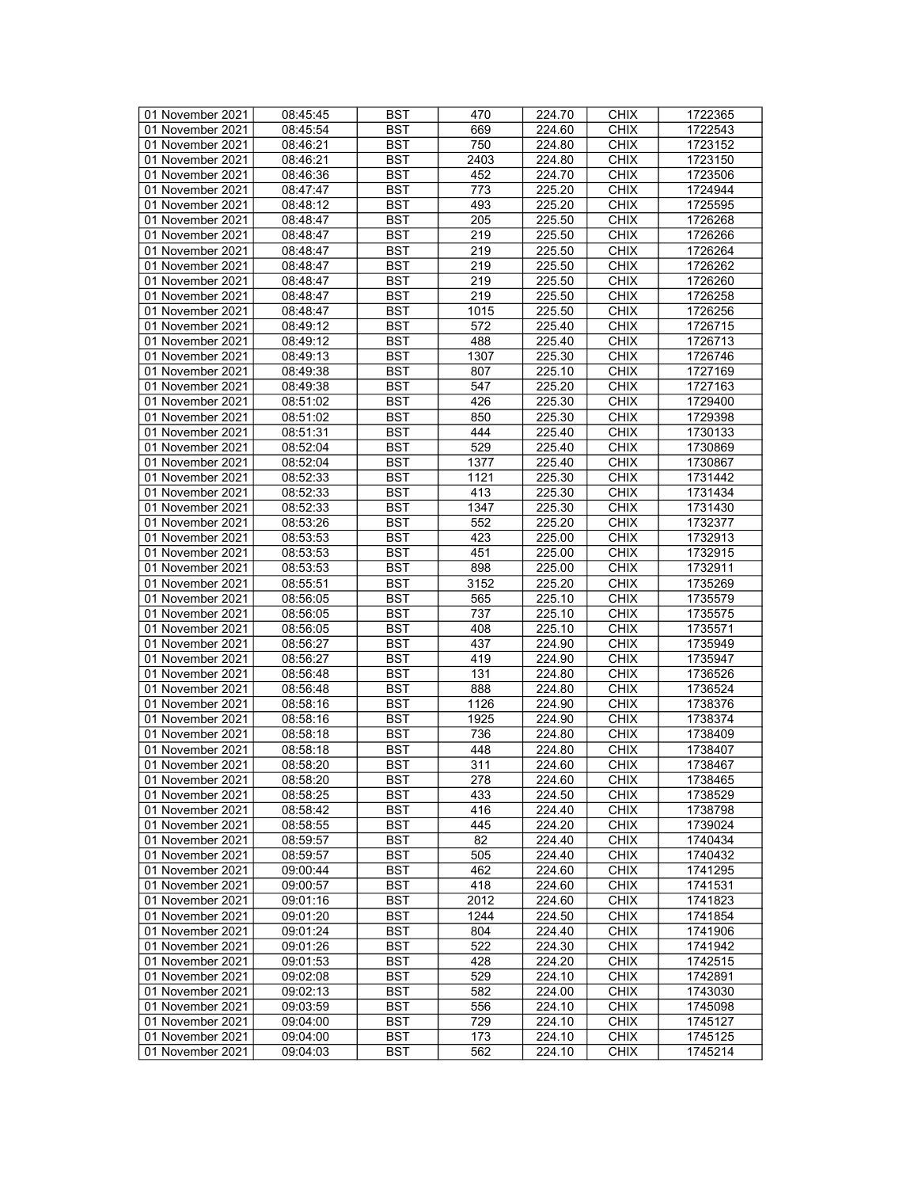| 01 November 2021 | 08:45:45 | <b>BST</b> | 470  | 224.70           | <b>CHIX</b> | 1722365 |
|------------------|----------|------------|------|------------------|-------------|---------|
| 01 November 2021 | 08:45:54 | BST        | 669  | 224.60           | <b>CHIX</b> | 1722543 |
| 01 November 2021 | 08:46:21 | <b>BST</b> | 750  | 224.80           | <b>CHIX</b> | 1723152 |
| 01 November 2021 | 08:46:21 |            |      |                  |             |         |
|                  |          | <b>BST</b> | 2403 | 224.80           | <b>CHIX</b> | 1723150 |
| 01 November 2021 | 08:46:36 | <b>BST</b> | 452  | 224.70           | <b>CHIX</b> | 1723506 |
| 01 November 2021 | 08:47:47 | <b>BST</b> | 773  | 225.20           | <b>CHIX</b> | 1724944 |
| 01 November 2021 | 08:48:12 | <b>BST</b> | 493  | 225.20           | <b>CHIX</b> | 1725595 |
| 01 November 2021 | 08:48:47 | <b>BST</b> | 205  | 225.50           | <b>CHIX</b> | 1726268 |
| 01 November 2021 | 08:48:47 | <b>BST</b> | 219  | 225.50           | <b>CHIX</b> | 1726266 |
| 01 November 2021 | 08:48:47 | <b>BST</b> | 219  | 225.50           | <b>CHIX</b> | 1726264 |
| 01 November 2021 | 08:48:47 | <b>BST</b> | 219  | 225.50           | <b>CHIX</b> | 1726262 |
| 01 November 2021 | 08:48:47 | <b>BST</b> | 219  | 225.50           | <b>CHIX</b> | 1726260 |
| 01 November 2021 | 08:48:47 | <b>BST</b> | 219  | 225.50           | <b>CHIX</b> | 1726258 |
| 01 November 2021 | 08:48:47 | <b>BST</b> | 1015 | 225.50           | <b>CHIX</b> | 1726256 |
| 01 November 2021 | 08:49:12 | <b>BST</b> | 572  | 225.40           | <b>CHIX</b> |         |
|                  |          |            |      |                  |             | 1726715 |
| 01 November 2021 | 08:49:12 | <b>BST</b> | 488  | 225.40           | <b>CHIX</b> | 1726713 |
| 01 November 2021 | 08:49:13 | <b>BST</b> | 1307 | 225.30           | <b>CHIX</b> | 1726746 |
| 01 November 2021 | 08:49:38 | <b>BST</b> | 807  | 225.10           | <b>CHIX</b> | 1727169 |
| 01 November 2021 | 08:49:38 | <b>BST</b> | 547  | 225.20           | <b>CHIX</b> | 1727163 |
| 01 November 2021 | 08:51:02 | <b>BST</b> | 426  | 225.30           | <b>CHIX</b> | 1729400 |
| 01 November 2021 | 08:51:02 | <b>BST</b> | 850  | 225.30           | <b>CHIX</b> | 1729398 |
| 01 November 2021 | 08:51:31 | <b>BST</b> | 444  | 225.40           | <b>CHIX</b> | 1730133 |
| 01 November 2021 | 08:52:04 | <b>BST</b> | 529  | 225.40           | <b>CHIX</b> | 1730869 |
| 01 November 2021 | 08:52:04 | <b>BST</b> | 1377 | 225.40           | <b>CHIX</b> | 1730867 |
| 01 November 2021 | 08:52:33 | <b>BST</b> | 1121 | 225.30           | <b>CHIX</b> | 1731442 |
| 01 November 2021 | 08:52:33 | <b>BST</b> | 413  | 225.30           | <b>CHIX</b> | 1731434 |
| 01 November 2021 | 08:52:33 | <b>BST</b> | 1347 | 225.30           | <b>CHIX</b> | 1731430 |
| 01 November 2021 | 08:53:26 | <b>BST</b> | 552  | 225.20           | <b>CHIX</b> | 1732377 |
| 01 November 2021 | 08:53:53 | <b>BST</b> | 423  | 225.00           | <b>CHIX</b> | 1732913 |
| 01 November 2021 | 08:53:53 | <b>BST</b> | 451  | 225.00           | <b>CHIX</b> | 1732915 |
|                  |          |            |      |                  |             |         |
| 01 November 2021 | 08:53:53 | <b>BST</b> | 898  | 225.00           | <b>CHIX</b> | 1732911 |
| 01 November 2021 | 08:55:51 | <b>BST</b> | 3152 | 225.20           | <b>CHIX</b> | 1735269 |
| 01 November 2021 | 08:56:05 | <b>BST</b> | 565  | 225.10           | <b>CHIX</b> | 1735579 |
| 01 November 2021 | 08:56:05 | <b>BST</b> | 737  | 225.10           | <b>CHIX</b> | 1735575 |
| 01 November 2021 | 08:56:05 | <b>BST</b> | 408  | 225.10           | <b>CHIX</b> | 1735571 |
| 01 November 2021 | 08:56:27 | <b>BST</b> | 437  | 224.90           | <b>CHIX</b> | 1735949 |
| 01 November 2021 | 08:56:27 | <b>BST</b> | 419  | 224.90           | <b>CHIX</b> | 1735947 |
| 01 November 2021 | 08:56:48 | <b>BST</b> | 131  | 224.80           | <b>CHIX</b> | 1736526 |
| 01 November 2021 | 08:56:48 | <b>BST</b> | 888  | 224.80           | <b>CHIX</b> | 1736524 |
| 01 November 2021 | 08:58:16 | <b>BST</b> | 1126 | 224.90           | <b>CHIX</b> | 1738376 |
| 01 November 2021 | 08:58:16 | <b>BST</b> | 1925 | 224.90           | <b>CHIX</b> | 1738374 |
| 01 November 2021 | 08:58:18 | <b>BST</b> | 736  | 224.80           | <b>CHIX</b> | 1738409 |
| 01 November 2021 | 08:58:18 | <b>BST</b> | 448  | 224.80           | <b>CHIX</b> | 1738407 |
| 01 November 2021 | 08:58:20 | <b>BST</b> | 311  | 224.60           | <b>CHIX</b> | 1738467 |
| 01 November 2021 | 08:58:20 | <b>BST</b> | 278  | 224.60           | <b>CHIX</b> | 1738465 |
| 01 November 2021 | 08:58:25 | BST        | 433  | 224.50           | <b>CHIX</b> | 1738529 |
| 01 November 2021 | 08:58:42 | <b>BST</b> | 416  | 224.40           | <b>CHIX</b> | 1738798 |
| 01 November 2021 | 08:58:55 | <b>BST</b> | 445  | 224.20           | <b>CHIX</b> | 1739024 |
| 01 November 2021 | 08:59:57 | <b>BST</b> | 82   | 224.40           | <b>CHIX</b> | 1740434 |
| 01 November 2021 | 08:59:57 | <b>BST</b> | 505  | 224.40           | <b>CHIX</b> | 1740432 |
| 01 November 2021 | 09:00:44 | <b>BST</b> | 462  | 224.60           | <b>CHIX</b> | 1741295 |
|                  |          |            | 418  |                  |             |         |
| 01 November 2021 | 09:00:57 | BST        | 2012 | 224.60<br>224.60 | <b>CHIX</b> | 1741531 |
| 01 November 2021 | 09:01:16 | <b>BST</b> |      |                  | <b>CHIX</b> | 1741823 |
| 01 November 2021 | 09:01:20 | <b>BST</b> | 1244 | 224.50           | <b>CHIX</b> | 1741854 |
| 01 November 2021 | 09:01:24 | <b>BST</b> | 804  | 224.40           | <b>CHIX</b> | 1741906 |
| 01 November 2021 | 09:01:26 | <b>BST</b> | 522  | 224.30           | <b>CHIX</b> | 1741942 |
| 01 November 2021 | 09:01:53 | <b>BST</b> | 428  | 224.20           | <b>CHIX</b> | 1742515 |
| 01 November 2021 | 09:02:08 | <b>BST</b> | 529  | 224.10           | <b>CHIX</b> | 1742891 |
| 01 November 2021 | 09:02:13 | <b>BST</b> | 582  | 224.00           | <b>CHIX</b> | 1743030 |
| 01 November 2021 | 09:03:59 | <b>BST</b> | 556  | 224.10           | <b>CHIX</b> | 1745098 |
| 01 November 2021 | 09:04:00 | BST        | 729  | 224.10           | <b>CHIX</b> | 1745127 |
| 01 November 2021 | 09:04:00 | <b>BST</b> | 173  | 224.10           | <b>CHIX</b> | 1745125 |
| 01 November 2021 | 09:04:03 | BST        | 562  | 224.10           | <b>CHIX</b> | 1745214 |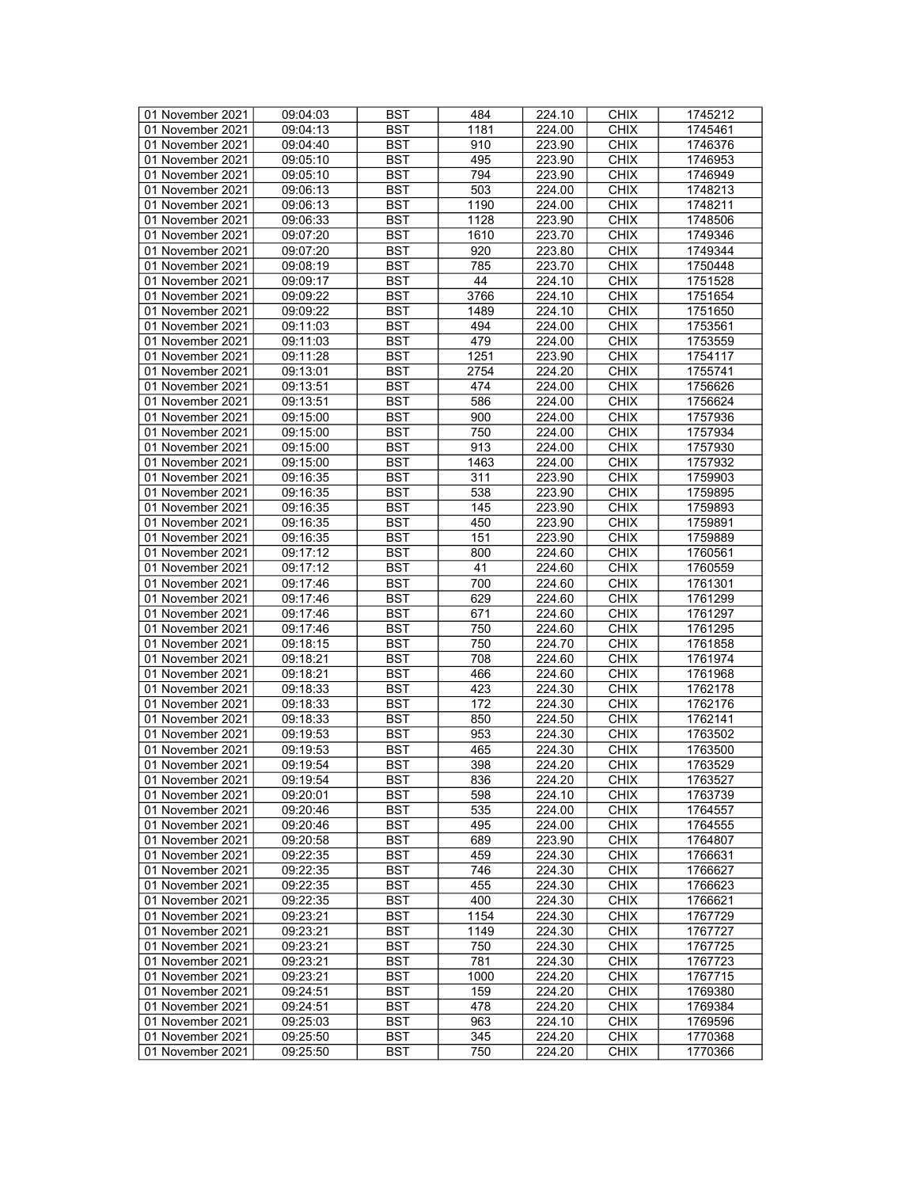| 01 November 2021 | 09:04:03              | <b>BST</b> | 484  | 224.10 | <b>CHIX</b> | 1745212 |
|------------------|-----------------------|------------|------|--------|-------------|---------|
| 01 November 2021 | $\overline{09:}04:13$ | BST        | 1181 | 224.00 | <b>CHIX</b> | 1745461 |
| 01 November 2021 | 09:04:40              | <b>BST</b> | 910  | 223.90 | <b>CHIX</b> | 1746376 |
| 01 November 2021 | 09:05:10              | <b>BST</b> | 495  | 223.90 | <b>CHIX</b> | 1746953 |
| 01 November 2021 | 09:05:10              | <b>BST</b> | 794  | 223.90 | <b>CHIX</b> | 1746949 |
|                  |                       |            |      |        |             |         |
| 01 November 2021 | 09:06:13              | <b>BST</b> | 503  | 224.00 | <b>CHIX</b> | 1748213 |
| 01 November 2021 | 09:06:13              | <b>BST</b> | 1190 | 224.00 | <b>CHIX</b> | 1748211 |
| 01 November 2021 | 09:06:33              | <b>BST</b> | 1128 | 223.90 | <b>CHIX</b> | 1748506 |
| 01 November 2021 | 09:07:20              | <b>BST</b> | 1610 | 223.70 | <b>CHIX</b> | 1749346 |
| 01 November 2021 | 09:07:20              | <b>BST</b> | 920  | 223.80 | <b>CHIX</b> | 1749344 |
| 01 November 2021 | 09:08:19              | <b>BST</b> | 785  | 223.70 | <b>CHIX</b> | 1750448 |
| 01 November 2021 | 09:09:17              | <b>BST</b> | 44   | 224.10 | <b>CHIX</b> | 1751528 |
| 01 November 2021 | 09:09:22              | <b>BST</b> | 3766 | 224.10 | <b>CHIX</b> | 1751654 |
| 01 November 2021 | 09:09:22              | <b>BST</b> | 1489 | 224.10 | <b>CHIX</b> | 1751650 |
| 01 November 2021 | 09:11:03              | <b>BST</b> | 494  | 224.00 | <b>CHIX</b> | 1753561 |
| 01 November 2021 | 09:11:03              | <b>BST</b> | 479  | 224.00 | <b>CHIX</b> | 1753559 |
| 01 November 2021 | 09:11:28              | <b>BST</b> | 1251 | 223.90 | <b>CHIX</b> | 1754117 |
| 01 November 2021 | 09:13:01              | <b>BST</b> | 2754 | 224.20 | <b>CHIX</b> | 1755741 |
| 01 November 2021 | 09:13:51              | <b>BST</b> | 474  | 224.00 | <b>CHIX</b> | 1756626 |
| 01 November 2021 | 09:13:51              | <b>BST</b> | 586  | 224.00 | <b>CHIX</b> | 1756624 |
| 01 November 2021 | 09:15:00              | <b>BST</b> | 900  | 224.00 | <b>CHIX</b> | 1757936 |
|                  | 09:15:00              |            |      |        |             |         |
| 01 November 2021 |                       | <b>BST</b> | 750  | 224.00 | <b>CHIX</b> | 1757934 |
| 01 November 2021 | 09:15:00              | <b>BST</b> | 913  | 224.00 | <b>CHIX</b> | 1757930 |
| 01 November 2021 | 09:15:00              | <b>BST</b> | 1463 | 224.00 | <b>CHIX</b> | 1757932 |
| 01 November 2021 | 09:16:35              | <b>BST</b> | 311  | 223.90 | <b>CHIX</b> | 1759903 |
| 01 November 2021 | 09:16:35              | <b>BST</b> | 538  | 223.90 | <b>CHIX</b> | 1759895 |
| 01 November 2021 | 09:16:35              | <b>BST</b> | 145  | 223.90 | <b>CHIX</b> | 1759893 |
| 01 November 2021 | 09:16:35              | <b>BST</b> | 450  | 223.90 | <b>CHIX</b> | 1759891 |
| 01 November 2021 | 09:16:35              | <b>BST</b> | 151  | 223.90 | <b>CHIX</b> | 1759889 |
| 01 November 2021 | 09:17:12              | <b>BST</b> | 800  | 224.60 | <b>CHIX</b> | 1760561 |
| 01 November 2021 | 09:17:12              | <b>BST</b> | 41   | 224.60 | <b>CHIX</b> | 1760559 |
| 01 November 2021 | 09:17:46              | <b>BST</b> | 700  | 224.60 | <b>CHIX</b> | 1761301 |
| 01 November 2021 | 09:17:46              | <b>BST</b> | 629  | 224.60 | <b>CHIX</b> | 1761299 |
| 01 November 2021 | 09:17:46              | <b>BST</b> | 671  | 224.60 | <b>CHIX</b> | 1761297 |
| 01 November 2021 | 09:17:46              | <b>BST</b> | 750  | 224.60 | <b>CHIX</b> | 1761295 |
| 01 November 2021 | 09:18:15              | <b>BST</b> | 750  | 224.70 | <b>CHIX</b> | 1761858 |
| 01 November 2021 | 09:18:21              | <b>BST</b> | 708  | 224.60 | <b>CHIX</b> | 1761974 |
| 01 November 2021 | 09:18:21              | <b>BST</b> | 466  | 224.60 | <b>CHIX</b> | 1761968 |
| 01 November 2021 | 09:18:33              | <b>BST</b> | 423  | 224.30 | <b>CHIX</b> | 1762178 |
| 01 November 2021 | 09:18:33              | <b>BST</b> | 172  | 224.30 | <b>CHIX</b> | 1762176 |
| 01 November 2021 |                       |            |      |        |             |         |
|                  | 09:18:33              | <b>BST</b> | 850  | 224.50 | <b>CHIX</b> | 1762141 |
| 01 November 2021 | 09:19:53              | <b>BST</b> | 953  | 224.30 | <b>CHIX</b> | 1763502 |
| 01 November 2021 | 09:19:53              | <b>BST</b> | 465  | 224.30 | <b>CHIX</b> | 1763500 |
| 01 November 2021 | 09:19:54              | <b>BST</b> | 398  | 224.20 | <b>CHIX</b> | 1763529 |
| 01 November 2021 | 09:19:54              | <b>BST</b> | 836  | 224.20 | <b>CHIX</b> | 1763527 |
| 01 November 2021 | 09:20:01              | BST        | 598  | 224.10 | <b>CHIX</b> | 1763739 |
| 01 November 2021 | 09:20:46              | <b>BST</b> | 535  | 224.00 | <b>CHIX</b> | 1764557 |
| 01 November 2021 | 09:20:46              | <b>BST</b> | 495  | 224.00 | <b>CHIX</b> | 1764555 |
| 01 November 2021 | 09:20:58              | <b>BST</b> | 689  | 223.90 | <b>CHIX</b> | 1764807 |
| 01 November 2021 | 09:22:35              | <b>BST</b> | 459  | 224.30 | <b>CHIX</b> | 1766631 |
| 01 November 2021 | 09:22:35              | <b>BST</b> | 746  | 224.30 | <b>CHIX</b> | 1766627 |
| 01 November 2021 | 09:22:35              | BST        | 455  | 224.30 | <b>CHIX</b> | 1766623 |
| 01 November 2021 | 09:22:35              | <b>BST</b> | 400  | 224.30 | <b>CHIX</b> | 1766621 |
| 01 November 2021 | 09:23:21              | <b>BST</b> | 1154 | 224.30 | <b>CHIX</b> | 1767729 |
| 01 November 2021 | 09:23:21              | <b>BST</b> | 1149 | 224.30 | <b>CHIX</b> | 1767727 |
| 01 November 2021 | 09:23:21              | <b>BST</b> | 750  | 224.30 | <b>CHIX</b> | 1767725 |
| 01 November 2021 | 09:23:21              | <b>BST</b> | 781  | 224.30 | <b>CHIX</b> | 1767723 |
| 01 November 2021 | 09:23:21              | <b>BST</b> | 1000 | 224.20 | <b>CHIX</b> |         |
|                  |                       |            |      |        |             | 1767715 |
| 01 November 2021 | 09:24:51              | <b>BST</b> | 159  | 224.20 | <b>CHIX</b> | 1769380 |
| 01 November 2021 | 09:24:51              | <b>BST</b> | 478  | 224.20 | <b>CHIX</b> | 1769384 |
| 01 November 2021 | 09:25:03              | BST        | 963  | 224.10 | <b>CHIX</b> | 1769596 |
| 01 November 2021 | 09:25:50              | <b>BST</b> | 345  | 224.20 | <b>CHIX</b> | 1770368 |
| 01 November 2021 | 09:25:50              | BST        | 750  | 224.20 | <b>CHIX</b> | 1770366 |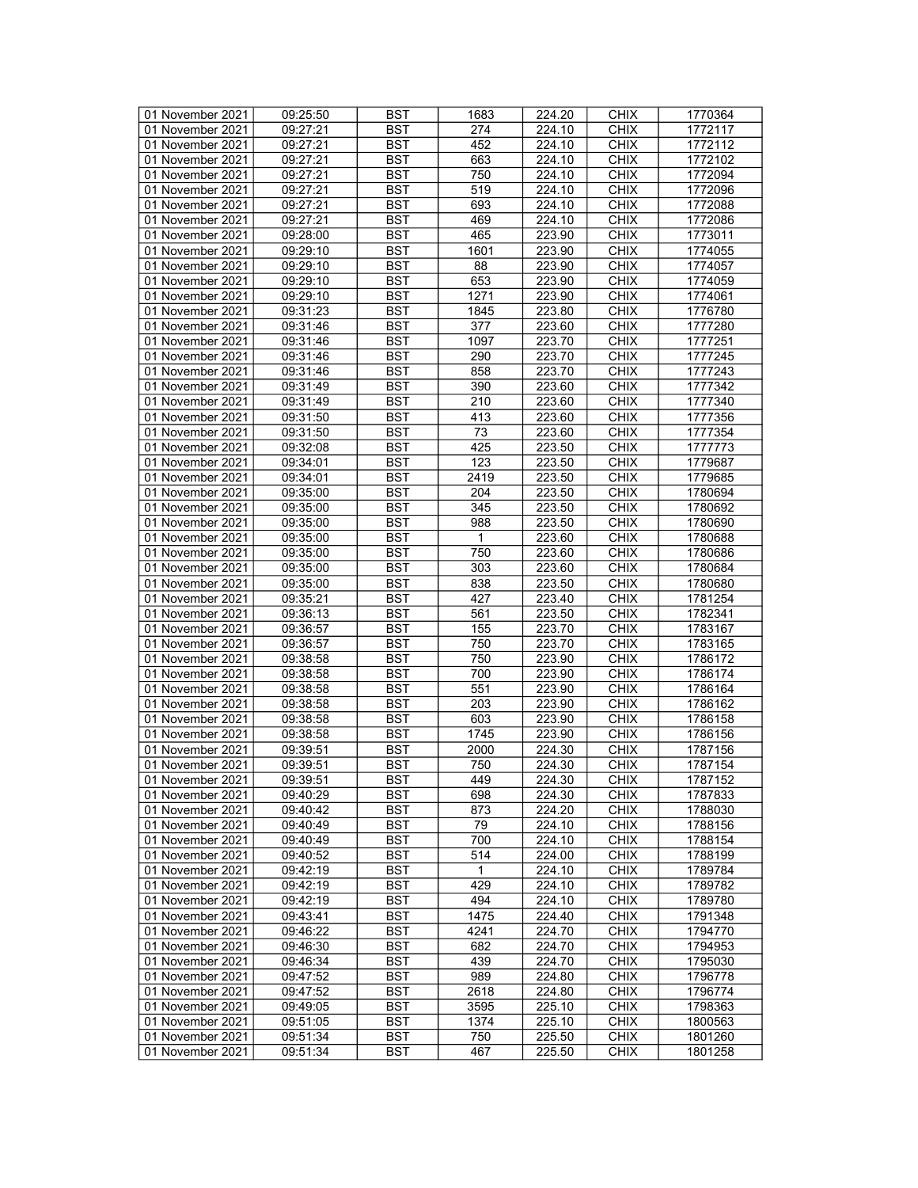| 01 November 2021 | 09:25:50 | <b>BST</b> | 1683         | 224.20 | <b>CHIX</b> | 1770364 |
|------------------|----------|------------|--------------|--------|-------------|---------|
| 01 November 2021 | 09:27:21 | BST        | 274          | 224.10 | <b>CHIX</b> | 1772117 |
| 01 November 2021 | 09:27:21 | <b>BST</b> | 452          | 224.10 | <b>CHIX</b> | 1772112 |
| 01 November 2021 | 09:27:21 | <b>BST</b> | 663          | 224.10 | <b>CHIX</b> | 1772102 |
| 01 November 2021 | 09:27:21 | <b>BST</b> | 750          | 224.10 | <b>CHIX</b> | 1772094 |
|                  |          |            |              |        |             |         |
| 01 November 2021 | 09:27:21 | <b>BST</b> | 519          | 224.10 | <b>CHIX</b> | 1772096 |
| 01 November 2021 | 09:27:21 | <b>BST</b> | 693          | 224.10 | <b>CHIX</b> | 1772088 |
| 01 November 2021 | 09:27:21 | <b>BST</b> | 469          | 224.10 | <b>CHIX</b> | 1772086 |
| 01 November 2021 | 09:28:00 | <b>BST</b> | 465          | 223.90 | <b>CHIX</b> | 1773011 |
| 01 November 2021 | 09:29:10 | <b>BST</b> | 1601         | 223.90 | <b>CHIX</b> | 1774055 |
| 01 November 2021 | 09:29:10 | <b>BST</b> | 88           | 223.90 | <b>CHIX</b> | 1774057 |
| 01 November 2021 | 09:29:10 | <b>BST</b> | 653          | 223.90 | <b>CHIX</b> | 1774059 |
| 01 November 2021 | 09:29:10 | <b>BST</b> | 1271         | 223.90 | <b>CHIX</b> | 1774061 |
| 01 November 2021 | 09:31:23 | <b>BST</b> | 1845         | 223.80 | <b>CHIX</b> | 1776780 |
| 01 November 2021 | 09:31:46 | <b>BST</b> | 377          | 223.60 | <b>CHIX</b> | 1777280 |
| 01 November 2021 | 09:31:46 | <b>BST</b> | 1097         | 223.70 | <b>CHIX</b> | 1777251 |
| 01 November 2021 | 09:31:46 | <b>BST</b> | 290          | 223.70 | <b>CHIX</b> | 1777245 |
| 01 November 2021 | 09:31:46 | <b>BST</b> | 858          | 223.70 | <b>CHIX</b> | 1777243 |
| 01 November 2021 | 09:31:49 | <b>BST</b> | 390          | 223.60 | <b>CHIX</b> | 1777342 |
| 01 November 2021 | 09:31:49 | <b>BST</b> | 210          | 223.60 | <b>CHIX</b> | 1777340 |
|                  |          |            |              |        |             |         |
| 01 November 2021 | 09:31:50 | <b>BST</b> | 413          | 223.60 | <b>CHIX</b> | 1777356 |
| 01 November 2021 | 09:31:50 | <b>BST</b> | 73           | 223.60 | <b>CHIX</b> | 1777354 |
| 01 November 2021 | 09:32:08 | <b>BST</b> | 425          | 223.50 | <b>CHIX</b> | 1777773 |
| 01 November 2021 | 09:34:01 | <b>BST</b> | 123          | 223.50 | <b>CHIX</b> | 1779687 |
| 01 November 2021 | 09:34:01 | <b>BST</b> | 2419         | 223.50 | <b>CHIX</b> | 1779685 |
| 01 November 2021 | 09:35:00 | <b>BST</b> | 204          | 223.50 | <b>CHIX</b> | 1780694 |
| 01 November 2021 | 09:35:00 | <b>BST</b> | 345          | 223.50 | <b>CHIX</b> | 1780692 |
| 01 November 2021 | 09:35:00 | <b>BST</b> | 988          | 223.50 | <b>CHIX</b> | 1780690 |
| 01 November 2021 | 09:35:00 | <b>BST</b> | 1            | 223.60 | <b>CHIX</b> | 1780688 |
| 01 November 2021 | 09:35:00 | <b>BST</b> | 750          | 223.60 | <b>CHIX</b> | 1780686 |
| 01 November 2021 | 09:35:00 | <b>BST</b> | 303          | 223.60 | <b>CHIX</b> | 1780684 |
| 01 November 2021 | 09:35:00 | <b>BST</b> | 838          | 223.50 | <b>CHIX</b> | 1780680 |
| 01 November 2021 | 09:35:21 | <b>BST</b> | 427          | 223.40 | <b>CHIX</b> | 1781254 |
| 01 November 2021 | 09:36:13 | <b>BST</b> | 561          | 223.50 | <b>CHIX</b> | 1782341 |
| 01 November 2021 | 09:36:57 | <b>BST</b> | 155          | 223.70 | <b>CHIX</b> | 1783167 |
| 01 November 2021 | 09:36:57 | <b>BST</b> | 750          | 223.70 | <b>CHIX</b> | 1783165 |
| 01 November 2021 |          | <b>BST</b> | 750          |        | <b>CHIX</b> |         |
|                  | 09:38:58 |            |              | 223.90 |             | 1786172 |
| 01 November 2021 | 09:38:58 | <b>BST</b> | 700          | 223.90 | <b>CHIX</b> | 1786174 |
| 01 November 2021 | 09:38:58 | <b>BST</b> | 551          | 223.90 | <b>CHIX</b> | 1786164 |
| 01 November 2021 | 09:38:58 | <b>BST</b> | 203          | 223.90 | <b>CHIX</b> | 1786162 |
| 01 November 2021 | 09:38:58 | <b>BST</b> | 603          | 223.90 | <b>CHIX</b> | 1786158 |
| 01 November 2021 | 09:38:58 | <b>BST</b> | 1745         | 223.90 | <b>CHIX</b> | 1786156 |
| 01 November 2021 | 09:39:51 | <b>BST</b> | 2000         | 224.30 | <b>CHIX</b> | 1787156 |
| 01 November 2021 | 09:39:51 | <b>BST</b> | 750          | 224.30 | <b>CHIX</b> | 1787154 |
| 01 November 2021 | 09:39:51 | <b>BST</b> | 449          | 224.30 | <b>CHIX</b> | 1787152 |
| 01 November 2021 | 09:40:29 | BST        | 698          | 224.30 | <b>CHIX</b> | 1787833 |
| 01 November 2021 | 09:40:42 | <b>BST</b> | 873          | 224.20 | <b>CHIX</b> | 1788030 |
| 01 November 2021 | 09:40:49 | <b>BST</b> | 79           | 224.10 | <b>CHIX</b> | 1788156 |
| 01 November 2021 | 09:40:49 | <b>BST</b> | 700          | 224.10 | <b>CHIX</b> | 1788154 |
| 01 November 2021 | 09:40:52 | <b>BST</b> | 514          | 224.00 | <b>CHIX</b> | 1788199 |
| 01 November 2021 | 09:42:19 | <b>BST</b> | $\mathbf{1}$ | 224.10 | <b>CHIX</b> | 1789784 |
| 01 November 2021 | 09:42:19 | BST        | 429          | 224.10 | <b>CHIX</b> | 1789782 |
| 01 November 2021 | 09:42:19 | <b>BST</b> | 494          | 224.10 | <b>CHIX</b> | 1789780 |
| 01 November 2021 | 09:43:41 | <b>BST</b> | 1475         | 224.40 | <b>CHIX</b> | 1791348 |
|                  |          |            |              |        | <b>CHIX</b> |         |
| 01 November 2021 | 09:46:22 | <b>BST</b> | 4241         | 224.70 |             | 1794770 |
| 01 November 2021 | 09:46:30 | <b>BST</b> | 682          | 224.70 | <b>CHIX</b> | 1794953 |
| 01 November 2021 | 09:46:34 | <b>BST</b> | 439          | 224.70 | <b>CHIX</b> | 1795030 |
| 01 November 2021 | 09:47:52 | <b>BST</b> | 989          | 224.80 | <b>CHIX</b> | 1796778 |
| 01 November 2021 | 09:47:52 | <b>BST</b> | 2618         | 224.80 | <b>CHIX</b> | 1796774 |
| 01 November 2021 | 09:49:05 | <b>BST</b> | 3595         | 225.10 | <b>CHIX</b> | 1798363 |
| 01 November 2021 | 09:51:05 | BST        | 1374         | 225.10 | <b>CHIX</b> | 1800563 |
| 01 November 2021 | 09:51:34 | <b>BST</b> | 750          | 225.50 | <b>CHIX</b> | 1801260 |
| 01 November 2021 | 09:51:34 | BST        | 467          | 225.50 | <b>CHIX</b> | 1801258 |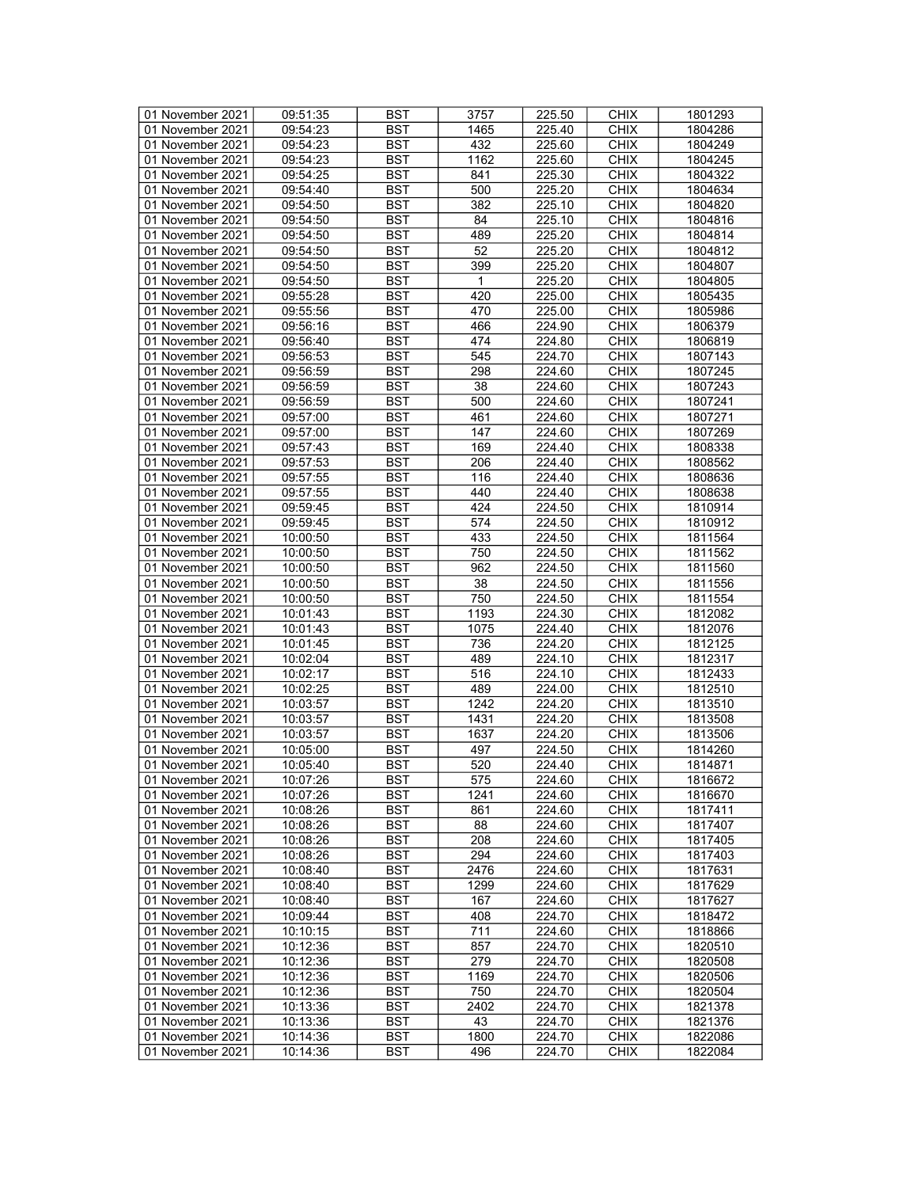| 01 November 2021                     | 09:51:35             | <b>BST</b> | 3757             | 225.50 | <b>CHIX</b> | 1801293 |
|--------------------------------------|----------------------|------------|------------------|--------|-------------|---------|
| 01 November 2021                     | 09:54:23             | BST        | 1465             | 225.40 | <b>CHIX</b> | 1804286 |
| 01 November 2021                     | 09:54:23             | <b>BST</b> | 432              | 225.60 | <b>CHIX</b> | 1804249 |
| 01 November 2021                     | 09:54:23             | <b>BST</b> | 1162             | 225.60 | <b>CHIX</b> | 1804245 |
| 01 November 2021                     | 09:54:25             | <b>BST</b> | 841              | 225.30 | <b>CHIX</b> | 1804322 |
| 01 November 2021                     | 09:54:40             | <b>BST</b> | 500              | 225.20 | <b>CHIX</b> | 1804634 |
| 01 November 2021                     | 09:54:50             | <b>BST</b> | 382              | 225.10 | <b>CHIX</b> | 1804820 |
|                                      |                      |            |                  |        |             |         |
| 01 November 2021                     | 09:54:50             | <b>BST</b> | 84               | 225.10 | <b>CHIX</b> | 1804816 |
| 01 November 2021                     | 09:54:50             | <b>BST</b> | 489              | 225.20 | <b>CHIX</b> | 1804814 |
| 01 November 2021                     | 09:54:50             | <b>BST</b> | 52               | 225.20 | <b>CHIX</b> | 1804812 |
| 01 November 2021                     | 09:54:50             | <b>BST</b> | 399              | 225.20 | <b>CHIX</b> | 1804807 |
| 01 November 2021                     | 09:54:50             | <b>BST</b> | 1                | 225.20 | <b>CHIX</b> | 1804805 |
| 01 November 2021                     | 09:55:28             | <b>BST</b> | 420              | 225.00 | <b>CHIX</b> | 1805435 |
| 01 November 2021                     | 09:55:56             | <b>BST</b> | 470              | 225.00 | <b>CHIX</b> | 1805986 |
| 01 November 2021                     | 09:56:16             | <b>BST</b> | 466              | 224.90 | <b>CHIX</b> | 1806379 |
| 01 November 2021                     | 09:56:40             | <b>BST</b> | 474              | 224.80 | <b>CHIX</b> | 1806819 |
| 01 November 2021                     | 09:56:53             | <b>BST</b> | 545              | 224.70 | <b>CHIX</b> | 1807143 |
| 01 November 2021                     | 09:56:59             | <b>BST</b> | 298              | 224.60 | <b>CHIX</b> | 1807245 |
| 01 November 2021                     | 09:56:59             | <b>BST</b> | $\overline{38}$  | 224.60 | <b>CHIX</b> | 1807243 |
| 01 November 2021                     | 09:56:59             | <b>BST</b> | 500              | 224.60 | <b>CHIX</b> | 1807241 |
| 01 November 2021                     | 09:57:00             | <b>BST</b> | 461              | 224.60 | <b>CHIX</b> | 1807271 |
| 01 November 2021                     | 09:57:00             | <b>BST</b> | 147              | 224.60 | <b>CHIX</b> | 1807269 |
| 01 November 2021                     | 09:57:43             | <b>BST</b> | 169              | 224.40 | <b>CHIX</b> | 1808338 |
| 01 November 2021                     | 09:57:53             | <b>BST</b> | 206              | 224.40 | <b>CHIX</b> |         |
|                                      |                      |            |                  |        |             | 1808562 |
| 01 November 2021                     | 09:57:55             | <b>BST</b> | 116              | 224.40 | <b>CHIX</b> | 1808636 |
| 01 November 2021                     | 09:57:55             | <b>BST</b> | 440              | 224.40 | <b>CHIX</b> | 1808638 |
| 01 November 2021                     | 09:59:45             | <b>BST</b> | 424              | 224.50 | <b>CHIX</b> | 1810914 |
| 01 November 2021                     | 09:59:45             | <b>BST</b> | 574              | 224.50 | <b>CHIX</b> | 1810912 |
| 01 November 2021                     | 10:00:50             | <b>BST</b> | 433              | 224.50 | <b>CHIX</b> | 1811564 |
| 01 November 2021                     | 10:00:50             | <b>BST</b> | 750              | 224.50 | <b>CHIX</b> | 1811562 |
| 01 November 2021                     | 10:00:50             | <b>BST</b> | 962              | 224.50 | <b>CHIX</b> | 1811560 |
| 01 November 2021                     | 10:00:50             | <b>BST</b> | 38               | 224.50 | <b>CHIX</b> | 1811556 |
| 01 November 2021                     | 10:00:50             | <b>BST</b> | 750              | 224.50 | <b>CHIX</b> | 1811554 |
| 01 November 2021                     | 10:01:43             | <b>BST</b> | 1193             | 224.30 | <b>CHIX</b> | 1812082 |
| 01 November 2021                     | 10:01:43             | <b>BST</b> | 1075             | 224.40 | <b>CHIX</b> | 1812076 |
| 01 November 2021                     | 10:01:45             | <b>BST</b> | 736              | 224.20 | <b>CHIX</b> | 1812125 |
| 01 November 2021                     | 10:02:04             | <b>BST</b> | 489              | 224.10 | <b>CHIX</b> | 1812317 |
| 01 November 2021                     | 10:02:17             | <b>BST</b> | 516              | 224.10 | <b>CHIX</b> | 1812433 |
| 01 November 2021                     | 10:02:25             | <b>BST</b> | 489              | 224.00 | <b>CHIX</b> | 1812510 |
| 01 November 2021                     | 10:03:57             | <b>BST</b> | 1242             | 224.20 | <b>CHIX</b> | 1813510 |
| 01 November 2021                     | 10:03:57             | <b>BST</b> | 1431             | 224.20 | <b>CHIX</b> | 1813508 |
| 01 November 2021                     | 10:03:57             | <b>BST</b> | 1637             | 224.20 | <b>CHIX</b> | 1813506 |
| 01 November 2021                     | 10:05:00             | <b>BST</b> | 497              | 224.50 | <b>CHIX</b> | 1814260 |
| 01 November 2021                     | 10:05:40             | <b>BST</b> | 520              | 224.40 | <b>CHIX</b> | 1814871 |
| 01 November 2021                     | 10:07:26             | <b>BST</b> | $\overline{575}$ | 224.60 | <b>CHIX</b> | 1816672 |
|                                      |                      | <b>BST</b> |                  | 224.60 | <b>CHIX</b> | 1816670 |
| 01 November 2021<br>01 November 2021 | 10:07:26<br>10:08:26 | <b>BST</b> | 1241<br>861      | 224.60 | <b>CHIX</b> | 1817411 |
|                                      |                      |            |                  |        |             |         |
| 01 November 2021                     | 10:08:26             | <b>BST</b> | 88               | 224.60 | <b>CHIX</b> | 1817407 |
| 01 November 2021                     | 10:08:26             | BST        | 208              | 224.60 | <b>CHIX</b> | 1817405 |
| 01 November 2021                     | 10:08:26             | <b>BST</b> | 294              | 224.60 | <b>CHIX</b> | 1817403 |
| 01 November 2021                     | 10:08:40             | <b>BST</b> | 2476             | 224.60 | <b>CHIX</b> | 1817631 |
| 01 November 2021                     | 10:08:40             | BST        | 1299             | 224.60 | <b>CHIX</b> | 1817629 |
| 01 November 2021                     | 10:08:40             | <b>BST</b> | 167              | 224.60 | <b>CHIX</b> | 1817627 |
| 01 November 2021                     | 10:09:44             | <b>BST</b> | 408              | 224.70 | <b>CHIX</b> | 1818472 |
| 01 November 2021                     | 10:10:15             | <b>BST</b> | 711              | 224.60 | <b>CHIX</b> | 1818866 |
| 01 November 2021                     | 10:12:36             | <b>BST</b> | 857              | 224.70 | <b>CHIX</b> | 1820510 |
| 01 November 2021                     | 10:12:36             | <b>BST</b> | 279              | 224.70 | <b>CHIX</b> | 1820508 |
| 01 November 2021                     | 10:12:36             | <b>BST</b> | 1169             | 224.70 | <b>CHIX</b> | 1820506 |
| 01 November 2021                     | 10:12:36             | <b>BST</b> | 750              | 224.70 | <b>CHIX</b> | 1820504 |
| 01 November 2021                     | 10:13:36             | <b>BST</b> | 2402             | 224.70 | <b>CHIX</b> | 1821378 |
| 01 November 2021                     | 10:13:36             | BST        | 43               | 224.70 | <b>CHIX</b> | 1821376 |
| 01 November 2021                     | 10:14:36             | <b>BST</b> | 1800             | 224.70 | <b>CHIX</b> | 1822086 |
| 01 November 2021                     | 10:14:36             | <b>BST</b> | 496              | 224.70 | <b>CHIX</b> | 1822084 |
|                                      |                      |            |                  |        |             |         |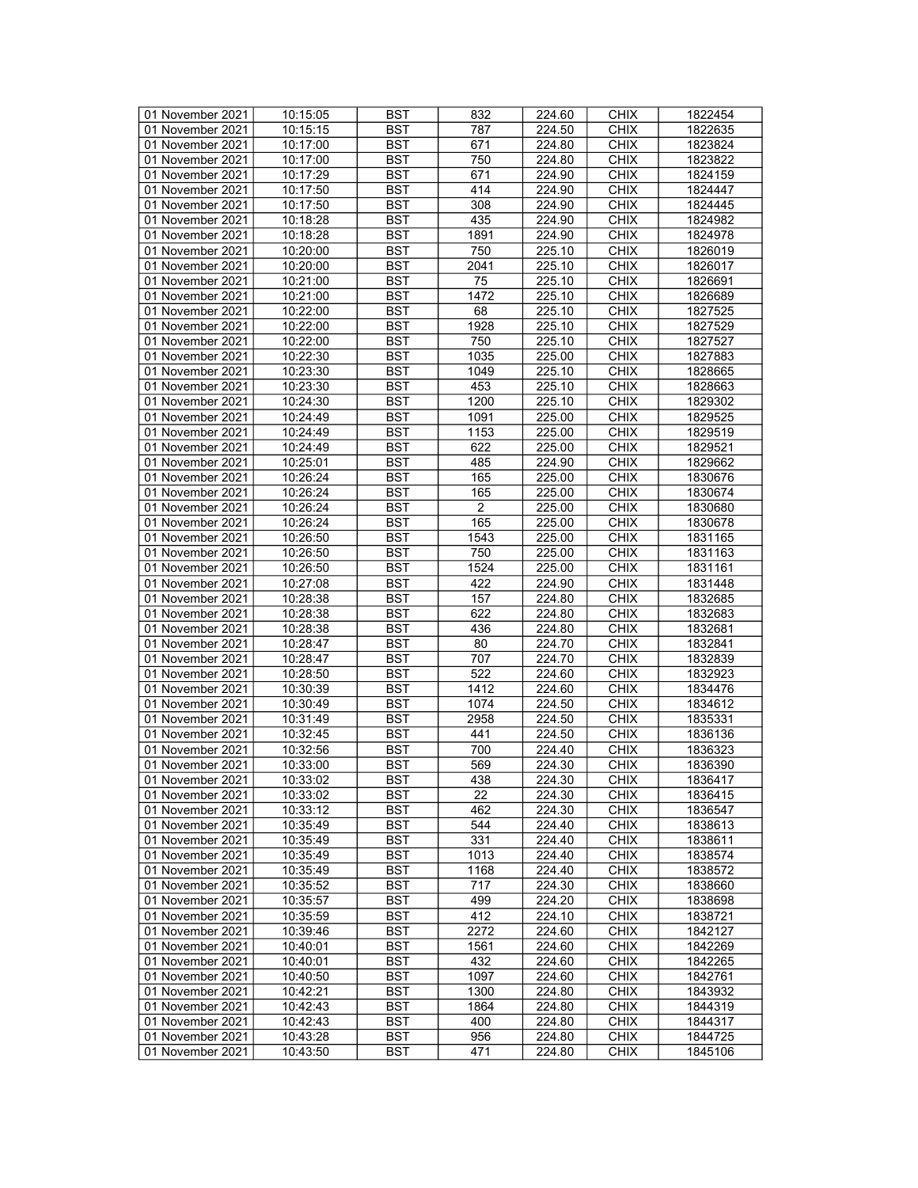| 01 November 2021 | 10:15:05 | <b>BST</b> | 832            | 224.60 | <b>CHIX</b> | 1822454 |
|------------------|----------|------------|----------------|--------|-------------|---------|
| 01 November 2021 | 10:15:15 | BST        | 787            | 224.50 | <b>CHIX</b> | 1822635 |
| 01 November 2021 | 10:17:00 | <b>BST</b> | 671            | 224.80 | <b>CHIX</b> | 1823824 |
| 01 November 2021 |          |            |                |        |             |         |
|                  | 10:17:00 | <b>BST</b> | 750            | 224.80 | <b>CHIX</b> | 1823822 |
| 01 November 2021 | 10:17:29 | <b>BST</b> | 671            | 224.90 | <b>CHIX</b> | 1824159 |
| 01 November 2021 | 10:17:50 | <b>BST</b> | 414            | 224.90 | <b>CHIX</b> | 1824447 |
| 01 November 2021 | 10:17:50 | <b>BST</b> | 308            | 224.90 | <b>CHIX</b> | 1824445 |
| 01 November 2021 | 10:18:28 | <b>BST</b> | 435            | 224.90 | <b>CHIX</b> | 1824982 |
| 01 November 2021 | 10:18:28 | <b>BST</b> | 1891           | 224.90 | <b>CHIX</b> | 1824978 |
| 01 November 2021 | 10:20:00 | <b>BST</b> | 750            | 225.10 | <b>CHIX</b> | 1826019 |
| 01 November 2021 | 10:20:00 | <b>BST</b> | 2041           | 225.10 | <b>CHIX</b> | 1826017 |
| 01 November 2021 | 10:21:00 | <b>BST</b> | 75             | 225.10 | <b>CHIX</b> | 1826691 |
| 01 November 2021 | 10:21:00 | <b>BST</b> | 1472           | 225.10 | <b>CHIX</b> | 1826689 |
| 01 November 2021 | 10:22:00 | <b>BST</b> | 68             | 225.10 | <b>CHIX</b> | 1827525 |
| 01 November 2021 | 10:22:00 | <b>BST</b> | 1928           | 225.10 | <b>CHIX</b> | 1827529 |
|                  |          |            |                |        |             |         |
| 01 November 2021 | 10:22:00 | <b>BST</b> | 750            | 225.10 | <b>CHIX</b> | 1827527 |
| 01 November 2021 | 10:22:30 | <b>BST</b> | 1035           | 225.00 | <b>CHIX</b> | 1827883 |
| 01 November 2021 | 10:23:30 | <b>BST</b> | 1049           | 225.10 | <b>CHIX</b> | 1828665 |
| 01 November 2021 | 10:23:30 | <b>BST</b> | 453            | 225.10 | <b>CHIX</b> | 1828663 |
| 01 November 2021 | 10:24:30 | <b>BST</b> | 1200           | 225.10 | <b>CHIX</b> | 1829302 |
| 01 November 2021 | 10:24:49 | <b>BST</b> | 1091           | 225.00 | <b>CHIX</b> | 1829525 |
| 01 November 2021 | 10:24:49 | <b>BST</b> | 1153           | 225.00 | <b>CHIX</b> | 1829519 |
| 01 November 2021 | 10:24:49 | <b>BST</b> | 622            | 225.00 | <b>CHIX</b> | 1829521 |
| 01 November 2021 | 10:25:01 | <b>BST</b> | 485            | 224.90 | <b>CHIX</b> | 1829662 |
| 01 November 2021 | 10:26:24 | <b>BST</b> | 165            | 225.00 | <b>CHIX</b> | 1830676 |
| 01 November 2021 | 10:26:24 | <b>BST</b> | 165            | 225.00 | <b>CHIX</b> | 1830674 |
| 01 November 2021 | 10:26:24 | <b>BST</b> | $\overline{2}$ | 225.00 | <b>CHIX</b> | 1830680 |
| 01 November 2021 | 10:26:24 | <b>BST</b> | 165            | 225.00 | <b>CHIX</b> | 1830678 |
| 01 November 2021 | 10:26:50 | <b>BST</b> | 1543           | 225.00 | <b>CHIX</b> | 1831165 |
| 01 November 2021 | 10:26:50 | <b>BST</b> | 750            | 225.00 | <b>CHIX</b> |         |
|                  |          |            |                |        |             | 1831163 |
| 01 November 2021 | 10:26:50 | <b>BST</b> | 1524           | 225.00 | <b>CHIX</b> | 1831161 |
| 01 November 2021 | 10:27:08 | <b>BST</b> | 422            | 224.90 | <b>CHIX</b> | 1831448 |
| 01 November 2021 | 10:28:38 | <b>BST</b> | 157            | 224.80 | <b>CHIX</b> | 1832685 |
| 01 November 2021 | 10:28:38 | <b>BST</b> | 622            | 224.80 | <b>CHIX</b> | 1832683 |
| 01 November 2021 | 10:28:38 | <b>BST</b> | 436            | 224.80 | <b>CHIX</b> | 1832681 |
| 01 November 2021 | 10:28:47 | <b>BST</b> | 80             | 224.70 | <b>CHIX</b> | 1832841 |
| 01 November 2021 | 10:28:47 | <b>BST</b> | 707            | 224.70 | <b>CHIX</b> | 1832839 |
| 01 November 2021 | 10:28:50 | <b>BST</b> | 522            | 224.60 | <b>CHIX</b> | 1832923 |
| 01 November 2021 | 10:30:39 | <b>BST</b> | 1412           | 224.60 | <b>CHIX</b> | 1834476 |
| 01 November 2021 | 10:30:49 | <b>BST</b> | 1074           | 224.50 | <b>CHIX</b> | 1834612 |
| 01 November 2021 | 10:31:49 | <b>BST</b> | 2958           | 224.50 | <b>CHIX</b> | 1835331 |
| 01 November 2021 | 10:32:45 | <b>BST</b> | 441            | 224.50 | <b>CHIX</b> | 1836136 |
| 01 November 2021 | 10:32:56 | <b>BST</b> | 700            | 224.40 | <b>CHIX</b> | 1836323 |
| 01 November 2021 | 10:33:00 | <b>BST</b> | 569            | 224.30 | <b>CHIX</b> | 1836390 |
| 01 November 2021 | 10:33:02 | <b>BST</b> | 438            | 224.30 | <b>CHIX</b> | 1836417 |
| 01 November 2021 | 10:33:02 | BST        | 22             | 224.30 | <b>CHIX</b> | 1836415 |
| 01 November 2021 | 10:33:12 | <b>BST</b> | 462            | 224.30 | <b>CHIX</b> | 1836547 |
| 01 November 2021 | 10:35:49 | <b>BST</b> | 544            | 224.40 | <b>CHIX</b> | 1838613 |
| 01 November 2021 | 10:35:49 | <b>BST</b> | 331            | 224.40 | <b>CHIX</b> | 1838611 |
| 01 November 2021 | 10:35:49 | <b>BST</b> | 1013           | 224.40 | <b>CHIX</b> | 1838574 |
|                  |          |            |                |        |             |         |
| 01 November 2021 | 10:35:49 | <b>BST</b> | 1168           | 224.40 | <b>CHIX</b> | 1838572 |
| 01 November 2021 | 10:35:52 | BST        | 717            | 224.30 | <b>CHIX</b> | 1838660 |
| 01 November 2021 | 10:35:57 | <b>BST</b> | 499            | 224.20 | <b>CHIX</b> | 1838698 |
| 01 November 2021 | 10:35:59 | <b>BST</b> | 412            | 224.10 | <b>CHIX</b> | 1838721 |
| 01 November 2021 | 10:39:46 | <b>BST</b> | 2272           | 224.60 | <b>CHIX</b> | 1842127 |
| 01 November 2021 | 10:40:01 | BST        | 1561           | 224.60 | <b>CHIX</b> | 1842269 |
| 01 November 2021 | 10:40:01 | <b>BST</b> | 432            | 224.60 | <b>CHIX</b> | 1842265 |
| 01 November 2021 | 10:40:50 | <b>BST</b> | 1097           | 224.60 | <b>CHIX</b> | 1842761 |
| 01 November 2021 | 10:42:21 | <b>BST</b> | 1300           | 224.80 | <b>CHIX</b> | 1843932 |
| 01 November 2021 | 10:42:43 | <b>BST</b> | 1864           | 224.80 | <b>CHIX</b> | 1844319 |
| 01 November 2021 | 10:42:43 | BST        | 400            | 224.80 | <b>CHIX</b> | 1844317 |
| 01 November 2021 | 10:43:28 | <b>BST</b> | 956            | 224.80 | <b>CHIX</b> | 1844725 |
| 01 November 2021 | 10:43:50 | BST        | 471            | 224.80 | <b>CHIX</b> | 1845106 |
|                  |          |            |                |        |             |         |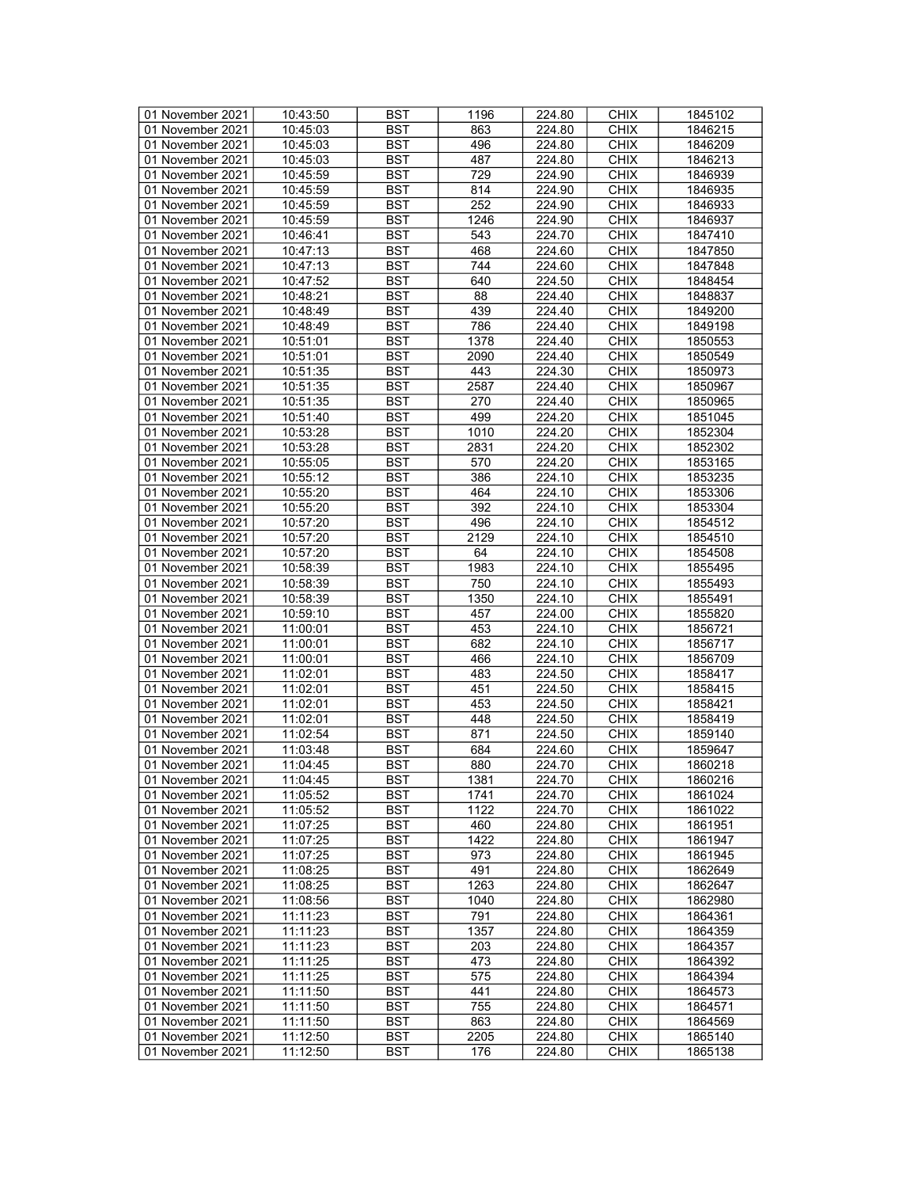| 01 November 2021 | 10:43:50 | <b>BST</b> | 1196 | 224.80 | <b>CHIX</b> | 1845102            |
|------------------|----------|------------|------|--------|-------------|--------------------|
| 01 November 2021 | 10:45:03 | BST        | 863  | 224.80 | <b>CHIX</b> | 1846215            |
| 01 November 2021 | 10:45:03 | <b>BST</b> | 496  | 224.80 | <b>CHIX</b> | 1846209            |
| 01 November 2021 | 10:45:03 | <b>BST</b> | 487  | 224.80 | <b>CHIX</b> | 1846213            |
| 01 November 2021 | 10:45:59 | <b>BST</b> | 729  | 224.90 | <b>CHIX</b> | 1846939            |
|                  |          |            |      |        |             |                    |
| 01 November 2021 | 10:45:59 | <b>BST</b> | 814  | 224.90 | <b>CHIX</b> | 1846935            |
| 01 November 2021 | 10:45:59 | <b>BST</b> | 252  | 224.90 | <b>CHIX</b> | 1846933            |
| 01 November 2021 | 10:45:59 | <b>BST</b> | 1246 | 224.90 | <b>CHIX</b> | 1846937            |
| 01 November 2021 | 10:46:41 | <b>BST</b> | 543  | 224.70 | <b>CHIX</b> | 1847410            |
| 01 November 2021 | 10:47:13 | <b>BST</b> | 468  | 224.60 | <b>CHIX</b> | 1847850            |
| 01 November 2021 | 10:47:13 | <b>BST</b> | 744  | 224.60 | <b>CHIX</b> | 1847848            |
| 01 November 2021 | 10:47:52 | <b>BST</b> | 640  | 224.50 | <b>CHIX</b> | 1848454            |
| 01 November 2021 | 10:48:21 | <b>BST</b> | 88   | 224.40 | <b>CHIX</b> | 1848837            |
| 01 November 2021 | 10:48:49 | <b>BST</b> | 439  | 224.40 | <b>CHIX</b> | 1849200            |
| 01 November 2021 | 10:48:49 | <b>BST</b> | 786  | 224.40 | <b>CHIX</b> | 1849198            |
| 01 November 2021 | 10:51:01 | <b>BST</b> | 1378 | 224.40 | <b>CHIX</b> | 1850553            |
| 01 November 2021 | 10:51:01 | <b>BST</b> | 2090 | 224.40 | <b>CHIX</b> | 1850549            |
| 01 November 2021 | 10:51:35 | <b>BST</b> | 443  | 224.30 | <b>CHIX</b> | 1850973            |
| 01 November 2021 | 10:51:35 | <b>BST</b> | 2587 | 224.40 | <b>CHIX</b> | 1850967            |
| 01 November 2021 | 10:51:35 | <b>BST</b> | 270  | 224.40 | <b>CHIX</b> | 1850965            |
|                  |          |            | 499  | 224.20 |             | 1851045            |
| 01 November 2021 | 10:51:40 | <b>BST</b> |      |        | <b>CHIX</b> |                    |
| 01 November 2021 | 10:53:28 | <b>BST</b> | 1010 | 224.20 | <b>CHIX</b> | 1852304            |
| 01 November 2021 | 10:53:28 | <b>BST</b> | 2831 | 224.20 | <b>CHIX</b> | 1852302            |
| 01 November 2021 | 10:55:05 | <b>BST</b> | 570  | 224.20 | <b>CHIX</b> | 1853165            |
| 01 November 2021 | 10:55:12 | <b>BST</b> | 386  | 224.10 | <b>CHIX</b> | 1853235            |
| 01 November 2021 | 10:55:20 | <b>BST</b> | 464  | 224.10 | <b>CHIX</b> | 1853306            |
| 01 November 2021 | 10:55:20 | <b>BST</b> | 392  | 224.10 | <b>CHIX</b> | 1853304            |
| 01 November 2021 | 10:57:20 | <b>BST</b> | 496  | 224.10 | <b>CHIX</b> | 1854512            |
| 01 November 2021 | 10:57:20 | <b>BST</b> | 2129 | 224.10 | <b>CHIX</b> | 1854510            |
| 01 November 2021 | 10:57:20 | <b>BST</b> | 64   | 224.10 | <b>CHIX</b> | 1854508            |
| 01 November 2021 | 10:58:39 | <b>BST</b> | 1983 | 224.10 | <b>CHIX</b> | 1855495            |
| 01 November 2021 | 10:58:39 | <b>BST</b> | 750  | 224.10 | <b>CHIX</b> | 1855493            |
| 01 November 2021 | 10:58:39 | <b>BST</b> | 1350 | 224.10 | <b>CHIX</b> | 1855491            |
| 01 November 2021 | 10:59:10 | <b>BST</b> | 457  | 224.00 | <b>CHIX</b> | 1855820            |
| 01 November 2021 | 11:00:01 | <b>BST</b> | 453  | 224.10 | <b>CHIX</b> | 1856721            |
|                  |          | <b>BST</b> | 682  |        | <b>CHIX</b> |                    |
| 01 November 2021 | 11:00:01 |            |      | 224.10 |             | 1856717            |
| 01 November 2021 | 11:00:01 | <b>BST</b> | 466  | 224.10 | <b>CHIX</b> | 1856709            |
| 01 November 2021 | 11:02:01 | <b>BST</b> | 483  | 224.50 | <b>CHIX</b> | 1858417            |
| 01 November 2021 | 11:02:01 | <b>BST</b> | 451  | 224.50 | <b>CHIX</b> | 1858415            |
| 01 November 2021 | 11:02:01 | <b>BST</b> | 453  | 224.50 | <b>CHIX</b> | 1858421            |
| 01 November 2021 | 11:02:01 | <b>BST</b> | 448  | 224.50 | <b>CHIX</b> | 1858419            |
| 01 November 2021 | 11:02:54 | <b>BST</b> | 871  | 224.50 | <b>CHIX</b> | 1859140            |
| 01 November 2021 | 11:03:48 | <b>BST</b> | 684  | 224.60 | <b>CHIX</b> | 1859647            |
| 01 November 2021 | 11:04:45 | <b>BST</b> | 880  | 224.70 | <b>CHIX</b> | 1860218            |
| 01 November 2021 | 11:04:45 | <b>BST</b> | 1381 | 224.70 | <b>CHIX</b> | 1860216            |
| 01 November 2021 | 11:05:52 | BST        | 1741 | 224.70 | <b>CHIX</b> | 1861024            |
| 01 November 2021 | 11:05:52 | <b>BST</b> | 1122 | 224.70 | <b>CHIX</b> | 1861022            |
| 01 November 2021 | 11:07:25 | <b>BST</b> | 460  | 224.80 | <b>CHIX</b> | 1861951            |
| 01 November 2021 | 11:07:25 | <b>BST</b> | 1422 | 224.80 | <b>CHIX</b> | 1861947            |
| 01 November 2021 | 11:07:25 | <b>BST</b> | 973  | 224.80 | <b>CHIX</b> | 1861945            |
| 01 November 2021 |          | <b>BST</b> | 491  |        | <b>CHIX</b> |                    |
|                  | 11:08:25 |            |      | 224.80 |             | 1862649<br>1862647 |
| 01 November 2021 | 11:08:25 | BST        | 1263 | 224.80 | <b>CHIX</b> |                    |
| 01 November 2021 | 11:08:56 | <b>BST</b> | 1040 | 224.80 | <b>CHIX</b> | 1862980            |
| 01 November 2021 | 11:11:23 | <b>BST</b> | 791  | 224.80 | <b>CHIX</b> | 1864361            |
| 01 November 2021 | 11:11:23 | <b>BST</b> | 1357 | 224.80 | <b>CHIX</b> | 1864359            |
| 01 November 2021 | 11:11:23 | BST        | 203  | 224.80 | <b>CHIX</b> | 1864357            |
| 01 November 2021 | 11:11:25 | <b>BST</b> | 473  | 224.80 | <b>CHIX</b> | 1864392            |
| 01 November 2021 | 11:11:25 | <b>BST</b> | 575  | 224.80 | <b>CHIX</b> | 1864394            |
| 01 November 2021 | 11:11:50 | <b>BST</b> | 441  | 224.80 | <b>CHIX</b> | 1864573            |
| 01 November 2021 | 11:11:50 | <b>BST</b> | 755  | 224.80 | <b>CHIX</b> | 1864571            |
| 01 November 2021 | 11:11:50 | BST        | 863  | 224.80 | <b>CHIX</b> | 1864569            |
| 01 November 2021 | 11:12:50 | <b>BST</b> | 2205 | 224.80 | <b>CHIX</b> | 1865140            |
| 01 November 2021 | 11:12:50 | BST        | 176  | 224.80 | <b>CHIX</b> | 1865138            |
|                  |          |            |      |        |             |                    |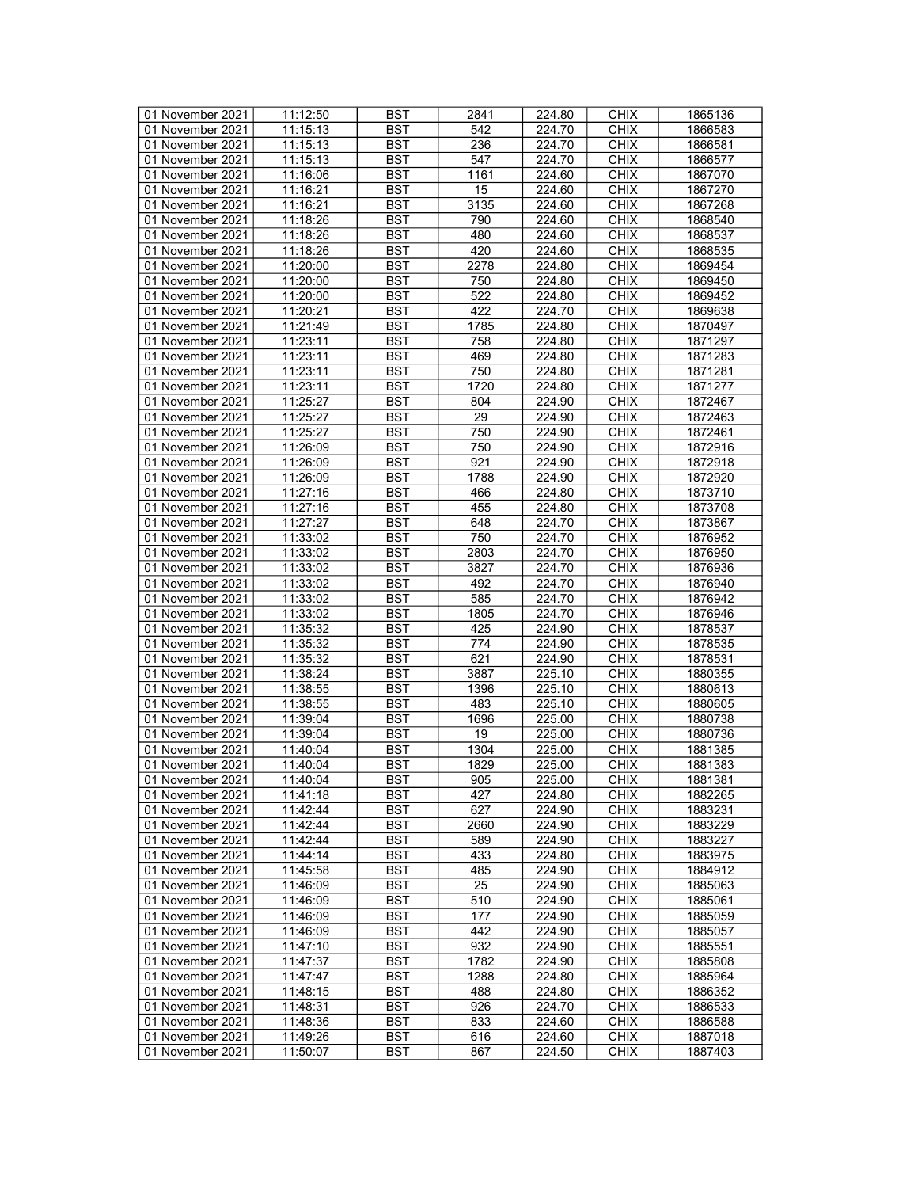| 01 November 2021 | 11:12:50 | <b>BST</b> | 2841            | 224.80 | <b>CHIX</b> | 1865136 |
|------------------|----------|------------|-----------------|--------|-------------|---------|
| 01 November 2021 | 11:15:13 | BST        | 542             | 224.70 | <b>CHIX</b> | 1866583 |
| 01 November 2021 | 11:15:13 | <b>BST</b> | 236             | 224.70 | <b>CHIX</b> | 1866581 |
| 01 November 2021 | 11:15:13 | <b>BST</b> | 547             | 224.70 | <b>CHIX</b> | 1866577 |
| 01 November 2021 | 11:16:06 | <b>BST</b> | 1161            | 224.60 | <b>CHIX</b> | 1867070 |
| 01 November 2021 | 11:16:21 | <b>BST</b> | 15              | 224.60 | <b>CHIX</b> | 1867270 |
| 01 November 2021 | 11:16:21 | <b>BST</b> | 3135            | 224.60 | <b>CHIX</b> | 1867268 |
|                  |          |            |                 |        |             |         |
| 01 November 2021 | 11:18:26 | <b>BST</b> | 790             | 224.60 | <b>CHIX</b> | 1868540 |
| 01 November 2021 | 11:18:26 | <b>BST</b> | 480             | 224.60 | <b>CHIX</b> | 1868537 |
| 01 November 2021 | 11:18:26 | <b>BST</b> | 420             | 224.60 | <b>CHIX</b> | 1868535 |
| 01 November 2021 | 11:20:00 | <b>BST</b> | 2278            | 224.80 | <b>CHIX</b> | 1869454 |
| 01 November 2021 | 11:20:00 | <b>BST</b> | 750             | 224.80 | <b>CHIX</b> | 1869450 |
| 01 November 2021 | 11:20:00 | <b>BST</b> | 522             | 224.80 | <b>CHIX</b> | 1869452 |
| 01 November 2021 | 11:20:21 | <b>BST</b> | 422             | 224.70 | <b>CHIX</b> | 1869638 |
| 01 November 2021 | 11:21:49 | <b>BST</b> | 1785            | 224.80 | <b>CHIX</b> | 1870497 |
| 01 November 2021 | 11:23:11 | <b>BST</b> | 758             | 224.80 | <b>CHIX</b> | 1871297 |
| 01 November 2021 | 11:23:11 | <b>BST</b> | 469             | 224.80 | <b>CHIX</b> | 1871283 |
| 01 November 2021 | 11:23:11 | <b>BST</b> | 750             | 224.80 | <b>CHIX</b> | 1871281 |
| 01 November 2021 | 11:23:11 | <b>BST</b> | 1720            | 224.80 | <b>CHIX</b> | 1871277 |
| 01 November 2021 | 11:25:27 | <b>BST</b> | 804             | 224.90 | <b>CHIX</b> | 1872467 |
| 01 November 2021 | 11:25:27 | <b>BST</b> | $\overline{29}$ | 224.90 | <b>CHIX</b> | 1872463 |
| 01 November 2021 | 11:25:27 | <b>BST</b> | 750             | 224.90 | <b>CHIX</b> | 1872461 |
| 01 November 2021 | 11:26:09 | <b>BST</b> | 750             | 224.90 | <b>CHIX</b> |         |
|                  |          |            |                 |        |             | 1872916 |
| 01 November 2021 | 11:26:09 | <b>BST</b> | 921             | 224.90 | <b>CHIX</b> | 1872918 |
| 01 November 2021 | 11:26:09 | <b>BST</b> | 1788            | 224.90 | <b>CHIX</b> | 1872920 |
| 01 November 2021 | 11:27:16 | <b>BST</b> | 466             | 224.80 | <b>CHIX</b> | 1873710 |
| 01 November 2021 | 11:27:16 | <b>BST</b> | 455             | 224.80 | <b>CHIX</b> | 1873708 |
| 01 November 2021 | 11:27:27 | <b>BST</b> | 648             | 224.70 | <b>CHIX</b> | 1873867 |
| 01 November 2021 | 11:33:02 | <b>BST</b> | 750             | 224.70 | <b>CHIX</b> | 1876952 |
| 01 November 2021 | 11:33:02 | <b>BST</b> | 2803            | 224.70 | <b>CHIX</b> | 1876950 |
| 01 November 2021 | 11:33:02 | <b>BST</b> | 3827            | 224.70 | <b>CHIX</b> | 1876936 |
| 01 November 2021 | 11:33:02 | <b>BST</b> | 492             | 224.70 | <b>CHIX</b> | 1876940 |
| 01 November 2021 | 11:33:02 | <b>BST</b> | 585             | 224.70 | <b>CHIX</b> | 1876942 |
| 01 November 2021 | 11:33:02 | <b>BST</b> | 1805            | 224.70 | <b>CHIX</b> | 1876946 |
| 01 November 2021 | 11:35:32 | <b>BST</b> | 425             | 224.90 | <b>CHIX</b> | 1878537 |
| 01 November 2021 | 11:35:32 | <b>BST</b> | 774             | 224.90 | <b>CHIX</b> | 1878535 |
| 01 November 2021 | 11:35:32 | <b>BST</b> | 621             | 224.90 | <b>CHIX</b> | 1878531 |
| 01 November 2021 | 11:38:24 | <b>BST</b> | 3887            | 225.10 | <b>CHIX</b> | 1880355 |
| 01 November 2021 | 11:38:55 | <b>BST</b> | 1396            | 225.10 | <b>CHIX</b> | 1880613 |
|                  |          |            |                 |        | <b>CHIX</b> |         |
| 01 November 2021 | 11:38:55 | <b>BST</b> | 483             | 225.10 |             | 1880605 |
| 01 November 2021 | 11:39:04 | <b>BST</b> | 1696            | 225.00 | <b>CHIX</b> | 1880738 |
| 01 November 2021 | 11:39:04 | <b>BST</b> | 19              | 225.00 | <b>CHIX</b> | 1880736 |
| 01 November 2021 | 11:40:04 | <b>BST</b> | 1304            | 225.00 | <b>CHIX</b> | 1881385 |
| 01 November 2021 | 11:40:04 | <b>BST</b> | 1829            | 225.00 | <b>CHIX</b> | 1881383 |
| 01 November 2021 | 11:40:04 | <b>BST</b> | 905             | 225.00 | <b>CHIX</b> | 1881381 |
| 01 November 2021 | 11:41:18 | BST        | 427             | 224.80 | <b>CHIX</b> | 1882265 |
| 01 November 2021 | 11:42:44 | <b>BST</b> | 627             | 224.90 | <b>CHIX</b> | 1883231 |
| 01 November 2021 | 11:42:44 | <b>BST</b> | 2660            | 224.90 | <b>CHIX</b> | 1883229 |
| 01 November 2021 | 11:42:44 | <b>BST</b> | 589             | 224.90 | <b>CHIX</b> | 1883227 |
| 01 November 2021 | 11:44:14 | <b>BST</b> | 433             | 224.80 | <b>CHIX</b> | 1883975 |
| 01 November 2021 | 11:45:58 | <b>BST</b> | 485             | 224.90 | <b>CHIX</b> | 1884912 |
| 01 November 2021 | 11:46:09 | BST        | 25              | 224.90 | <b>CHIX</b> | 1885063 |
| 01 November 2021 | 11:46:09 | BST        | 510             | 224.90 | <b>CHIX</b> | 1885061 |
| 01 November 2021 | 11:46:09 | <b>BST</b> | 177             | 224.90 | <b>CHIX</b> | 1885059 |
| 01 November 2021 | 11:46:09 | <b>BST</b> | 442             | 224.90 | <b>CHIX</b> | 1885057 |
| 01 November 2021 | 11:47:10 | BST        | 932             | 224.90 | <b>CHIX</b> | 1885551 |
|                  |          | <b>BST</b> | 1782            |        |             |         |
| 01 November 2021 | 11:47:37 |            |                 | 224.90 | <b>CHIX</b> | 1885808 |
| 01 November 2021 | 11:47:47 | BST        | 1288            | 224.80 | <b>CHIX</b> | 1885964 |
| 01 November 2021 | 11:48:15 | <b>BST</b> | 488             | 224.80 | <b>CHIX</b> | 1886352 |
| 01 November 2021 | 11:48:31 | <b>BST</b> | 926             | 224.70 | <b>CHIX</b> | 1886533 |
| 01 November 2021 | 11:48:36 | BST        | 833             | 224.60 | <b>CHIX</b> | 1886588 |
| 01 November 2021 | 11:49:26 | <b>BST</b> | 616             | 224.60 | <b>CHIX</b> | 1887018 |
| 01 November 2021 | 11:50:07 | BST        | 867             | 224.50 | <b>CHIX</b> | 1887403 |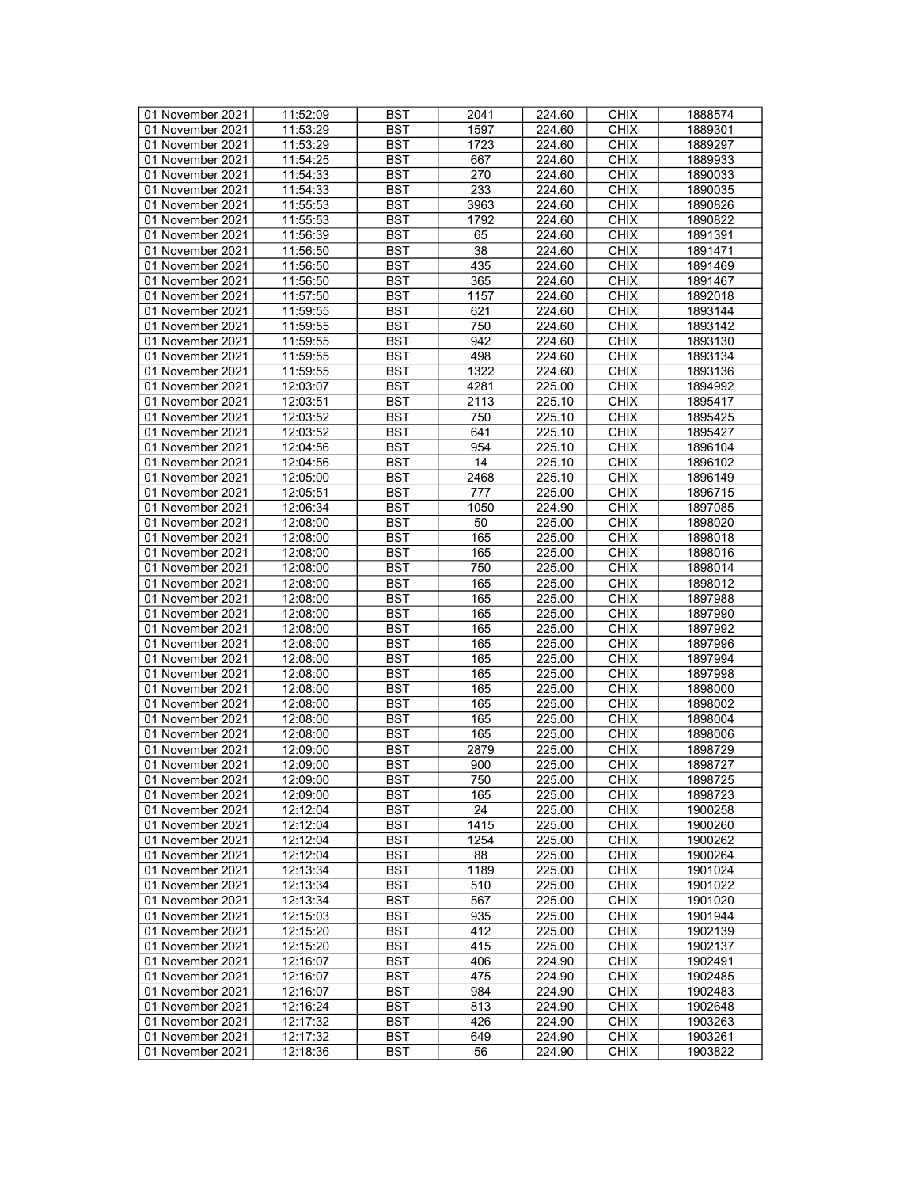| 01 November 2021 | 11:52:09 | <b>BST</b> | 2041 | 224.60 | <b>CHIX</b> | 1888574 |
|------------------|----------|------------|------|--------|-------------|---------|
| 01 November 2021 | 11:53:29 | BST        | 1597 | 224.60 | <b>CHIX</b> | 1889301 |
| 01 November 2021 | 11:53:29 | <b>BST</b> | 1723 | 224.60 | <b>CHIX</b> | 1889297 |
| 01 November 2021 | 11:54:25 | <b>BST</b> | 667  | 224.60 | <b>CHIX</b> | 1889933 |
| 01 November 2021 | 11:54:33 | <b>BST</b> | 270  | 224.60 | <b>CHIX</b> | 1890033 |
| 01 November 2021 | 11:54:33 | <b>BST</b> | 233  | 224.60 | <b>CHIX</b> | 1890035 |
|                  |          |            |      |        |             |         |
| 01 November 2021 | 11:55:53 | <b>BST</b> | 3963 | 224.60 | <b>CHIX</b> | 1890826 |
| 01 November 2021 | 11:55:53 | <b>BST</b> | 1792 | 224.60 | <b>CHIX</b> | 1890822 |
| 01 November 2021 | 11:56:39 | <b>BST</b> | 65   | 224.60 | <b>CHIX</b> | 1891391 |
| 01 November 2021 | 11:56:50 | <b>BST</b> | 38   | 224.60 | <b>CHIX</b> | 1891471 |
| 01 November 2021 | 11:56:50 | <b>BST</b> | 435  | 224.60 | <b>CHIX</b> | 1891469 |
| 01 November 2021 | 11:56:50 | <b>BST</b> | 365  | 224.60 | <b>CHIX</b> | 1891467 |
| 01 November 2021 | 11:57:50 | <b>BST</b> | 1157 | 224.60 | <b>CHIX</b> | 1892018 |
| 01 November 2021 | 11:59:55 | <b>BST</b> | 621  | 224.60 | <b>CHIX</b> | 1893144 |
| 01 November 2021 | 11:59:55 | <b>BST</b> | 750  | 224.60 | <b>CHIX</b> | 1893142 |
| 01 November 2021 | 11:59:55 | <b>BST</b> | 942  | 224.60 | <b>CHIX</b> | 1893130 |
| 01 November 2021 | 11:59:55 | <b>BST</b> | 498  | 224.60 | <b>CHIX</b> | 1893134 |
| 01 November 2021 | 11:59:55 | <b>BST</b> | 1322 | 224.60 | <b>CHIX</b> | 1893136 |
| 01 November 2021 | 12:03:07 | <b>BST</b> | 4281 | 225.00 | <b>CHIX</b> | 1894992 |
|                  | 12:03:51 |            |      |        |             |         |
| 01 November 2021 |          | <b>BST</b> | 2113 | 225.10 | <b>CHIX</b> | 1895417 |
| 01 November 2021 | 12:03:52 | <b>BST</b> | 750  | 225.10 | <b>CHIX</b> | 1895425 |
| 01 November 2021 | 12:03:52 | <b>BST</b> | 641  | 225.10 | <b>CHIX</b> | 1895427 |
| 01 November 2021 | 12:04:56 | <b>BST</b> | 954  | 225.10 | <b>CHIX</b> | 1896104 |
| 01 November 2021 | 12:04:56 | <b>BST</b> | 14   | 225.10 | <b>CHIX</b> | 1896102 |
| 01 November 2021 | 12:05:00 | <b>BST</b> | 2468 | 225.10 | <b>CHIX</b> | 1896149 |
| 01 November 2021 | 12:05:51 | <b>BST</b> | 777  | 225.00 | <b>CHIX</b> | 1896715 |
| 01 November 2021 | 12:06:34 | <b>BST</b> | 1050 | 224.90 | <b>CHIX</b> | 1897085 |
| 01 November 2021 | 12:08:00 | <b>BST</b> | 50   | 225.00 | <b>CHIX</b> | 1898020 |
| 01 November 2021 | 12:08:00 | <b>BST</b> | 165  | 225.00 | <b>CHIX</b> | 1898018 |
| 01 November 2021 | 12:08:00 | <b>BST</b> | 165  | 225.00 | <b>CHIX</b> | 1898016 |
| 01 November 2021 | 12:08:00 | <b>BST</b> | 750  | 225.00 | <b>CHIX</b> | 1898014 |
| 01 November 2021 | 12:08:00 | <b>BST</b> | 165  | 225.00 | <b>CHIX</b> | 1898012 |
| 01 November 2021 | 12:08:00 | <b>BST</b> | 165  |        | <b>CHIX</b> | 1897988 |
|                  |          |            |      | 225.00 |             |         |
| 01 November 2021 | 12:08:00 | <b>BST</b> | 165  | 225.00 | <b>CHIX</b> | 1897990 |
| 01 November 2021 | 12:08:00 | <b>BST</b> | 165  | 225.00 | <b>CHIX</b> | 1897992 |
| 01 November 2021 | 12:08:00 | <b>BST</b> | 165  | 225.00 | <b>CHIX</b> | 1897996 |
| 01 November 2021 | 12:08:00 | <b>BST</b> | 165  | 225.00 | <b>CHIX</b> | 1897994 |
| 01 November 2021 | 12:08:00 | <b>BST</b> | 165  | 225.00 | <b>CHIX</b> | 1897998 |
| 01 November 2021 | 12:08:00 | <b>BST</b> | 165  | 225.00 | <b>CHIX</b> | 1898000 |
| 01 November 2021 | 12:08:00 | <b>BST</b> | 165  | 225.00 | <b>CHIX</b> | 1898002 |
| 01 November 2021 | 12:08:00 | <b>BST</b> | 165  | 225.00 | <b>CHIX</b> | 1898004 |
| 01 November 2021 | 12:08:00 | <b>BST</b> | 165  | 225.00 | <b>CHIX</b> | 1898006 |
| 01 November 2021 | 12:09:00 | <b>BST</b> | 2879 | 225.00 | <b>CHIX</b> | 1898729 |
| 01 November 2021 | 12:09:00 | <b>BST</b> | 900  | 225.00 | <b>CHIX</b> | 1898727 |
| 01 November 2021 | 12:09:00 | <b>BST</b> | 750  | 225.00 | <b>CHIX</b> | 1898725 |
| 01 November 2021 | 12:09:00 | BST        | 165  | 225.00 | <b>CHIX</b> | 1898723 |
| 01 November 2021 | 12:12:04 | <b>BST</b> | 24   | 225.00 | <b>CHIX</b> | 1900258 |
| 01 November 2021 | 12:12:04 | <b>BST</b> | 1415 | 225.00 | <b>CHIX</b> | 1900260 |
|                  |          |            |      |        |             |         |
| 01 November 2021 | 12:12:04 | <b>BST</b> | 1254 | 225.00 | <b>CHIX</b> | 1900262 |
| 01 November 2021 | 12:12:04 | <b>BST</b> | 88   | 225.00 | <b>CHIX</b> | 1900264 |
| 01 November 2021 | 12:13:34 | <b>BST</b> | 1189 | 225.00 | <b>CHIX</b> | 1901024 |
| 01 November 2021 | 12:13:34 | BST        | 510  | 225.00 | <b>CHIX</b> | 1901022 |
| 01 November 2021 | 12:13:34 | <b>BST</b> | 567  | 225.00 | <b>CHIX</b> | 1901020 |
| 01 November 2021 | 12:15:03 | <b>BST</b> | 935  | 225.00 | <b>CHIX</b> | 1901944 |
| 01 November 2021 | 12:15:20 | <b>BST</b> | 412  | 225.00 | <b>CHIX</b> | 1902139 |
| 01 November 2021 | 12:15:20 | <b>BST</b> | 415  | 225.00 | <b>CHIX</b> | 1902137 |
| 01 November 2021 | 12:16:07 | <b>BST</b> | 406  | 224.90 | <b>CHIX</b> | 1902491 |
| 01 November 2021 | 12:16:07 | <b>BST</b> | 475  | 224.90 | <b>CHIX</b> | 1902485 |
| 01 November 2021 | 12:16:07 | <b>BST</b> | 984  | 224.90 | <b>CHIX</b> | 1902483 |
| 01 November 2021 | 12:16:24 | <b>BST</b> | 813  | 224.90 | <b>CHIX</b> | 1902648 |
| 01 November 2021 | 12:17:32 | BST        | 426  | 224.90 | <b>CHIX</b> | 1903263 |
|                  |          |            |      |        |             |         |
| 01 November 2021 | 12:17:32 | <b>BST</b> | 649  | 224.90 | <b>CHIX</b> | 1903261 |
| 01 November 2021 | 12:18:36 | <b>BST</b> | 56   | 224.90 | <b>CHIX</b> | 1903822 |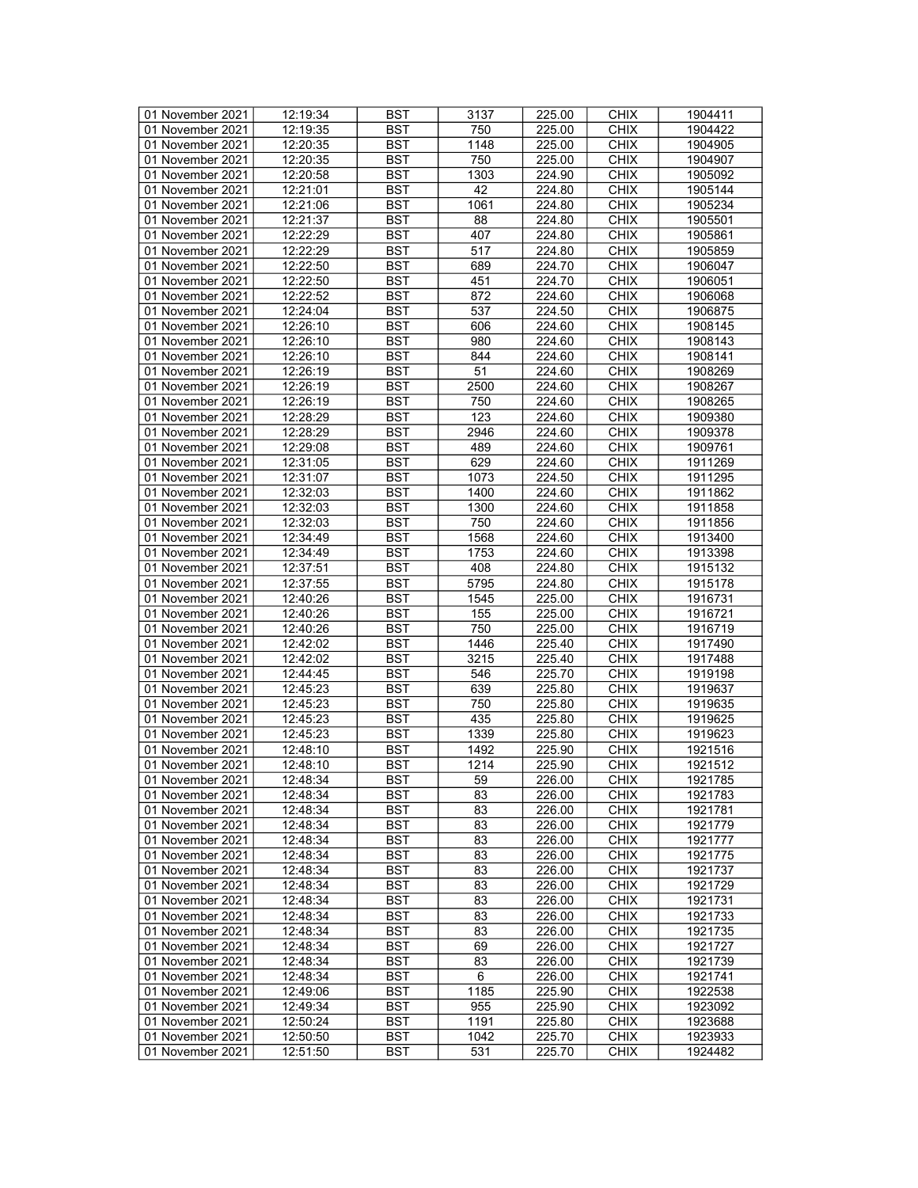| 01 November 2021 | 12:19:34 | <b>BST</b> | 3137            | 225.00 | <b>CHIX</b> | 1904411 |
|------------------|----------|------------|-----------------|--------|-------------|---------|
| 01 November 2021 | 12:19:35 | BST        | 750             | 225.00 | <b>CHIX</b> | 1904422 |
| 01 November 2021 | 12:20:35 | <b>BST</b> | 1148            | 225.00 | <b>CHIX</b> | 1904905 |
| 01 November 2021 | 12:20:35 | <b>BST</b> | 750             | 225.00 | <b>CHIX</b> | 1904907 |
| 01 November 2021 | 12:20:58 | <b>BST</b> | 1303            | 224.90 | <b>CHIX</b> | 1905092 |
|                  |          |            | 42              |        |             |         |
| 01 November 2021 | 12:21:01 | <b>BST</b> |                 | 224.80 | <b>CHIX</b> | 1905144 |
| 01 November 2021 | 12:21:06 | <b>BST</b> | 1061            | 224.80 | <b>CHIX</b> | 1905234 |
| 01 November 2021 | 12:21:37 | <b>BST</b> | 88              | 224.80 | <b>CHIX</b> | 1905501 |
| 01 November 2021 | 12:22:29 | <b>BST</b> | 407             | 224.80 | <b>CHIX</b> | 1905861 |
| 01 November 2021 | 12:22:29 | <b>BST</b> | 517             | 224.80 | <b>CHIX</b> | 1905859 |
| 01 November 2021 | 12:22:50 | <b>BST</b> | 689             | 224.70 | <b>CHIX</b> | 1906047 |
| 01 November 2021 | 12:22:50 | <b>BST</b> | 451             | 224.70 | <b>CHIX</b> | 1906051 |
| 01 November 2021 | 12:22:52 | <b>BST</b> | 872             | 224.60 | <b>CHIX</b> | 1906068 |
| 01 November 2021 | 12:24:04 | <b>BST</b> | 537             | 224.50 | <b>CHIX</b> | 1906875 |
| 01 November 2021 | 12:26:10 | <b>BST</b> | 606             | 224.60 | <b>CHIX</b> | 1908145 |
| 01 November 2021 | 12:26:10 | <b>BST</b> | 980             | 224.60 | <b>CHIX</b> | 1908143 |
| 01 November 2021 | 12:26:10 | <b>BST</b> | 844             | 224.60 | <b>CHIX</b> | 1908141 |
| 01 November 2021 | 12:26:19 | <b>BST</b> | 51              | 224.60 | <b>CHIX</b> | 1908269 |
| 01 November 2021 | 12:26:19 | <b>BST</b> | 2500            | 224.60 | <b>CHIX</b> | 1908267 |
| 01 November 2021 | 12:26:19 | <b>BST</b> | 750             | 224.60 | <b>CHIX</b> | 1908265 |
| 01 November 2021 | 12:28:29 | <b>BST</b> | 123             | 224.60 | <b>CHIX</b> | 1909380 |
|                  |          |            |                 | 224.60 |             |         |
| 01 November 2021 | 12:28:29 | <b>BST</b> | 2946            |        | <b>CHIX</b> | 1909378 |
| 01 November 2021 | 12:29:08 | <b>BST</b> | 489             | 224.60 | <b>CHIX</b> | 1909761 |
| 01 November 2021 | 12:31:05 | <b>BST</b> | 629             | 224.60 | <b>CHIX</b> | 1911269 |
| 01 November 2021 | 12:31:07 | <b>BST</b> | 1073            | 224.50 | <b>CHIX</b> | 1911295 |
| 01 November 2021 | 12:32:03 | <b>BST</b> | 1400            | 224.60 | <b>CHIX</b> | 1911862 |
| 01 November 2021 | 12:32:03 | <b>BST</b> | 1300            | 224.60 | <b>CHIX</b> | 1911858 |
| 01 November 2021 | 12:32:03 | <b>BST</b> | 750             | 224.60 | <b>CHIX</b> | 1911856 |
| 01 November 2021 | 12:34:49 | <b>BST</b> | 1568            | 224.60 | <b>CHIX</b> | 1913400 |
| 01 November 2021 | 12:34:49 | <b>BST</b> | 1753            | 224.60 | <b>CHIX</b> | 1913398 |
| 01 November 2021 | 12:37:51 | <b>BST</b> | 408             | 224.80 | <b>CHIX</b> | 1915132 |
| 01 November 2021 | 12:37:55 | <b>BST</b> | 5795            | 224.80 | <b>CHIX</b> | 1915178 |
| 01 November 2021 | 12:40:26 | <b>BST</b> | 1545            | 225.00 | <b>CHIX</b> | 1916731 |
| 01 November 2021 | 12:40:26 | <b>BST</b> | 155             | 225.00 | <b>CHIX</b> | 1916721 |
| 01 November 2021 | 12:40:26 | <b>BST</b> | 750             | 225.00 | <b>CHIX</b> | 1916719 |
| 01 November 2021 | 12:42:02 | <b>BST</b> | 1446            | 225.40 | <b>CHIX</b> | 1917490 |
| 01 November 2021 | 12:42:02 | <b>BST</b> | 3215            | 225.40 | <b>CHIX</b> | 1917488 |
| 01 November 2021 | 12:44:45 | <b>BST</b> | 546             | 225.70 | <b>CHIX</b> | 1919198 |
| 01 November 2021 | 12:45:23 | <b>BST</b> | 639             | 225.80 | <b>CHIX</b> | 1919637 |
|                  | 12:45:23 | <b>BST</b> | 750             | 225.80 | <b>CHIX</b> |         |
| 01 November 2021 |          |            |                 |        |             | 1919635 |
| 01 November 2021 | 12:45:23 | <b>BST</b> | 435             | 225.80 | <b>CHIX</b> | 1919625 |
| 01 November 2021 | 12:45:23 | <b>BST</b> | 1339            | 225.80 | <b>CHIX</b> | 1919623 |
| 01 November 2021 | 12:48:10 | <b>BST</b> | 1492            | 225.90 | <b>CHIX</b> | 1921516 |
| 01 November 2021 | 12:48:10 | <b>BST</b> | 1214            | 225.90 | <b>CHIX</b> | 1921512 |
| 01 November 2021 | 12:48:34 | <b>BST</b> | $\overline{59}$ | 226.00 | <b>CHIX</b> | 1921785 |
| 01 November 2021 | 12:48:34 | BST        | 83              | 226.00 | <b>CHIX</b> | 1921783 |
| 01 November 2021 | 12:48:34 | <b>BST</b> | 83              | 226.00 | <b>CHIX</b> | 1921781 |
| 01 November 2021 | 12:48:34 | <b>BST</b> | 83              | 226.00 | <b>CHIX</b> | 1921779 |
| 01 November 2021 | 12:48:34 | <b>BST</b> | 83              | 226.00 | <b>CHIX</b> | 1921777 |
| 01 November 2021 | 12:48:34 | <b>BST</b> | 83              | 226.00 | <b>CHIX</b> | 1921775 |
| 01 November 2021 | 12:48:34 | <b>BST</b> | 83              | 226.00 | <b>CHIX</b> | 1921737 |
| 01 November 2021 | 12:48:34 | BST        | 83              | 226.00 | <b>CHIX</b> | 1921729 |
| 01 November 2021 | 12:48:34 | <b>BST</b> | 83              | 226.00 | <b>CHIX</b> | 1921731 |
| 01 November 2021 | 12:48:34 | <b>BST</b> | 83              | 226.00 | <b>CHIX</b> | 1921733 |
| 01 November 2021 | 12:48:34 | <b>BST</b> | 83              | 226.00 | <b>CHIX</b> | 1921735 |
| 01 November 2021 | 12:48:34 | <b>BST</b> | 69              | 226.00 | <b>CHIX</b> | 1921727 |
| 01 November 2021 | 12:48:34 | <b>BST</b> | 83              | 226.00 | <b>CHIX</b> | 1921739 |
| 01 November 2021 | 12:48:34 | BST        | 6               | 226.00 | <b>CHIX</b> | 1921741 |
|                  |          |            |                 |        |             |         |
| 01 November 2021 | 12:49:06 | <b>BST</b> | 1185            | 225.90 | <b>CHIX</b> | 1922538 |
| 01 November 2021 | 12:49:34 | <b>BST</b> | 955             | 225.90 | <b>CHIX</b> | 1923092 |
| 01 November 2021 | 12:50:24 | BST        | 1191            | 225.80 | <b>CHIX</b> | 1923688 |
| 01 November 2021 | 12:50:50 | <b>BST</b> | 1042            | 225.70 | <b>CHIX</b> | 1923933 |
| 01 November 2021 | 12:51:50 | BST        | 531             | 225.70 | <b>CHIX</b> | 1924482 |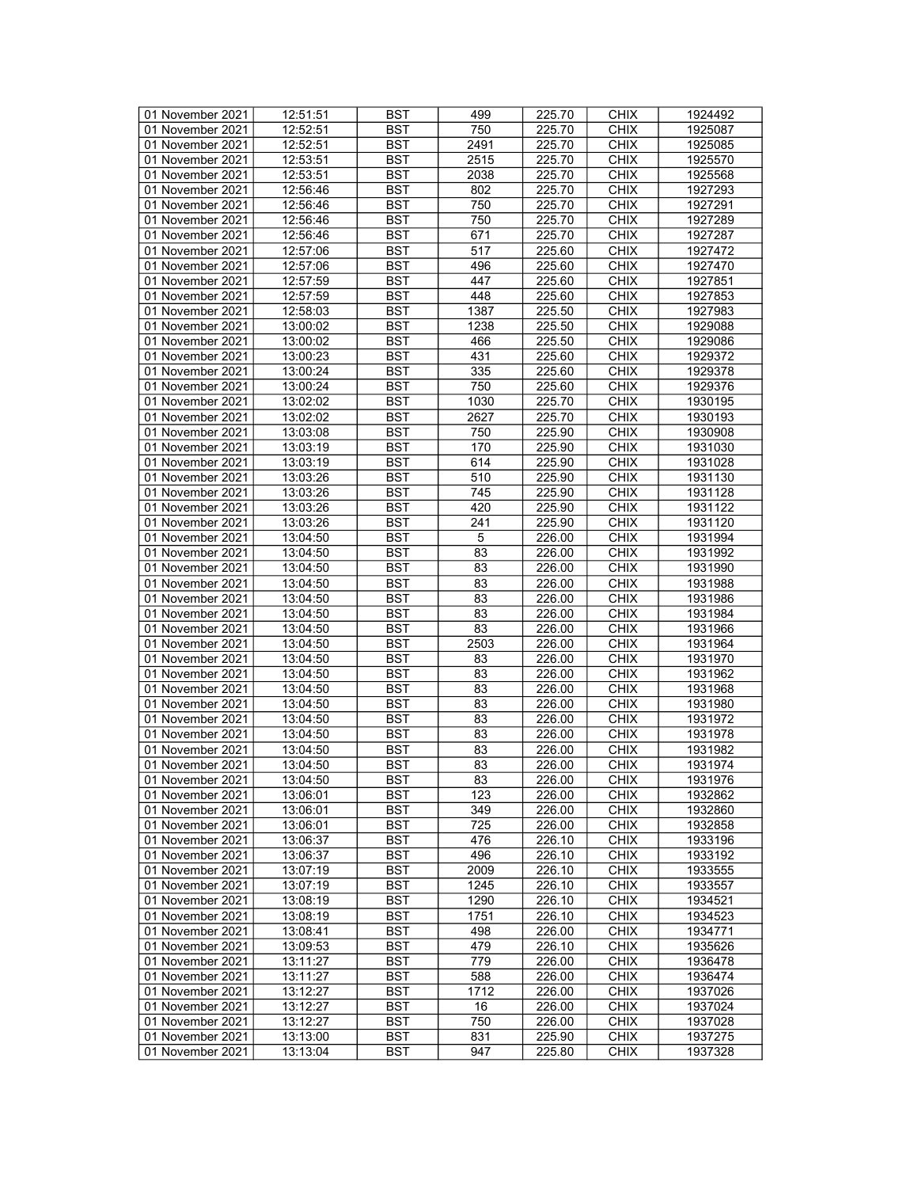| 01 November 2021 | 12:51:51 | <b>BST</b> | 499             | 225.70 | <b>CHIX</b>                | 1924492 |
|------------------|----------|------------|-----------------|--------|----------------------------|---------|
| 01 November 2021 | 12:52:51 | BST        | 750             | 225.70 | <b>CHIX</b>                | 1925087 |
| 01 November 2021 | 12:52:51 | <b>BST</b> | 2491            | 225.70 | <b>CHIX</b>                | 1925085 |
| 01 November 2021 | 12:53:51 | <b>BST</b> | 2515            | 225.70 | <b>CHIX</b>                | 1925570 |
| 01 November 2021 | 12:53:51 | <b>BST</b> | 2038            | 225.70 | <b>CHIX</b>                | 1925568 |
| 01 November 2021 | 12:56:46 | <b>BST</b> | 802             | 225.70 | <b>CHIX</b>                | 1927293 |
| 01 November 2021 | 12:56:46 | <b>BST</b> | 750             | 225.70 | <b>CHIX</b>                | 1927291 |
| 01 November 2021 | 12:56:46 | <b>BST</b> | 750             | 225.70 | <b>CHIX</b>                | 1927289 |
| 01 November 2021 | 12:56:46 | <b>BST</b> | 671             | 225.70 | <b>CHIX</b>                |         |
|                  |          | <b>BST</b> | 517             |        |                            | 1927287 |
| 01 November 2021 | 12:57:06 |            |                 | 225.60 | <b>CHIX</b><br><b>CHIX</b> | 1927472 |
| 01 November 2021 | 12:57:06 | <b>BST</b> | 496             | 225.60 |                            | 1927470 |
| 01 November 2021 | 12:57:59 | <b>BST</b> | 447             | 225.60 | <b>CHIX</b>                | 1927851 |
| 01 November 2021 | 12:57:59 | <b>BST</b> | 448             | 225.60 | <b>CHIX</b>                | 1927853 |
| 01 November 2021 | 12:58:03 | <b>BST</b> | 1387            | 225.50 | <b>CHIX</b>                | 1927983 |
| 01 November 2021 | 13:00:02 | <b>BST</b> | 1238            | 225.50 | <b>CHIX</b>                | 1929088 |
| 01 November 2021 | 13:00:02 | <b>BST</b> | 466             | 225.50 | <b>CHIX</b>                | 1929086 |
| 01 November 2021 | 13:00:23 | <b>BST</b> | 431             | 225.60 | <b>CHIX</b>                | 1929372 |
| 01 November 2021 | 13:00:24 | <b>BST</b> | 335             | 225.60 | <b>CHIX</b>                | 1929378 |
| 01 November 2021 | 13:00:24 | <b>BST</b> | 750             | 225.60 | <b>CHIX</b>                | 1929376 |
| 01 November 2021 | 13:02:02 | <b>BST</b> | 1030            | 225.70 | <b>CHIX</b>                | 1930195 |
| 01 November 2021 | 13:02:02 | <b>BST</b> | 2627            | 225.70 | <b>CHIX</b>                | 1930193 |
| 01 November 2021 | 13:03:08 | <b>BST</b> | 750             | 225.90 | <b>CHIX</b>                | 1930908 |
| 01 November 2021 | 13:03:19 | <b>BST</b> | 170             | 225.90 | <b>CHIX</b>                | 1931030 |
| 01 November 2021 | 13:03:19 | <b>BST</b> | 614             | 225.90 | <b>CHIX</b>                | 1931028 |
| 01 November 2021 | 13:03:26 | <b>BST</b> | 510             | 225.90 | <b>CHIX</b>                | 1931130 |
|                  |          |            |                 |        |                            |         |
| 01 November 2021 | 13:03:26 | <b>BST</b> | 745             | 225.90 | <b>CHIX</b>                | 1931128 |
| 01 November 2021 | 13:03:26 | <b>BST</b> | 420             | 225.90 | <b>CHIX</b>                | 1931122 |
| 01 November 2021 | 13:03:26 | <b>BST</b> | 241             | 225.90 | <b>CHIX</b>                | 1931120 |
| 01 November 2021 | 13:04:50 | <b>BST</b> | $\sqrt{5}$      | 226.00 | <b>CHIX</b>                | 1931994 |
| 01 November 2021 | 13:04:50 | <b>BST</b> | 83              | 226.00 | <b>CHIX</b>                | 1931992 |
| 01 November 2021 | 13:04:50 | <b>BST</b> | 83              | 226.00 | <b>CHIX</b>                | 1931990 |
| 01 November 2021 | 13:04:50 | <b>BST</b> | 83              | 226.00 | <b>CHIX</b>                | 1931988 |
| 01 November 2021 | 13:04:50 | <b>BST</b> | 83              | 226.00 | <b>CHIX</b>                | 1931986 |
| 01 November 2021 | 13:04:50 | <b>BST</b> | 83              | 226.00 | <b>CHIX</b>                | 1931984 |
| 01 November 2021 | 13:04:50 | <b>BST</b> | 83              | 226.00 | <b>CHIX</b>                | 1931966 |
| 01 November 2021 | 13:04:50 | <b>BST</b> | 2503            | 226.00 | <b>CHIX</b>                | 1931964 |
| 01 November 2021 | 13:04:50 | <b>BST</b> | 83              | 226.00 | <b>CHIX</b>                | 1931970 |
| 01 November 2021 | 13:04:50 | <b>BST</b> | 83              | 226.00 | <b>CHIX</b>                | 1931962 |
| 01 November 2021 | 13:04:50 | <b>BST</b> | 83              | 226.00 | <b>CHIX</b>                | 1931968 |
| 01 November 2021 | 13:04:50 | <b>BST</b> | 83              | 226.00 | <b>CHIX</b>                | 1931980 |
| 01 November 2021 | 13:04:50 | <b>BST</b> | 83              | 226.00 | <b>CHIX</b>                | 1931972 |
| 01 November 2021 | 13:04:50 | <b>BST</b> | 83              | 226.00 | <b>CHIX</b>                | 1931978 |
| 01 November 2021 | 13:04:50 | <b>BST</b> | 83              | 226.00 | <b>CHIX</b>                | 1931982 |
| 01 November 2021 | 13:04:50 | <b>BST</b> | $\overline{83}$ | 226.00 | <b>CHIX</b>                | 1931974 |
| 01 November 2021 | 13:04:50 | <b>BST</b> | $\overline{83}$ | 226.00 | <b>CHIX</b>                | 1931976 |
|                  |          | <b>BST</b> | 123             | 226.00 | <b>CHIX</b>                |         |
| 01 November 2021 | 13:06:01 |            |                 |        |                            | 1932862 |
| 01 November 2021 | 13:06:01 | <b>BST</b> | 349             | 226.00 | <b>CHIX</b>                | 1932860 |
| 01 November 2021 | 13:06:01 | <b>BST</b> | 725             | 226.00 | <b>CHIX</b>                | 1932858 |
| 01 November 2021 | 13:06:37 | <b>BST</b> | 476             | 226.10 | <b>CHIX</b>                | 1933196 |
| 01 November 2021 | 13:06:37 | <b>BST</b> | 496             | 226.10 | <b>CHIX</b>                | 1933192 |
| 01 November 2021 | 13:07:19 | <b>BST</b> | 2009            | 226.10 | <b>CHIX</b>                | 1933555 |
| 01 November 2021 | 13:07:19 | BST        | 1245            | 226.10 | <b>CHIX</b>                | 1933557 |
| 01 November 2021 | 13:08:19 | <b>BST</b> | 1290            | 226.10 | <b>CHIX</b>                | 1934521 |
| 01 November 2021 | 13:08:19 | <b>BST</b> | 1751            | 226.10 | <b>CHIX</b>                | 1934523 |
| 01 November 2021 | 13:08:41 | <b>BST</b> | 498             | 226.00 | <b>CHIX</b>                | 1934771 |
| 01 November 2021 | 13:09:53 | <b>BST</b> | 479             | 226.10 | <b>CHIX</b>                | 1935626 |
| 01 November 2021 | 13:11:27 | <b>BST</b> | 779             | 226.00 | <b>CHIX</b>                | 1936478 |
| 01 November 2021 | 13:11:27 | <b>BST</b> | 588             | 226.00 | <b>CHIX</b>                | 1936474 |
| 01 November 2021 | 13:12:27 | <b>BST</b> | 1712            | 226.00 | <b>CHIX</b>                | 1937026 |
| 01 November 2021 | 13:12:27 | <b>BST</b> | 16              | 226.00 | <b>CHIX</b>                | 1937024 |
| 01 November 2021 | 13:12:27 | BST        | 750             | 226.00 | <b>CHIX</b>                | 1937028 |
|                  |          |            |                 |        |                            |         |
| 01 November 2021 | 13:13:00 | <b>BST</b> | 831             | 225.90 | <b>CHIX</b>                | 1937275 |
| 01 November 2021 | 13:13:04 | <b>BST</b> | 947             | 225.80 | <b>CHIX</b>                | 1937328 |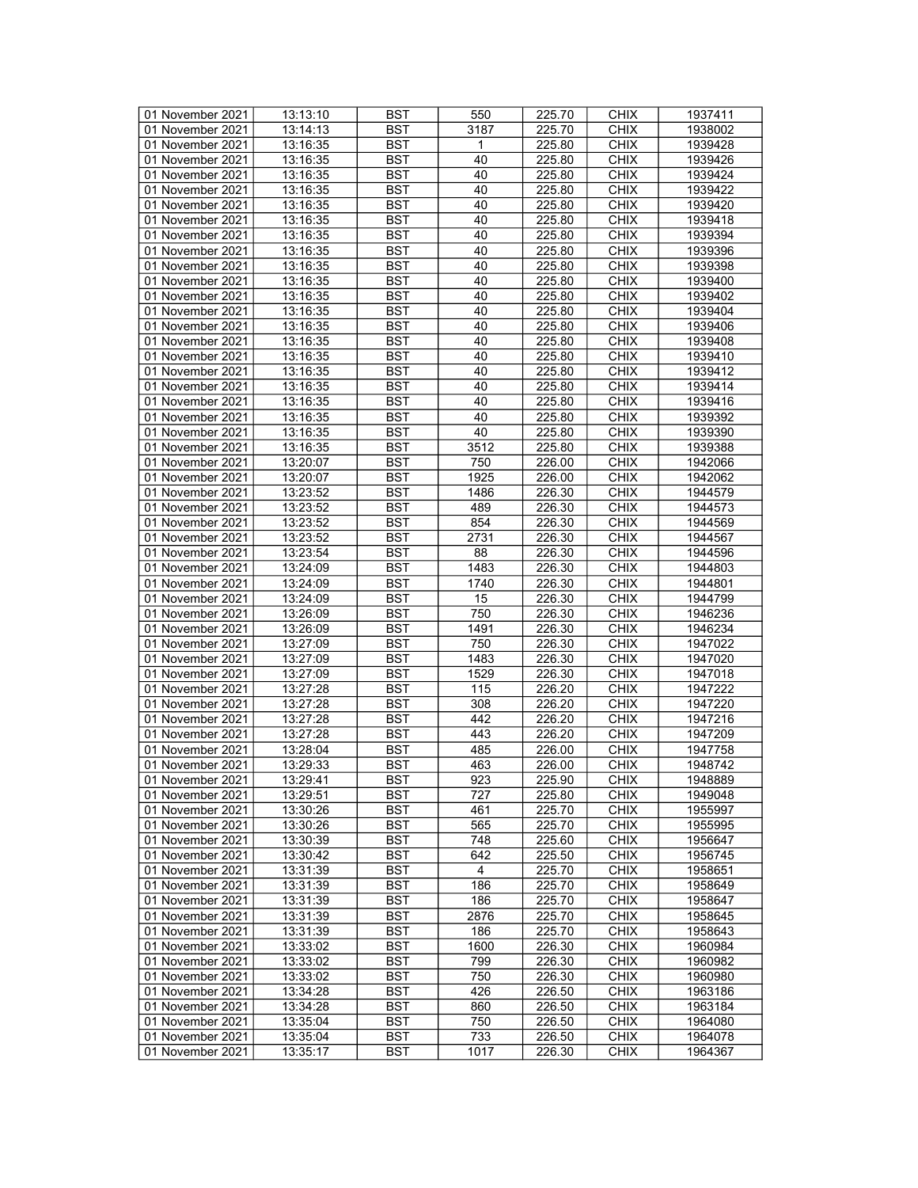| 01 November 2021 | 13:13:10 | <b>BST</b> | 550            | 225.70 | <b>CHIX</b> | 1937411 |
|------------------|----------|------------|----------------|--------|-------------|---------|
| 01 November 2021 | 13:14:13 | BST        | 3187           | 225.70 | <b>CHIX</b> | 1938002 |
|                  |          | <b>BST</b> |                |        | <b>CHIX</b> | 1939428 |
| 01 November 2021 | 13:16:35 |            | 1              | 225.80 |             |         |
| 01 November 2021 | 13:16:35 | <b>BST</b> | 40             | 225.80 | <b>CHIX</b> | 1939426 |
| 01 November 2021 | 13:16:35 | <b>BST</b> | 40             | 225.80 | <b>CHIX</b> | 1939424 |
| 01 November 2021 | 13:16:35 | <b>BST</b> | 40             | 225.80 | <b>CHIX</b> | 1939422 |
| 01 November 2021 | 13:16:35 | <b>BST</b> | 40             | 225.80 | <b>CHIX</b> | 1939420 |
| 01 November 2021 | 13:16:35 | <b>BST</b> | 40             | 225.80 | <b>CHIX</b> | 1939418 |
| 01 November 2021 | 13:16:35 | <b>BST</b> | 40             | 225.80 | <b>CHIX</b> | 1939394 |
| 01 November 2021 | 13:16:35 | <b>BST</b> | 40             | 225.80 | <b>CHIX</b> | 1939396 |
| 01 November 2021 | 13:16:35 | <b>BST</b> | 40             | 225.80 | <b>CHIX</b> | 1939398 |
|                  |          |            |                |        |             |         |
| 01 November 2021 | 13:16:35 | <b>BST</b> | 40             | 225.80 | <b>CHIX</b> | 1939400 |
| 01 November 2021 | 13:16:35 | <b>BST</b> | 40             | 225.80 | <b>CHIX</b> | 1939402 |
| 01 November 2021 | 13:16:35 | <b>BST</b> | 40             | 225.80 | <b>CHIX</b> | 1939404 |
| 01 November 2021 | 13:16:35 | <b>BST</b> | 40             | 225.80 | <b>CHIX</b> | 1939406 |
| 01 November 2021 | 13:16:35 | <b>BST</b> | 40             | 225.80 | <b>CHIX</b> | 1939408 |
| 01 November 2021 | 13:16:35 | <b>BST</b> | 40             | 225.80 | <b>CHIX</b> | 1939410 |
| 01 November 2021 | 13:16:35 | <b>BST</b> | 40             | 225.80 | <b>CHIX</b> | 1939412 |
| 01 November 2021 | 13:16:35 | <b>BST</b> | 40             | 225.80 | <b>CHIX</b> | 1939414 |
|                  |          |            |                | 225.80 |             |         |
| 01 November 2021 | 13:16:35 | <b>BST</b> | 40             |        | <b>CHIX</b> | 1939416 |
| 01 November 2021 | 13:16:35 | <b>BST</b> | 40             | 225.80 | <b>CHIX</b> | 1939392 |
| 01 November 2021 | 13:16:35 | <b>BST</b> | 40             | 225.80 | <b>CHIX</b> | 1939390 |
| 01 November 2021 | 13:16:35 | <b>BST</b> | 3512           | 225.80 | <b>CHIX</b> | 1939388 |
| 01 November 2021 | 13:20:07 | <b>BST</b> | 750            | 226.00 | <b>CHIX</b> | 1942066 |
| 01 November 2021 | 13:20:07 | <b>BST</b> | 1925           | 226.00 | <b>CHIX</b> | 1942062 |
| 01 November 2021 | 13:23:52 | <b>BST</b> | 1486           | 226.30 | <b>CHIX</b> | 1944579 |
| 01 November 2021 | 13:23:52 | <b>BST</b> | 489            | 226.30 | <b>CHIX</b> | 1944573 |
| 01 November 2021 | 13:23:52 | <b>BST</b> | 854            | 226.30 | <b>CHIX</b> | 1944569 |
| 01 November 2021 |          |            |                | 226.30 |             |         |
|                  | 13:23:52 | <b>BST</b> | 2731           |        | <b>CHIX</b> | 1944567 |
| 01 November 2021 | 13:23:54 | <b>BST</b> | 88             | 226.30 | <b>CHIX</b> | 1944596 |
| 01 November 2021 | 13:24:09 | <b>BST</b> | 1483           | 226.30 | <b>CHIX</b> | 1944803 |
| 01 November 2021 | 13:24:09 | <b>BST</b> | 1740           | 226.30 | <b>CHIX</b> | 1944801 |
| 01 November 2021 | 13:24:09 | <b>BST</b> | 15             | 226.30 | <b>CHIX</b> | 1944799 |
| 01 November 2021 | 13:26:09 | <b>BST</b> | 750            | 226.30 | <b>CHIX</b> | 1946236 |
| 01 November 2021 | 13:26:09 | <b>BST</b> | 1491           | 226.30 | <b>CHIX</b> | 1946234 |
| 01 November 2021 | 13:27:09 | <b>BST</b> | 750            | 226.30 | <b>CHIX</b> | 1947022 |
| 01 November 2021 | 13:27:09 | <b>BST</b> | 1483           | 226.30 | <b>CHIX</b> | 1947020 |
| 01 November 2021 | 13:27:09 | <b>BST</b> | 1529           | 226.30 | <b>CHIX</b> | 1947018 |
|                  |          |            |                |        |             |         |
| 01 November 2021 | 13:27:28 | <b>BST</b> | 115            | 226.20 | <b>CHIX</b> | 1947222 |
| 01 November 2021 | 13:27:28 | <b>BST</b> | 308            | 226.20 | <b>CHIX</b> | 1947220 |
| 01 November 2021 | 13:27:28 | <b>BST</b> | 442            | 226.20 | <b>CHIX</b> | 1947216 |
| 01 November 2021 | 13:27:28 | <b>BST</b> | 443            | 226.20 | <b>CHIX</b> | 1947209 |
| 01 November 2021 | 13:28:04 | <b>BST</b> | 485            | 226.00 | <b>CHIX</b> | 1947758 |
| 01 November 2021 | 13:29:33 | <b>BST</b> | 463            | 226.00 | <b>CHIX</b> | 1948742 |
| 01 November 2021 | 13:29:41 | <b>BST</b> | 923            | 225.90 | <b>CHIX</b> | 1948889 |
| 01 November 2021 | 13:29:51 | BST        | 727            | 225.80 | <b>CHIX</b> | 1949048 |
| 01 November 2021 | 13:30:26 | <b>BST</b> | 461            | 225.70 | <b>CHIX</b> | 1955997 |
| 01 November 2021 |          |            |                |        |             |         |
|                  | 13:30:26 | <b>BST</b> | 565            | 225.70 | <b>CHIX</b> | 1955995 |
| 01 November 2021 | 13:30:39 | <b>BST</b> | 748            | 225.60 | <b>CHIX</b> | 1956647 |
| 01 November 2021 | 13:30:42 | <b>BST</b> | 642            | 225.50 | <b>CHIX</b> | 1956745 |
| 01 November 2021 | 13:31:39 | <b>BST</b> | $\overline{4}$ | 225.70 | <b>CHIX</b> | 1958651 |
| 01 November 2021 | 13:31:39 | BST        | 186            | 225.70 | <b>CHIX</b> | 1958649 |
| 01 November 2021 | 13:31:39 | BST        | 186            | 225.70 | <b>CHIX</b> | 1958647 |
| 01 November 2021 | 13:31:39 | <b>BST</b> | 2876           | 225.70 | <b>CHIX</b> | 1958645 |
| 01 November 2021 | 13:31:39 | <b>BST</b> | 186            | 225.70 | <b>CHIX</b> | 1958643 |
| 01 November 2021 | 13:33:02 | BST        | 1600           | 226.30 | <b>CHIX</b> | 1960984 |
|                  |          | <b>BST</b> | 799            |        |             |         |
| 01 November 2021 | 13:33:02 |            |                | 226.30 | <b>CHIX</b> | 1960982 |
| 01 November 2021 | 13:33:02 | BST        | 750            | 226.30 | <b>CHIX</b> | 1960980 |
| 01 November 2021 | 13:34:28 | <b>BST</b> | 426            | 226.50 | <b>CHIX</b> | 1963186 |
| 01 November 2021 | 13:34:28 | <b>BST</b> | 860            | 226.50 | <b>CHIX</b> | 1963184 |
| 01 November 2021 | 13:35:04 | BST        | 750            | 226.50 | <b>CHIX</b> | 1964080 |
| 01 November 2021 | 13:35:04 | <b>BST</b> | 733            | 226.50 | <b>CHIX</b> | 1964078 |
| 01 November 2021 | 13:35:17 | BST        | 1017           | 226.30 | <b>CHIX</b> | 1964367 |
|                  |          |            |                |        |             |         |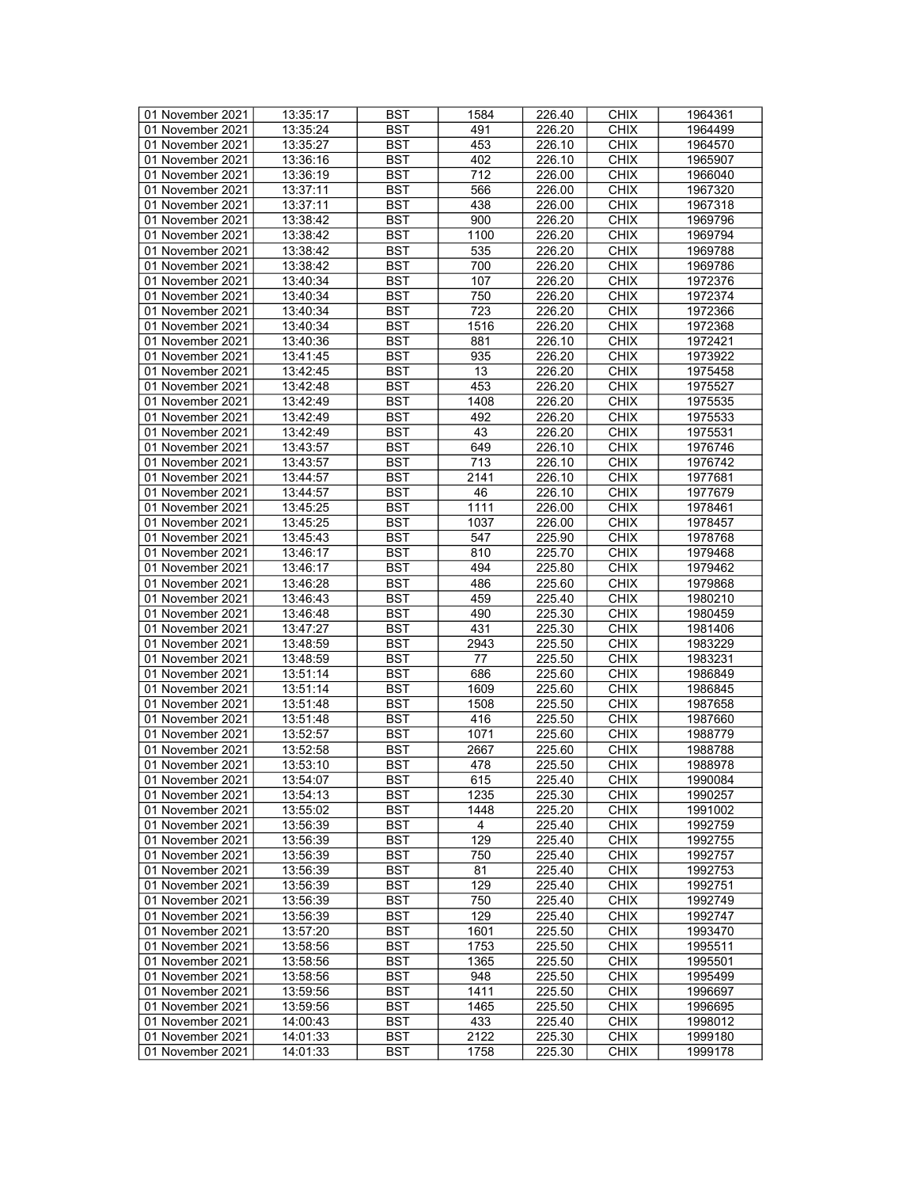| 01 November 2021 | 13:35:17 | <b>BST</b> | 1584           | 226.40 | <b>CHIX</b> | 1964361 |
|------------------|----------|------------|----------------|--------|-------------|---------|
| 01 November 2021 | 13:35:24 | BST        | 491            | 226.20 | <b>CHIX</b> | 1964499 |
|                  |          | <b>BST</b> | 453            | 226.10 | <b>CHIX</b> | 1964570 |
| 01 November 2021 | 13:35:27 |            |                |        |             |         |
| 01 November 2021 | 13:36:16 | <b>BST</b> | 402            | 226.10 | <b>CHIX</b> | 1965907 |
| 01 November 2021 | 13:36:19 | <b>BST</b> | 712            | 226.00 | <b>CHIX</b> | 1966040 |
| 01 November 2021 | 13:37:11 | <b>BST</b> | 566            | 226.00 | <b>CHIX</b> | 1967320 |
| 01 November 2021 | 13:37:11 | <b>BST</b> | 438            | 226.00 | <b>CHIX</b> | 1967318 |
| 01 November 2021 | 13:38:42 | <b>BST</b> | 900            | 226.20 | <b>CHIX</b> | 1969796 |
| 01 November 2021 | 13:38:42 | <b>BST</b> | 1100           | 226.20 | <b>CHIX</b> | 1969794 |
| 01 November 2021 | 13:38:42 | <b>BST</b> | 535            | 226.20 | <b>CHIX</b> | 1969788 |
| 01 November 2021 | 13:38:42 | <b>BST</b> | 700            | 226.20 | <b>CHIX</b> | 1969786 |
|                  |          |            |                |        |             |         |
| 01 November 2021 | 13:40:34 | <b>BST</b> | 107            | 226.20 | <b>CHIX</b> | 1972376 |
| 01 November 2021 | 13:40:34 | <b>BST</b> | 750            | 226.20 | <b>CHIX</b> | 1972374 |
| 01 November 2021 | 13:40:34 | <b>BST</b> | 723            | 226.20 | <b>CHIX</b> | 1972366 |
| 01 November 2021 | 13:40:34 | <b>BST</b> | 1516           | 226.20 | <b>CHIX</b> | 1972368 |
| 01 November 2021 | 13:40:36 | <b>BST</b> | 881            | 226.10 | <b>CHIX</b> | 1972421 |
| 01 November 2021 | 13:41:45 | <b>BST</b> | 935            | 226.20 | <b>CHIX</b> | 1973922 |
| 01 November 2021 | 13:42:45 | <b>BST</b> | 13             | 226.20 | <b>CHIX</b> | 1975458 |
| 01 November 2021 | 13:42:48 | <b>BST</b> | 453            | 226.20 | <b>CHIX</b> | 1975527 |
|                  |          |            |                |        |             |         |
| 01 November 2021 | 13:42:49 | <b>BST</b> | 1408           | 226.20 | <b>CHIX</b> | 1975535 |
| 01 November 2021 | 13:42:49 | <b>BST</b> | 492            | 226.20 | <b>CHIX</b> | 1975533 |
| 01 November 2021 | 13:42:49 | <b>BST</b> | 43             | 226.20 | <b>CHIX</b> | 1975531 |
| 01 November 2021 | 13:43:57 | <b>BST</b> | 649            | 226.10 | <b>CHIX</b> | 1976746 |
| 01 November 2021 | 13:43:57 | <b>BST</b> | 713            | 226.10 | <b>CHIX</b> | 1976742 |
| 01 November 2021 | 13:44:57 | <b>BST</b> | 2141           | 226.10 | <b>CHIX</b> | 1977681 |
| 01 November 2021 | 13:44:57 | <b>BST</b> | 46             | 226.10 | <b>CHIX</b> | 1977679 |
| 01 November 2021 | 13:45:25 | <b>BST</b> | 1111           | 226.00 | <b>CHIX</b> | 1978461 |
| 01 November 2021 | 13:45:25 | <b>BST</b> | 1037           | 226.00 | <b>CHIX</b> | 1978457 |
| 01 November 2021 |          |            |                |        |             |         |
|                  | 13:45:43 | <b>BST</b> | 547            | 225.90 | <b>CHIX</b> | 1978768 |
| 01 November 2021 | 13:46:17 | <b>BST</b> | 810            | 225.70 | <b>CHIX</b> | 1979468 |
| 01 November 2021 | 13:46:17 | <b>BST</b> | 494            | 225.80 | <b>CHIX</b> | 1979462 |
| 01 November 2021 | 13:46:28 | <b>BST</b> | 486            | 225.60 | <b>CHIX</b> | 1979868 |
| 01 November 2021 | 13:46:43 | <b>BST</b> | 459            | 225.40 | <b>CHIX</b> | 1980210 |
| 01 November 2021 | 13:46:48 | <b>BST</b> | 490            | 225.30 | <b>CHIX</b> | 1980459 |
| 01 November 2021 | 13:47:27 | <b>BST</b> | 431            | 225.30 | <b>CHIX</b> | 1981406 |
| 01 November 2021 | 13:48:59 | <b>BST</b> | 2943           | 225.50 | <b>CHIX</b> | 1983229 |
| 01 November 2021 | 13:48:59 | <b>BST</b> | 77             | 225.50 | <b>CHIX</b> | 1983231 |
| 01 November 2021 | 13:51:14 | <b>BST</b> | 686            | 225.60 | <b>CHIX</b> | 1986849 |
|                  |          |            |                |        |             |         |
| 01 November 2021 | 13:51:14 | <b>BST</b> | 1609           | 225.60 | <b>CHIX</b> | 1986845 |
| 01 November 2021 | 13:51:48 | <b>BST</b> | 1508           | 225.50 | <b>CHIX</b> | 1987658 |
| 01 November 2021 | 13:51:48 | <b>BST</b> | 416            | 225.50 | <b>CHIX</b> | 1987660 |
| 01 November 2021 | 13:52:57 | <b>BST</b> | 1071           | 225.60 | <b>CHIX</b> | 1988779 |
| 01 November 2021 | 13:52:58 | <b>BST</b> | 2667           | 225.60 | <b>CHIX</b> | 1988788 |
| 01 November 2021 | 13:53:10 | <b>BST</b> | 478            | 225.50 | <b>CHIX</b> | 1988978 |
| 01 November 2021 | 13:54:07 | <b>BST</b> | 615            | 225.40 | <b>CHIX</b> | 1990084 |
| 01 November 2021 | 13:54:13 | BST        | 1235           | 225.30 | <b>CHIX</b> | 1990257 |
| 01 November 2021 | 13:55:02 | <b>BST</b> | 1448           | 225.20 | <b>CHIX</b> | 1991002 |
| 01 November 2021 |          |            | $\overline{4}$ |        |             |         |
|                  | 13:56:39 | <b>BST</b> |                | 225.40 | <b>CHIX</b> | 1992759 |
| 01 November 2021 | 13:56:39 | <b>BST</b> | 129            | 225.40 | <b>CHIX</b> | 1992755 |
| 01 November 2021 | 13:56:39 | <b>BST</b> | 750            | 225.40 | <b>CHIX</b> | 1992757 |
| 01 November 2021 | 13:56:39 | <b>BST</b> | 81             | 225.40 | <b>CHIX</b> | 1992753 |
| 01 November 2021 | 13:56:39 | BST        | 129            | 225.40 | <b>CHIX</b> | 1992751 |
| 01 November 2021 | 13:56:39 | <b>BST</b> | 750            | 225.40 | <b>CHIX</b> | 1992749 |
| 01 November 2021 | 13:56:39 | <b>BST</b> | 129            | 225.40 | <b>CHIX</b> | 1992747 |
| 01 November 2021 | 13:57:20 | <b>BST</b> | 1601           | 225.50 | <b>CHIX</b> | 1993470 |
| 01 November 2021 | 13:58:56 | BST        | 1753           | 225.50 | <b>CHIX</b> | 1995511 |
|                  |          | <b>BST</b> |                |        |             | 1995501 |
| 01 November 2021 | 13:58:56 |            | 1365           | 225.50 | <b>CHIX</b> |         |
| 01 November 2021 | 13:58:56 | <b>BST</b> | 948            | 225.50 | <b>CHIX</b> | 1995499 |
| 01 November 2021 | 13:59:56 | <b>BST</b> | 1411           | 225.50 | <b>CHIX</b> | 1996697 |
| 01 November 2021 | 13:59:56 | <b>BST</b> | 1465           | 225.50 | <b>CHIX</b> | 1996695 |
| 01 November 2021 | 14:00:43 | BST        | 433            | 225.40 | <b>CHIX</b> | 1998012 |
| 01 November 2021 | 14:01:33 | <b>BST</b> | 2122           | 225.30 | <b>CHIX</b> | 1999180 |
| 01 November 2021 | 14:01:33 | BST        | 1758           | 225.30 | <b>CHIX</b> | 1999178 |
|                  |          |            |                |        |             |         |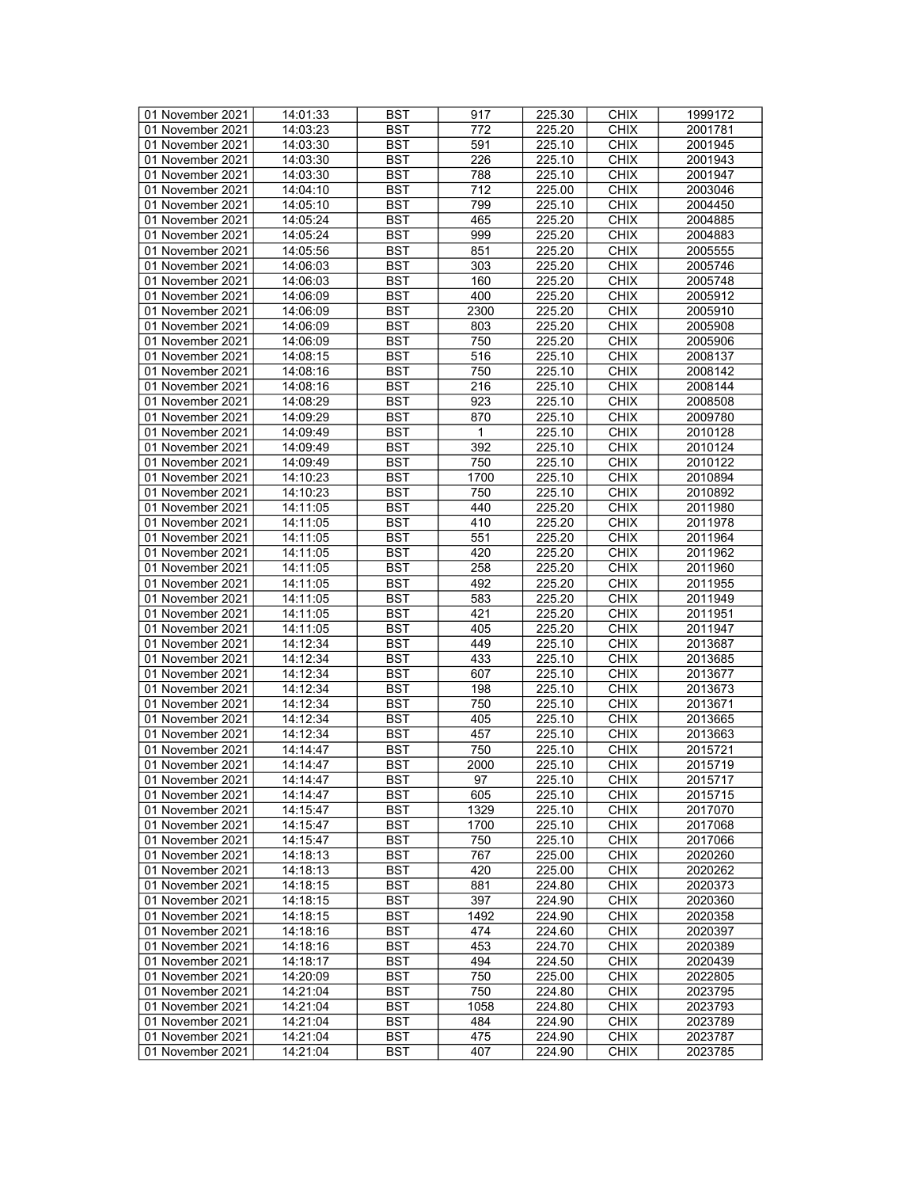| 01 November 2021 | 14:01:33 | <b>BST</b> | 917             | 225.30 | <b>CHIX</b> | 1999172 |
|------------------|----------|------------|-----------------|--------|-------------|---------|
| 01 November 2021 | 14:03:23 | BST        | 772             | 225.20 | <b>CHIX</b> | 2001781 |
| 01 November 2021 | 14:03:30 | <b>BST</b> | 591             | 225.10 | <b>CHIX</b> | 2001945 |
| 01 November 2021 | 14:03:30 | <b>BST</b> | 226             | 225.10 | <b>CHIX</b> | 2001943 |
| 01 November 2021 | 14:03:30 | <b>BST</b> | 788             | 225.10 | <b>CHIX</b> | 2001947 |
| 01 November 2021 | 14:04:10 | <b>BST</b> | 712             | 225.00 | <b>CHIX</b> | 2003046 |
|                  |          | <b>BST</b> | 799             |        | <b>CHIX</b> | 2004450 |
| 01 November 2021 | 14:05:10 |            |                 | 225.10 |             |         |
| 01 November 2021 | 14:05:24 | <b>BST</b> | 465             | 225.20 | <b>CHIX</b> | 2004885 |
| 01 November 2021 | 14:05:24 | <b>BST</b> | 999             | 225.20 | <b>CHIX</b> | 2004883 |
| 01 November 2021 | 14:05:56 | <b>BST</b> | 851             | 225.20 | <b>CHIX</b> | 2005555 |
| 01 November 2021 | 14:06:03 | <b>BST</b> | 303             | 225.20 | <b>CHIX</b> | 2005746 |
| 01 November 2021 | 14:06:03 | <b>BST</b> | 160             | 225.20 | <b>CHIX</b> | 2005748 |
| 01 November 2021 | 14:06:09 | <b>BST</b> | 400             | 225.20 | <b>CHIX</b> | 2005912 |
| 01 November 2021 | 14:06:09 | <b>BST</b> | 2300            | 225.20 | <b>CHIX</b> | 2005910 |
| 01 November 2021 | 14:06:09 | <b>BST</b> | 803             | 225.20 | <b>CHIX</b> | 2005908 |
| 01 November 2021 | 14:06:09 | <b>BST</b> | 750             | 225.20 | <b>CHIX</b> | 2005906 |
| 01 November 2021 | 14:08:15 | <b>BST</b> | 516             | 225.10 | <b>CHIX</b> | 2008137 |
| 01 November 2021 | 14:08:16 | <b>BST</b> | 750             | 225.10 | <b>CHIX</b> | 2008142 |
| 01 November 2021 | 14:08:16 | <b>BST</b> | 216             | 225.10 | <b>CHIX</b> | 2008144 |
| 01 November 2021 | 14:08:29 | <b>BST</b> | 923             | 225.10 | <b>CHIX</b> | 2008508 |
| 01 November 2021 | 14:09:29 | <b>BST</b> | 870             | 225.10 | <b>CHIX</b> | 2009780 |
| 01 November 2021 | 14:09:49 | <b>BST</b> | 1               | 225.10 | <b>CHIX</b> | 2010128 |
| 01 November 2021 | 14:09:49 | <b>BST</b> | 392             | 225.10 | <b>CHIX</b> | 2010124 |
|                  |          |            |                 |        |             |         |
| 01 November 2021 | 14:09:49 | <b>BST</b> | 750             | 225.10 | <b>CHIX</b> | 2010122 |
| 01 November 2021 | 14:10:23 | <b>BST</b> | 1700            | 225.10 | <b>CHIX</b> | 2010894 |
| 01 November 2021 | 14:10:23 | <b>BST</b> | 750             | 225.10 | <b>CHIX</b> | 2010892 |
| 01 November 2021 | 14:11:05 | <b>BST</b> | 440             | 225.20 | <b>CHIX</b> | 2011980 |
| 01 November 2021 | 14:11:05 | <b>BST</b> | 410             | 225.20 | <b>CHIX</b> | 2011978 |
| 01 November 2021 | 14:11:05 | <b>BST</b> | 551             | 225.20 | <b>CHIX</b> | 2011964 |
| 01 November 2021 | 14:11:05 | <b>BST</b> | 420             | 225.20 | <b>CHIX</b> | 2011962 |
| 01 November 2021 | 14:11:05 | <b>BST</b> | 258             | 225.20 | <b>CHIX</b> | 2011960 |
| 01 November 2021 | 14:11:05 | <b>BST</b> | 492             | 225.20 | <b>CHIX</b> | 2011955 |
| 01 November 2021 | 14:11:05 | <b>BST</b> | 583             | 225.20 | <b>CHIX</b> | 2011949 |
| 01 November 2021 | 14:11:05 | <b>BST</b> | 421             | 225.20 | <b>CHIX</b> | 2011951 |
| 01 November 2021 | 14:11:05 | <b>BST</b> | 405             | 225.20 | <b>CHIX</b> | 2011947 |
| 01 November 2021 | 14:12:34 | <b>BST</b> | 449             | 225.10 | <b>CHIX</b> | 2013687 |
| 01 November 2021 | 14:12:34 | <b>BST</b> | 433             | 225.10 | <b>CHIX</b> | 2013685 |
| 01 November 2021 | 14:12:34 | <b>BST</b> | 607             | 225.10 | <b>CHIX</b> | 2013677 |
| 01 November 2021 | 14:12:34 | <b>BST</b> | 198             | 225.10 | <b>CHIX</b> | 2013673 |
| 01 November 2021 | 14:12:34 | <b>BST</b> | 750             | 225.10 | <b>CHIX</b> |         |
|                  |          |            |                 |        |             | 2013671 |
| 01 November 2021 | 14:12:34 | <b>BST</b> | 405             | 225.10 | <b>CHIX</b> | 2013665 |
| 01 November 2021 | 14:12:34 | <b>BST</b> | 457             | 225.10 | <b>CHIX</b> | 2013663 |
| 01 November 2021 | 14:14:47 | <b>BST</b> | 750             | 225.10 | <b>CHIX</b> | 2015721 |
| 01 November 2021 | 14:14:47 | <b>BST</b> | 2000            | 225.10 | <b>CHIX</b> | 2015719 |
| 01 November 2021 | 14:14:47 | <b>BST</b> | $\overline{97}$ | 225.10 | <b>CHIX</b> | 2015717 |
| 01 November 2021 | 14:14:47 | <b>BST</b> | 605             | 225.10 | <b>CHIX</b> | 2015715 |
| 01 November 2021 | 14:15:47 | <b>BST</b> | 1329            | 225.10 | <b>CHIX</b> | 2017070 |
| 01 November 2021 | 14:15:47 | <b>BST</b> | 1700            | 225.10 | <b>CHIX</b> | 2017068 |
| 01 November 2021 | 14:15:47 | <b>BST</b> | 750             | 225.10 | <b>CHIX</b> | 2017066 |
| 01 November 2021 | 14:18:13 | <b>BST</b> | 767             | 225.00 | <b>CHIX</b> | 2020260 |
| 01 November 2021 | 14:18:13 | <b>BST</b> | 420             | 225.00 | <b>CHIX</b> | 2020262 |
| 01 November 2021 | 14:18:15 | BST        | 881             | 224.80 | <b>CHIX</b> | 2020373 |
| 01 November 2021 | 14:18:15 | <b>BST</b> | 397             | 224.90 | <b>CHIX</b> | 2020360 |
| 01 November 2021 | 14:18:15 | <b>BST</b> | 1492            | 224.90 | <b>CHIX</b> | 2020358 |
| 01 November 2021 | 14:18:16 | <b>BST</b> | 474             | 224.60 | <b>CHIX</b> | 2020397 |
| 01 November 2021 | 14:18:16 | <b>BST</b> | 453             | 224.70 | <b>CHIX</b> | 2020389 |
| 01 November 2021 | 14:18:17 | <b>BST</b> | 494             | 224.50 | <b>CHIX</b> | 2020439 |
|                  |          |            |                 |        |             |         |
| 01 November 2021 | 14:20:09 | <b>BST</b> | 750             | 225.00 | <b>CHIX</b> | 2022805 |
| 01 November 2021 | 14:21:04 | <b>BST</b> | 750             | 224.80 | <b>CHIX</b> | 2023795 |
| 01 November 2021 | 14:21:04 | <b>BST</b> | 1058            | 224.80 | <b>CHIX</b> | 2023793 |
| 01 November 2021 | 14:21:04 | BST        | 484             | 224.90 | <b>CHIX</b> | 2023789 |
| 01 November 2021 | 14:21:04 | <b>BST</b> | 475             | 224.90 | <b>CHIX</b> | 2023787 |
| 01 November 2021 | 14:21:04 | <b>BST</b> | 407             | 224.90 | <b>CHIX</b> | 2023785 |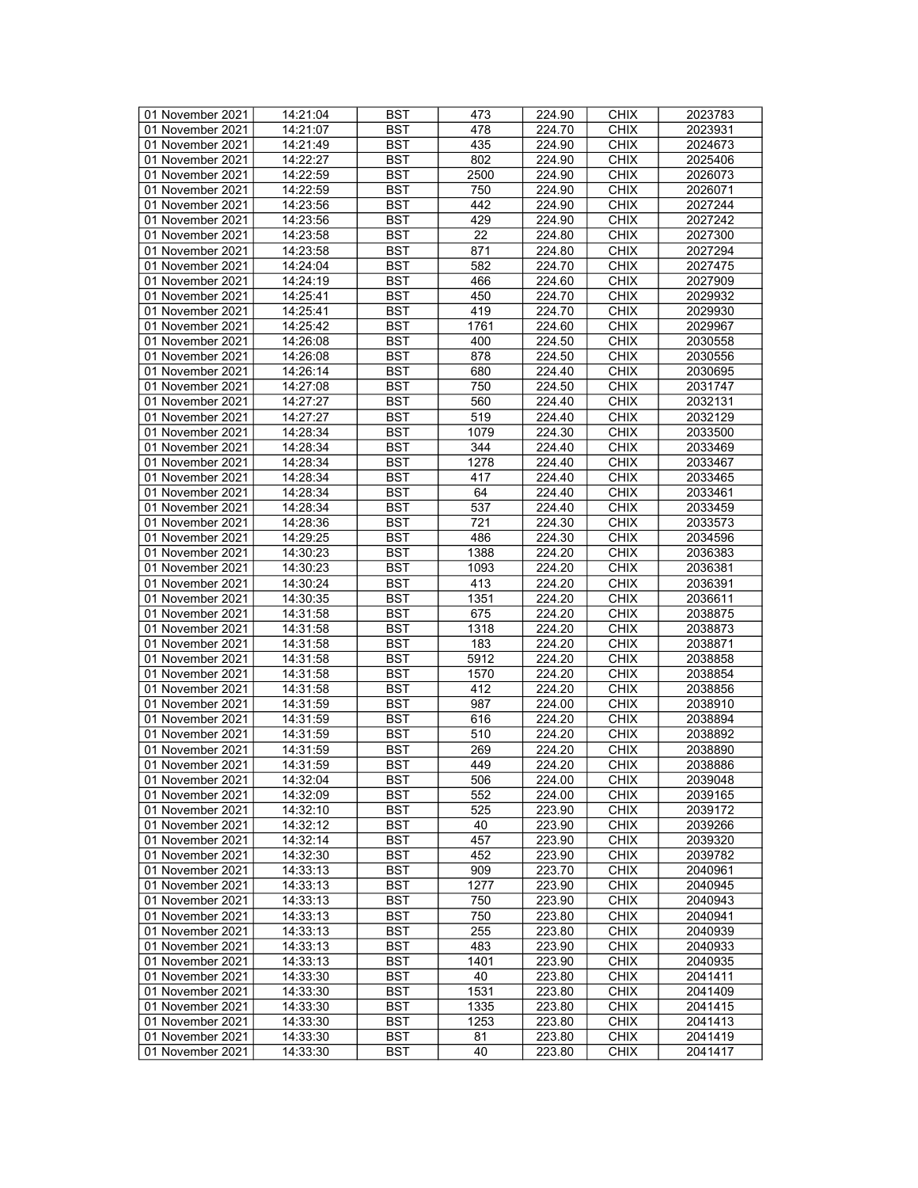| 01 November 2021 | 14:21:04 | <b>BST</b> | 473  | 224.90 | <b>CHIX</b> | 2023783 |
|------------------|----------|------------|------|--------|-------------|---------|
| 01 November 2021 | 14:21:07 | BST        | 478  | 224.70 | <b>CHIX</b> | 2023931 |
| 01 November 2021 | 14:21:49 | <b>BST</b> | 435  | 224.90 | <b>CHIX</b> | 2024673 |
| 01 November 2021 | 14:22:27 | <b>BST</b> | 802  | 224.90 | <b>CHIX</b> | 2025406 |
| 01 November 2021 | 14:22:59 | <b>BST</b> | 2500 | 224.90 | <b>CHIX</b> | 2026073 |
| 01 November 2021 | 14:22:59 | <b>BST</b> | 750  | 224.90 | <b>CHIX</b> | 2026071 |
| 01 November 2021 | 14:23:56 | <b>BST</b> | 442  | 224.90 | <b>CHIX</b> | 2027244 |
|                  |          |            |      |        |             |         |
| 01 November 2021 | 14:23:56 | <b>BST</b> | 429  | 224.90 | <b>CHIX</b> | 2027242 |
| 01 November 2021 | 14:23:58 | <b>BST</b> | 22   | 224.80 | <b>CHIX</b> | 2027300 |
| 01 November 2021 | 14:23:58 | <b>BST</b> | 871  | 224.80 | <b>CHIX</b> | 2027294 |
| 01 November 2021 | 14:24:04 | <b>BST</b> | 582  | 224.70 | <b>CHIX</b> | 2027475 |
| 01 November 2021 | 14:24:19 | <b>BST</b> | 466  | 224.60 | <b>CHIX</b> | 2027909 |
| 01 November 2021 | 14:25:41 | <b>BST</b> | 450  | 224.70 | <b>CHIX</b> | 2029932 |
| 01 November 2021 | 14:25:41 | <b>BST</b> | 419  | 224.70 | <b>CHIX</b> | 2029930 |
| 01 November 2021 | 14:25:42 | <b>BST</b> | 1761 | 224.60 | <b>CHIX</b> | 2029967 |
| 01 November 2021 | 14:26:08 | <b>BST</b> | 400  | 224.50 | <b>CHIX</b> | 2030558 |
| 01 November 2021 | 14:26:08 | <b>BST</b> | 878  | 224.50 | <b>CHIX</b> | 2030556 |
| 01 November 2021 | 14:26:14 | <b>BST</b> | 680  | 224.40 | <b>CHIX</b> | 2030695 |
| 01 November 2021 | 14:27:08 | <b>BST</b> | 750  | 224.50 | <b>CHIX</b> | 2031747 |
| 01 November 2021 | 14:27:27 | <b>BST</b> | 560  | 224.40 | <b>CHIX</b> | 2032131 |
| 01 November 2021 | 14:27:27 | <b>BST</b> | 519  | 224.40 | <b>CHIX</b> | 2032129 |
| 01 November 2021 | 14:28:34 | <b>BST</b> | 1079 | 224.30 | <b>CHIX</b> | 2033500 |
| 01 November 2021 | 14:28:34 | <b>BST</b> | 344  | 224.40 | <b>CHIX</b> | 2033469 |
|                  |          |            |      |        |             |         |
| 01 November 2021 | 14:28:34 | <b>BST</b> | 1278 | 224.40 | <b>CHIX</b> | 2033467 |
| 01 November 2021 | 14:28:34 | <b>BST</b> | 417  | 224.40 | <b>CHIX</b> | 2033465 |
| 01 November 2021 | 14:28:34 | <b>BST</b> | 64   | 224.40 | <b>CHIX</b> | 2033461 |
| 01 November 2021 | 14:28:34 | <b>BST</b> | 537  | 224.40 | <b>CHIX</b> | 2033459 |
| 01 November 2021 | 14:28:36 | <b>BST</b> | 721  | 224.30 | <b>CHIX</b> | 2033573 |
| 01 November 2021 | 14:29:25 | <b>BST</b> | 486  | 224.30 | <b>CHIX</b> | 2034596 |
| 01 November 2021 | 14:30:23 | <b>BST</b> | 1388 | 224.20 | <b>CHIX</b> | 2036383 |
| 01 November 2021 | 14:30:23 | <b>BST</b> | 1093 | 224.20 | <b>CHIX</b> | 2036381 |
| 01 November 2021 | 14:30:24 | <b>BST</b> | 413  | 224.20 | <b>CHIX</b> | 2036391 |
| 01 November 2021 | 14:30:35 | <b>BST</b> | 1351 | 224.20 | <b>CHIX</b> | 2036611 |
| 01 November 2021 | 14:31:58 | <b>BST</b> | 675  | 224.20 | <b>CHIX</b> | 2038875 |
| 01 November 2021 | 14:31:58 | <b>BST</b> | 1318 | 224.20 | <b>CHIX</b> | 2038873 |
| 01 November 2021 | 14:31:58 | <b>BST</b> | 183  | 224.20 | <b>CHIX</b> | 2038871 |
| 01 November 2021 | 14:31:58 | <b>BST</b> | 5912 | 224.20 | <b>CHIX</b> | 2038858 |
| 01 November 2021 | 14:31:58 | <b>BST</b> | 1570 | 224.20 | <b>CHIX</b> | 2038854 |
| 01 November 2021 | 14:31:58 | <b>BST</b> | 412  | 224.20 | <b>CHIX</b> | 2038856 |
| 01 November 2021 | 14:31:59 | <b>BST</b> | 987  | 224.00 | <b>CHIX</b> | 2038910 |
| 01 November 2021 | 14:31:59 | <b>BST</b> | 616  | 224.20 | <b>CHIX</b> | 2038894 |
|                  |          |            |      |        | <b>CHIX</b> |         |
| 01 November 2021 | 14:31:59 | <b>BST</b> | 510  | 224.20 |             | 2038892 |
| 01 November 2021 | 14:31:59 | <b>BST</b> | 269  | 224.20 | <b>CHIX</b> | 2038890 |
| 01 November 2021 | 14:31:59 | <b>BST</b> | 449  | 224.20 | <b>CHIX</b> | 2038886 |
| 01 November 2021 | 14:32:04 | <b>BST</b> | 506  | 224.00 | <b>CHIX</b> | 2039048 |
| 01 November 2021 | 14:32:09 | BST        | 552  | 224.00 | <b>CHIX</b> | 2039165 |
| 01 November 2021 | 14:32:10 | <b>BST</b> | 525  | 223.90 | <b>CHIX</b> | 2039172 |
| 01 November 2021 | 14:32:12 | <b>BST</b> | 40   | 223.90 | <b>CHIX</b> | 2039266 |
| 01 November 2021 | 14:32:14 | <b>BST</b> | 457  | 223.90 | <b>CHIX</b> | 2039320 |
| 01 November 2021 | 14:32:30 | <b>BST</b> | 452  | 223.90 | <b>CHIX</b> | 2039782 |
| 01 November 2021 | 14:33:13 | <b>BST</b> | 909  | 223.70 | <b>CHIX</b> | 2040961 |
| 01 November 2021 | 14:33:13 | BST        | 1277 | 223.90 | <b>CHIX</b> | 2040945 |
| 01 November 2021 | 14:33:13 | <b>BST</b> | 750  | 223.90 | <b>CHIX</b> | 2040943 |
| 01 November 2021 | 14:33:13 | <b>BST</b> | 750  | 223.80 | <b>CHIX</b> | 2040941 |
| 01 November 2021 | 14:33:13 | <b>BST</b> | 255  | 223.80 | <b>CHIX</b> | 2040939 |
| 01 November 2021 | 14:33:13 | <b>BST</b> | 483  | 223.90 | <b>CHIX</b> | 2040933 |
| 01 November 2021 | 14:33:13 | <b>BST</b> | 1401 | 223.90 | <b>CHIX</b> | 2040935 |
|                  |          |            | 40   |        |             |         |
| 01 November 2021 | 14:33:30 | <b>BST</b> |      | 223.80 | <b>CHIX</b> | 2041411 |
| 01 November 2021 | 14:33:30 | <b>BST</b> | 1531 | 223.80 | <b>CHIX</b> | 2041409 |
| 01 November 2021 | 14:33:30 | <b>BST</b> | 1335 | 223.80 | <b>CHIX</b> | 2041415 |
| 01 November 2021 | 14:33:30 | BST        | 1253 | 223.80 | <b>CHIX</b> | 2041413 |
| 01 November 2021 | 14:33:30 | <b>BST</b> | 81   | 223.80 | <b>CHIX</b> | 2041419 |
| 01 November 2021 | 14:33:30 | <b>BST</b> | 40   | 223.80 | <b>CHIX</b> | 2041417 |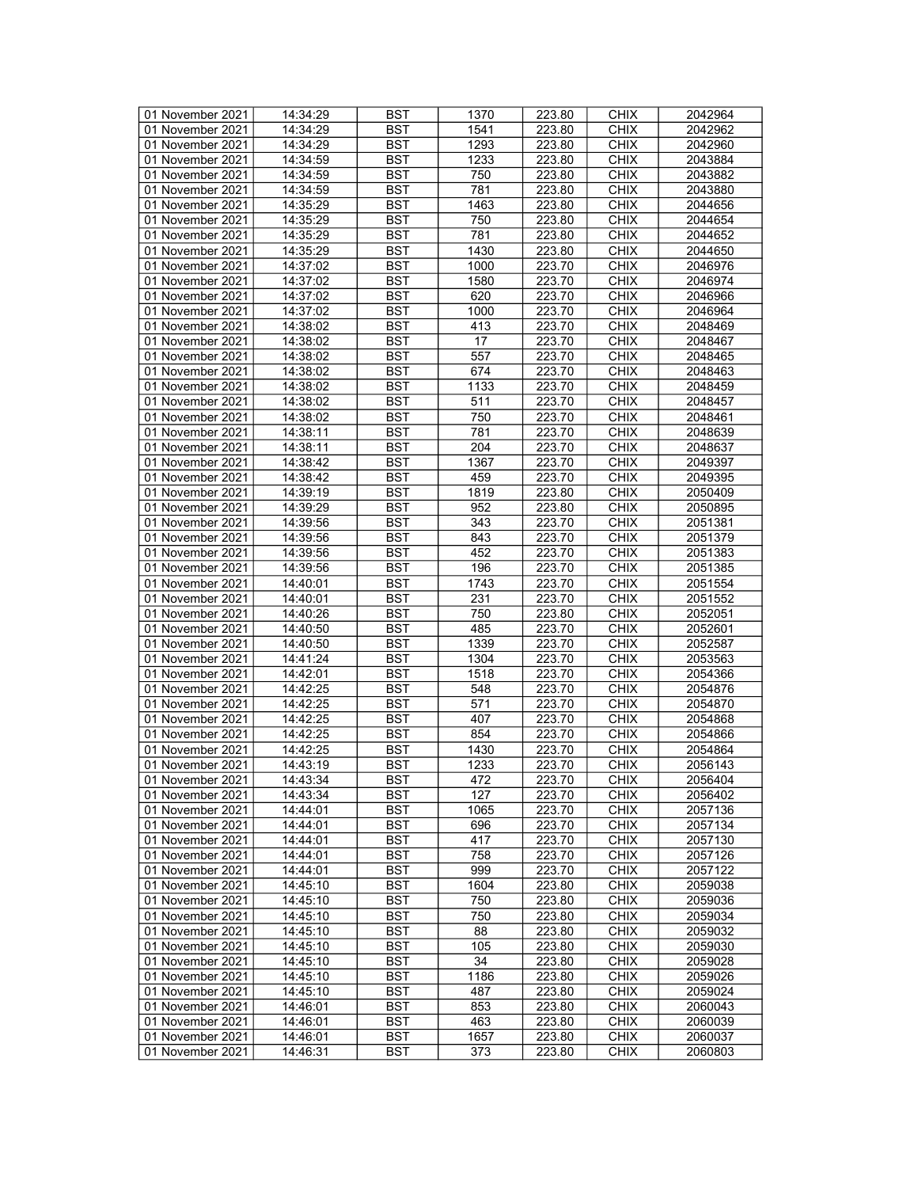| 01 November 2021 | 14:34:29 | <b>BST</b> | 1370 | 223.80 | <b>CHIX</b> | 2042964 |
|------------------|----------|------------|------|--------|-------------|---------|
| 01 November 2021 | 14:34:29 | BST        | 1541 | 223.80 | <b>CHIX</b> | 2042962 |
|                  |          |            |      |        |             |         |
| 01 November 2021 | 14:34:29 | <b>BST</b> | 1293 | 223.80 | <b>CHIX</b> | 2042960 |
| 01 November 2021 | 14:34:59 | <b>BST</b> | 1233 | 223.80 | <b>CHIX</b> | 2043884 |
| 01 November 2021 | 14:34:59 | <b>BST</b> | 750  | 223.80 | <b>CHIX</b> | 2043882 |
| 01 November 2021 | 14:34:59 | <b>BST</b> | 781  | 223.80 | <b>CHIX</b> | 2043880 |
| 01 November 2021 | 14:35:29 | <b>BST</b> | 1463 |        | <b>CHIX</b> | 2044656 |
|                  |          |            |      | 223.80 |             |         |
| 01 November 2021 | 14:35:29 | <b>BST</b> | 750  | 223.80 | <b>CHIX</b> | 2044654 |
| 01 November 2021 | 14:35:29 | <b>BST</b> | 781  | 223.80 | <b>CHIX</b> | 2044652 |
| 01 November 2021 | 14:35:29 | <b>BST</b> | 1430 | 223.80 | <b>CHIX</b> | 2044650 |
| 01 November 2021 | 14:37:02 | <b>BST</b> | 1000 | 223.70 | <b>CHIX</b> | 2046976 |
| 01 November 2021 | 14:37:02 | <b>BST</b> | 1580 | 223.70 | <b>CHIX</b> | 2046974 |
|                  |          |            |      |        |             |         |
| 01 November 2021 | 14:37:02 | <b>BST</b> | 620  | 223.70 | <b>CHIX</b> | 2046966 |
| 01 November 2021 | 14:37:02 | <b>BST</b> | 1000 | 223.70 | <b>CHIX</b> | 2046964 |
| 01 November 2021 | 14:38:02 | <b>BST</b> | 413  | 223.70 | <b>CHIX</b> | 2048469 |
| 01 November 2021 | 14:38:02 | <b>BST</b> | 17   | 223.70 | <b>CHIX</b> | 2048467 |
| 01 November 2021 | 14:38:02 | <b>BST</b> | 557  | 223.70 | <b>CHIX</b> | 2048465 |
|                  |          |            |      |        |             |         |
| 01 November 2021 | 14:38:02 | <b>BST</b> | 674  | 223.70 | <b>CHIX</b> | 2048463 |
| 01 November 2021 | 14:38:02 | <b>BST</b> | 1133 | 223.70 | <b>CHIX</b> | 2048459 |
| 01 November 2021 | 14:38:02 | <b>BST</b> | 511  | 223.70 | <b>CHIX</b> | 2048457 |
| 01 November 2021 | 14:38:02 | <b>BST</b> | 750  | 223.70 | <b>CHIX</b> | 2048461 |
| 01 November 2021 | 14:38:11 | <b>BST</b> | 781  | 223.70 | <b>CHIX</b> | 2048639 |
|                  |          |            |      |        |             |         |
| 01 November 2021 | 14:38:11 | <b>BST</b> | 204  | 223.70 | <b>CHIX</b> | 2048637 |
| 01 November 2021 | 14:38:42 | <b>BST</b> | 1367 | 223.70 | <b>CHIX</b> | 2049397 |
| 01 November 2021 | 14:38:42 | <b>BST</b> | 459  | 223.70 | <b>CHIX</b> | 2049395 |
| 01 November 2021 | 14:39:19 | <b>BST</b> | 1819 | 223.80 | <b>CHIX</b> | 2050409 |
| 01 November 2021 | 14:39:29 | <b>BST</b> | 952  | 223.80 | <b>CHIX</b> | 2050895 |
|                  |          |            |      |        |             |         |
| 01 November 2021 | 14:39:56 | <b>BST</b> | 343  | 223.70 | <b>CHIX</b> | 2051381 |
| 01 November 2021 | 14:39:56 | <b>BST</b> | 843  | 223.70 | <b>CHIX</b> | 2051379 |
| 01 November 2021 | 14:39:56 | <b>BST</b> | 452  | 223.70 | <b>CHIX</b> | 2051383 |
| 01 November 2021 | 14:39:56 | <b>BST</b> | 196  | 223.70 | <b>CHIX</b> | 2051385 |
| 01 November 2021 | 14:40:01 | <b>BST</b> | 1743 | 223.70 | <b>CHIX</b> | 2051554 |
| 01 November 2021 | 14:40:01 | <b>BST</b> | 231  | 223.70 | <b>CHIX</b> | 2051552 |
|                  |          |            |      |        |             |         |
| 01 November 2021 | 14:40:26 | <b>BST</b> | 750  | 223.80 | <b>CHIX</b> | 2052051 |
| 01 November 2021 | 14:40:50 | <b>BST</b> | 485  | 223.70 | <b>CHIX</b> | 2052601 |
| 01 November 2021 | 14:40:50 | <b>BST</b> | 1339 | 223.70 | <b>CHIX</b> | 2052587 |
| 01 November 2021 | 14:41:24 | <b>BST</b> | 1304 | 223.70 | <b>CHIX</b> | 2053563 |
| 01 November 2021 | 14:42:01 | <b>BST</b> | 1518 | 223.70 | <b>CHIX</b> | 2054366 |
|                  |          |            |      |        |             |         |
| 01 November 2021 | 14:42:25 | <b>BST</b> | 548  | 223.70 | <b>CHIX</b> | 2054876 |
| 01 November 2021 | 14:42:25 | <b>BST</b> | 571  | 223.70 | <b>CHIX</b> | 2054870 |
| 01 November 2021 | 14:42:25 | <b>BST</b> | 407  | 223.70 | <b>CHIX</b> | 2054868 |
| 01 November 2021 | 14:42:25 | <b>BST</b> | 854  | 223.70 | <b>CHIX</b> | 2054866 |
| 01 November 2021 | 14:42:25 | <b>BST</b> | 1430 | 223.70 | <b>CHIX</b> | 2054864 |
| 01 November 2021 | 14:43:19 | <b>BST</b> | 1233 | 223.70 | <b>CHIX</b> | 2056143 |
|                  |          |            |      |        |             |         |
| 01 November 2021 | 14:43:34 | <b>BST</b> | 472  | 223.70 | <b>CHIX</b> | 2056404 |
| 01 November 2021 | 14:43:34 | BST        | 127  | 223.70 | <b>CHIX</b> | 2056402 |
| 01 November 2021 | 14:44:01 | <b>BST</b> | 1065 | 223.70 | <b>CHIX</b> | 2057136 |
| 01 November 2021 | 14:44:01 | <b>BST</b> | 696  | 223.70 | <b>CHIX</b> | 2057134 |
| 01 November 2021 | 14:44:01 | <b>BST</b> | 417  | 223.70 | <b>CHIX</b> | 2057130 |
|                  | 14:44:01 |            |      |        |             |         |
| 01 November 2021 |          | <b>BST</b> | 758  | 223.70 | <b>CHIX</b> | 2057126 |
| 01 November 2021 | 14:44:01 | <b>BST</b> | 999  | 223.70 | <b>CHIX</b> | 2057122 |
| 01 November 2021 | 14:45:10 | BST        | 1604 | 223.80 | <b>CHIX</b> | 2059038 |
| 01 November 2021 | 14:45:10 | <b>BST</b> | 750  | 223.80 | <b>CHIX</b> | 2059036 |
| 01 November 2021 | 14:45:10 | <b>BST</b> | 750  | 223.80 | <b>CHIX</b> | 2059034 |
| 01 November 2021 |          | <b>BST</b> | 88   |        | <b>CHIX</b> | 2059032 |
|                  | 14:45:10 |            |      | 223.80 |             |         |
| 01 November 2021 | 14:45:10 | BST        | 105  | 223.80 | <b>CHIX</b> | 2059030 |
| 01 November 2021 | 14:45:10 | <b>BST</b> | 34   | 223.80 | <b>CHIX</b> | 2059028 |
| 01 November 2021 | 14:45:10 | <b>BST</b> | 1186 | 223.80 | <b>CHIX</b> | 2059026 |
| 01 November 2021 | 14:45:10 | <b>BST</b> | 487  | 223.80 | <b>CHIX</b> | 2059024 |
|                  |          |            |      |        |             |         |
| 01 November 2021 | 14:46:01 | <b>BST</b> | 853  | 223.80 | <b>CHIX</b> | 2060043 |
| 01 November 2021 | 14:46:01 | BST        | 463  | 223.80 | <b>CHIX</b> | 2060039 |
| 01 November 2021 | 14:46:01 | <b>BST</b> | 1657 | 223.80 | <b>CHIX</b> | 2060037 |
| 01 November 2021 | 14:46:31 | BST        | 373  | 223.80 | <b>CHIX</b> | 2060803 |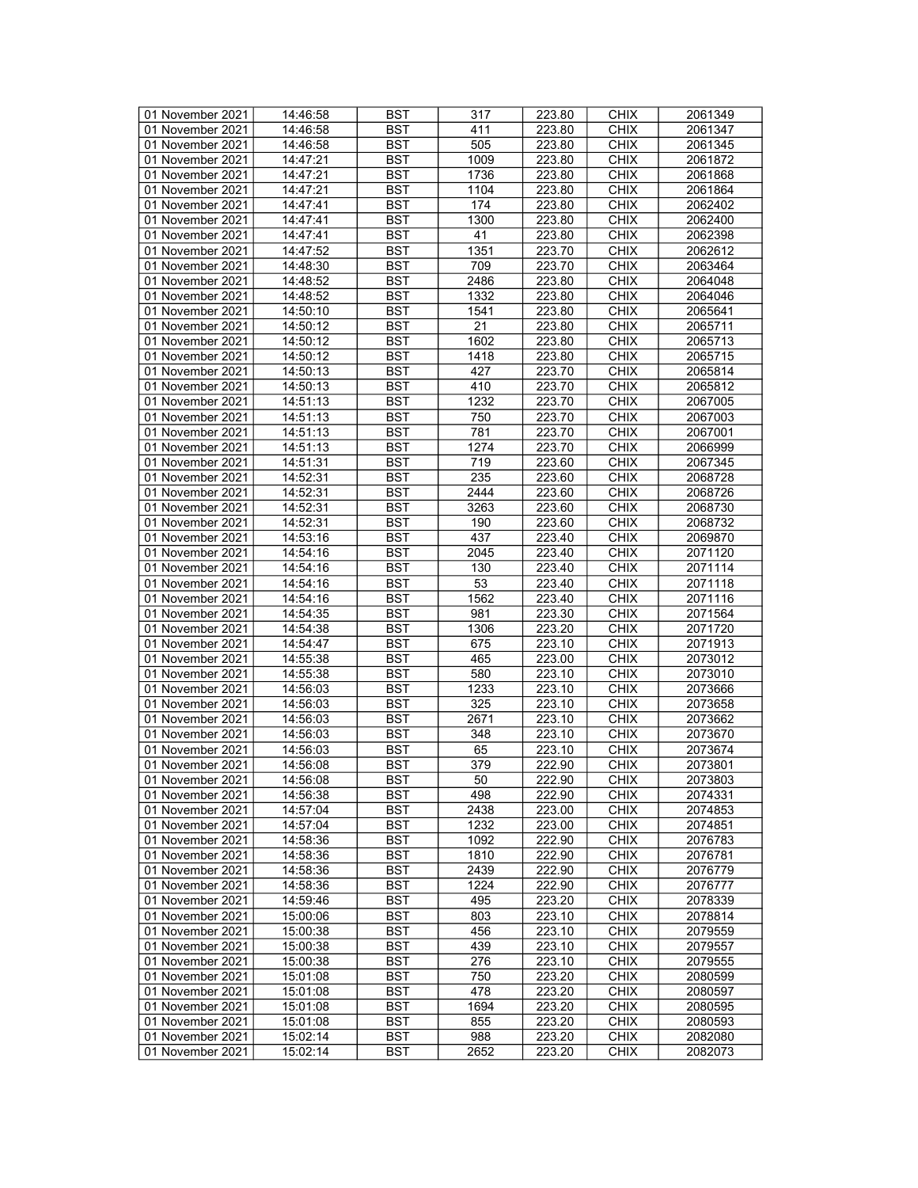| 01 November 2021 | 14:46:58 | BST        | 317             | 223.80 | <b>CHIX</b> | 2061349 |
|------------------|----------|------------|-----------------|--------|-------------|---------|
| 01 November 2021 | 14:46:58 | <b>BST</b> | 411             | 223.80 | <b>CHIX</b> | 2061347 |
| 01 November 2021 | 14:46:58 | <b>BST</b> | 505             | 223.80 | <b>CHIX</b> | 2061345 |
| 01 November 2021 | 14:47:21 | <b>BST</b> | 1009            | 223.80 | <b>CHIX</b> | 2061872 |
| 01 November 2021 | 14:47:21 | <b>BST</b> | 1736            | 223.80 | <b>CHIX</b> | 2061868 |
| 01 November 2021 | 14:47:21 | <b>BST</b> | 1104            | 223.80 | <b>CHIX</b> | 2061864 |
|                  | 14:47:41 | <b>BST</b> | 174             |        | <b>CHIX</b> | 2062402 |
| 01 November 2021 |          |            |                 | 223.80 |             |         |
| 01 November 2021 | 14:47:41 | <b>BST</b> | 1300            | 223.80 | <b>CHIX</b> | 2062400 |
| 01 November 2021 | 14:47:41 | <b>BST</b> | 41              | 223.80 | <b>CHIX</b> | 2062398 |
| 01 November 2021 | 14:47:52 | <b>BST</b> | 1351            | 223.70 | <b>CHIX</b> | 2062612 |
| 01 November 2021 | 14:48:30 | <b>BST</b> | 709             | 223.70 | <b>CHIX</b> | 2063464 |
| 01 November 2021 | 14:48:52 | <b>BST</b> | 2486            | 223.80 | <b>CHIX</b> | 2064048 |
| 01 November 2021 | 14:48:52 | <b>BST</b> | 1332            | 223.80 | <b>CHIX</b> | 2064046 |
| 01 November 2021 | 14:50:10 | <b>BST</b> | 1541            | 223.80 | <b>CHIX</b> | 2065641 |
| 01 November 2021 | 14:50:12 | <b>BST</b> | 21              | 223.80 | <b>CHIX</b> | 2065711 |
| 01 November 2021 | 14:50:12 | <b>BST</b> | 1602            | 223.80 | <b>CHIX</b> | 2065713 |
| 01 November 2021 | 14:50:12 | <b>BST</b> | 1418            | 223.80 | <b>CHIX</b> | 2065715 |
| 01 November 2021 | 14:50:13 | <b>BST</b> | 427             | 223.70 | <b>CHIX</b> | 2065814 |
| 01 November 2021 | 14:50:13 | <b>BST</b> | 410             | 223.70 | <b>CHIX</b> | 2065812 |
| 01 November 2021 | 14:51:13 | <b>BST</b> | 1232            | 223.70 | <b>CHIX</b> | 2067005 |
| 01 November 2021 | 14:51:13 | <b>BST</b> | 750             | 223.70 | <b>CHIX</b> | 2067003 |
| 01 November 2021 | 14:51:13 | <b>BST</b> | 781             | 223.70 | <b>CHIX</b> | 2067001 |
| 01 November 2021 | 14:51:13 | <b>BST</b> | 1274            | 223.70 | <b>CHIX</b> | 2066999 |
| 01 November 2021 | 14:51:31 | <b>BST</b> | 719             | 223.60 | <b>CHIX</b> | 2067345 |
| 01 November 2021 |          |            |                 |        |             |         |
|                  | 14:52:31 | <b>BST</b> | 235             | 223.60 | <b>CHIX</b> | 2068728 |
| 01 November 2021 | 14:52:31 | <b>BST</b> | 2444            | 223.60 | <b>CHIX</b> | 2068726 |
| 01 November 2021 | 14:52:31 | <b>BST</b> | 3263            | 223.60 | <b>CHIX</b> | 2068730 |
| 01 November 2021 | 14:52:31 | <b>BST</b> | 190             | 223.60 | <b>CHIX</b> | 2068732 |
| 01 November 2021 | 14:53:16 | <b>BST</b> | 437             | 223.40 | <b>CHIX</b> | 2069870 |
| 01 November 2021 | 14:54:16 | <b>BST</b> | 2045            | 223.40 | <b>CHIX</b> | 2071120 |
| 01 November 2021 | 14:54:16 | <b>BST</b> | 130             | 223.40 | <b>CHIX</b> | 2071114 |
| 01 November 2021 | 14:54:16 | <b>BST</b> | 53              | 223.40 | <b>CHIX</b> | 2071118 |
| 01 November 2021 | 14:54:16 | <b>BST</b> | 1562            | 223.40 | <b>CHIX</b> | 2071116 |
| 01 November 2021 | 14:54:35 | <b>BST</b> | 981             | 223.30 | <b>CHIX</b> | 2071564 |
| 01 November 2021 | 14:54:38 | <b>BST</b> | 1306            | 223.20 | <b>CHIX</b> | 2071720 |
| 01 November 2021 | 14:54:47 | <b>BST</b> | 675             | 223.10 | <b>CHIX</b> | 2071913 |
| 01 November 2021 | 14:55:38 | <b>BST</b> | 465             | 223.00 | <b>CHIX</b> | 2073012 |
| 01 November 2021 | 14:55:38 | <b>BST</b> | 580             | 223.10 | <b>CHIX</b> | 2073010 |
| 01 November 2021 | 14:56:03 | <b>BST</b> | 1233            | 223.10 | <b>CHIX</b> | 2073666 |
| 01 November 2021 | 14:56:03 | <b>BST</b> | 325             | 223.10 | <b>CHIX</b> | 2073658 |
| 01 November 2021 | 14:56:03 | <b>BST</b> | 2671            | 223.10 | <b>CHIX</b> | 2073662 |
| 01 November 2021 | 14:56:03 | <b>BST</b> | 348             | 223.10 | <b>CHIX</b> | 2073670 |
| 01 November 2021 | 14:56:03 | <b>BST</b> | 65              | 223.10 | <b>CHIX</b> | 2073674 |
| 01 November 2021 | 14:56:08 | <b>BST</b> | 379             | 222.90 | <b>CHIX</b> | 2073801 |
| 01 November 2021 | 14:56:08 | <b>BST</b> | $\overline{50}$ | 222.90 | <b>CHIX</b> | 2073803 |
|                  |          |            | 498             | 222.90 | <b>CHIX</b> |         |
| 01 November 2021 | 14:56:38 | BST        |                 |        |             | 2074331 |
| 01 November 2021 | 14:57:04 | BST        | 2438            | 223.00 | <b>CHIX</b> | 2074853 |
| 01 November 2021 | 14:57:04 | <b>BST</b> | 1232            | 223.00 | <b>CHIX</b> | 2074851 |
| 01 November 2021 | 14:58:36 | <b>BST</b> | 1092            | 222.90 | <b>CHIX</b> | 2076783 |
| 01 November 2021 | 14:58:36 | BST        | 1810            | 222.90 | <b>CHIX</b> | 2076781 |
| 01 November 2021 | 14:58:36 | <b>BST</b> | 2439            | 222.90 | <b>CHIX</b> | 2076779 |
| 01 November 2021 | 14:58:36 | BST        | 1224            | 222.90 | <b>CHIX</b> | 2076777 |
| 01 November 2021 | 14:59:46 | BST        | 495             | 223.20 | <b>CHIX</b> | 2078339 |
| 01 November 2021 | 15:00:06 | <b>BST</b> | 803             | 223.10 | <b>CHIX</b> | 2078814 |
| 01 November 2021 | 15:00:38 | <b>BST</b> | 456             | 223.10 | <b>CHIX</b> | 2079559 |
| 01 November 2021 | 15:00:38 | BST        | 439             | 223.10 | <b>CHIX</b> | 2079557 |
| 01 November 2021 | 15:00:38 | <b>BST</b> | 276             | 223.10 | <b>CHIX</b> | 2079555 |
| 01 November 2021 | 15:01:08 | BST        | 750             | 223.20 | <b>CHIX</b> | 2080599 |
| 01 November 2021 | 15:01:08 | <b>BST</b> | 478             | 223.20 | <b>CHIX</b> | 2080597 |
| 01 November 2021 | 15:01:08 | <b>BST</b> | 1694            | 223.20 | <b>CHIX</b> | 2080595 |
| 01 November 2021 | 15:01:08 | BST        | 855             | 223.20 | <b>CHIX</b> | 2080593 |
| 01 November 2021 | 15:02:14 | <b>BST</b> | 988             | 223.20 | <b>CHIX</b> | 2082080 |
| 01 November 2021 | 15:02:14 | BST        | 2652            | 223.20 | <b>CHIX</b> | 2082073 |
|                  |          |            |                 |        |             |         |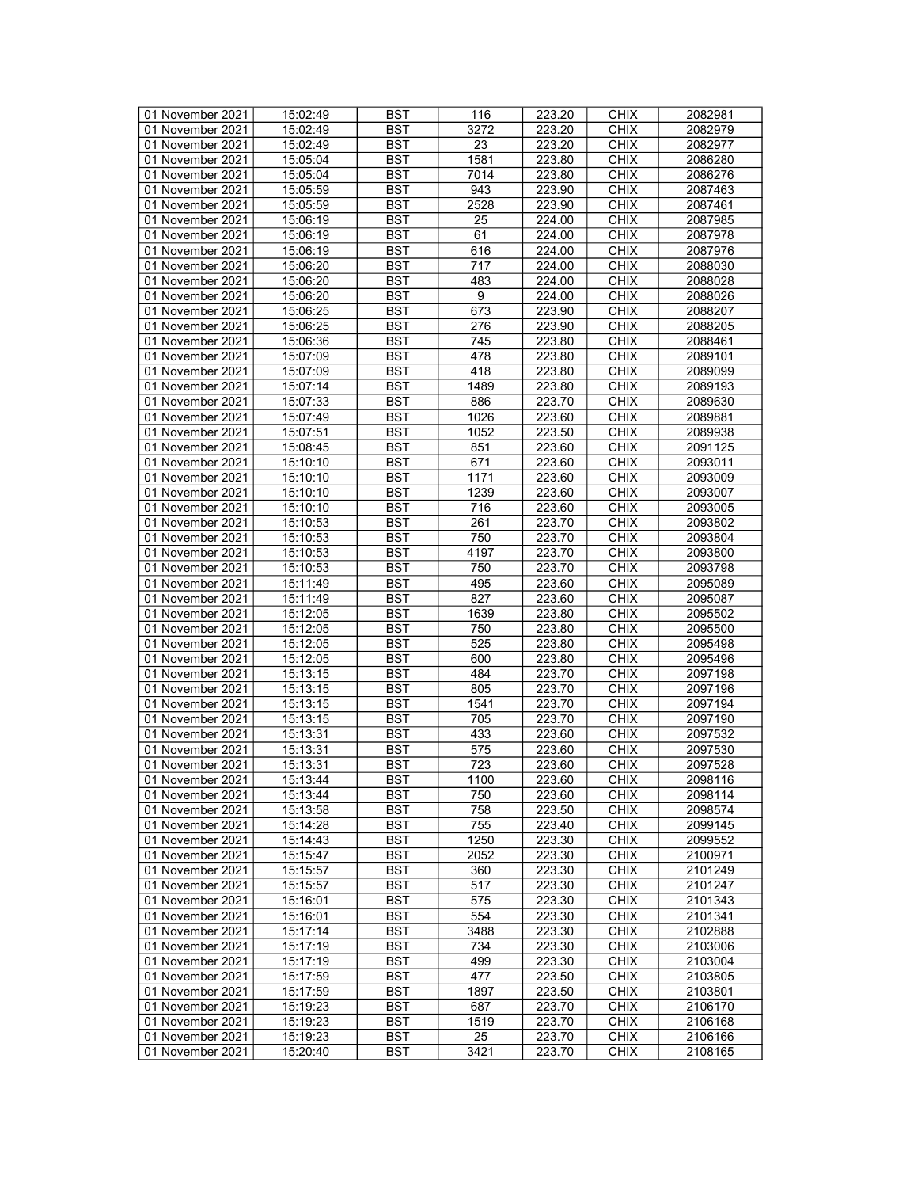| 01 November 2021 | 15:02:49 | <b>BST</b> | 116  | 223.20 | <b>CHIX</b> | 2082981 |
|------------------|----------|------------|------|--------|-------------|---------|
| 01 November 2021 | 15:02:49 | BST        | 3272 | 223.20 | <b>CHIX</b> | 2082979 |
| 01 November 2021 | 15:02:49 | <b>BST</b> | 23   | 223.20 | <b>CHIX</b> | 2082977 |
| 01 November 2021 | 15:05:04 | <b>BST</b> | 1581 | 223.80 | <b>CHIX</b> | 2086280 |
| 01 November 2021 | 15:05:04 | <b>BST</b> | 7014 | 223.80 | <b>CHIX</b> | 2086276 |
| 01 November 2021 | 15:05:59 | <b>BST</b> | 943  | 223.90 | <b>CHIX</b> | 2087463 |
|                  | 15:05:59 | <b>BST</b> | 2528 |        | <b>CHIX</b> | 2087461 |
| 01 November 2021 |          |            |      | 223.90 |             |         |
| 01 November 2021 | 15:06:19 | <b>BST</b> | 25   | 224.00 | <b>CHIX</b> | 2087985 |
| 01 November 2021 | 15:06:19 | <b>BST</b> | 61   | 224.00 | <b>CHIX</b> | 2087978 |
| 01 November 2021 | 15:06:19 | <b>BST</b> | 616  | 224.00 | <b>CHIX</b> | 2087976 |
| 01 November 2021 | 15:06:20 | <b>BST</b> | 717  | 224.00 | <b>CHIX</b> | 2088030 |
| 01 November 2021 | 15:06:20 | <b>BST</b> | 483  | 224.00 | <b>CHIX</b> | 2088028 |
| 01 November 2021 | 15:06:20 | <b>BST</b> | 9    | 224.00 | <b>CHIX</b> | 2088026 |
| 01 November 2021 | 15:06:25 | <b>BST</b> | 673  | 223.90 | <b>CHIX</b> | 2088207 |
| 01 November 2021 | 15:06:25 | <b>BST</b> | 276  | 223.90 | <b>CHIX</b> | 2088205 |
| 01 November 2021 | 15:06:36 | <b>BST</b> | 745  | 223.80 | <b>CHIX</b> | 2088461 |
| 01 November 2021 | 15:07:09 | <b>BST</b> | 478  | 223.80 | <b>CHIX</b> | 2089101 |
| 01 November 2021 | 15:07:09 | <b>BST</b> | 418  | 223.80 | <b>CHIX</b> | 2089099 |
| 01 November 2021 | 15:07:14 | <b>BST</b> | 1489 | 223.80 | <b>CHIX</b> | 2089193 |
| 01 November 2021 | 15:07:33 | <b>BST</b> | 886  | 223.70 | <b>CHIX</b> | 2089630 |
| 01 November 2021 | 15:07:49 | <b>BST</b> | 1026 | 223.60 | <b>CHIX</b> | 2089881 |
| 01 November 2021 | 15:07:51 | <b>BST</b> | 1052 | 223.50 | <b>CHIX</b> | 2089938 |
| 01 November 2021 | 15:08:45 | <b>BST</b> | 851  | 223.60 | <b>CHIX</b> | 2091125 |
|                  |          |            |      |        |             |         |
| 01 November 2021 | 15:10:10 | <b>BST</b> | 671  | 223.60 | <b>CHIX</b> | 2093011 |
| 01 November 2021 | 15:10:10 | <b>BST</b> | 1171 | 223.60 | <b>CHIX</b> | 2093009 |
| 01 November 2021 | 15:10:10 | <b>BST</b> | 1239 | 223.60 | <b>CHIX</b> | 2093007 |
| 01 November 2021 | 15:10:10 | <b>BST</b> | 716  | 223.60 | <b>CHIX</b> | 2093005 |
| 01 November 2021 | 15:10:53 | <b>BST</b> | 261  | 223.70 | <b>CHIX</b> | 2093802 |
| 01 November 2021 | 15:10:53 | <b>BST</b> | 750  | 223.70 | <b>CHIX</b> | 2093804 |
| 01 November 2021 | 15:10:53 | <b>BST</b> | 4197 | 223.70 | <b>CHIX</b> | 2093800 |
| 01 November 2021 | 15:10:53 | <b>BST</b> | 750  | 223.70 | <b>CHIX</b> | 2093798 |
| 01 November 2021 | 15:11:49 | <b>BST</b> | 495  | 223.60 | <b>CHIX</b> | 2095089 |
| 01 November 2021 | 15:11:49 | <b>BST</b> | 827  | 223.60 | <b>CHIX</b> | 2095087 |
| 01 November 2021 | 15:12:05 | <b>BST</b> | 1639 | 223.80 | <b>CHIX</b> | 2095502 |
| 01 November 2021 | 15:12:05 | <b>BST</b> | 750  | 223.80 | <b>CHIX</b> | 2095500 |
| 01 November 2021 | 15:12:05 | <b>BST</b> | 525  | 223.80 | <b>CHIX</b> | 2095498 |
| 01 November 2021 | 15:12:05 | <b>BST</b> | 600  | 223.80 | <b>CHIX</b> | 2095496 |
| 01 November 2021 | 15:13:15 | <b>BST</b> | 484  | 223.70 | <b>CHIX</b> | 2097198 |
| 01 November 2021 | 15:13:15 | <b>BST</b> | 805  | 223.70 | <b>CHIX</b> | 2097196 |
|                  |          | <b>BST</b> | 1541 | 223.70 | <b>CHIX</b> | 2097194 |
| 01 November 2021 | 15:13:15 |            |      |        |             |         |
| 01 November 2021 | 15:13:15 | <b>BST</b> | 705  | 223.70 | <b>CHIX</b> | 2097190 |
| 01 November 2021 | 15:13:31 | <b>BST</b> | 433  | 223.60 | <b>CHIX</b> | 2097532 |
| 01 November 2021 | 15:13:31 | <b>BST</b> | 575  | 223.60 | <b>CHIX</b> | 2097530 |
| 01 November 2021 | 15:13:31 | <b>BST</b> | 723  | 223.60 | <b>CHIX</b> | 2097528 |
| 01 November 2021 | 15:13:44 | <b>BST</b> | 1100 | 223.60 | <b>CHIX</b> | 2098116 |
| 01 November 2021 | 15:13:44 | <b>BST</b> | 750  | 223.60 | <b>CHIX</b> | 2098114 |
| 01 November 2021 | 15:13:58 | <b>BST</b> | 758  | 223.50 | <b>CHIX</b> | 2098574 |
| 01 November 2021 | 15:14:28 | <b>BST</b> | 755  | 223.40 | <b>CHIX</b> | 2099145 |
| 01 November 2021 | 15:14:43 | <b>BST</b> | 1250 | 223.30 | <b>CHIX</b> | 2099552 |
| 01 November 2021 | 15:15:47 | <b>BST</b> | 2052 | 223.30 | <b>CHIX</b> | 2100971 |
| 01 November 2021 | 15:15:57 | <b>BST</b> | 360  | 223.30 | <b>CHIX</b> | 2101249 |
| 01 November 2021 | 15:15:57 | BST        | 517  | 223.30 | <b>CHIX</b> | 2101247 |
| 01 November 2021 | 15:16:01 | <b>BST</b> | 575  | 223.30 | <b>CHIX</b> | 2101343 |
| 01 November 2021 | 15:16:01 | <b>BST</b> | 554  | 223.30 | <b>CHIX</b> | 2101341 |
| 01 November 2021 | 15:17:14 | <b>BST</b> | 3488 | 223.30 | <b>CHIX</b> | 2102888 |
| 01 November 2021 | 15:17:19 | <b>BST</b> | 734  | 223.30 | <b>CHIX</b> | 2103006 |
| 01 November 2021 |          | <b>BST</b> | 499  | 223.30 | <b>CHIX</b> | 2103004 |
|                  | 15:17:19 |            | 477  |        |             |         |
| 01 November 2021 | 15:17:59 | <b>BST</b> |      | 223.50 | <b>CHIX</b> | 2103805 |
| 01 November 2021 | 15:17:59 | <b>BST</b> | 1897 | 223.50 | <b>CHIX</b> | 2103801 |
| 01 November 2021 | 15:19:23 | <b>BST</b> | 687  | 223.70 | <b>CHIX</b> | 2106170 |
| 01 November 2021 | 15:19:23 | BST        | 1519 | 223.70 | <b>CHIX</b> | 2106168 |
| 01 November 2021 | 15:19:23 | <b>BST</b> | 25   | 223.70 | <b>CHIX</b> | 2106166 |
| 01 November 2021 | 15:20:40 | <b>BST</b> | 3421 | 223.70 | <b>CHIX</b> | 2108165 |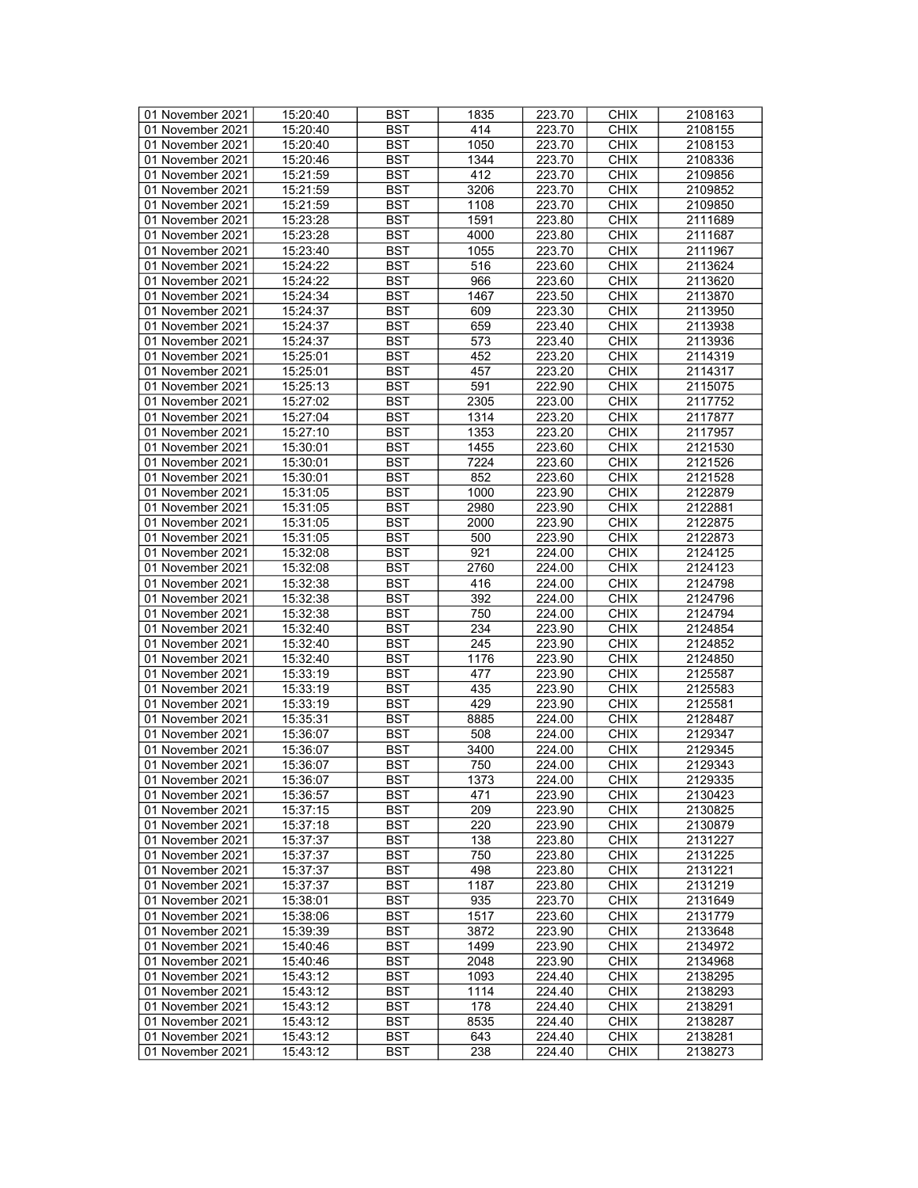| 01 November 2021 | 15:20:40 | <b>BST</b>       | 1835 | 223.70 | <b>CHIX</b> | 2108163 |
|------------------|----------|------------------|------|--------|-------------|---------|
| 01 November 2021 | 15:20:40 | BST              | 414  | 223.70 | <b>CHIX</b> | 2108155 |
| 01 November 2021 | 15:20:40 | <b>BST</b>       | 1050 | 223.70 | <b>CHIX</b> | 2108153 |
| 01 November 2021 | 15:20:46 | <b>BST</b>       | 1344 | 223.70 | <b>CHIX</b> | 2108336 |
| 01 November 2021 | 15:21:59 | <b>BST</b>       | 412  | 223.70 | <b>CHIX</b> | 2109856 |
| 01 November 2021 | 15:21:59 | <b>BST</b>       | 3206 | 223.70 | <b>CHIX</b> | 2109852 |
|                  |          |                  |      |        |             |         |
| 01 November 2021 | 15:21:59 | <b>BST</b>       | 1108 | 223.70 | <b>CHIX</b> | 2109850 |
| 01 November 2021 | 15:23:28 | <b>BST</b>       | 1591 | 223.80 | <b>CHIX</b> | 2111689 |
| 01 November 2021 | 15:23:28 | <b>BST</b>       | 4000 | 223.80 | <b>CHIX</b> | 2111687 |
| 01 November 2021 | 15:23:40 | <b>BST</b>       | 1055 | 223.70 | <b>CHIX</b> | 2111967 |
| 01 November 2021 | 15:24:22 | <b>BST</b>       | 516  | 223.60 | <b>CHIX</b> | 2113624 |
| 01 November 2021 | 15:24:22 | <b>BST</b>       | 966  | 223.60 | <b>CHIX</b> | 2113620 |
| 01 November 2021 | 15:24:34 | <b>BST</b>       | 1467 | 223.50 | <b>CHIX</b> | 2113870 |
| 01 November 2021 | 15:24:37 | <b>BST</b>       | 609  | 223.30 | <b>CHIX</b> | 2113950 |
| 01 November 2021 | 15:24:37 | <b>BST</b>       | 659  | 223.40 | <b>CHIX</b> | 2113938 |
| 01 November 2021 | 15:24:37 | <b>BST</b>       | 573  | 223.40 | <b>CHIX</b> | 2113936 |
| 01 November 2021 | 15:25:01 | <b>BST</b>       | 452  | 223.20 | <b>CHIX</b> | 2114319 |
| 01 November 2021 | 15:25:01 | <b>BST</b>       | 457  | 223.20 | <b>CHIX</b> | 2114317 |
| 01 November 2021 | 15:25:13 | <b>BST</b>       | 591  | 222.90 | <b>CHIX</b> | 2115075 |
| 01 November 2021 |          |                  |      |        |             |         |
|                  | 15:27:02 | <b>BST</b>       | 2305 | 223.00 | <b>CHIX</b> | 2117752 |
| 01 November 2021 | 15:27:04 | <b>BST</b>       | 1314 | 223.20 | <b>CHIX</b> | 2117877 |
| 01 November 2021 | 15:27:10 | <b>BST</b>       | 1353 | 223.20 | <b>CHIX</b> | 2117957 |
| 01 November 2021 | 15:30:01 | <b>BST</b>       | 1455 | 223.60 | <b>CHIX</b> | 2121530 |
| 01 November 2021 | 15:30:01 | <b>BST</b>       | 7224 | 223.60 | <b>CHIX</b> | 2121526 |
| 01 November 2021 | 15:30:01 | <b>BST</b>       | 852  | 223.60 | <b>CHIX</b> | 2121528 |
| 01 November 2021 | 15:31:05 | <b>BST</b>       | 1000 | 223.90 | <b>CHIX</b> | 2122879 |
| 01 November 2021 | 15:31:05 | <b>BST</b>       | 2980 | 223.90 | <b>CHIX</b> | 2122881 |
| 01 November 2021 | 15:31:05 | <b>BST</b>       | 2000 | 223.90 | <b>CHIX</b> | 2122875 |
| 01 November 2021 | 15:31:05 | <b>BST</b>       | 500  | 223.90 | <b>CHIX</b> | 2122873 |
| 01 November 2021 | 15:32:08 | <b>BST</b>       | 921  | 224.00 | <b>CHIX</b> | 2124125 |
| 01 November 2021 | 15:32:08 | <b>BST</b>       | 2760 | 224.00 | <b>CHIX</b> | 2124123 |
| 01 November 2021 | 15:32:38 | <b>BST</b>       | 416  | 224.00 | <b>CHIX</b> | 2124798 |
| 01 November 2021 |          | <b>BST</b>       | 392  | 224.00 | <b>CHIX</b> | 2124796 |
|                  | 15:32:38 |                  |      |        |             |         |
| 01 November 2021 | 15:32:38 | <b>BST</b>       | 750  | 224.00 | <b>CHIX</b> | 2124794 |
| 01 November 2021 | 15:32:40 | <b>BST</b>       | 234  | 223.90 | <b>CHIX</b> | 2124854 |
| 01 November 2021 | 15:32:40 | <b>BST</b>       | 245  | 223.90 | <b>CHIX</b> | 2124852 |
| 01 November 2021 | 15:32:40 | <b>BST</b>       | 1176 | 223.90 | <b>CHIX</b> | 2124850 |
| 01 November 2021 | 15:33:19 | <b>BST</b>       | 477  | 223.90 | <b>CHIX</b> | 2125587 |
| 01 November 2021 | 15:33:19 | <b>BST</b>       | 435  | 223.90 | <b>CHIX</b> | 2125583 |
| 01 November 2021 | 15:33:19 | <b>BST</b>       | 429  | 223.90 | <b>CHIX</b> | 2125581 |
| 01 November 2021 | 15:35:31 | <b>BST</b>       | 8885 | 224.00 | <b>CHIX</b> | 2128487 |
| 01 November 2021 | 15:36:07 | <b>BST</b>       | 508  | 224.00 | <b>CHIX</b> | 2129347 |
| 01 November 2021 | 15:36:07 | <b>BST</b>       | 3400 | 224.00 | <b>CHIX</b> | 2129345 |
| 01 November 2021 | 15:36:07 | <b>BST</b>       | 750  | 224.00 | <b>CHIX</b> | 2129343 |
| 01 November 2021 | 15:36:07 | $\overline{BST}$ | 1373 | 224.00 | <b>CHIX</b> | 2129335 |
| 01 November 2021 | 15:36:57 | BST              | 471  | 223.90 | <b>CHIX</b> | 2130423 |
| 01 November 2021 | 15:37:15 | <b>BST</b>       | 209  | 223.90 | <b>CHIX</b> | 2130825 |
|                  |          |                  | 220  |        |             |         |
| 01 November 2021 | 15:37:18 | <b>BST</b>       |      | 223.90 | <b>CHIX</b> | 2130879 |
| 01 November 2021 | 15:37:37 | <b>BST</b>       | 138  | 223.80 | <b>CHIX</b> | 2131227 |
| 01 November 2021 | 15:37:37 | <b>BST</b>       | 750  | 223.80 | <b>CHIX</b> | 2131225 |
| 01 November 2021 | 15:37:37 | <b>BST</b>       | 498  | 223.80 | <b>CHIX</b> | 2131221 |
| 01 November 2021 | 15:37:37 | BST              | 1187 | 223.80 | <b>CHIX</b> | 2131219 |
| 01 November 2021 | 15:38:01 | <b>BST</b>       | 935  | 223.70 | <b>CHIX</b> | 2131649 |
| 01 November 2021 | 15:38:06 | <b>BST</b>       | 1517 | 223.60 | <b>CHIX</b> | 2131779 |
| 01 November 2021 | 15:39:39 | <b>BST</b>       | 3872 | 223.90 | <b>CHIX</b> | 2133648 |
| 01 November 2021 | 15:40:46 | <b>BST</b>       | 1499 | 223.90 | <b>CHIX</b> | 2134972 |
| 01 November 2021 | 15:40:46 | <b>BST</b>       | 2048 | 223.90 | <b>CHIX</b> | 2134968 |
| 01 November 2021 | 15:43:12 | <b>BST</b>       | 1093 | 224.40 | <b>CHIX</b> | 2138295 |
| 01 November 2021 | 15:43:12 | <b>BST</b>       | 1114 | 224.40 | <b>CHIX</b> | 2138293 |
| 01 November 2021 | 15:43:12 | <b>BST</b>       | 178  | 224.40 | <b>CHIX</b> | 2138291 |
| 01 November 2021 | 15:43:12 | BST              | 8535 | 224.40 | <b>CHIX</b> | 2138287 |
| 01 November 2021 | 15:43:12 | <b>BST</b>       | 643  | 224.40 | <b>CHIX</b> | 2138281 |
|                  |          |                  |      |        |             |         |
| 01 November 2021 | 15:43:12 | <b>BST</b>       | 238  | 224.40 | <b>CHIX</b> | 2138273 |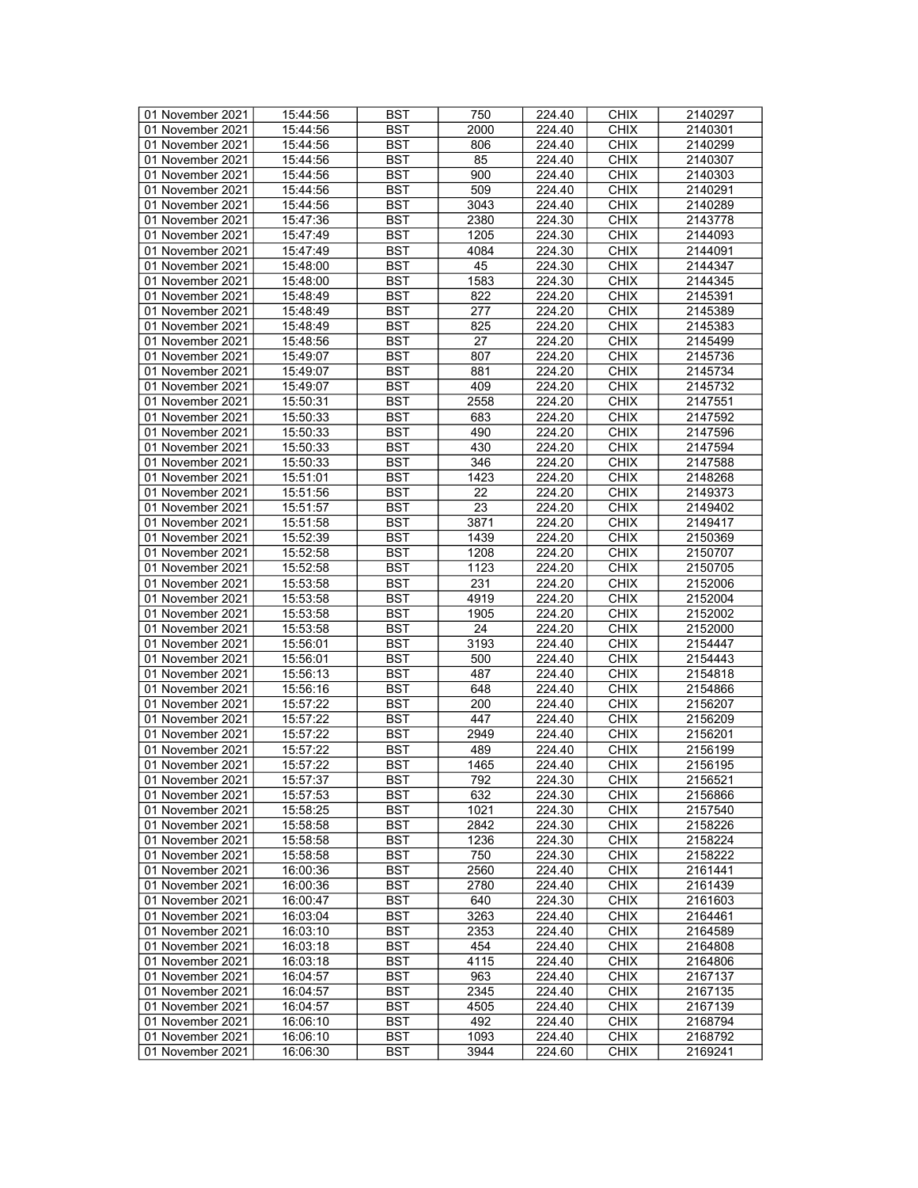| 01 November 2021 | 15:44:56 | <b>BST</b> | 750  | 224.40 | <b>CHIX</b> | 2140297 |
|------------------|----------|------------|------|--------|-------------|---------|
| 01 November 2021 | 15:44:56 | <b>BST</b> | 2000 | 224.40 | <b>CHIX</b> | 2140301 |
|                  |          |            |      |        |             |         |
| 01 November 2021 | 15:44:56 | <b>BST</b> | 806  | 224.40 | <b>CHIX</b> | 2140299 |
| 01 November 2021 | 15:44:56 | <b>BST</b> | 85   | 224.40 | <b>CHIX</b> | 2140307 |
| 01 November 2021 | 15:44:56 | <b>BST</b> | 900  | 224.40 | <b>CHIX</b> | 2140303 |
| 01 November 2021 | 15:44:56 | <b>BST</b> | 509  | 224.40 | <b>CHIX</b> | 2140291 |
| 01 November 2021 | 15:44:56 | <b>BST</b> | 3043 | 224.40 | <b>CHIX</b> | 2140289 |
| 01 November 2021 | 15:47:36 | <b>BST</b> | 2380 | 224.30 | <b>CHIX</b> | 2143778 |
| 01 November 2021 | 15:47:49 | <b>BST</b> | 1205 | 224.30 | <b>CHIX</b> | 2144093 |
| 01 November 2021 | 15:47:49 | <b>BST</b> | 4084 | 224.30 | <b>CHIX</b> | 2144091 |
| 01 November 2021 | 15:48:00 | <b>BST</b> | 45   | 224.30 | <b>CHIX</b> | 2144347 |
|                  |          |            |      |        |             |         |
| 01 November 2021 | 15:48:00 | <b>BST</b> | 1583 | 224.30 | <b>CHIX</b> | 2144345 |
| 01 November 2021 | 15:48:49 | <b>BST</b> | 822  | 224.20 | <b>CHIX</b> | 2145391 |
| 01 November 2021 | 15:48:49 | <b>BST</b> | 277  | 224.20 | <b>CHIX</b> | 2145389 |
| 01 November 2021 | 15:48:49 | <b>BST</b> | 825  | 224.20 | <b>CHIX</b> | 2145383 |
| 01 November 2021 | 15:48:56 | <b>BST</b> | 27   | 224.20 | <b>CHIX</b> | 2145499 |
| 01 November 2021 | 15:49:07 | <b>BST</b> | 807  | 224.20 | <b>CHIX</b> | 2145736 |
| 01 November 2021 | 15:49:07 | <b>BST</b> | 881  | 224.20 | <b>CHIX</b> | 2145734 |
| 01 November 2021 | 15:49:07 | <b>BST</b> | 409  | 224.20 | <b>CHIX</b> | 2145732 |
|                  |          |            |      |        |             |         |
| 01 November 2021 | 15:50:31 | <b>BST</b> | 2558 | 224.20 | <b>CHIX</b> | 2147551 |
| 01 November 2021 | 15:50:33 | <b>BST</b> | 683  | 224.20 | <b>CHIX</b> | 2147592 |
| 01 November 2021 | 15:50:33 | <b>BST</b> | 490  | 224.20 | <b>CHIX</b> | 2147596 |
| 01 November 2021 | 15:50:33 | <b>BST</b> | 430  | 224.20 | <b>CHIX</b> | 2147594 |
| 01 November 2021 | 15:50:33 | <b>BST</b> | 346  | 224.20 | <b>CHIX</b> | 2147588 |
| 01 November 2021 | 15:51:01 | <b>BST</b> | 1423 | 224.20 | <b>CHIX</b> | 2148268 |
| 01 November 2021 | 15:51:56 | <b>BST</b> | 22   | 224.20 | <b>CHIX</b> | 2149373 |
| 01 November 2021 | 15:51:57 | <b>BST</b> | 23   | 224.20 | <b>CHIX</b> | 2149402 |
| 01 November 2021 |          | <b>BST</b> | 3871 | 224.20 | <b>CHIX</b> | 2149417 |
|                  | 15:51:58 |            |      |        |             |         |
| 01 November 2021 | 15:52:39 | <b>BST</b> | 1439 | 224.20 | <b>CHIX</b> | 2150369 |
| 01 November 2021 | 15:52:58 | <b>BST</b> | 1208 | 224.20 | <b>CHIX</b> | 2150707 |
| 01 November 2021 | 15:52:58 | <b>BST</b> | 1123 | 224.20 | <b>CHIX</b> | 2150705 |
| 01 November 2021 | 15:53:58 | <b>BST</b> | 231  | 224.20 | <b>CHIX</b> | 2152006 |
| 01 November 2021 | 15:53:58 | <b>BST</b> | 4919 | 224.20 | <b>CHIX</b> | 2152004 |
| 01 November 2021 | 15:53:58 | <b>BST</b> | 1905 | 224.20 | <b>CHIX</b> | 2152002 |
| 01 November 2021 | 15:53:58 | <b>BST</b> | 24   | 224.20 | <b>CHIX</b> | 2152000 |
| 01 November 2021 | 15:56:01 | <b>BST</b> | 3193 | 224.40 | <b>CHIX</b> | 2154447 |
| 01 November 2021 | 15:56:01 | <b>BST</b> | 500  | 224.40 | <b>CHIX</b> | 2154443 |
|                  |          | <b>BST</b> | 487  |        |             |         |
| 01 November 2021 | 15:56:13 |            |      | 224.40 | <b>CHIX</b> | 2154818 |
| 01 November 2021 | 15:56:16 | <b>BST</b> | 648  | 224.40 | <b>CHIX</b> | 2154866 |
| 01 November 2021 | 15:57:22 | <b>BST</b> | 200  | 224.40 | <b>CHIX</b> | 2156207 |
| 01 November 2021 | 15:57:22 | <b>BST</b> | 447  | 224.40 | <b>CHIX</b> | 2156209 |
| 01 November 2021 | 15:57:22 | <b>BST</b> | 2949 | 224.40 | <b>CHIX</b> | 2156201 |
| 01 November 2021 | 15:57:22 | <b>BST</b> | 489  | 224.40 | <b>CHIX</b> | 2156199 |
| 01 November 2021 | 15:57:22 | <b>BST</b> | 1465 | 224.40 | <b>CHIX</b> | 2156195 |
| 01 November 2021 | 15:57:37 | <b>BST</b> | 792  | 224.30 | <b>CHIX</b> | 2156521 |
| 01 November 2021 | 15:57:53 | BST        | 632  | 224.30 | <b>CHIX</b> | 2156866 |
| 01 November 2021 | 15:58:25 | <b>BST</b> | 1021 | 224.30 | <b>CHIX</b> | 2157540 |
|                  | 15:58:58 | <b>BST</b> | 2842 |        | <b>CHIX</b> |         |
| 01 November 2021 |          |            |      | 224.30 |             | 2158226 |
| 01 November 2021 | 15:58:58 | <b>BST</b> | 1236 | 224.30 | <b>CHIX</b> | 2158224 |
| 01 November 2021 | 15:58:58 | <b>BST</b> | 750  | 224.30 | <b>CHIX</b> | 2158222 |
| 01 November 2021 | 16:00:36 | BST        | 2560 | 224.40 | <b>CHIX</b> | 2161441 |
| 01 November 2021 | 16:00:36 | <b>BST</b> | 2780 | 224.40 | <b>CHIX</b> | 2161439 |
| 01 November 2021 | 16:00:47 | <b>BST</b> | 640  | 224.30 | <b>CHIX</b> | 2161603 |
| 01 November 2021 | 16:03:04 | <b>BST</b> | 3263 | 224.40 | <b>CHIX</b> | 2164461 |
| 01 November 2021 | 16:03:10 | <b>BST</b> | 2353 | 224.40 | <b>CHIX</b> | 2164589 |
| 01 November 2021 | 16:03:18 | <b>BST</b> | 454  | 224.40 | <b>CHIX</b> | 2164808 |
|                  |          |            |      |        |             |         |
| 01 November 2021 | 16:03:18 | <b>BST</b> | 4115 | 224.40 | <b>CHIX</b> | 2164806 |
| 01 November 2021 | 16:04:57 | <b>BST</b> | 963  | 224.40 | <b>CHIX</b> | 2167137 |
| 01 November 2021 | 16:04:57 | <b>BST</b> | 2345 | 224.40 | <b>CHIX</b> | 2167135 |
| 01 November 2021 | 16:04:57 | <b>BST</b> | 4505 | 224.40 | <b>CHIX</b> | 2167139 |
| 01 November 2021 | 16:06:10 | <b>BST</b> | 492  | 224.40 | <b>CHIX</b> | 2168794 |
| 01 November 2021 | 16:06:10 | BST        | 1093 | 224.40 | <b>CHIX</b> | 2168792 |
| 01 November 2021 | 16:06:30 | <b>BST</b> | 3944 | 224.60 | <b>CHIX</b> | 2169241 |
|                  |          |            |      |        |             |         |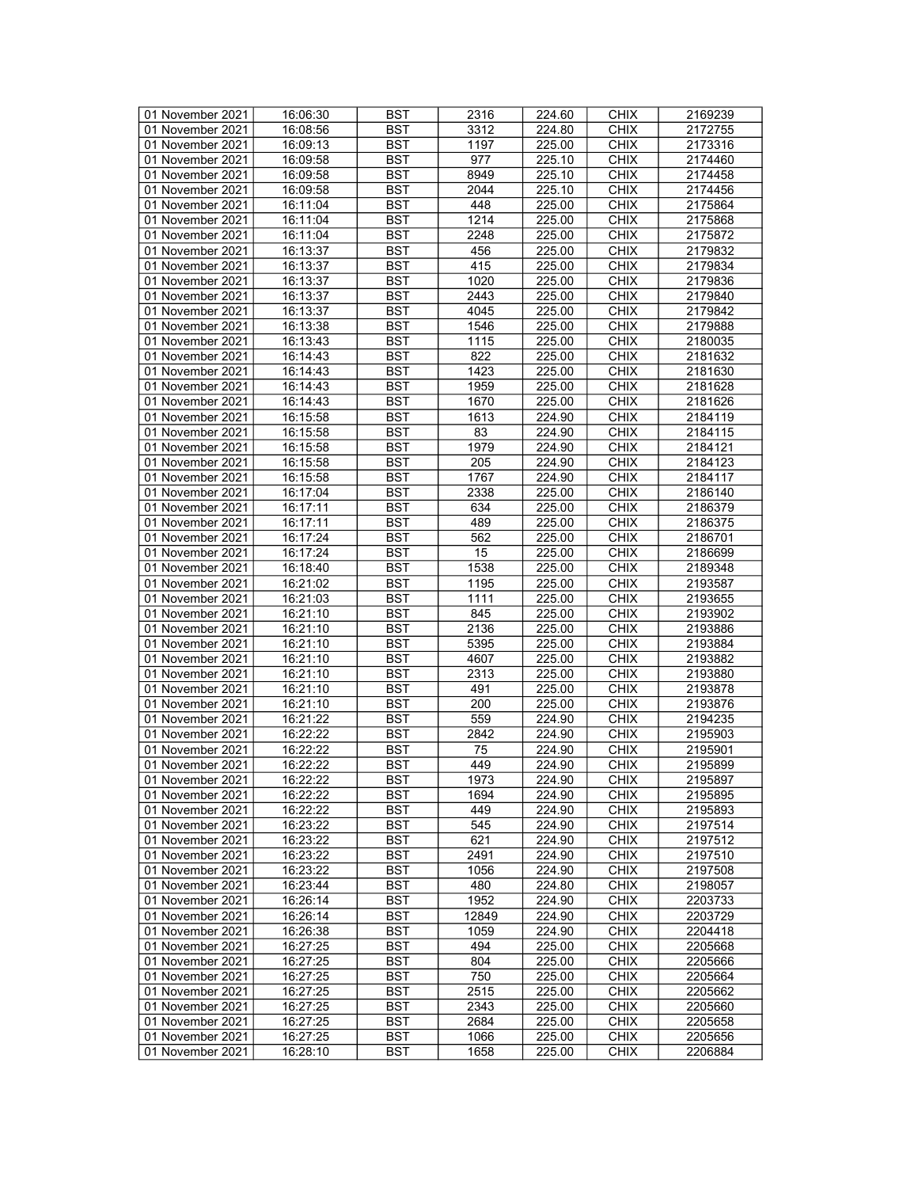| 01 November 2021 | 16:06:30 | <b>BST</b> | 2316  | 224.60 | <b>CHIX</b> | 2169239 |
|------------------|----------|------------|-------|--------|-------------|---------|
| 01 November 2021 | 16:08:56 | BST        | 3312  | 224.80 | <b>CHIX</b> | 2172755 |
| 01 November 2021 | 16:09:13 | <b>BST</b> | 1197  | 225.00 | <b>CHIX</b> | 2173316 |
| 01 November 2021 | 16:09:58 | <b>BST</b> | 977   | 225.10 | <b>CHIX</b> | 2174460 |
| 01 November 2021 | 16:09:58 | <b>BST</b> | 8949  | 225.10 | <b>CHIX</b> | 2174458 |
| 01 November 2021 | 16:09:58 |            |       |        |             | 2174456 |
|                  |          | <b>BST</b> | 2044  | 225.10 | <b>CHIX</b> |         |
| 01 November 2021 | 16:11:04 | <b>BST</b> | 448   | 225.00 | <b>CHIX</b> | 2175864 |
| 01 November 2021 | 16:11:04 | <b>BST</b> | 1214  | 225.00 | <b>CHIX</b> | 2175868 |
| 01 November 2021 | 16:11:04 | <b>BST</b> | 2248  | 225.00 | <b>CHIX</b> | 2175872 |
| 01 November 2021 | 16:13:37 | <b>BST</b> | 456   | 225.00 | <b>CHIX</b> | 2179832 |
| 01 November 2021 | 16:13:37 | <b>BST</b> | 415   | 225.00 | <b>CHIX</b> | 2179834 |
| 01 November 2021 | 16:13:37 | <b>BST</b> | 1020  | 225.00 | <b>CHIX</b> | 2179836 |
| 01 November 2021 | 16:13:37 | <b>BST</b> | 2443  | 225.00 | <b>CHIX</b> | 2179840 |
| 01 November 2021 | 16:13:37 | <b>BST</b> | 4045  | 225.00 | <b>CHIX</b> | 2179842 |
| 01 November 2021 | 16:13:38 | <b>BST</b> | 1546  | 225.00 | <b>CHIX</b> | 2179888 |
| 01 November 2021 | 16:13:43 | <b>BST</b> | 1115  | 225.00 | <b>CHIX</b> | 2180035 |
| 01 November 2021 | 16:14:43 | <b>BST</b> | 822   | 225.00 | <b>CHIX</b> | 2181632 |
| 01 November 2021 | 16:14:43 | <b>BST</b> | 1423  | 225.00 | <b>CHIX</b> | 2181630 |
| 01 November 2021 | 16:14:43 | <b>BST</b> | 1959  | 225.00 | <b>CHIX</b> | 2181628 |
| 01 November 2021 | 16:14:43 | <b>BST</b> | 1670  | 225.00 | <b>CHIX</b> | 2181626 |
| 01 November 2021 | 16:15:58 | <b>BST</b> | 1613  | 224.90 | <b>CHIX</b> | 2184119 |
|                  |          |            |       |        |             |         |
| 01 November 2021 | 16:15:58 | <b>BST</b> | 83    | 224.90 | <b>CHIX</b> | 2184115 |
| 01 November 2021 | 16:15:58 | <b>BST</b> | 1979  | 224.90 | <b>CHIX</b> | 2184121 |
| 01 November 2021 | 16:15:58 | <b>BST</b> | 205   | 224.90 | <b>CHIX</b> | 2184123 |
| 01 November 2021 | 16:15:58 | <b>BST</b> | 1767  | 224.90 | <b>CHIX</b> | 2184117 |
| 01 November 2021 | 16:17:04 | <b>BST</b> | 2338  | 225.00 | <b>CHIX</b> | 2186140 |
| 01 November 2021 | 16:17:11 | <b>BST</b> | 634   | 225.00 | <b>CHIX</b> | 2186379 |
| 01 November 2021 | 16:17:11 | <b>BST</b> | 489   | 225.00 | <b>CHIX</b> | 2186375 |
| 01 November 2021 | 16:17:24 | <b>BST</b> | 562   | 225.00 | <b>CHIX</b> | 2186701 |
| 01 November 2021 | 16:17:24 | <b>BST</b> | 15    | 225.00 | <b>CHIX</b> | 2186699 |
| 01 November 2021 | 16:18:40 | <b>BST</b> | 1538  | 225.00 | <b>CHIX</b> | 2189348 |
| 01 November 2021 | 16:21:02 | <b>BST</b> | 1195  | 225.00 | <b>CHIX</b> | 2193587 |
| 01 November 2021 | 16:21:03 | <b>BST</b> | 1111  | 225.00 | <b>CHIX</b> | 2193655 |
| 01 November 2021 | 16:21:10 | <b>BST</b> | 845   | 225.00 | <b>CHIX</b> | 2193902 |
| 01 November 2021 | 16:21:10 | <b>BST</b> | 2136  | 225.00 | <b>CHIX</b> | 2193886 |
| 01 November 2021 | 16:21:10 | <b>BST</b> | 5395  | 225.00 | <b>CHIX</b> | 2193884 |
| 01 November 2021 | 16:21:10 | <b>BST</b> | 4607  | 225.00 | <b>CHIX</b> | 2193882 |
| 01 November 2021 |          | <b>BST</b> |       |        |             |         |
|                  | 16:21:10 |            | 2313  | 225.00 | <b>CHIX</b> | 2193880 |
| 01 November 2021 | 16:21:10 | <b>BST</b> | 491   | 225.00 | <b>CHIX</b> | 2193878 |
| 01 November 2021 | 16:21:10 | <b>BST</b> | 200   | 225.00 | <b>CHIX</b> | 2193876 |
| 01 November 2021 | 16:21:22 | <b>BST</b> | 559   | 224.90 | <b>CHIX</b> | 2194235 |
| 01 November 2021 | 16:22:22 | <b>BST</b> | 2842  | 224.90 | <b>CHIX</b> | 2195903 |
| 01 November 2021 | 16:22:22 | <b>BST</b> | 75    | 224.90 | <b>CHIX</b> | 2195901 |
| 01 November 2021 | 16:22:22 | <b>BST</b> | 449   | 224.90 | <b>CHIX</b> | 2195899 |
| 01 November 2021 | 16:22:22 | <b>BST</b> | 1973  | 224.90 | <b>CHIX</b> | 2195897 |
| 01 November 2021 | 16:22:22 | BST        | 1694  | 224.90 | <b>CHIX</b> | 2195895 |
| 01 November 2021 | 16:22:22 | <b>BST</b> | 449   | 224.90 | <b>CHIX</b> | 2195893 |
| 01 November 2021 | 16:23:22 | <b>BST</b> | 545   | 224.90 | <b>CHIX</b> | 2197514 |
| 01 November 2021 | 16:23:22 | <b>BST</b> | 621   | 224.90 | <b>CHIX</b> | 2197512 |
| 01 November 2021 | 16:23:22 | <b>BST</b> | 2491  | 224.90 | <b>CHIX</b> | 2197510 |
| 01 November 2021 | 16:23:22 | <b>BST</b> | 1056  | 224.90 | <b>CHIX</b> | 2197508 |
| 01 November 2021 | 16:23:44 | BST        | 480   | 224.80 | <b>CHIX</b> | 2198057 |
| 01 November 2021 | 16:26:14 | <b>BST</b> | 1952  | 224.90 | <b>CHIX</b> | 2203733 |
| 01 November 2021 | 16:26:14 | <b>BST</b> | 12849 | 224.90 | <b>CHIX</b> | 2203729 |
| 01 November 2021 | 16:26:38 | <b>BST</b> | 1059  | 224.90 | <b>CHIX</b> | 2204418 |
| 01 November 2021 | 16:27:25 | BST        | 494   | 225.00 | <b>CHIX</b> | 2205668 |
|                  |          | <b>BST</b> |       |        |             | 2205666 |
| 01 November 2021 | 16:27:25 |            | 804   | 225.00 | <b>CHIX</b> |         |
| 01 November 2021 | 16:27:25 | BST        | 750   | 225.00 | <b>CHIX</b> | 2205664 |
| 01 November 2021 | 16:27:25 | <b>BST</b> | 2515  | 225.00 | <b>CHIX</b> | 2205662 |
| 01 November 2021 | 16:27:25 | <b>BST</b> | 2343  | 225.00 | <b>CHIX</b> | 2205660 |
| 01 November 2021 | 16:27:25 | BST        | 2684  | 225.00 | <b>CHIX</b> | 2205658 |
| 01 November 2021 | 16:27:25 | <b>BST</b> | 1066  | 225.00 | <b>CHIX</b> | 2205656 |
| 01 November 2021 | 16:28:10 | BST        | 1658  | 225.00 | <b>CHIX</b> | 2206884 |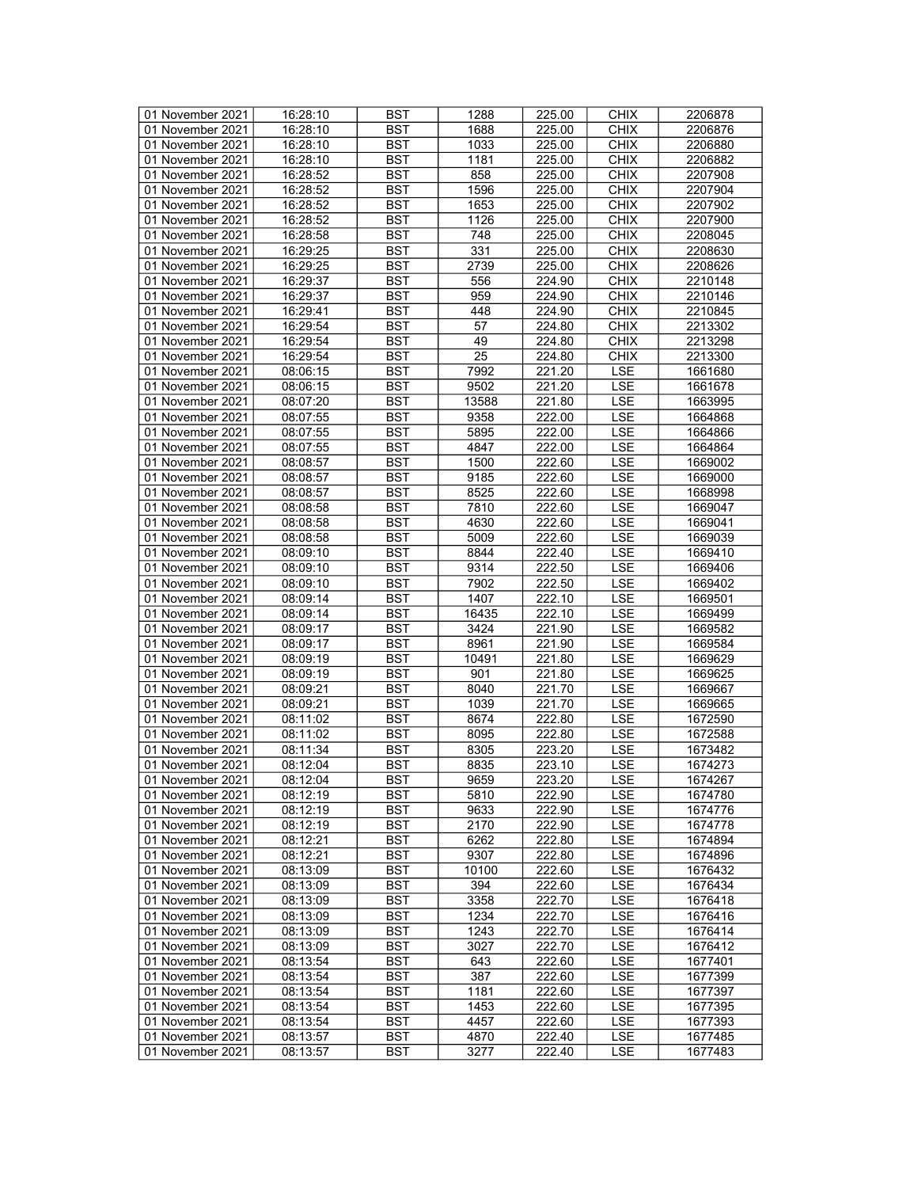| 01 November 2021 | 16:28:10 | <b>BST</b>       | 1288            | 225.00 | <b>CHIX</b> | 2206878 |
|------------------|----------|------------------|-----------------|--------|-------------|---------|
| 01 November 2021 | 16:28:10 | BST              | 1688            | 225.00 | <b>CHIX</b> | 2206876 |
| 01 November 2021 | 16:28:10 | <b>BST</b>       | 1033            | 225.00 | <b>CHIX</b> | 2206880 |
| 01 November 2021 |          |                  |                 |        |             |         |
|                  | 16:28:10 | <b>BST</b>       | 1181            | 225.00 | <b>CHIX</b> | 2206882 |
| 01 November 2021 | 16:28:52 | <b>BST</b>       | 858             | 225.00 | <b>CHIX</b> | 2207908 |
| 01 November 2021 | 16:28:52 | <b>BST</b>       | 1596            | 225.00 | <b>CHIX</b> | 2207904 |
| 01 November 2021 | 16:28:52 | <b>BST</b>       | 1653            | 225.00 | <b>CHIX</b> | 2207902 |
| 01 November 2021 | 16:28:52 | <b>BST</b>       | 1126            | 225.00 | <b>CHIX</b> | 2207900 |
| 01 November 2021 | 16:28:58 | <b>BST</b>       | 748             | 225.00 | <b>CHIX</b> | 2208045 |
| 01 November 2021 | 16:29:25 | <b>BST</b>       | 331             | 225.00 | <b>CHIX</b> | 2208630 |
| 01 November 2021 | 16:29:25 | <b>BST</b>       | 2739            | 225.00 | <b>CHIX</b> | 2208626 |
| 01 November 2021 | 16:29:37 | <b>BST</b>       | 556             | 224.90 | <b>CHIX</b> | 2210148 |
| 01 November 2021 | 16:29:37 | <b>BST</b>       | 959             | 224.90 | <b>CHIX</b> | 2210146 |
| 01 November 2021 | 16:29:41 | <b>BST</b>       | 448             | 224.90 | <b>CHIX</b> | 2210845 |
| 01 November 2021 | 16:29:54 | <b>BST</b>       | 57              | 224.80 | <b>CHIX</b> |         |
|                  |          |                  |                 |        |             | 2213302 |
| 01 November 2021 | 16:29:54 | <b>BST</b>       | 49              | 224.80 | <b>CHIX</b> | 2213298 |
| 01 November 2021 | 16:29:54 | <b>BST</b>       | $\overline{25}$ | 224.80 | <b>CHIX</b> | 2213300 |
| 01 November 2021 | 08:06:15 | <b>BST</b>       | 7992            | 221.20 | <b>LSE</b>  | 1661680 |
| 01 November 2021 | 08:06:15 | <b>BST</b>       | 9502            | 221.20 | <b>LSE</b>  | 1661678 |
| 01 November 2021 | 08:07:20 | <b>BST</b>       | 13588           | 221.80 | <b>LSE</b>  | 1663995 |
| 01 November 2021 | 08:07:55 | <b>BST</b>       | 9358            | 222.00 | LSE         | 1664868 |
| 01 November 2021 | 08:07:55 | <b>BST</b>       | 5895            | 222.00 | <b>LSE</b>  | 1664866 |
| 01 November 2021 | 08:07:55 | <b>BST</b>       | 4847            | 222.00 | <b>LSE</b>  | 1664864 |
| 01 November 2021 | 08:08:57 | <b>BST</b>       | 1500            | 222.60 | LSE         | 1669002 |
| 01 November 2021 | 08:08:57 | <b>BST</b>       | 9185            | 222.60 | LSE         | 1669000 |
| 01 November 2021 | 08:08:57 | <b>BST</b>       | 8525            | 222.60 | <b>LSE</b>  | 1668998 |
| 01 November 2021 | 08:08:58 | <b>BST</b>       | 7810            | 222.60 | <b>LSE</b>  | 1669047 |
|                  |          | <b>BST</b>       | 4630            |        | <b>LSE</b>  | 1669041 |
| 01 November 2021 | 08:08:58 |                  | 5009            | 222.60 |             |         |
| 01 November 2021 | 08:08:58 | <b>BST</b>       |                 | 222.60 | <b>LSE</b>  | 1669039 |
| 01 November 2021 | 08:09:10 | <b>BST</b>       | 8844            | 222.40 | LSE         | 1669410 |
| 01 November 2021 | 08:09:10 | <b>BST</b>       | 9314            | 222.50 | <b>LSE</b>  | 1669406 |
| 01 November 2021 | 08:09:10 | <b>BST</b>       | 7902            | 222.50 | LSE         | 1669402 |
| 01 November 2021 | 08:09:14 | <b>BST</b>       | 1407            | 222.10 | <b>LSE</b>  | 1669501 |
| 01 November 2021 | 08:09:14 | <b>BST</b>       | 16435           | 222.10 | LSE         | 1669499 |
| 01 November 2021 | 08:09:17 | <b>BST</b>       | 3424            | 221.90 | <b>LSE</b>  | 1669582 |
| 01 November 2021 | 08:09:17 | <b>BST</b>       | 8961            | 221.90 | LSE         | 1669584 |
| 01 November 2021 | 08:09:19 | <b>BST</b>       | 10491           | 221.80 | <b>LSE</b>  | 1669629 |
| 01 November 2021 | 08:09:19 | <b>BST</b>       | 901             | 221.80 | LSE         | 1669625 |
| 01 November 2021 | 08:09:21 | <b>BST</b>       | 8040            | 221.70 | <b>LSE</b>  | 1669667 |
| 01 November 2021 | 08:09:21 | <b>BST</b>       | 1039            | 221.70 | <b>LSE</b>  | 1669665 |
| 01 November 2021 | 08:11:02 | <b>BST</b>       | 8674            | 222.80 | LSE         | 1672590 |
| 01 November 2021 | 08:11:02 | <b>BST</b>       | 8095            | 222.80 | <b>LSE</b>  | 1672588 |
| 01 November 2021 | 08:11:34 | <b>BST</b>       | 8305            | 223.20 | <b>LSE</b>  | 1673482 |
| 01 November 2021 | 08:12:04 | <b>BST</b>       | 8835            | 223.10 | LSE         | 1674273 |
| 01 November 2021 | 08:12:04 | $\overline{BST}$ | 9659            | 223.20 | <b>LSE</b>  | 1674267 |
| 01 November 2021 | 08:12:19 | BST              | 5810            | 222.90 | LSE         | 1674780 |
|                  |          |                  |                 |        |             |         |
| 01 November 2021 | 08:12:19 | BST              | 9633            | 222.90 | LSE         | 1674776 |
| 01 November 2021 | 08:12:19 | <b>BST</b>       | 2170            | 222.90 | LSE         | 1674778 |
| 01 November 2021 | 08:12:21 | <b>BST</b>       | 6262            | 222.80 | LSE         | 1674894 |
| 01 November 2021 | 08:12:21 | <b>BST</b>       | 9307            | 222.80 | LSE         | 1674896 |
| 01 November 2021 | 08:13:09 | <b>BST</b>       | 10100           | 222.60 | LSE         | 1676432 |
| 01 November 2021 | 08:13:09 | BST              | 394             | 222.60 | LSE         | 1676434 |
| 01 November 2021 | 08:13:09 | BST              | 3358            | 222.70 | LSE         | 1676418 |
| 01 November 2021 | 08:13:09 | <b>BST</b>       | 1234            | 222.70 | <b>LSE</b>  | 1676416 |
| 01 November 2021 | 08:13:09 | <b>BST</b>       | 1243            | 222.70 | LSE         | 1676414 |
| 01 November 2021 | 08:13:09 | BST              | 3027            | 222.70 | LSE         | 1676412 |
| 01 November 2021 | 08:13:54 | <b>BST</b>       | 643             | 222.60 | LSE         | 1677401 |
| 01 November 2021 | 08:13:54 | <b>BST</b>       | 387             | 222.60 | <b>LSE</b>  | 1677399 |
| 01 November 2021 | 08:13:54 | <b>BST</b>       | 1181            | 222.60 | <b>LSE</b>  | 1677397 |
| 01 November 2021 | 08:13:54 | <b>BST</b>       | 1453            | 222.60 | LSE         | 1677395 |
| 01 November 2021 | 08:13:54 | BST              | 4457            | 222.60 | <b>LSE</b>  | 1677393 |
| 01 November 2021 | 08:13:57 | <b>BST</b>       | 4870            | 222.40 | <b>LSE</b>  | 1677485 |
| 01 November 2021 |          |                  |                 |        |             |         |
|                  | 08:13:57 | BST              | 3277            | 222.40 | LSE         | 1677483 |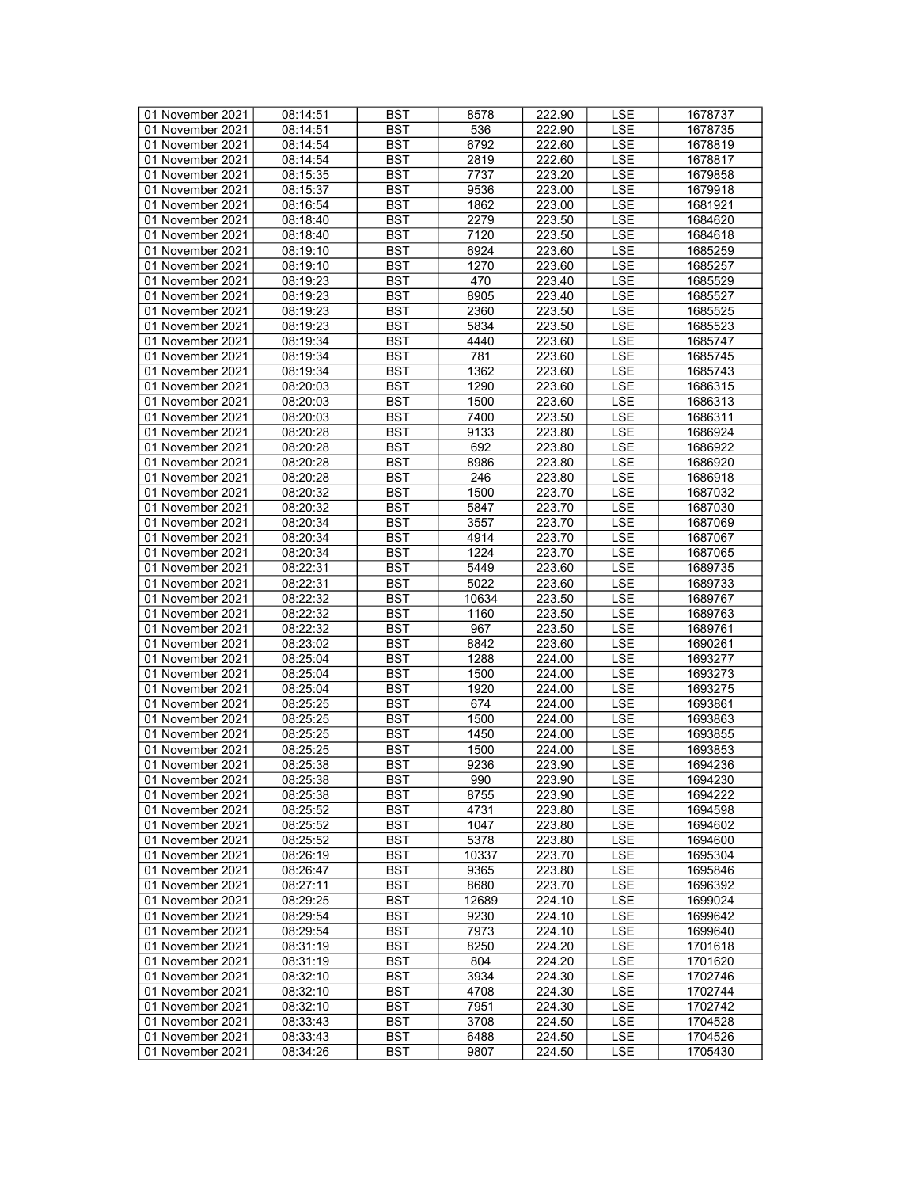| 01 November 2021 | 08:14:51 | <b>BST</b> | 8578  | 222.90 | LSE        | 1678737 |
|------------------|----------|------------|-------|--------|------------|---------|
| 01 November 2021 | 08:14:51 | <b>BST</b> | 536   | 222.90 | LSE        | 1678735 |
| 01 November 2021 | 08:14:54 | <b>BST</b> | 6792  | 222.60 | <b>LSE</b> | 1678819 |
| 01 November 2021 | 08:14:54 | <b>BST</b> | 2819  | 222.60 | <b>LSE</b> | 1678817 |
| 01 November 2021 | 08:15:35 | <b>BST</b> | 7737  | 223.20 | LSE        | 1679858 |
|                  |          |            |       | 223.00 |            |         |
| 01 November 2021 | 08:15:37 | <b>BST</b> | 9536  |        | <b>LSE</b> | 1679918 |
| 01 November 2021 | 08:16:54 | <b>BST</b> | 1862  | 223.00 | LSE        | 1681921 |
| 01 November 2021 | 08:18:40 | <b>BST</b> | 2279  | 223.50 | <b>LSE</b> | 1684620 |
| 01 November 2021 | 08:18:40 | <b>BST</b> | 7120  | 223.50 | <b>LSE</b> | 1684618 |
| 01 November 2021 | 08:19:10 | <b>BST</b> | 6924  | 223.60 | <b>LSE</b> | 1685259 |
| 01 November 2021 | 08:19:10 | <b>BST</b> | 1270  | 223.60 | LSE        | 1685257 |
| 01 November 2021 | 08:19:23 | <b>BST</b> | 470   | 223.40 | <b>LSE</b> | 1685529 |
| 01 November 2021 | 08:19:23 | <b>BST</b> | 8905  | 223.40 | <b>LSE</b> | 1685527 |
| 01 November 2021 | 08:19:23 | <b>BST</b> | 2360  | 223.50 | <b>LSE</b> | 1685525 |
| 01 November 2021 | 08:19:23 | <b>BST</b> | 5834  | 223.50 | <b>LSE</b> | 1685523 |
| 01 November 2021 | 08:19:34 | <b>BST</b> | 4440  | 223.60 | LSE        | 1685747 |
| 01 November 2021 | 08:19:34 | <b>BST</b> | 781   | 223.60 | LSE        | 1685745 |
| 01 November 2021 | 08:19:34 | <b>BST</b> | 1362  | 223.60 | <b>LSE</b> | 1685743 |
| 01 November 2021 | 08:20:03 | <b>BST</b> | 1290  | 223.60 | <b>LSE</b> | 1686315 |
| 01 November 2021 |          | <b>BST</b> | 1500  | 223.60 | <b>LSE</b> |         |
|                  | 08:20:03 |            |       |        |            | 1686313 |
| 01 November 2021 | 08:20:03 | <b>BST</b> | 7400  | 223.50 | LSE        | 1686311 |
| 01 November 2021 | 08:20:28 | <b>BST</b> | 9133  | 223.80 | <b>LSE</b> | 1686924 |
| 01 November 2021 | 08:20:28 | <b>BST</b> | 692   | 223.80 | <b>LSE</b> | 1686922 |
| 01 November 2021 | 08:20:28 | <b>BST</b> | 8986  | 223.80 | LSE        | 1686920 |
| 01 November 2021 | 08:20:28 | <b>BST</b> | 246   | 223.80 | LSE        | 1686918 |
| 01 November 2021 | 08:20:32 | <b>BST</b> | 1500  | 223.70 | <b>LSE</b> | 1687032 |
| 01 November 2021 | 08:20:32 | <b>BST</b> | 5847  | 223.70 | <b>LSE</b> | 1687030 |
| 01 November 2021 | 08:20:34 | <b>BST</b> | 3557  | 223.70 | <b>LSE</b> | 1687069 |
| 01 November 2021 | 08:20:34 | <b>BST</b> | 4914  | 223.70 | <b>LSE</b> | 1687067 |
| 01 November 2021 | 08:20:34 | <b>BST</b> | 1224  | 223.70 | LSE        | 1687065 |
| 01 November 2021 | 08:22:31 | <b>BST</b> | 5449  | 223.60 | <b>LSE</b> | 1689735 |
| 01 November 2021 | 08:22:31 | <b>BST</b> | 5022  | 223.60 | LSE        | 1689733 |
| 01 November 2021 | 08:22:32 | <b>BST</b> | 10634 | 223.50 | <b>LSE</b> | 1689767 |
| 01 November 2021 | 08:22:32 | <b>BST</b> | 1160  | 223.50 | LSE        | 1689763 |
| 01 November 2021 | 08:22:32 | <b>BST</b> | 967   | 223.50 | <b>LSE</b> | 1689761 |
| 01 November 2021 | 08:23:02 | <b>BST</b> | 8842  | 223.60 | LSE        | 1690261 |
|                  |          |            |       |        |            |         |
| 01 November 2021 | 08:25:04 | <b>BST</b> | 1288  | 224.00 | LSE        | 1693277 |
| 01 November 2021 | 08:25:04 | <b>BST</b> | 1500  | 224.00 | <b>LSE</b> | 1693273 |
| 01 November 2021 | 08:25:04 | <b>BST</b> | 1920  | 224.00 | <b>LSE</b> | 1693275 |
| 01 November 2021 | 08:25:25 | <b>BST</b> | 674   | 224.00 | <b>LSE</b> | 1693861 |
| 01 November 2021 | 08:25:25 | <b>BST</b> | 1500  | 224.00 | LSE        | 1693863 |
| 01 November 2021 | 08:25:25 | <b>BST</b> | 1450  | 224.00 | <b>LSE</b> | 1693855 |
| 01 November 2021 | 08:25:25 | <b>BST</b> | 1500  | 224.00 | <b>LSE</b> | 1693853 |
| 01 November 2021 | 08:25:38 | <b>BST</b> | 9236  | 223.90 | LSE        | 1694236 |
| 01 November 2021 | 08:25:38 | <b>BST</b> | 990   | 223.90 | <b>LSE</b> | 1694230 |
| 01 November 2021 | 08:25:38 | BST        | 8755  | 223.90 | LSE        | 1694222 |
| 01 November 2021 | 08:25:52 | <b>BST</b> | 4731  | 223.80 | LSE        | 1694598 |
| 01 November 2021 | 08:25:52 | <b>BST</b> | 1047  | 223.80 | LSE        | 1694602 |
| 01 November 2021 | 08:25:52 | BST        | 5378  | 223.80 | LSE        | 1694600 |
| 01 November 2021 | 08:26:19 | <b>BST</b> | 10337 | 223.70 | LSE        | 1695304 |
| 01 November 2021 | 08:26:47 | <b>BST</b> | 9365  | 223.80 | LSE        | 1695846 |
| 01 November 2021 | 08:27:11 | BST        | 8680  | 223.70 | LSE        | 1696392 |
| 01 November 2021 | 08:29:25 | <b>BST</b> | 12689 | 224.10 | LSE        | 1699024 |
|                  |          | <b>BST</b> |       |        |            |         |
| 01 November 2021 | 08:29:54 |            | 9230  | 224.10 | <b>LSE</b> | 1699642 |
| 01 November 2021 | 08:29:54 | <b>BST</b> | 7973  | 224.10 | LSE        | 1699640 |
| 01 November 2021 | 08:31:19 | BST        | 8250  | 224.20 | LSE        | 1701618 |
| 01 November 2021 | 08:31:19 | <b>BST</b> | 804   | 224.20 | LSE        | 1701620 |
| 01 November 2021 | 08:32:10 | <b>BST</b> | 3934  | 224.30 | <b>LSE</b> | 1702746 |
| 01 November 2021 | 08:32:10 | <b>BST</b> | 4708  | 224.30 | <b>LSE</b> | 1702744 |
| 01 November 2021 | 08:32:10 | <b>BST</b> | 7951  | 224.30 | LSE        | 1702742 |
| 01 November 2021 | 08:33:43 | BST        | 3708  | 224.50 | LSE        | 1704528 |
| 01 November 2021 | 08:33:43 | <b>BST</b> | 6488  | 224.50 | <b>LSE</b> | 1704526 |
| 01 November 2021 | 08:34:26 | <b>BST</b> | 9807  | 224.50 | LSE        | 1705430 |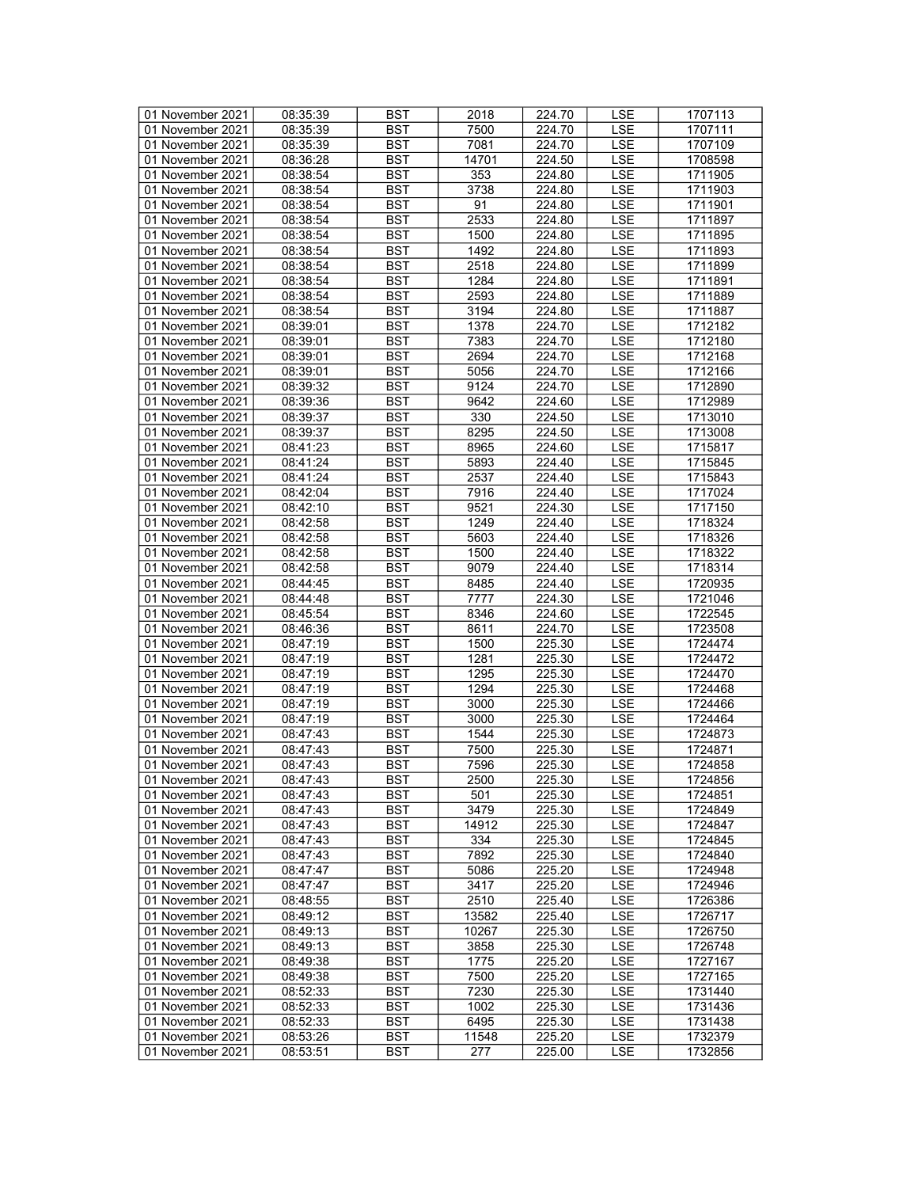| 01 November 2021 | 08:35:39 | <b>BST</b> | 2018  | 224.70 | LSE        | 1707113 |
|------------------|----------|------------|-------|--------|------------|---------|
| 01 November 2021 | 08:35:39 | BST        | 7500  | 224.70 | <b>LSE</b> | 1707111 |
| 01 November 2021 | 08:35:39 | <b>BST</b> | 7081  | 224.70 | <b>LSE</b> | 1707109 |
| 01 November 2021 | 08:36:28 | <b>BST</b> | 14701 | 224.50 | <b>LSE</b> | 1708598 |
| 01 November 2021 | 08:38:54 | <b>BST</b> | 353   | 224.80 | LSE        | 1711905 |
| 01 November 2021 | 08:38:54 | <b>BST</b> | 3738  | 224.80 | <b>LSE</b> | 1711903 |
| 01 November 2021 | 08:38:54 | <b>BST</b> | 91    | 224.80 | LSE        | 1711901 |
| 01 November 2021 | 08:38:54 | <b>BST</b> | 2533  | 224.80 | <b>LSE</b> | 1711897 |
| 01 November 2021 | 08:38:54 | <b>BST</b> | 1500  | 224.80 | <b>LSE</b> | 1711895 |
| 01 November 2021 | 08:38:54 | <b>BST</b> | 1492  | 224.80 | LSE        | 1711893 |
|                  |          |            |       |        |            |         |
| 01 November 2021 | 08:38:54 | <b>BST</b> | 2518  | 224.80 | LSE        | 1711899 |
| 01 November 2021 | 08:38:54 | <b>BST</b> | 1284  | 224.80 | <b>LSE</b> | 1711891 |
| 01 November 2021 | 08:38:54 | <b>BST</b> | 2593  | 224.80 | <b>LSE</b> | 1711889 |
| 01 November 2021 | 08:38:54 | <b>BST</b> | 3194  | 224.80 | LSE        | 1711887 |
| 01 November 2021 | 08:39:01 | <b>BST</b> | 1378  | 224.70 | <b>LSE</b> | 1712182 |
| 01 November 2021 | 08:39:01 | <b>BST</b> | 7383  | 224.70 | LSE        | 1712180 |
| 01 November 2021 | 08:39:01 | <b>BST</b> | 2694  | 224.70 | LSE        | 1712168 |
| 01 November 2021 | 08:39:01 | <b>BST</b> | 5056  | 224.70 | <b>LSE</b> | 1712166 |
| 01 November 2021 | 08:39:32 | <b>BST</b> | 9124  | 224.70 | <b>LSE</b> | 1712890 |
| 01 November 2021 | 08:39:36 | <b>BST</b> | 9642  | 224.60 | <b>LSE</b> | 1712989 |
| 01 November 2021 | 08:39:37 | <b>BST</b> | 330   | 224.50 | LSE        | 1713010 |
| 01 November 2021 | 08:39:37 | <b>BST</b> | 8295  | 224.50 | <b>LSE</b> | 1713008 |
| 01 November 2021 | 08:41:23 | <b>BST</b> | 8965  | 224.60 | <b>LSE</b> | 1715817 |
| 01 November 2021 | 08:41:24 | <b>BST</b> | 5893  | 224.40 | LSE        | 1715845 |
| 01 November 2021 | 08:41:24 | <b>BST</b> | 2537  | 224.40 | LSE        | 1715843 |
| 01 November 2021 | 08:42:04 | <b>BST</b> | 7916  | 224.40 | <b>LSE</b> | 1717024 |
| 01 November 2021 | 08:42:10 | <b>BST</b> | 9521  | 224.30 | <b>LSE</b> | 1717150 |
| 01 November 2021 | 08:42:58 | <b>BST</b> | 1249  | 224.40 | <b>LSE</b> | 1718324 |
| 01 November 2021 | 08:42:58 | <b>BST</b> | 5603  | 224.40 | <b>LSE</b> | 1718326 |
| 01 November 2021 | 08:42:58 | <b>BST</b> | 1500  | 224.40 | LSE        | 1718322 |
| 01 November 2021 | 08:42:58 | <b>BST</b> | 9079  | 224.40 | <b>LSE</b> | 1718314 |
| 01 November 2021 | 08:44:45 | <b>BST</b> | 8485  | 224.40 | LSE        |         |
|                  |          |            |       |        |            | 1720935 |
| 01 November 2021 | 08:44:48 | <b>BST</b> | 7777  | 224.30 | <b>LSE</b> | 1721046 |
| 01 November 2021 | 08:45:54 | <b>BST</b> | 8346  | 224.60 | <b>LSE</b> | 1722545 |
| 01 November 2021 | 08:46:36 | <b>BST</b> | 8611  | 224.70 | <b>LSE</b> | 1723508 |
| 01 November 2021 | 08:47:19 | <b>BST</b> | 1500  | 225.30 | <b>LSE</b> | 1724474 |
| 01 November 2021 | 08:47:19 | <b>BST</b> | 1281  | 225.30 | <b>LSE</b> | 1724472 |
| 01 November 2021 | 08:47:19 | <b>BST</b> | 1295  | 225.30 | <b>LSE</b> | 1724470 |
| 01 November 2021 | 08:47:19 | <b>BST</b> | 1294  | 225.30 | LSE        | 1724468 |
| 01 November 2021 | 08:47:19 | <b>BST</b> | 3000  | 225.30 | <b>LSE</b> | 1724466 |
| 01 November 2021 | 08:47:19 | <b>BST</b> | 3000  | 225.30 | LSE        | 1724464 |
| 01 November 2021 | 08:47:43 | <b>BST</b> | 1544  | 225.30 | LSE        | 1724873 |
| 01 November 2021 | 08:47:43 | <b>BST</b> | 7500  | 225.30 | <b>LSE</b> | 1724871 |
| 01 November 2021 | 08:47:43 | <b>BST</b> | 7596  | 225.30 | <b>LSE</b> | 1724858 |
| 01 November 2021 | 08:47:43 | <b>BST</b> | 2500  | 225.30 | <b>LSE</b> | 1724856 |
| 01 November 2021 | 08:47:43 | BST        | 501   | 225.30 | LSE        | 1724851 |
| 01 November 2021 | 08:47:43 | <b>BST</b> | 3479  | 225.30 | LSE        | 1724849 |
| 01 November 2021 | 08:47:43 | <b>BST</b> | 14912 | 225.30 | LSE        | 1724847 |
| 01 November 2021 | 08:47:43 | <b>BST</b> | 334   | 225.30 | LSE        | 1724845 |
| 01 November 2021 | 08:47:43 | <b>BST</b> | 7892  | 225.30 | LSE        | 1724840 |
| 01 November 2021 | 08:47:47 | <b>BST</b> | 5086  | 225.20 | LSE        | 1724948 |
| 01 November 2021 | 08:47:47 | BST        | 3417  | 225.20 | LSE        | 1724946 |
| 01 November 2021 | 08:48:55 | <b>BST</b> | 2510  | 225.40 | LSE        | 1726386 |
| 01 November 2021 | 08:49:12 | <b>BST</b> | 13582 | 225.40 | <b>LSE</b> | 1726717 |
| 01 November 2021 | 08:49:13 | <b>BST</b> | 10267 | 225.30 | LSE        | 1726750 |
| 01 November 2021 | 08:49:13 | BST        | 3858  | 225.30 | LSE        | 1726748 |
| 01 November 2021 | 08:49:38 | <b>BST</b> | 1775  | 225.20 | LSE        |         |
| 01 November 2021 |          |            |       |        |            | 1727167 |
|                  | 08:49:38 | BST        | 7500  | 225.20 | <b>LSE</b> | 1727165 |
| 01 November 2021 | 08:52:33 | <b>BST</b> | 7230  | 225.30 | <b>LSE</b> | 1731440 |
| 01 November 2021 | 08:52:33 | <b>BST</b> | 1002  | 225.30 | LSE        | 1731436 |
| 01 November 2021 | 08:52:33 | BST        | 6495  | 225.30 | LSE        | 1731438 |
| 01 November 2021 | 08:53:26 | <b>BST</b> | 11548 | 225.20 | <b>LSE</b> | 1732379 |
| 01 November 2021 | 08:53:51 | BST        | 277   | 225.00 | LSE        | 1732856 |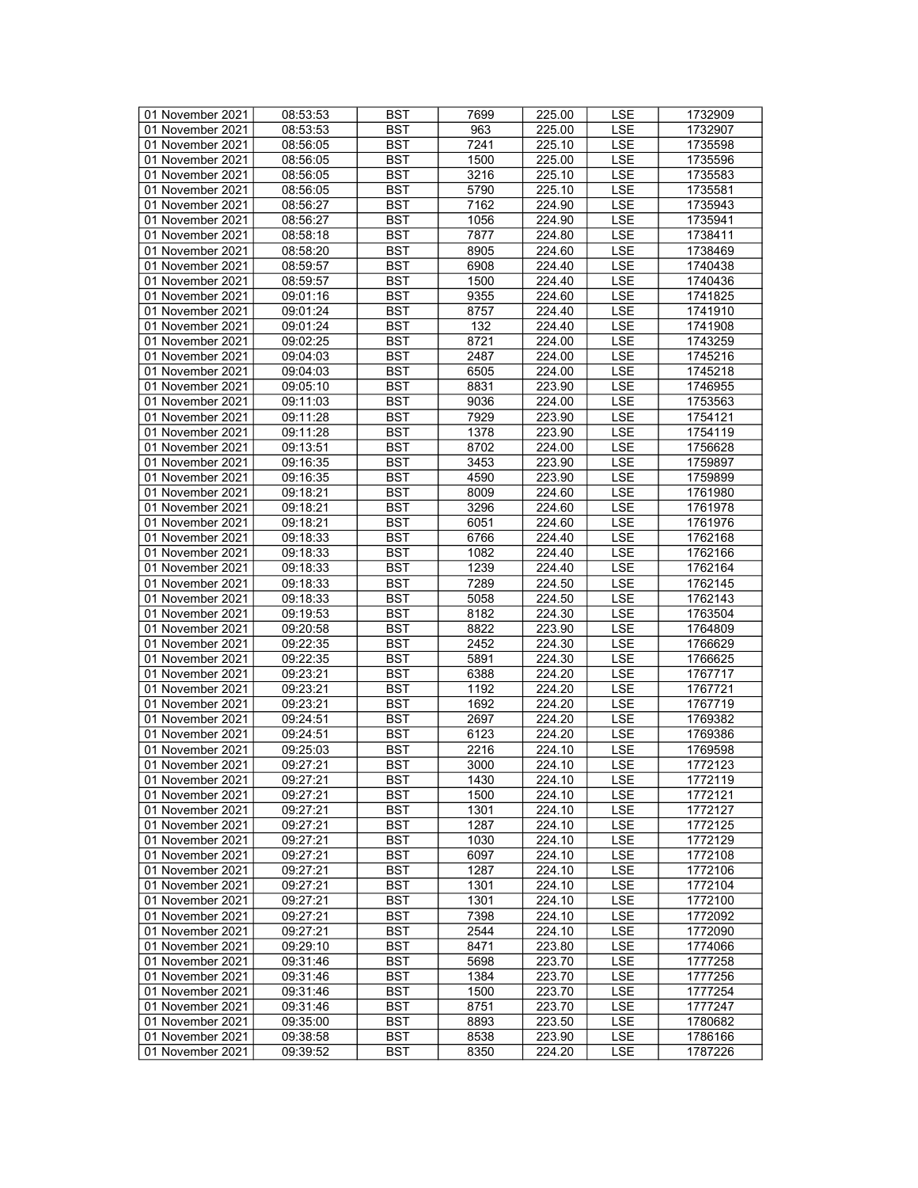| 01 November 2021 | 08:53:53 | <b>BST</b> | 7699 | 225.00 | LSE        | 1732909 |
|------------------|----------|------------|------|--------|------------|---------|
| 01 November 2021 | 08:53:53 | BST        | 963  | 225.00 | <b>LSE</b> | 1732907 |
| 01 November 2021 | 08:56:05 | <b>BST</b> | 7241 | 225.10 | <b>LSE</b> | 1735598 |
|                  |          |            |      | 225.00 |            | 1735596 |
| 01 November 2021 | 08:56:05 | <b>BST</b> | 1500 |        | <b>LSE</b> |         |
| 01 November 2021 | 08:56:05 | <b>BST</b> | 3216 | 225.10 | LSE        | 1735583 |
| 01 November 2021 | 08:56:05 | <b>BST</b> | 5790 | 225.10 | <b>LSE</b> | 1735581 |
| 01 November 2021 | 08:56:27 | <b>BST</b> | 7162 | 224.90 | LSE        | 1735943 |
| 01 November 2021 | 08:56:27 | <b>BST</b> | 1056 | 224.90 | <b>LSE</b> | 1735941 |
| 01 November 2021 | 08:58:18 | <b>BST</b> | 7877 | 224.80 | <b>LSE</b> | 1738411 |
| 01 November 2021 | 08:58:20 | <b>BST</b> | 8905 | 224.60 | LSE        | 1738469 |
| 01 November 2021 | 08:59:57 | <b>BST</b> | 6908 | 224.40 | LSE        | 1740438 |
| 01 November 2021 | 08:59:57 | <b>BST</b> | 1500 | 224.40 | <b>LSE</b> | 1740436 |
| 01 November 2021 | 09:01:16 | <b>BST</b> | 9355 | 224.60 | <b>LSE</b> | 1741825 |
| 01 November 2021 | 09:01:24 | <b>BST</b> | 8757 | 224.40 | LSE        | 1741910 |
| 01 November 2021 | 09:01:24 | <b>BST</b> | 132  | 224.40 | <b>LSE</b> | 1741908 |
| 01 November 2021 | 09:02:25 | <b>BST</b> | 8721 | 224.00 | LSE        | 1743259 |
| 01 November 2021 | 09:04:03 | <b>BST</b> | 2487 | 224.00 | LSE        | 1745216 |
|                  |          |            |      |        |            |         |
| 01 November 2021 | 09:04:03 | <b>BST</b> | 6505 | 224.00 | <b>LSE</b> | 1745218 |
| 01 November 2021 | 09:05:10 | <b>BST</b> | 8831 | 223.90 | <b>LSE</b> | 1746955 |
| 01 November 2021 | 09:11:03 | <b>BST</b> | 9036 | 224.00 | <b>LSE</b> | 1753563 |
| 01 November 2021 | 09:11:28 | <b>BST</b> | 7929 | 223.90 | LSE        | 1754121 |
| 01 November 2021 | 09:11:28 | <b>BST</b> | 1378 | 223.90 | <b>LSE</b> | 1754119 |
| 01 November 2021 | 09:13:51 | <b>BST</b> | 8702 | 224.00 | LSE        | 1756628 |
| 01 November 2021 | 09:16:35 | <b>BST</b> | 3453 | 223.90 | LSE        | 1759897 |
| 01 November 2021 | 09:16:35 | <b>BST</b> | 4590 | 223.90 | LSE        | 1759899 |
| 01 November 2021 | 09:18:21 | <b>BST</b> | 8009 | 224.60 | <b>LSE</b> | 1761980 |
| 01 November 2021 | 09:18:21 | <b>BST</b> | 3296 | 224.60 | <b>LSE</b> | 1761978 |
| 01 November 2021 | 09:18:21 | <b>BST</b> | 6051 | 224.60 | <b>LSE</b> | 1761976 |
| 01 November 2021 | 09:18:33 | <b>BST</b> | 6766 | 224.40 | <b>LSE</b> | 1762168 |
| 01 November 2021 | 09:18:33 | <b>BST</b> | 1082 | 224.40 | LSE        | 1762166 |
| 01 November 2021 | 09:18:33 | <b>BST</b> | 1239 | 224.40 | <b>LSE</b> | 1762164 |
| 01 November 2021 | 09:18:33 | <b>BST</b> | 7289 | 224.50 | LSE        | 1762145 |
| 01 November 2021 | 09:18:33 | <b>BST</b> | 5058 | 224.50 | <b>LSE</b> | 1762143 |
| 01 November 2021 | 09:19:53 | <b>BST</b> | 8182 | 224.30 | LSE        | 1763504 |
| 01 November 2021 | 09:20:58 | <b>BST</b> | 8822 | 223.90 | LSE        | 1764809 |
|                  |          | <b>BST</b> | 2452 |        |            | 1766629 |
| 01 November 2021 | 09:22:35 |            |      | 224.30 | LSE        |         |
| 01 November 2021 | 09:22:35 | <b>BST</b> | 5891 | 224.30 | <b>LSE</b> | 1766625 |
| 01 November 2021 | 09:23:21 | <b>BST</b> | 6388 | 224.20 | <b>LSE</b> | 1767717 |
| 01 November 2021 | 09:23:21 | <b>BST</b> | 1192 | 224.20 | LSE        | 1767721 |
| 01 November 2021 | 09:23:21 | <b>BST</b> | 1692 | 224.20 | <b>LSE</b> | 1767719 |
| 01 November 2021 | 09:24:51 | <b>BST</b> | 2697 | 224.20 | LSE        | 1769382 |
| 01 November 2021 | 09:24:51 | <b>BST</b> | 6123 | 224.20 | <b>LSE</b> | 1769386 |
| 01 November 2021 | 09:25:03 | <b>BST</b> | 2216 | 224.10 | <b>LSE</b> | 1769598 |
| 01 November 2021 | 09:27:21 | <b>BST</b> | 3000 | 224.10 | <b>LSE</b> | 1772123 |
| 01 November 2021 | 09:27:21 | <b>BST</b> | 1430 | 224.10 | <b>LSE</b> | 1772119 |
| 01 November 2021 | 09:27:21 | BST        | 1500 | 224.10 | LSE        | 1772121 |
| 01 November 2021 | 09:27:21 | <b>BST</b> | 1301 | 224.10 | LSE        | 1772127 |
| 01 November 2021 | 09:27:21 | <b>BST</b> | 1287 | 224.10 | LSE        | 1772125 |
| 01 November 2021 | 09:27:21 | <b>BST</b> | 1030 | 224.10 | LSE        | 1772129 |
| 01 November 2021 | 09:27:21 | <b>BST</b> | 6097 | 224.10 | LSE        | 1772108 |
| 01 November 2021 | 09:27:21 | <b>BST</b> | 1287 | 224.10 | LSE        | 1772106 |
| 01 November 2021 | 09:27:21 | BST        | 1301 | 224.10 | LSE        | 1772104 |
| 01 November 2021 | 09:27:21 | BST        | 1301 | 224.10 | LSE        | 1772100 |
| 01 November 2021 | 09:27:21 | <b>BST</b> | 7398 | 224.10 | <b>LSE</b> | 1772092 |
| 01 November 2021 | 09:27:21 | <b>BST</b> | 2544 | 224.10 | LSE        | 1772090 |
| 01 November 2021 | 09:29:10 | BST        | 8471 | 223.80 | LSE        | 1774066 |
|                  |          | <b>BST</b> |      |        |            |         |
| 01 November 2021 | 09:31:46 |            | 5698 | 223.70 | LSE        | 1777258 |
| 01 November 2021 | 09:31:46 | BST        | 1384 | 223.70 | <b>LSE</b> | 1777256 |
| 01 November 2021 | 09:31:46 | <b>BST</b> | 1500 | 223.70 | <b>LSE</b> | 1777254 |
| 01 November 2021 | 09:31:46 | <b>BST</b> | 8751 | 223.70 | LSE        | 1777247 |
| 01 November 2021 | 09:35:00 | BST        | 8893 | 223.50 | <b>LSE</b> | 1780682 |
| 01 November 2021 | 09:38:58 | <b>BST</b> | 8538 | 223.90 | <b>LSE</b> | 1786166 |
| 01 November 2021 | 09:39:52 | BST        | 8350 | 224.20 | LSE        | 1787226 |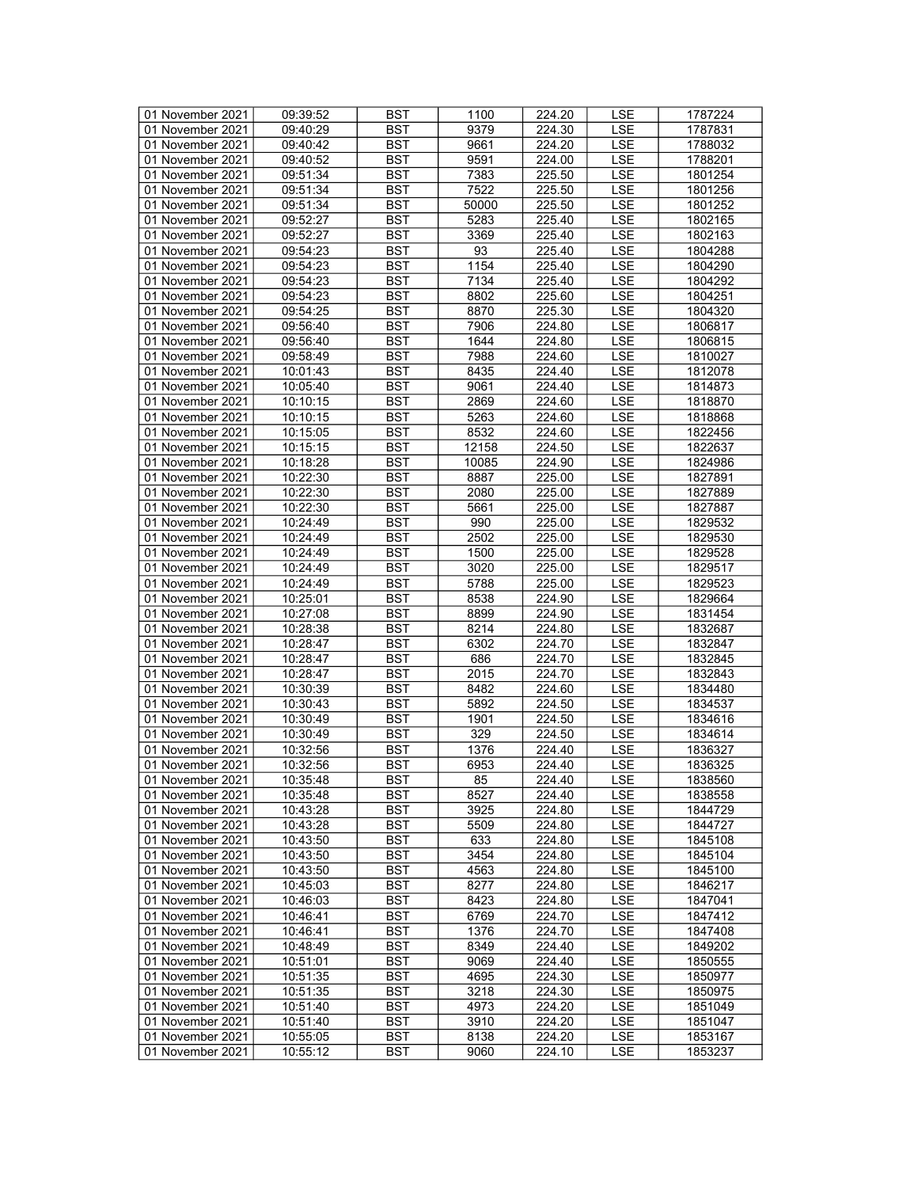| 01 November 2021 | 09:39:52 | <b>BST</b> | 1100  | 224.20 | LSE        | 1787224 |
|------------------|----------|------------|-------|--------|------------|---------|
| 01 November 2021 | 09:40:29 | BST        | 9379  | 224.30 | <b>LSE</b> | 1787831 |
| 01 November 2021 | 09:40:42 | <b>BST</b> | 9661  | 224.20 | <b>LSE</b> | 1788032 |
| 01 November 2021 | 09:40:52 | <b>BST</b> | 9591  | 224.00 | <b>LSE</b> | 1788201 |
| 01 November 2021 | 09:51:34 | <b>BST</b> | 7383  | 225.50 | LSE        | 1801254 |
| 01 November 2021 | 09:51:34 | <b>BST</b> | 7522  | 225.50 | <b>LSE</b> | 1801256 |
| 01 November 2021 | 09:51:34 | <b>BST</b> | 50000 | 225.50 | LSE        | 1801252 |
| 01 November 2021 | 09:52:27 | <b>BST</b> | 5283  | 225.40 | <b>LSE</b> | 1802165 |
| 01 November 2021 | 09:52:27 | <b>BST</b> | 3369  |        | <b>LSE</b> | 1802163 |
|                  |          | <b>BST</b> | 93    | 225.40 | LSE        |         |
| 01 November 2021 | 09:54:23 |            |       | 225.40 |            | 1804288 |
| 01 November 2021 | 09:54:23 | <b>BST</b> | 1154  | 225.40 | LSE        | 1804290 |
| 01 November 2021 | 09:54:23 | <b>BST</b> | 7134  | 225.40 | <b>LSE</b> | 1804292 |
| 01 November 2021 | 09:54:23 | <b>BST</b> | 8802  | 225.60 | <b>LSE</b> | 1804251 |
| 01 November 2021 | 09:54:25 | <b>BST</b> | 8870  | 225.30 | <b>LSE</b> | 1804320 |
| 01 November 2021 | 09:56:40 | <b>BST</b> | 7906  | 224.80 | <b>LSE</b> | 1806817 |
| 01 November 2021 | 09:56:40 | <b>BST</b> | 1644  | 224.80 | LSE        | 1806815 |
| 01 November 2021 | 09:58:49 | <b>BST</b> | 7988  | 224.60 | LSE        | 1810027 |
| 01 November 2021 | 10:01:43 | <b>BST</b> | 8435  | 224.40 | <b>LSE</b> | 1812078 |
| 01 November 2021 | 10:05:40 | <b>BST</b> | 9061  | 224.40 | <b>LSE</b> | 1814873 |
| 01 November 2021 | 10:10:15 | <b>BST</b> | 2869  | 224.60 | <b>LSE</b> | 1818870 |
| 01 November 2021 | 10:10:15 | <b>BST</b> | 5263  | 224.60 | LSE        | 1818868 |
| 01 November 2021 | 10:15:05 | <b>BST</b> | 8532  | 224.60 | <b>LSE</b> | 1822456 |
| 01 November 2021 | 10:15:15 | <b>BST</b> | 12158 | 224.50 | <b>LSE</b> | 1822637 |
| 01 November 2021 | 10:18:28 | <b>BST</b> | 10085 | 224.90 | LSE        | 1824986 |
| 01 November 2021 | 10:22:30 | <b>BST</b> | 8887  | 225.00 | LSE        | 1827891 |
| 01 November 2021 | 10:22:30 | <b>BST</b> | 2080  | 225.00 | <b>LSE</b> | 1827889 |
| 01 November 2021 | 10:22:30 | <b>BST</b> | 5661  | 225.00 | <b>LSE</b> | 1827887 |
| 01 November 2021 | 10:24:49 | <b>BST</b> | 990   | 225.00 | <b>LSE</b> | 1829532 |
| 01 November 2021 | 10:24:49 | <b>BST</b> | 2502  | 225.00 | <b>LSE</b> | 1829530 |
| 01 November 2021 | 10:24:49 | <b>BST</b> | 1500  | 225.00 | LSE        | 1829528 |
| 01 November 2021 | 10:24:49 | <b>BST</b> | 3020  | 225.00 | <b>LSE</b> | 1829517 |
| 01 November 2021 |          | <b>BST</b> | 5788  |        | LSE        | 1829523 |
|                  | 10:24:49 |            |       | 225.00 |            |         |
| 01 November 2021 | 10:25:01 | <b>BST</b> | 8538  | 224.90 | <b>LSE</b> | 1829664 |
| 01 November 2021 | 10:27:08 | <b>BST</b> | 8899  | 224.90 | LSE        | 1831454 |
| 01 November 2021 | 10:28:38 | <b>BST</b> | 8214  | 224.80 | <b>LSE</b> | 1832687 |
| 01 November 2021 | 10:28:47 | <b>BST</b> | 6302  | 224.70 | LSE        | 1832847 |
| 01 November 2021 | 10:28:47 | <b>BST</b> | 686   | 224.70 | <b>LSE</b> | 1832845 |
| 01 November 2021 | 10:28:47 | <b>BST</b> | 2015  | 224.70 | LSE        | 1832843 |
| 01 November 2021 | 10:30:39 | <b>BST</b> | 8482  | 224.60 | <b>LSE</b> | 1834480 |
| 01 November 2021 | 10:30:43 | <b>BST</b> | 5892  | 224.50 | <b>LSE</b> | 1834537 |
| 01 November 2021 | 10:30:49 | <b>BST</b> | 1901  | 224.50 | LSE        | 1834616 |
| 01 November 2021 | 10:30:49 | <b>BST</b> | 329   | 224.50 | <b>LSE</b> | 1834614 |
| 01 November 2021 | 10:32:56 | <b>BST</b> | 1376  | 224.40 | <b>LSE</b> | 1836327 |
| 01 November 2021 | 10:32:56 | <b>BST</b> | 6953  | 224.40 | <b>LSE</b> | 1836325 |
| 01 November 2021 | 10:35:48 | <b>BST</b> | 85    | 224.40 | <b>LSE</b> | 1838560 |
| 01 November 2021 | 10:35:48 | BST        | 8527  | 224.40 | LSE        | 1838558 |
| 01 November 2021 | 10:43:28 | <b>BST</b> | 3925  | 224.80 | LSE        | 1844729 |
| 01 November 2021 | 10:43:28 | <b>BST</b> | 5509  | 224.80 | LSE        | 1844727 |
| 01 November 2021 | 10:43:50 | <b>BST</b> | 633   | 224.80 | LSE        | 1845108 |
| 01 November 2021 | 10:43:50 | <b>BST</b> | 3454  | 224.80 | LSE        | 1845104 |
| 01 November 2021 | 10:43:50 | <b>BST</b> | 4563  | 224.80 | LSE        | 1845100 |
| 01 November 2021 | 10:45:03 | BST        | 8277  | 224.80 | LSE        | 1846217 |
| 01 November 2021 | 10:46:03 | BST        | 8423  | 224.80 | LSE        | 1847041 |
| 01 November 2021 | 10:46:41 | <b>BST</b> | 6769  | 224.70 | <b>LSE</b> | 1847412 |
| 01 November 2021 | 10:46:41 | <b>BST</b> | 1376  | 224.70 | LSE        | 1847408 |
| 01 November 2021 | 10:48:49 | BST        | 8349  | 224.40 | LSE        | 1849202 |
| 01 November 2021 | 10:51:01 | <b>BST</b> | 9069  | 224.40 | LSE        | 1850555 |
| 01 November 2021 | 10:51:35 | BST        | 4695  | 224.30 | <b>LSE</b> | 1850977 |
| 01 November 2021 |          |            |       |        |            |         |
|                  | 10:51:35 | <b>BST</b> | 3218  | 224.30 | <b>LSE</b> | 1850975 |
| 01 November 2021 | 10:51:40 | <b>BST</b> | 4973  | 224.20 | LSE        | 1851049 |
| 01 November 2021 | 10:51:40 | BST        | 3910  | 224.20 | LSE        | 1851047 |
| 01 November 2021 | 10:55:05 | <b>BST</b> | 8138  | 224.20 | <b>LSE</b> | 1853167 |
| 01 November 2021 | 10:55:12 | BST        | 9060  | 224.10 | LSE        | 1853237 |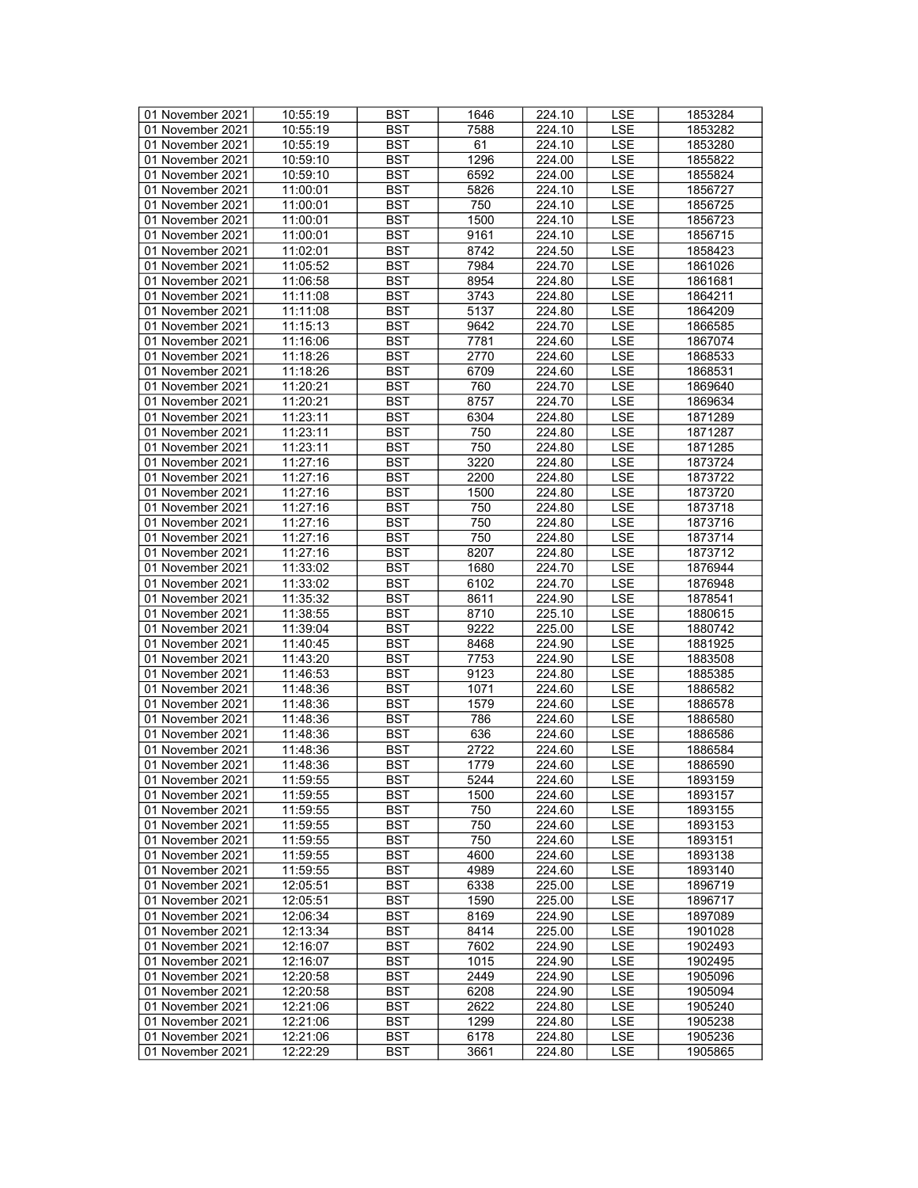| 01 November 2021 | 10:55:19 | <b>BST</b> | 1646 | 224.10 | LSE        | 1853284 |
|------------------|----------|------------|------|--------|------------|---------|
| 01 November 2021 | 10:55:19 | BST        | 7588 | 224.10 | <b>LSE</b> | 1853282 |
| 01 November 2021 | 10:55:19 | <b>BST</b> | 61   | 224.10 | <b>LSE</b> | 1853280 |
| 01 November 2021 | 10:59:10 | <b>BST</b> | 1296 | 224.00 | <b>LSE</b> | 1855822 |
| 01 November 2021 | 10:59:10 | <b>BST</b> | 6592 | 224.00 | LSE        | 1855824 |
| 01 November 2021 | 11:00:01 | <b>BST</b> | 5826 | 224.10 | <b>LSE</b> | 1856727 |
| 01 November 2021 |          | <b>BST</b> | 750  |        | LSE        |         |
|                  | 11:00:01 |            |      | 224.10 |            | 1856725 |
| 01 November 2021 | 11:00:01 | <b>BST</b> | 1500 | 224.10 | <b>LSE</b> | 1856723 |
| 01 November 2021 | 11:00:01 | <b>BST</b> | 9161 | 224.10 | <b>LSE</b> | 1856715 |
| 01 November 2021 | 11:02:01 | <b>BST</b> | 8742 | 224.50 | LSE        | 1858423 |
| 01 November 2021 | 11:05:52 | <b>BST</b> | 7984 | 224.70 | LSE        | 1861026 |
| 01 November 2021 | 11:06:58 | <b>BST</b> | 8954 | 224.80 | <b>LSE</b> | 1861681 |
| 01 November 2021 | 11:11:08 | <b>BST</b> | 3743 | 224.80 | <b>LSE</b> | 1864211 |
| 01 November 2021 | 11:11:08 | <b>BST</b> | 5137 | 224.80 | <b>LSE</b> | 1864209 |
| 01 November 2021 | 11:15:13 | <b>BST</b> | 9642 | 224.70 | <b>LSE</b> | 1866585 |
| 01 November 2021 | 11:16:06 | <b>BST</b> | 7781 | 224.60 | LSE        | 1867074 |
| 01 November 2021 | 11:18:26 | <b>BST</b> | 2770 | 224.60 | LSE        | 1868533 |
| 01 November 2021 | 11:18:26 | <b>BST</b> | 6709 | 224.60 | <b>LSE</b> | 1868531 |
| 01 November 2021 | 11:20:21 | <b>BST</b> | 760  | 224.70 | <b>LSE</b> | 1869640 |
| 01 November 2021 | 11:20:21 | <b>BST</b> | 8757 | 224.70 | <b>LSE</b> | 1869634 |
| 01 November 2021 | 11:23:11 | <b>BST</b> | 6304 | 224.80 | LSE        | 1871289 |
| 01 November 2021 | 11:23:11 | <b>BST</b> | 750  | 224.80 | <b>LSE</b> | 1871287 |
| 01 November 2021 | 11:23:11 | <b>BST</b> | 750  | 224.80 | <b>LSE</b> |         |
|                  |          |            |      |        |            | 1871285 |
| 01 November 2021 | 11:27:16 | <b>BST</b> | 3220 | 224.80 | LSE        | 1873724 |
| 01 November 2021 | 11:27:16 | <b>BST</b> | 2200 | 224.80 | LSE        | 1873722 |
| 01 November 2021 | 11:27:16 | <b>BST</b> | 1500 | 224.80 | <b>LSE</b> | 1873720 |
| 01 November 2021 | 11:27:16 | <b>BST</b> | 750  | 224.80 | <b>LSE</b> | 1873718 |
| 01 November 2021 | 11:27:16 | <b>BST</b> | 750  | 224.80 | <b>LSE</b> | 1873716 |
| 01 November 2021 | 11:27:16 | <b>BST</b> | 750  | 224.80 | <b>LSE</b> | 1873714 |
| 01 November 2021 | 11:27:16 | <b>BST</b> | 8207 | 224.80 | LSE        | 1873712 |
| 01 November 2021 | 11:33:02 | <b>BST</b> | 1680 | 224.70 | <b>LSE</b> | 1876944 |
| 01 November 2021 | 11:33:02 | <b>BST</b> | 6102 | 224.70 | LSE        | 1876948 |
| 01 November 2021 | 11:35:32 | <b>BST</b> | 8611 | 224.90 | <b>LSE</b> | 1878541 |
| 01 November 2021 | 11:38:55 | <b>BST</b> | 8710 | 225.10 | <b>LSE</b> | 1880615 |
| 01 November 2021 | 11:39:04 | <b>BST</b> | 9222 | 225.00 | <b>LSE</b> | 1880742 |
| 01 November 2021 | 11:40:45 | <b>BST</b> | 8468 | 224.90 | LSE        | 1881925 |
| 01 November 2021 | 11:43:20 | <b>BST</b> | 7753 | 224.90 | <b>LSE</b> | 1883508 |
| 01 November 2021 | 11:46:53 | <b>BST</b> | 9123 | 224.80 | <b>LSE</b> | 1885385 |
| 01 November 2021 | 11:48:36 | <b>BST</b> | 1071 | 224.60 | <b>LSE</b> | 1886582 |
| 01 November 2021 | 11:48:36 | <b>BST</b> | 1579 | 224.60 | <b>LSE</b> | 1886578 |
| 01 November 2021 | 11:48:36 | <b>BST</b> | 786  | 224.60 | LSE        | 1886580 |
|                  |          |            |      |        |            |         |
| 01 November 2021 | 11:48:36 | <b>BST</b> | 636  | 224.60 | <b>LSE</b> | 1886586 |
| 01 November 2021 | 11:48:36 | <b>BST</b> | 2722 | 224.60 | <b>LSE</b> | 1886584 |
| 01 November 2021 | 11:48:36 | <b>BST</b> | 1779 | 224.60 | <b>LSE</b> | 1886590 |
| 01 November 2021 | 11:59:55 | <b>BST</b> | 5244 | 224.60 | <b>LSE</b> | 1893159 |
| 01 November 2021 | 11:59:55 | BST        | 1500 | 224.60 | LSE        | 1893157 |
| 01 November 2021 | 11:59:55 | <b>BST</b> | 750  | 224.60 | LSE        | 1893155 |
| 01 November 2021 | 11:59:55 | <b>BST</b> | 750  | 224.60 | LSE        | 1893153 |
| 01 November 2021 | 11:59:55 | <b>BST</b> | 750  | 224.60 | LSE        | 1893151 |
| 01 November 2021 | 11:59:55 | <b>BST</b> | 4600 | 224.60 | LSE        | 1893138 |
| 01 November 2021 | 11:59:55 | <b>BST</b> | 4989 | 224.60 | LSE        | 1893140 |
| 01 November 2021 | 12:05:51 | BST        | 6338 | 225.00 | LSE        | 1896719 |
| 01 November 2021 | 12:05:51 | <b>BST</b> | 1590 | 225.00 | LSE        | 1896717 |
| 01 November 2021 | 12:06:34 | <b>BST</b> | 8169 | 224.90 | <b>LSE</b> | 1897089 |
| 01 November 2021 | 12:13:34 | <b>BST</b> | 8414 | 225.00 | LSE        | 1901028 |
| 01 November 2021 | 12:16:07 | BST        | 7602 | 224.90 | LSE        | 1902493 |
| 01 November 2021 | 12:16:07 | <b>BST</b> | 1015 | 224.90 | LSE        | 1902495 |
|                  |          |            |      |        |            |         |
| 01 November 2021 | 12:20:58 | BST        | 2449 | 224.90 | <b>LSE</b> | 1905096 |
| 01 November 2021 | 12:20:58 | <b>BST</b> | 6208 | 224.90 | <b>LSE</b> | 1905094 |
| 01 November 2021 | 12:21:06 | <b>BST</b> | 2622 | 224.80 | LSE        | 1905240 |
| 01 November 2021 | 12:21:06 | BST        | 1299 | 224.80 | LSE        | 1905238 |
| 01 November 2021 | 12:21:06 | <b>BST</b> | 6178 | 224.80 | <b>LSE</b> | 1905236 |
| 01 November 2021 | 12:22:29 | BST        | 3661 | 224.80 | LSE        | 1905865 |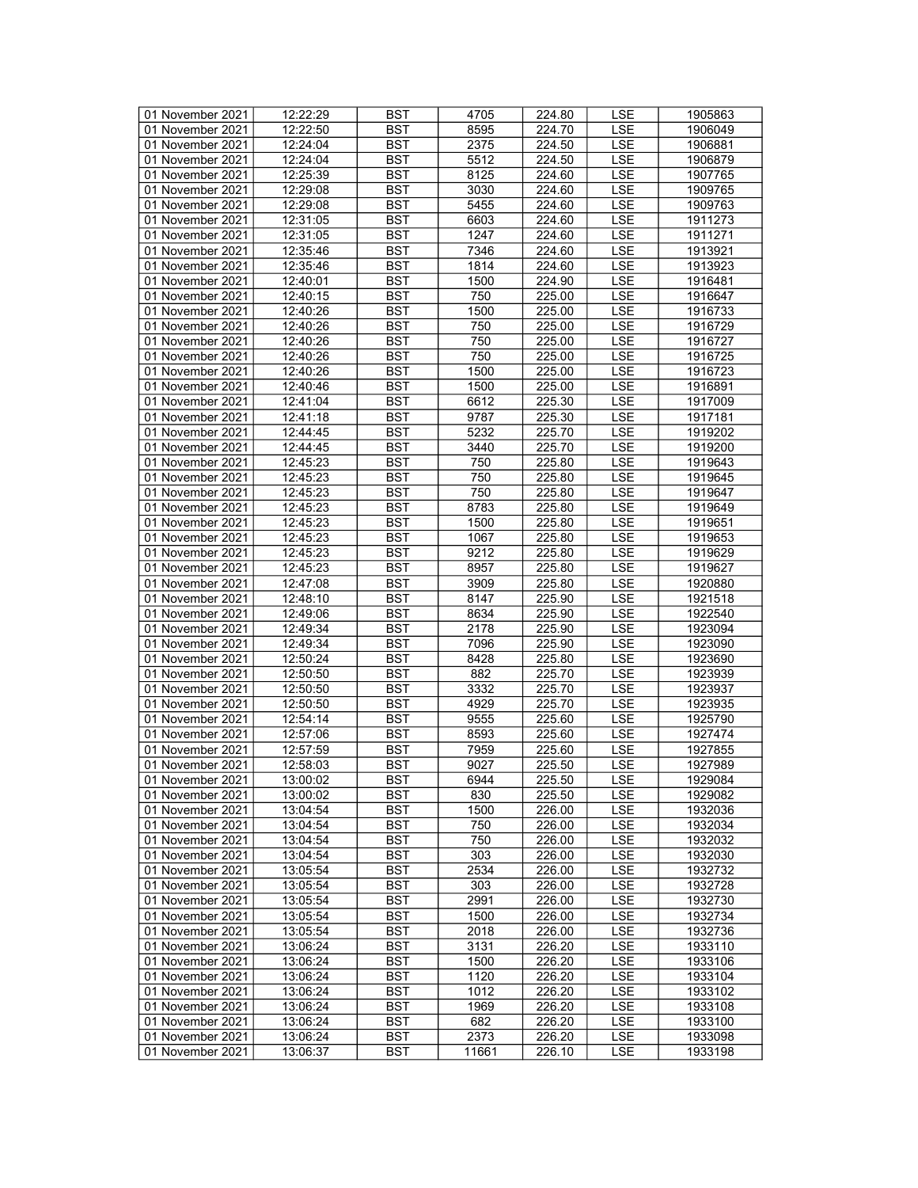| 01 November 2021 | 12:22:29 | <b>BST</b> | 4705  | 224.80 | LSE        | 1905863 |
|------------------|----------|------------|-------|--------|------------|---------|
| 01 November 2021 | 12:22:50 | BST        | 8595  | 224.70 | <b>LSE</b> | 1906049 |
| 01 November 2021 | 12:24:04 | <b>BST</b> | 2375  | 224.50 | <b>LSE</b> | 1906881 |
| 01 November 2021 | 12:24:04 | <b>BST</b> | 5512  | 224.50 | <b>LSE</b> | 1906879 |
| 01 November 2021 | 12:25:39 | <b>BST</b> | 8125  | 224.60 | LSE        | 1907765 |
| 01 November 2021 | 12:29:08 | <b>BST</b> | 3030  | 224.60 | <b>LSE</b> | 1909765 |
| 01 November 2021 |          | <b>BST</b> | 5455  |        | LSE        | 1909763 |
|                  | 12:29:08 |            |       | 224.60 |            |         |
| 01 November 2021 | 12:31:05 | <b>BST</b> | 6603  | 224.60 | <b>LSE</b> | 1911273 |
| 01 November 2021 | 12:31:05 | <b>BST</b> | 1247  | 224.60 | <b>LSE</b> | 1911271 |
| 01 November 2021 | 12:35:46 | <b>BST</b> | 7346  | 224.60 | LSE        | 1913921 |
| 01 November 2021 | 12:35:46 | <b>BST</b> | 1814  | 224.60 | LSE        | 1913923 |
| 01 November 2021 | 12:40:01 | <b>BST</b> | 1500  | 224.90 | <b>LSE</b> | 1916481 |
| 01 November 2021 | 12:40:15 | <b>BST</b> | 750   | 225.00 | <b>LSE</b> | 1916647 |
| 01 November 2021 | 12:40:26 | <b>BST</b> | 1500  | 225.00 | <b>LSE</b> | 1916733 |
| 01 November 2021 | 12:40:26 | <b>BST</b> | 750   | 225.00 | <b>LSE</b> | 1916729 |
| 01 November 2021 | 12:40:26 | <b>BST</b> | 750   | 225.00 | LSE        | 1916727 |
| 01 November 2021 | 12:40:26 | <b>BST</b> | 750   | 225.00 | LSE        | 1916725 |
| 01 November 2021 | 12:40:26 | <b>BST</b> | 1500  | 225.00 | <b>LSE</b> | 1916723 |
| 01 November 2021 | 12:40:46 | <b>BST</b> | 1500  | 225.00 | <b>LSE</b> | 1916891 |
| 01 November 2021 | 12:41:04 | <b>BST</b> | 6612  | 225.30 | <b>LSE</b> | 1917009 |
| 01 November 2021 | 12:41:18 | <b>BST</b> | 9787  | 225.30 | LSE        | 1917181 |
| 01 November 2021 | 12:44:45 | <b>BST</b> | 5232  | 225.70 | <b>LSE</b> | 1919202 |
| 01 November 2021 | 12:44:45 | <b>BST</b> | 3440  | 225.70 | <b>LSE</b> | 1919200 |
|                  |          |            |       |        |            |         |
| 01 November 2021 | 12:45:23 | <b>BST</b> | 750   | 225.80 | LSE        | 1919643 |
| 01 November 2021 | 12:45:23 | <b>BST</b> | 750   | 225.80 | LSE        | 1919645 |
| 01 November 2021 | 12:45:23 | <b>BST</b> | 750   | 225.80 | <b>LSE</b> | 1919647 |
| 01 November 2021 | 12:45:23 | <b>BST</b> | 8783  | 225.80 | <b>LSE</b> | 1919649 |
| 01 November 2021 | 12:45:23 | <b>BST</b> | 1500  | 225.80 | <b>LSE</b> | 1919651 |
| 01 November 2021 | 12:45:23 | <b>BST</b> | 1067  | 225.80 | <b>LSE</b> | 1919653 |
| 01 November 2021 | 12:45:23 | <b>BST</b> | 9212  | 225.80 | LSE        | 1919629 |
| 01 November 2021 | 12:45:23 | <b>BST</b> | 8957  | 225.80 | <b>LSE</b> | 1919627 |
| 01 November 2021 | 12:47:08 | <b>BST</b> | 3909  | 225.80 | LSE        | 1920880 |
| 01 November 2021 | 12:48:10 | <b>BST</b> | 8147  | 225.90 | <b>LSE</b> | 1921518 |
| 01 November 2021 | 12:49:06 | <b>BST</b> | 8634  | 225.90 | <b>LSE</b> | 1922540 |
| 01 November 2021 | 12:49:34 | <b>BST</b> | 2178  | 225.90 | <b>LSE</b> | 1923094 |
| 01 November 2021 | 12:49:34 | <b>BST</b> | 7096  | 225.90 | LSE        | 1923090 |
| 01 November 2021 | 12:50:24 | <b>BST</b> | 8428  | 225.80 | <b>LSE</b> | 1923690 |
| 01 November 2021 | 12:50:50 | <b>BST</b> | 882   | 225.70 | LSE        | 1923939 |
| 01 November 2021 | 12:50:50 | <b>BST</b> | 3332  | 225.70 | <b>LSE</b> | 1923937 |
| 01 November 2021 | 12:50:50 | <b>BST</b> | 4929  | 225.70 | <b>LSE</b> | 1923935 |
| 01 November 2021 |          |            |       | 225.60 |            |         |
|                  | 12:54:14 | <b>BST</b> | 9555  |        | LSE        | 1925790 |
| 01 November 2021 | 12:57:06 | <b>BST</b> | 8593  | 225.60 | <b>LSE</b> | 1927474 |
| 01 November 2021 | 12:57:59 | <b>BST</b> | 7959  | 225.60 | <b>LSE</b> | 1927855 |
| 01 November 2021 | 12:58:03 | <b>BST</b> | 9027  | 225.50 | <b>LSE</b> | 1927989 |
| 01 November 2021 | 13:00:02 | <b>BST</b> | 6944  | 225.50 | <b>LSE</b> | 1929084 |
| 01 November 2021 | 13:00:02 | BST        | 830   | 225.50 | LSE        | 1929082 |
| 01 November 2021 | 13:04:54 | <b>BST</b> | 1500  | 226.00 | LSE        | 1932036 |
| 01 November 2021 | 13:04:54 | <b>BST</b> | 750   | 226.00 | LSE        | 1932034 |
| 01 November 2021 | 13:04:54 | <b>BST</b> | 750   | 226.00 | LSE        | 1932032 |
| 01 November 2021 | 13:04:54 | <b>BST</b> | 303   | 226.00 | LSE        | 1932030 |
| 01 November 2021 | 13:05:54 | <b>BST</b> | 2534  | 226.00 | LSE        | 1932732 |
| 01 November 2021 | 13:05:54 | BST        | 303   | 226.00 | LSE        | 1932728 |
| 01 November 2021 | 13:05:54 | <b>BST</b> | 2991  | 226.00 | LSE        | 1932730 |
| 01 November 2021 | 13:05:54 | <b>BST</b> | 1500  | 226.00 | <b>LSE</b> | 1932734 |
| 01 November 2021 | 13:05:54 | <b>BST</b> | 2018  | 226.00 | LSE        | 1932736 |
| 01 November 2021 | 13:06:24 | BST        | 3131  | 226.20 | LSE        | 1933110 |
| 01 November 2021 | 13:06:24 | <b>BST</b> | 1500  | 226.20 | LSE        |         |
|                  |          |            |       |        |            | 1933106 |
| 01 November 2021 | 13:06:24 | BST        | 1120  | 226.20 | <b>LSE</b> | 1933104 |
| 01 November 2021 | 13:06:24 | <b>BST</b> | 1012  | 226.20 | <b>LSE</b> | 1933102 |
| 01 November 2021 | 13:06:24 | <b>BST</b> | 1969  | 226.20 | LSE        | 1933108 |
| 01 November 2021 | 13:06:24 | BST        | 682   | 226.20 | LSE        | 1933100 |
| 01 November 2021 | 13:06:24 | <b>BST</b> | 2373  | 226.20 | <b>LSE</b> | 1933098 |
| 01 November 2021 | 13:06:37 | BST        | 11661 | 226.10 | LSE        | 1933198 |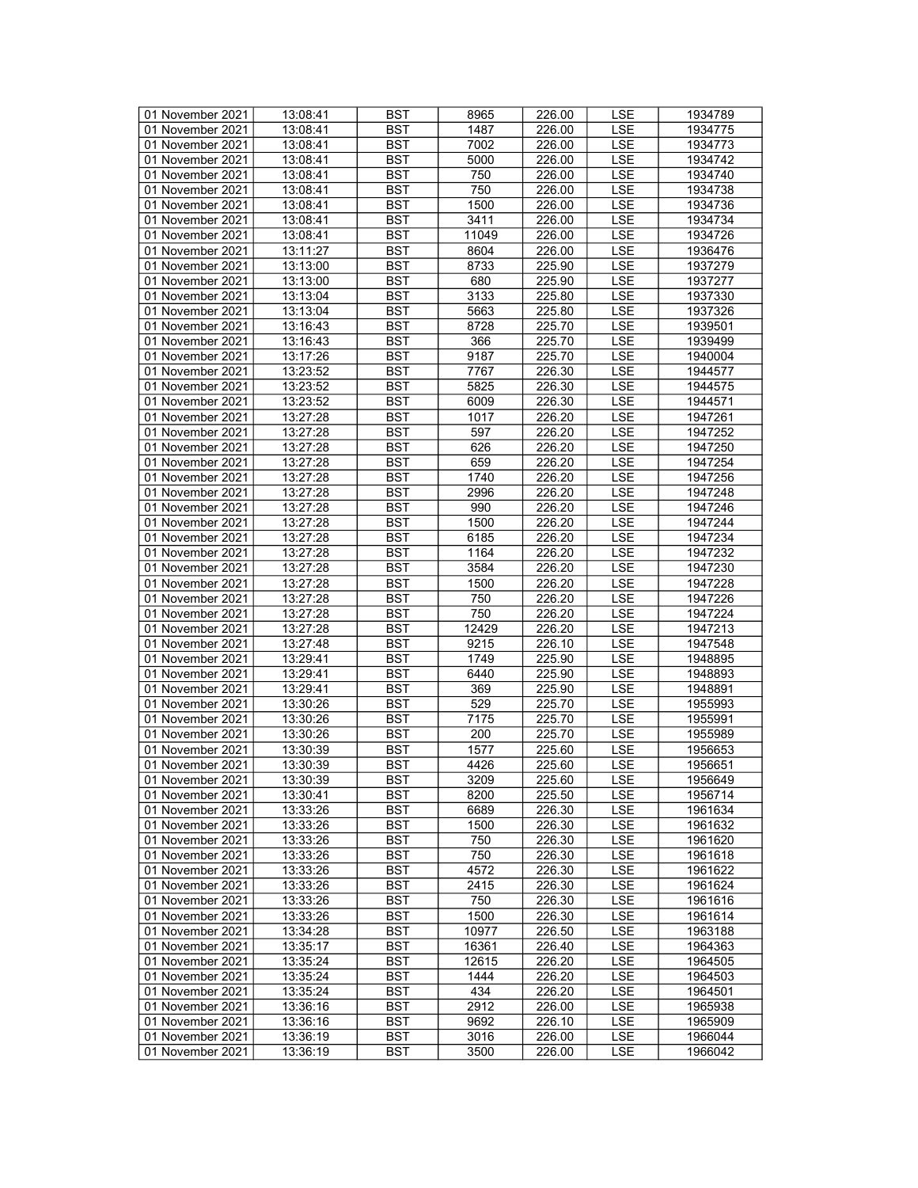| 01 November 2021 | 13:08:41 | <b>BST</b> | 8965  | 226.00 | LSE        | 1934789 |
|------------------|----------|------------|-------|--------|------------|---------|
| 01 November 2021 | 13:08:41 | BST        | 1487  | 226.00 | <b>LSE</b> | 1934775 |
| 01 November 2021 | 13:08:41 | <b>BST</b> | 7002  | 226.00 | LSE        | 1934773 |
| 01 November 2021 | 13:08:41 | <b>BST</b> | 5000  | 226.00 | <b>LSE</b> | 1934742 |
| 01 November 2021 | 13:08:41 | <b>BST</b> | 750   | 226.00 | LSE        | 1934740 |
|                  |          |            |       |        |            |         |
| 01 November 2021 | 13:08:41 | <b>BST</b> | 750   | 226.00 | <b>LSE</b> | 1934738 |
| 01 November 2021 | 13:08:41 | <b>BST</b> | 1500  | 226.00 | LSE        | 1934736 |
| 01 November 2021 | 13:08:41 | <b>BST</b> | 3411  | 226.00 | <b>LSE</b> | 1934734 |
| 01 November 2021 | 13:08:41 | <b>BST</b> | 11049 | 226.00 | <b>LSE</b> | 1934726 |
| 01 November 2021 | 13:11:27 | <b>BST</b> | 8604  | 226.00 | LSE        | 1936476 |
| 01 November 2021 | 13:13:00 | <b>BST</b> | 8733  | 225.90 | LSE        | 1937279 |
| 01 November 2021 | 13:13:00 | <b>BST</b> | 680   | 225.90 | <b>LSE</b> | 1937277 |
| 01 November 2021 | 13:13:04 | <b>BST</b> | 3133  | 225.80 | <b>LSE</b> | 1937330 |
| 01 November 2021 | 13:13:04 | <b>BST</b> | 5663  | 225.80 | <b>LSE</b> | 1937326 |
| 01 November 2021 | 13:16:43 | <b>BST</b> | 8728  | 225.70 | <b>LSE</b> | 1939501 |
| 01 November 2021 | 13:16:43 | <b>BST</b> | 366   | 225.70 | LSE        | 1939499 |
| 01 November 2021 | 13:17:26 | <b>BST</b> | 9187  | 225.70 | LSE        | 1940004 |
| 01 November 2021 | 13:23:52 | <b>BST</b> | 7767  | 226.30 | <b>LSE</b> | 1944577 |
| 01 November 2021 | 13:23:52 | <b>BST</b> | 5825  | 226.30 | <b>LSE</b> | 1944575 |
| 01 November 2021 | 13:23:52 | <b>BST</b> | 6009  | 226.30 | <b>LSE</b> | 1944571 |
| 01 November 2021 | 13:27:28 | <b>BST</b> | 1017  | 226.20 | LSE        | 1947261 |
|                  |          |            |       |        |            |         |
| 01 November 2021 | 13:27:28 | <b>BST</b> | 597   | 226.20 | <b>LSE</b> | 1947252 |
| 01 November 2021 | 13:27:28 | <b>BST</b> | 626   | 226.20 | <b>LSE</b> | 1947250 |
| 01 November 2021 | 13:27:28 | <b>BST</b> | 659   | 226.20 | LSE        | 1947254 |
| 01 November 2021 | 13:27:28 | <b>BST</b> | 1740  | 226.20 | LSE        | 1947256 |
| 01 November 2021 | 13:27:28 | <b>BST</b> | 2996  | 226.20 | <b>LSE</b> | 1947248 |
| 01 November 2021 | 13:27:28 | <b>BST</b> | 990   | 226.20 | <b>LSE</b> | 1947246 |
| 01 November 2021 | 13:27:28 | <b>BST</b> | 1500  | 226.20 | <b>LSE</b> | 1947244 |
| 01 November 2021 | 13:27:28 | <b>BST</b> | 6185  | 226.20 | <b>LSE</b> | 1947234 |
| 01 November 2021 | 13:27:28 | <b>BST</b> | 1164  | 226.20 | LSE        | 1947232 |
| 01 November 2021 | 13:27:28 | <b>BST</b> | 3584  | 226.20 | <b>LSE</b> | 1947230 |
| 01 November 2021 | 13:27:28 | <b>BST</b> | 1500  | 226.20 | LSE        | 1947228 |
| 01 November 2021 | 13:27:28 | <b>BST</b> | 750   | 226.20 | <b>LSE</b> | 1947226 |
| 01 November 2021 | 13:27:28 | <b>BST</b> | 750   | 226.20 | <b>LSE</b> | 1947224 |
| 01 November 2021 | 13:27:28 | <b>BST</b> | 12429 | 226.20 | <b>LSE</b> | 1947213 |
| 01 November 2021 | 13:27:48 | <b>BST</b> | 9215  | 226.10 | LSE        | 1947548 |
| 01 November 2021 | 13:29:41 | <b>BST</b> | 1749  | 225.90 | <b>LSE</b> | 1948895 |
| 01 November 2021 | 13:29:41 | <b>BST</b> | 6440  | 225.90 | <b>LSE</b> | 1948893 |
| 01 November 2021 | 13:29:41 | <b>BST</b> | 369   | 225.90 | <b>LSE</b> | 1948891 |
| 01 November 2021 | 13:30:26 | <b>BST</b> | 529   | 225.70 | <b>LSE</b> | 1955993 |
| 01 November 2021 |          |            | 7175  | 225.70 |            |         |
|                  | 13:30:26 | <b>BST</b> |       |        | LSE        | 1955991 |
| 01 November 2021 | 13:30:26 | <b>BST</b> | 200   | 225.70 | <b>LSE</b> | 1955989 |
| 01 November 2021 | 13:30:39 | <b>BST</b> | 1577  | 225.60 | <b>LSE</b> | 1956653 |
| 01 November 2021 | 13:30:39 | <b>BST</b> | 4426  | 225.60 | <b>LSE</b> | 1956651 |
| 01 November 2021 | 13:30:39 | <b>BST</b> | 3209  | 225.60 | <b>LSE</b> | 1956649 |
| 01 November 2021 | 13:30:41 | BST        | 8200  | 225.50 | LSE        | 1956714 |
| 01 November 2021 | 13:33:26 | <b>BST</b> | 6689  | 226.30 | LSE        | 1961634 |
| 01 November 2021 | 13:33:26 | <b>BST</b> | 1500  | 226.30 | LSE        | 1961632 |
| 01 November 2021 | 13:33:26 | <b>BST</b> | 750   | 226.30 | LSE        | 1961620 |
| 01 November 2021 | 13:33:26 | <b>BST</b> | 750   | 226.30 | <b>LSE</b> | 1961618 |
| 01 November 2021 | 13:33:26 | <b>BST</b> | 4572  | 226.30 | LSE        | 1961622 |
| 01 November 2021 | 13:33:26 | BST        | 2415  | 226.30 | <b>LSE</b> | 1961624 |
| 01 November 2021 | 13:33:26 | <b>BST</b> | 750   | 226.30 | LSE        | 1961616 |
| 01 November 2021 | 13:33:26 | <b>BST</b> | 1500  | 226.30 | <b>LSE</b> | 1961614 |
| 01 November 2021 | 13:34:28 | <b>BST</b> | 10977 | 226.50 | LSE        | 1963188 |
| 01 November 2021 | 13:35:17 | <b>BST</b> | 16361 | 226.40 | LSE        | 1964363 |
| 01 November 2021 | 13:35:24 | <b>BST</b> | 12615 | 226.20 | LSE        | 1964505 |
| 01 November 2021 | 13:35:24 | BST        | 1444  | 226.20 | <b>LSE</b> | 1964503 |
| 01 November 2021 |          |            |       |        |            |         |
|                  | 13:35:24 | <b>BST</b> | 434   | 226.20 | <b>LSE</b> | 1964501 |
| 01 November 2021 | 13:36:16 | <b>BST</b> | 2912  | 226.00 | LSE        | 1965938 |
| 01 November 2021 | 13:36:16 | BST        | 9692  | 226.10 | LSE        | 1965909 |
| 01 November 2021 | 13:36:19 | <b>BST</b> | 3016  | 226.00 | <b>LSE</b> | 1966044 |
| 01 November 2021 | 13:36:19 | BST        | 3500  | 226.00 | LSE        | 1966042 |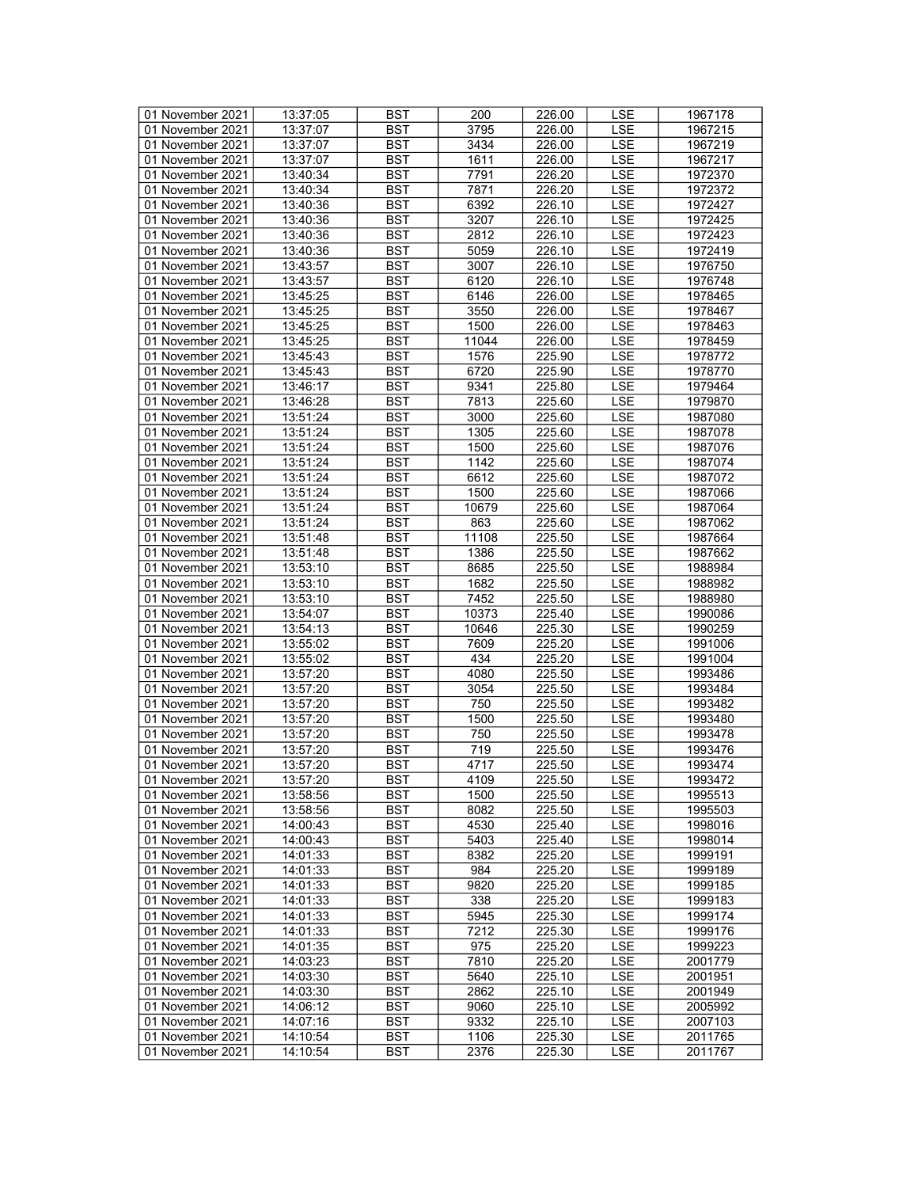| 01 November 2021 | 13:37:05 | <b>BST</b> | 200   | 226.00 | LSE        | 1967178 |
|------------------|----------|------------|-------|--------|------------|---------|
|                  |          |            |       |        |            |         |
| 01 November 2021 | 13:37:07 | BST        | 3795  | 226.00 | LSE        | 1967215 |
| 01 November 2021 | 13:37:07 | <b>BST</b> | 3434  | 226.00 | <b>LSE</b> | 1967219 |
| 01 November 2021 | 13:37:07 | <b>BST</b> | 1611  | 226.00 | <b>LSE</b> | 1967217 |
| 01 November 2021 | 13:40:34 | <b>BST</b> | 7791  | 226.20 | LSE        | 1972370 |
| 01 November 2021 | 13:40:34 |            | 7871  | 226.20 | <b>LSE</b> |         |
|                  |          | <b>BST</b> |       |        |            | 1972372 |
| 01 November 2021 | 13:40:36 | <b>BST</b> | 6392  | 226.10 | LSE        | 1972427 |
| 01 November 2021 | 13:40:36 | <b>BST</b> | 3207  | 226.10 | <b>LSE</b> | 1972425 |
| 01 November 2021 | 13:40:36 | <b>BST</b> | 2812  | 226.10 | <b>LSE</b> | 1972423 |
| 01 November 2021 | 13:40:36 | <b>BST</b> | 5059  | 226.10 | LSE        | 1972419 |
|                  | 13:43:57 | <b>BST</b> | 3007  |        |            |         |
| 01 November 2021 |          |            |       | 226.10 | LSE        | 1976750 |
| 01 November 2021 | 13:43:57 | <b>BST</b> | 6120  | 226.10 | <b>LSE</b> | 1976748 |
| 01 November 2021 | 13:45:25 | <b>BST</b> | 6146  | 226.00 | <b>LSE</b> | 1978465 |
| 01 November 2021 | 13:45:25 | <b>BST</b> | 3550  | 226.00 | LSE        | 1978467 |
| 01 November 2021 | 13:45:25 | <b>BST</b> | 1500  | 226.00 | <b>LSE</b> | 1978463 |
|                  |          |            |       |        |            |         |
| 01 November 2021 | 13:45:25 | <b>BST</b> | 11044 | 226.00 | LSE        | 1978459 |
| 01 November 2021 | 13:45:43 | <b>BST</b> | 1576  | 225.90 | LSE        | 1978772 |
| 01 November 2021 | 13:45:43 | <b>BST</b> | 6720  | 225.90 | <b>LSE</b> | 1978770 |
| 01 November 2021 | 13:46:17 | <b>BST</b> | 9341  | 225.80 | <b>LSE</b> | 1979464 |
| 01 November 2021 | 13:46:28 | <b>BST</b> | 7813  | 225.60 | <b>LSE</b> | 1979870 |
|                  |          |            |       |        |            |         |
| 01 November 2021 | 13:51:24 | <b>BST</b> | 3000  | 225.60 | LSE        | 1987080 |
| 01 November 2021 | 13:51:24 | <b>BST</b> | 1305  | 225.60 | <b>LSE</b> | 1987078 |
| 01 November 2021 | 13:51:24 | <b>BST</b> | 1500  | 225.60 | <b>LSE</b> | 1987076 |
| 01 November 2021 | 13:51:24 | <b>BST</b> | 1142  | 225.60 | LSE        | 1987074 |
| 01 November 2021 | 13:51:24 |            | 6612  |        |            | 1987072 |
|                  |          | <b>BST</b> |       | 225.60 | LSE        |         |
| 01 November 2021 | 13:51:24 | <b>BST</b> | 1500  | 225.60 | <b>LSE</b> | 1987066 |
| 01 November 2021 | 13:51:24 | <b>BST</b> | 10679 | 225.60 | <b>LSE</b> | 1987064 |
| 01 November 2021 | 13:51:24 | <b>BST</b> | 863   | 225.60 | <b>LSE</b> | 1987062 |
| 01 November 2021 | 13:51:48 | <b>BST</b> | 11108 | 225.50 | <b>LSE</b> | 1987664 |
| 01 November 2021 | 13:51:48 | <b>BST</b> | 1386  | 225.50 | LSE        |         |
|                  |          |            |       |        |            | 1987662 |
| 01 November 2021 | 13:53:10 | <b>BST</b> | 8685  | 225.50 | <b>LSE</b> | 1988984 |
| 01 November 2021 | 13:53:10 | <b>BST</b> | 1682  | 225.50 | LSE        | 1988982 |
| 01 November 2021 | 13:53:10 | <b>BST</b> | 7452  | 225.50 | <b>LSE</b> | 1988980 |
| 01 November 2021 | 13:54:07 | <b>BST</b> | 10373 | 225.40 | LSE        | 1990086 |
| 01 November 2021 | 13:54:13 | <b>BST</b> | 10646 | 225.30 | <b>LSE</b> | 1990259 |
|                  |          |            |       |        |            |         |
| 01 November 2021 | 13:55:02 | <b>BST</b> | 7609  | 225.20 | LSE        | 1991006 |
| 01 November 2021 | 13:55:02 | <b>BST</b> | 434   | 225.20 | <b>LSE</b> | 1991004 |
| 01 November 2021 | 13:57:20 | <b>BST</b> | 4080  | 225.50 | <b>LSE</b> | 1993486 |
| 01 November 2021 | 13:57:20 | <b>BST</b> | 3054  | 225.50 | <b>LSE</b> | 1993484 |
|                  | 13:57:20 | <b>BST</b> | 750   | 225.50 | <b>LSE</b> |         |
| 01 November 2021 |          |            |       |        |            | 1993482 |
| 01 November 2021 | 13:57:20 | <b>BST</b> | 1500  | 225.50 | LSE        | 1993480 |
| 01 November 2021 | 13:57:20 | <b>BST</b> | 750   | 225.50 | <b>LSE</b> | 1993478 |
| 01 November 2021 | 13:57:20 | <b>BST</b> | 719   | 225.50 | <b>LSE</b> | 1993476 |
| 01 November 2021 | 13:57:20 | <b>BST</b> | 4717  | 225.50 | <b>LSE</b> | 1993474 |
| 01 November 2021 | 13:57:20 | <b>BST</b> | 4109  | 225.50 | <b>LSE</b> | 1993472 |
|                  |          |            |       |        |            |         |
| 01 November 2021 | 13:58:56 | BST        | 1500  | 225.50 | LSE        | 1995513 |
| 01 November 2021 | 13:58:56 | BST        | 8082  | 225.50 | LSE        | 1995503 |
| 01 November 2021 | 14:00:43 | <b>BST</b> | 4530  | 225.40 | LSE        | 1998016 |
| 01 November 2021 | 14:00:43 | <b>BST</b> | 5403  | 225.40 | LSE        | 1998014 |
| 01 November 2021 | 14:01:33 | <b>BST</b> | 8382  | 225.20 | LSE        | 1999191 |
|                  |          |            |       |        |            |         |
| 01 November 2021 | 14:01:33 | <b>BST</b> | 984   | 225.20 | LSE        | 1999189 |
| 01 November 2021 | 14:01:33 | BST        | 9820  | 225.20 | LSE        | 1999185 |
| 01 November 2021 | 14:01:33 | <b>BST</b> | 338   | 225.20 | LSE        | 1999183 |
| 01 November 2021 | 14:01:33 | <b>BST</b> | 5945  | 225.30 | <b>LSE</b> | 1999174 |
| 01 November 2021 | 14:01:33 | <b>BST</b> | 7212  | 225.30 | LSE        | 1999176 |
|                  |          |            |       |        |            |         |
| 01 November 2021 | 14:01:35 | BST        | 975   | 225.20 | LSE        | 1999223 |
| 01 November 2021 | 14:03:23 | <b>BST</b> | 7810  | 225.20 | LSE        | 2001779 |
| 01 November 2021 | 14:03:30 | BST        | 5640  | 225.10 | <b>LSE</b> | 2001951 |
| 01 November 2021 | 14:03:30 | <b>BST</b> | 2862  | 225.10 | <b>LSE</b> | 2001949 |
|                  |          |            |       |        |            |         |
| 01 November 2021 | 14:06:12 | <b>BST</b> | 9060  | 225.10 | LSE        | 2005992 |
| 01 November 2021 | 14:07:16 | BST        | 9332  | 225.10 | LSE        | 2007103 |
| 01 November 2021 | 14:10:54 | <b>BST</b> | 1106  | 225.30 | <b>LSE</b> | 2011765 |
| 01 November 2021 | 14:10:54 | BST        | 2376  | 225.30 | LSE        | 2011767 |
|                  |          |            |       |        |            |         |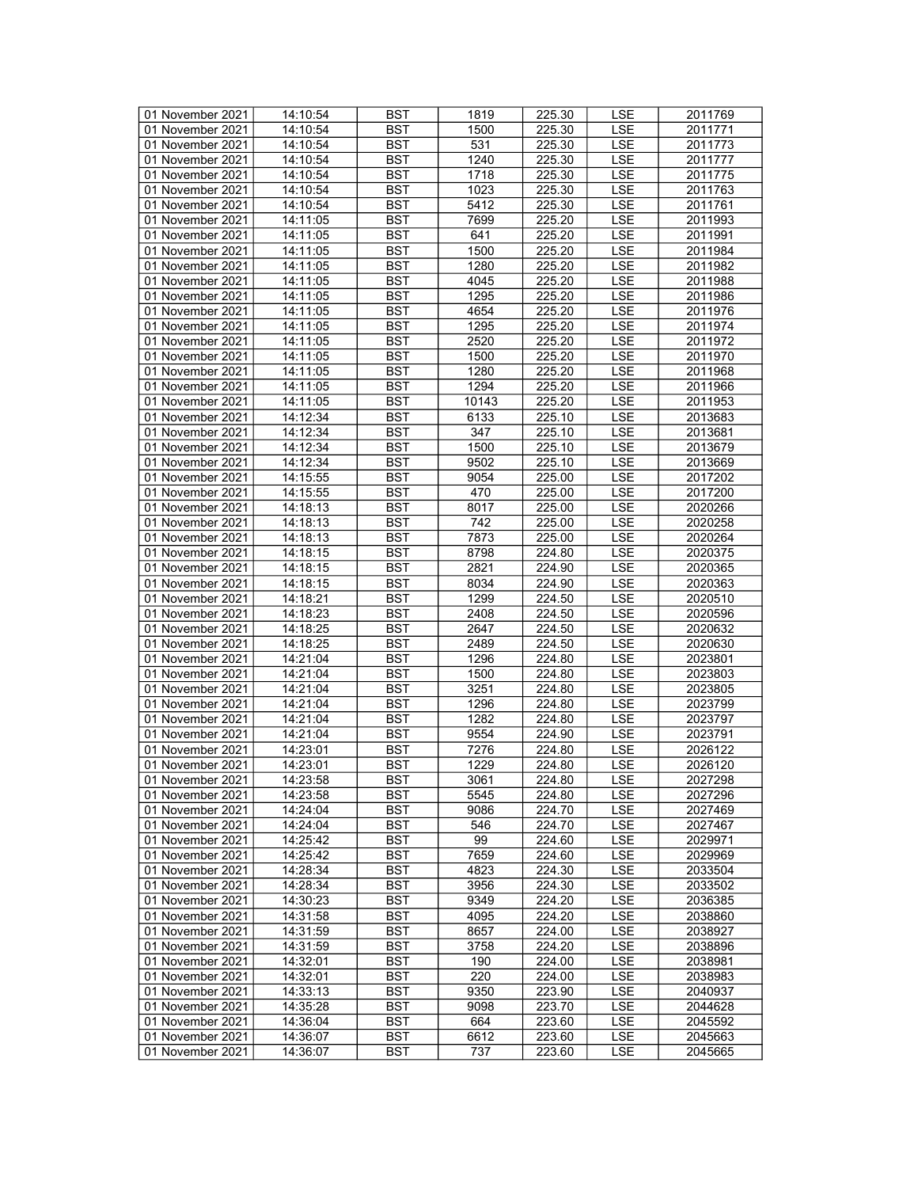| 01 November 2021 | 14:10:54 | <b>BST</b> | 1819  | 225.30 | <b>LSE</b> | 2011769 |
|------------------|----------|------------|-------|--------|------------|---------|
| 01 November 2021 | 14:10:54 | <b>BST</b> | 1500  | 225.30 | <b>LSE</b> | 2011771 |
| 01 November 2021 | 14:10:54 | <b>BST</b> | 531   | 225.30 | <b>LSE</b> | 2011773 |
| 01 November 2021 | 14:10:54 | <b>BST</b> | 1240  | 225.30 | <b>LSE</b> | 2011777 |
| 01 November 2021 | 14:10:54 | <b>BST</b> | 1718  | 225.30 | LSE        | 2011775 |
| 01 November 2021 | 14:10:54 | <b>BST</b> | 1023  | 225.30 | <b>LSE</b> | 2011763 |
|                  |          |            |       |        |            |         |
| 01 November 2021 | 14:10:54 | <b>BST</b> | 5412  | 225.30 | <b>LSE</b> | 2011761 |
| 01 November 2021 | 14:11:05 | <b>BST</b> | 7699  | 225.20 | <b>LSE</b> | 2011993 |
| 01 November 2021 | 14:11:05 | <b>BST</b> | 641   | 225.20 | <b>LSE</b> | 2011991 |
| 01 November 2021 | 14:11:05 | <b>BST</b> | 1500  | 225.20 | <b>LSE</b> | 2011984 |
| 01 November 2021 | 14:11:05 | <b>BST</b> | 1280  | 225.20 | LSE        | 2011982 |
| 01 November 2021 | 14:11:05 | <b>BST</b> | 4045  | 225.20 | <b>LSE</b> | 2011988 |
| 01 November 2021 | 14:11:05 | <b>BST</b> | 1295  | 225.20 | <b>LSE</b> | 2011986 |
| 01 November 2021 | 14:11:05 | <b>BST</b> | 4654  | 225.20 | <b>LSE</b> | 2011976 |
| 01 November 2021 | 14:11:05 | <b>BST</b> | 1295  | 225.20 | <b>LSE</b> | 2011974 |
| 01 November 2021 | 14:11:05 | <b>BST</b> | 2520  | 225.20 | LSE        | 2011972 |
| 01 November 2021 | 14:11:05 | <b>BST</b> | 1500  | 225.20 | <b>LSE</b> | 2011970 |
| 01 November 2021 | 14:11:05 | <b>BST</b> | 1280  | 225.20 | <b>LSE</b> | 2011968 |
|                  |          | <b>BST</b> | 1294  | 225.20 | <b>LSE</b> |         |
| 01 November 2021 | 14:11:05 |            |       |        |            | 2011966 |
| 01 November 2021 | 14:11:05 | <b>BST</b> | 10143 | 225.20 | <b>LSE</b> | 2011953 |
| 01 November 2021 | 14:12:34 | <b>BST</b> | 6133  | 225.10 | LSE        | 2013683 |
| 01 November 2021 | 14:12:34 | <b>BST</b> | 347   | 225.10 | <b>LSE</b> | 2013681 |
| 01 November 2021 | 14:12:34 | <b>BST</b> | 1500  | 225.10 | <b>LSE</b> | 2013679 |
| 01 November 2021 | 14:12:34 | <b>BST</b> | 9502  | 225.10 | LSE        | 2013669 |
| 01 November 2021 | 14:15:55 | <b>BST</b> | 9054  | 225.00 | LSE        | 2017202 |
| 01 November 2021 | 14:15:55 | <b>BST</b> | 470   | 225.00 | <b>LSE</b> | 2017200 |
| 01 November 2021 | 14:18:13 | <b>BST</b> | 8017  | 225.00 | <b>LSE</b> | 2020266 |
| 01 November 2021 | 14:18:13 | <b>BST</b> | 742   | 225.00 | <b>LSE</b> | 2020258 |
| 01 November 2021 | 14:18:13 | <b>BST</b> | 7873  | 225.00 | <b>LSE</b> | 2020264 |
| 01 November 2021 | 14:18:15 | <b>BST</b> | 8798  | 224.80 | LSE        | 2020375 |
| 01 November 2021 | 14:18:15 | <b>BST</b> | 2821  | 224.90 | LSE        | 2020365 |
|                  |          | <b>BST</b> | 8034  | 224.90 | LSE        |         |
| 01 November 2021 | 14:18:15 |            |       |        |            | 2020363 |
| 01 November 2021 | 14:18:21 | <b>BST</b> | 1299  | 224.50 | <b>LSE</b> | 2020510 |
| 01 November 2021 | 14:18:23 | <b>BST</b> | 2408  | 224.50 | <b>LSE</b> | 2020596 |
| 01 November 2021 | 14:18:25 | <b>BST</b> | 2647  | 224.50 | <b>LSE</b> | 2020632 |
| 01 November 2021 | 14:18:25 | <b>BST</b> | 2489  | 224.50 | LSE        | 2020630 |
| 01 November 2021 | 14:21:04 | <b>BST</b> | 1296  | 224.80 | <b>LSE</b> | 2023801 |
| 01 November 2021 | 14:21:04 | <b>BST</b> | 1500  | 224.80 | <b>LSE</b> | 2023803 |
| 01 November 2021 | 14:21:04 | <b>BST</b> | 3251  | 224.80 | <b>LSE</b> | 2023805 |
| 01 November 2021 | 14:21:04 | <b>BST</b> | 1296  | 224.80 | <b>LSE</b> | 2023799 |
| 01 November 2021 | 14:21:04 | <b>BST</b> | 1282  | 224.80 | LSE        | 2023797 |
| 01 November 2021 | 14:21:04 | <b>BST</b> | 9554  | 224.90 | <b>LSE</b> | 2023791 |
| 01 November 2021 | 14:23:01 | <b>BST</b> | 7276  | 224.80 | LSE        | 2026122 |
| 01 November 2021 | 14:23:01 | <b>BST</b> | 1229  | 224.80 | <b>LSE</b> | 2026120 |
| 01 November 2021 | 14:23:58 | <b>BST</b> | 3061  | 224.80 | <b>LSE</b> | 2027298 |
| 01 November 2021 | 14:23:58 | BST        | 5545  | 224.80 | LSE        | 2027296 |
|                  |          |            |       |        |            |         |
| 01 November 2021 | 14:24:04 | <b>BST</b> | 9086  | 224.70 | LSE        | 2027469 |
| 01 November 2021 | 14:24:04 | <b>BST</b> | 546   | 224.70 | LSE        | 2027467 |
| 01 November 2021 | 14:25:42 | <b>BST</b> | 99    | 224.60 | <b>LSE</b> | 2029971 |
| 01 November 2021 | 14:25:42 | <b>BST</b> | 7659  | 224.60 | LSE        | 2029969 |
| 01 November 2021 | 14:28:34 | <b>BST</b> | 4823  | 224.30 | LSE        | 2033504 |
| 01 November 2021 | 14:28:34 | BST        | 3956  | 224.30 | LSE        | 2033502 |
| 01 November 2021 | 14:30:23 | <b>BST</b> | 9349  | 224.20 | LSE        | 2036385 |
| 01 November 2021 | 14:31:58 | <b>BST</b> | 4095  | 224.20 | <b>LSE</b> | 2038860 |
| 01 November 2021 | 14:31:59 | <b>BST</b> | 8657  | 224.00 | LSE        | 2038927 |
| 01 November 2021 | 14:31:59 | <b>BST</b> | 3758  | 224.20 | LSE        | 2038896 |
| 01 November 2021 | 14:32:01 | <b>BST</b> | 190   | 224.00 | LSE        | 2038981 |
| 01 November 2021 | 14:32:01 | <b>BST</b> | 220   | 224.00 | LSE        | 2038983 |
| 01 November 2021 | 14:33:13 | <b>BST</b> | 9350  | 223.90 | <b>LSE</b> | 2040937 |
| 01 November 2021 | 14:35:28 | <b>BST</b> | 9098  | 223.70 | LSE        | 2044628 |
|                  |          |            |       |        |            |         |
| 01 November 2021 | 14:36:04 | BST        | 664   | 223.60 | LSE        | 2045592 |
| 01 November 2021 | 14:36:07 | <b>BST</b> | 6612  | 223.60 | <b>LSE</b> | 2045663 |
| 01 November 2021 | 14:36:07 | <b>BST</b> | 737   | 223.60 | LSE        | 2045665 |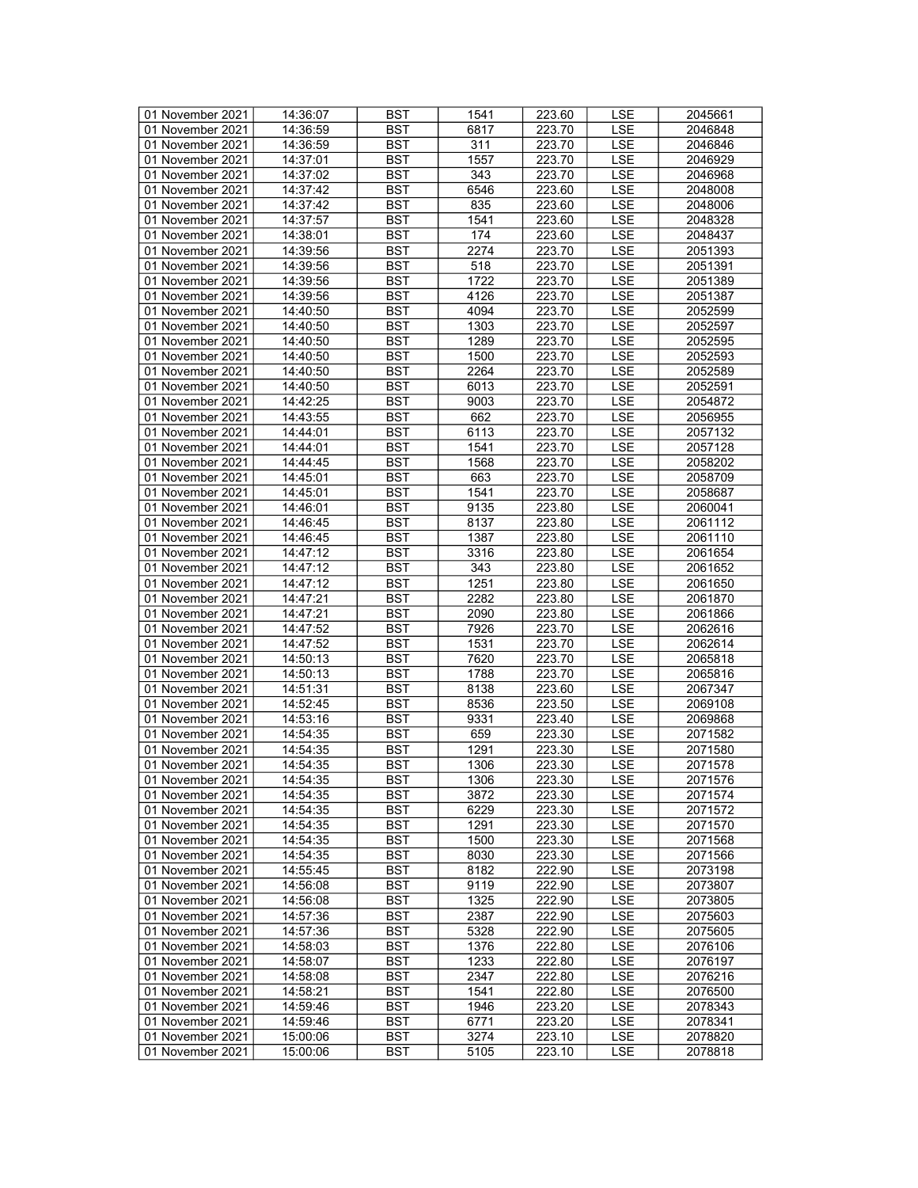| 01 November 2021 | 14:36:07 | <b>BST</b> | 1541 | 223.60              | LSE        | 2045661 |
|------------------|----------|------------|------|---------------------|------------|---------|
| 01 November 2021 | 14:36:59 | BST        | 6817 | $\overline{223}.70$ | <b>LSE</b> | 2046848 |
| 01 November 2021 | 14:36:59 | <b>BST</b> | 311  | 223.70              | <b>LSE</b> | 2046846 |
| 01 November 2021 | 14:37:01 | <b>BST</b> | 1557 | 223.70              | <b>LSE</b> | 2046929 |
| 01 November 2021 | 14:37:02 | <b>BST</b> | 343  | 223.70              | LSE        | 2046968 |
| 01 November 2021 | 14:37:42 | <b>BST</b> | 6546 | 223.60              | <b>LSE</b> | 2048008 |
| 01 November 2021 | 14:37:42 | <b>BST</b> | 835  |                     | LSE        | 2048006 |
|                  |          |            |      | 223.60              |            |         |
| 01 November 2021 | 14:37:57 | <b>BST</b> | 1541 | 223.60              | <b>LSE</b> | 2048328 |
| 01 November 2021 | 14:38:01 | <b>BST</b> | 174  | 223.60              | <b>LSE</b> | 2048437 |
| 01 November 2021 | 14:39:56 | <b>BST</b> | 2274 | 223.70              | <b>LSE</b> | 2051393 |
| 01 November 2021 | 14:39:56 | <b>BST</b> | 518  | 223.70              | LSE        | 2051391 |
| 01 November 2021 | 14:39:56 | <b>BST</b> | 1722 | 223.70              | <b>LSE</b> | 2051389 |
| 01 November 2021 | 14:39:56 | <b>BST</b> | 4126 | 223.70              | <b>LSE</b> | 2051387 |
| 01 November 2021 | 14:40:50 | <b>BST</b> | 4094 | 223.70              | <b>LSE</b> | 2052599 |
| 01 November 2021 | 14:40:50 | <b>BST</b> | 1303 | 223.70              | <b>LSE</b> | 2052597 |
| 01 November 2021 | 14:40:50 | <b>BST</b> | 1289 | 223.70              | LSE        | 2052595 |
| 01 November 2021 | 14:40:50 | <b>BST</b> | 1500 | 223.70              | LSE        | 2052593 |
| 01 November 2021 | 14:40:50 | <b>BST</b> | 2264 | 223.70              | <b>LSE</b> | 2052589 |
| 01 November 2021 | 14:40:50 | <b>BST</b> | 6013 | 223.70              | <b>LSE</b> | 2052591 |
| 01 November 2021 | 14:42:25 | <b>BST</b> | 9003 | 223.70              | <b>LSE</b> | 2054872 |
| 01 November 2021 | 14:43:55 | <b>BST</b> | 662  | 223.70              | LSE        | 2056955 |
| 01 November 2021 | 14:44:01 | <b>BST</b> | 6113 | 223.70              | <b>LSE</b> | 2057132 |
| 01 November 2021 | 14:44:01 | <b>BST</b> | 1541 | 223.70              | <b>LSE</b> |         |
|                  |          |            |      |                     |            | 2057128 |
| 01 November 2021 | 14:44:45 | <b>BST</b> | 1568 | 223.70              | <b>LSE</b> | 2058202 |
| 01 November 2021 | 14:45:01 | <b>BST</b> | 663  | 223.70              | LSE        | 2058709 |
| 01 November 2021 | 14:45:01 | <b>BST</b> | 1541 | 223.70              | <b>LSE</b> | 2058687 |
| 01 November 2021 | 14:46:01 | <b>BST</b> | 9135 | 223.80              | <b>LSE</b> | 2060041 |
| 01 November 2021 | 14:46:45 | <b>BST</b> | 8137 | 223.80              | <b>LSE</b> | 2061112 |
| 01 November 2021 | 14:46:45 | <b>BST</b> | 1387 | 223.80              | <b>LSE</b> | 2061110 |
| 01 November 2021 | 14:47:12 | <b>BST</b> | 3316 | 223.80              | LSE        | 2061654 |
| 01 November 2021 | 14:47:12 | <b>BST</b> | 343  | 223.80              | <b>LSE</b> | 2061652 |
| 01 November 2021 | 14:47:12 | <b>BST</b> | 1251 | 223.80              | LSE        | 2061650 |
| 01 November 2021 | 14:47:21 | <b>BST</b> | 2282 | 223.80              | <b>LSE</b> | 2061870 |
| 01 November 2021 | 14:47:21 | <b>BST</b> | 2090 | 223.80              | <b>LSE</b> | 2061866 |
| 01 November 2021 | 14:47:52 | <b>BST</b> | 7926 | 223.70              | <b>LSE</b> | 2062616 |
| 01 November 2021 | 14:47:52 | <b>BST</b> | 1531 | 223.70              | LSE        | 2062614 |
| 01 November 2021 | 14:50:13 | <b>BST</b> | 7620 | 223.70              | <b>LSE</b> | 2065818 |
| 01 November 2021 | 14:50:13 | <b>BST</b> | 1788 | 223.70              | <b>LSE</b> | 2065816 |
| 01 November 2021 | 14:51:31 | <b>BST</b> | 8138 | 223.60              | <b>LSE</b> | 2067347 |
| 01 November 2021 | 14:52:45 | <b>BST</b> | 8536 | 223.50              | <b>LSE</b> | 2069108 |
| 01 November 2021 | 14:53:16 | <b>BST</b> | 9331 | 223.40              | LSE        | 2069868 |
|                  |          |            |      |                     |            | 2071582 |
| 01 November 2021 | 14:54:35 | <b>BST</b> | 659  | 223.30              | <b>LSE</b> |         |
| 01 November 2021 | 14:54:35 | <b>BST</b> | 1291 | 223.30              | <b>LSE</b> | 2071580 |
| 01 November 2021 | 14:54:35 | <b>BST</b> | 1306 | 223.30              | <b>LSE</b> | 2071578 |
| 01 November 2021 | 14:54:35 | <b>BST</b> | 1306 | 223.30              | <b>LSE</b> | 2071576 |
| 01 November 2021 | 14:54:35 | BST        | 3872 | 223.30              | LSE        | 2071574 |
| 01 November 2021 | 14:54:35 | <b>BST</b> | 6229 | 223.30              | LSE        | 2071572 |
| 01 November 2021 | 14:54:35 | <b>BST</b> | 1291 | 223.30              | LSE        | 2071570 |
| 01 November 2021 | 14:54:35 | <b>BST</b> | 1500 | 223.30              | LSE        | 2071568 |
| 01 November 2021 | 14:54:35 | <b>BST</b> | 8030 | 223.30              | LSE        | 2071566 |
| 01 November 2021 | 14:55:45 | <b>BST</b> | 8182 | 222.90              | LSE        | 2073198 |
| 01 November 2021 | 14:56:08 | BST        | 9119 | 222.90              | LSE        | 2073807 |
| 01 November 2021 | 14:56:08 | <b>BST</b> | 1325 | 222.90              | LSE        | 2073805 |
| 01 November 2021 | 14:57:36 | <b>BST</b> | 2387 | 222.90              | <b>LSE</b> | 2075603 |
| 01 November 2021 | 14:57:36 | <b>BST</b> | 5328 | 222.90              | LSE        | 2075605 |
| 01 November 2021 | 14:58:03 | <b>BST</b> | 1376 | 222.80              | LSE        | 2076106 |
| 01 November 2021 | 14:58:07 | <b>BST</b> | 1233 | 222.80              | LSE        | 2076197 |
|                  |          |            |      |                     |            |         |
| 01 November 2021 | 14:58:08 | BST        | 2347 | 222.80              | <b>LSE</b> | 2076216 |
| 01 November 2021 | 14:58:21 | <b>BST</b> | 1541 | 222.80              | <b>LSE</b> | 2076500 |
| 01 November 2021 | 14:59:46 | <b>BST</b> | 1946 | 223.20              | LSE        | 2078343 |
| 01 November 2021 | 14:59:46 | BST        | 6771 | 223.20              | LSE        | 2078341 |
| 01 November 2021 | 15:00:06 | <b>BST</b> | 3274 | 223.10              | <b>LSE</b> | 2078820 |
| 01 November 2021 | 15:00:06 | BST        | 5105 | 223.10              | LSE        | 2078818 |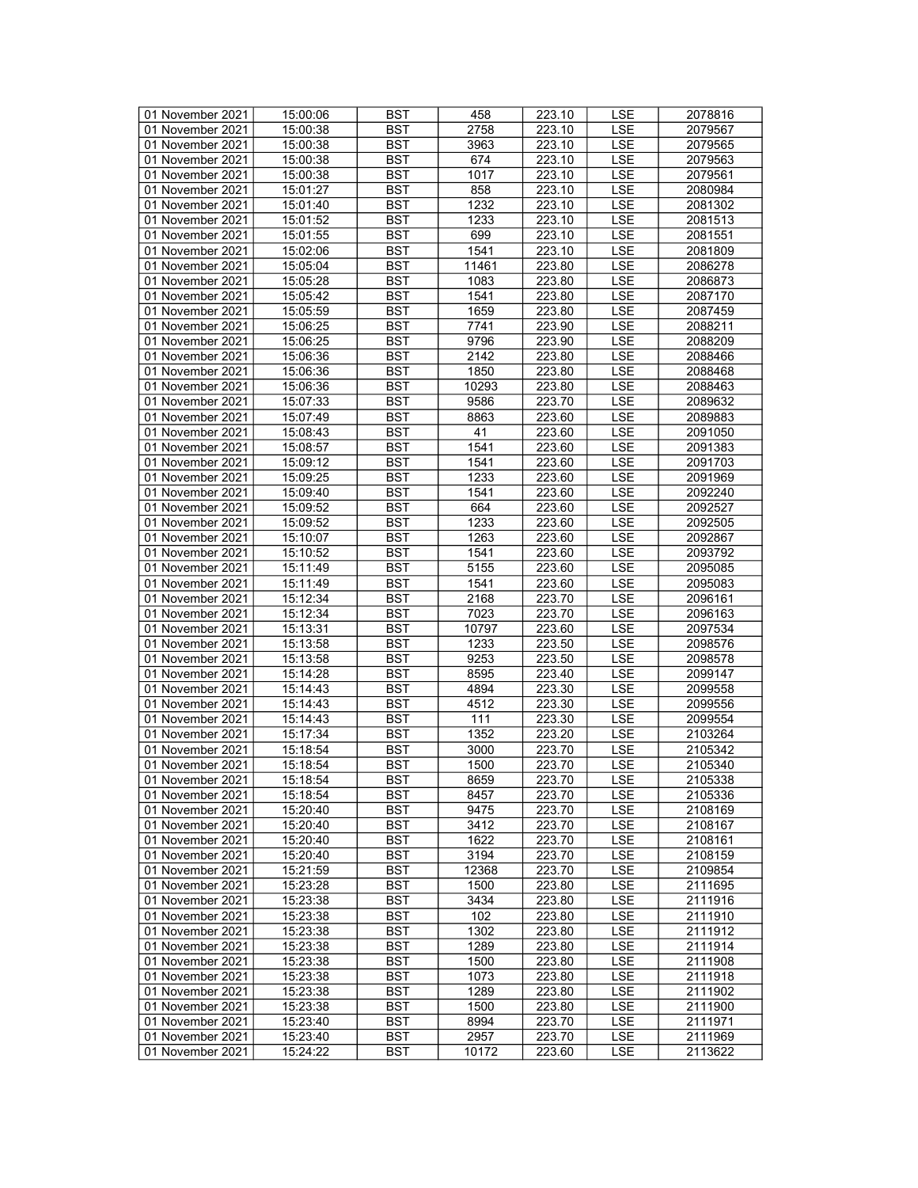| 01 November 2021 | 15:00:06 | <b>BST</b> | 458           | 223.10 | LSE               | 2078816 |
|------------------|----------|------------|---------------|--------|-------------------|---------|
| 01 November 2021 | 15:00:38 | <b>BST</b> | 2758          | 223.10 | <b>LSE</b>        | 2079567 |
| 01 November 2021 | 15:00:38 | <b>BST</b> | 3963          | 223.10 | <b>LSE</b>        | 2079565 |
| 01 November 2021 | 15:00:38 | <b>BST</b> | 674           | 223.10 | <b>LSE</b>        | 2079563 |
|                  |          |            |               | 223.10 |                   |         |
| 01 November 2021 | 15:00:38 | <b>BST</b> | 1017          |        | LSE               | 2079561 |
| 01 November 2021 | 15:01:27 | <b>BST</b> | 858           | 223.10 | <b>LSE</b>        | 2080984 |
| 01 November 2021 | 15:01:40 | <b>BST</b> | 1232          | 223.10 | LSE               | 2081302 |
| 01 November 2021 | 15:01:52 | <b>BST</b> | 1233          | 223.10 | <b>LSE</b>        | 2081513 |
| 01 November 2021 | 15:01:55 | <b>BST</b> | 699           | 223.10 | <b>LSE</b>        | 2081551 |
| 01 November 2021 | 15:02:06 | <b>BST</b> | 1541          | 223.10 | <b>LSE</b>        | 2081809 |
| 01 November 2021 | 15:05:04 | <b>BST</b> | 11461         | 223.80 | LSE               | 2086278 |
| 01 November 2021 | 15:05:28 | <b>BST</b> | 1083          | 223.80 | <b>LSE</b>        | 2086873 |
| 01 November 2021 | 15:05:42 | <b>BST</b> | 1541          | 223.80 | <b>LSE</b>        | 2087170 |
| 01 November 2021 | 15:05:59 | <b>BST</b> | 1659          | 223.80 | <b>LSE</b>        | 2087459 |
| 01 November 2021 | 15:06:25 | <b>BST</b> | 7741          | 223.90 | <b>LSE</b>        | 2088211 |
| 01 November 2021 | 15:06:25 | <b>BST</b> | 9796          | 223.90 | LSE               | 2088209 |
| 01 November 2021 | 15:06:36 | <b>BST</b> | 2142          | 223.80 | LSE               | 2088466 |
|                  |          |            |               |        |                   |         |
| 01 November 2021 | 15:06:36 | <b>BST</b> | 1850          | 223.80 | <b>LSE</b>        | 2088468 |
| 01 November 2021 | 15:06:36 | <b>BST</b> | 10293         | 223.80 | <b>LSE</b>        | 2088463 |
| 01 November 2021 | 15:07:33 | <b>BST</b> | 9586          | 223.70 | <b>LSE</b>        | 2089632 |
| 01 November 2021 | 15:07:49 | <b>BST</b> | 8863          | 223.60 | LSE               | 2089883 |
| 01 November 2021 | 15:08:43 | <b>BST</b> | 41            | 223.60 | <b>LSE</b>        | 2091050 |
| 01 November 2021 | 15:08:57 | <b>BST</b> | 1541          | 223.60 | <b>LSE</b>        | 2091383 |
| 01 November 2021 | 15:09:12 | <b>BST</b> | 1541          | 223.60 | <b>LSE</b>        | 2091703 |
| 01 November 2021 | 15:09:25 | <b>BST</b> | 1233          | 223.60 | LSE               | 2091969 |
| 01 November 2021 | 15:09:40 | <b>BST</b> | 1541          | 223.60 | <b>LSE</b>        | 2092240 |
| 01 November 2021 | 15:09:52 | <b>BST</b> | 664           | 223.60 | <b>LSE</b>        | 2092527 |
| 01 November 2021 | 15:09:52 | <b>BST</b> | 1233          | 223.60 | <b>LSE</b>        | 2092505 |
| 01 November 2021 | 15:10:07 | <b>BST</b> | 1263          | 223.60 | <b>LSE</b>        | 2092867 |
| 01 November 2021 | 15:10:52 | <b>BST</b> | 1541          | 223.60 | LSE               | 2093792 |
| 01 November 2021 | 15:11:49 | <b>BST</b> | 5155          | 223.60 | <b>LSE</b>        | 2095085 |
| 01 November 2021 | 15:11:49 | <b>BST</b> | 1541          | 223.60 | LSE               | 2095083 |
| 01 November 2021 | 15:12:34 | <b>BST</b> | 2168          | 223.70 | <b>LSE</b>        | 2096161 |
| 01 November 2021 |          | <b>BST</b> |               | 223.70 |                   |         |
|                  | 15:12:34 | <b>BST</b> | 7023<br>10797 |        | LSE<br><b>LSE</b> | 2096163 |
| 01 November 2021 | 15:13:31 |            |               | 223.60 |                   | 2097534 |
| 01 November 2021 | 15:13:58 | <b>BST</b> | 1233          | 223.50 | LSE               | 2098576 |
| 01 November 2021 | 15:13:58 | <b>BST</b> | 9253          | 223.50 | <b>LSE</b>        | 2098578 |
| 01 November 2021 | 15:14:28 | <b>BST</b> | 8595          | 223.40 | LSE               | 2099147 |
| 01 November 2021 | 15:14:43 | <b>BST</b> | 4894          | 223.30 | <b>LSE</b>        | 2099558 |
| 01 November 2021 | 15:14:43 | <b>BST</b> | 4512          | 223.30 | <b>LSE</b>        | 2099556 |
| 01 November 2021 | 15:14:43 | <b>BST</b> | 111           | 223.30 | LSE               | 2099554 |
| 01 November 2021 | 15:17:34 | <b>BST</b> | 1352          | 223.20 | <b>LSE</b>        | 2103264 |
| 01 November 2021 | 15:18:54 | <b>BST</b> | 3000          | 223.70 | <b>LSE</b>        | 2105342 |
| 01 November 2021 | 15:18:54 | <b>BST</b> | 1500          | 223.70 | <b>LSE</b>        | 2105340 |
| 01 November 2021 | 15:18:54 | <b>BST</b> | 8659          | 223.70 | <b>LSE</b>        | 2105338 |
| 01 November 2021 | 15:18:54 | BST        | 8457          | 223.70 | LSE               | 2105336 |
| 01 November 2021 | 15:20:40 | BST        | 9475          | 223.70 | LSE               | 2108169 |
| 01 November 2021 | 15:20:40 | <b>BST</b> | 3412          | 223.70 | LSE               | 2108167 |
| 01 November 2021 | 15:20:40 | <b>BST</b> | 1622          | 223.70 | LSE               | 2108161 |
| 01 November 2021 | 15:20:40 | <b>BST</b> | 3194          | 223.70 | LSE               | 2108159 |
| 01 November 2021 | 15:21:59 | <b>BST</b> | 12368         | 223.70 | LSE               | 2109854 |
| 01 November 2021 | 15:23:28 | BST        | 1500          | 223.80 | LSE               | 2111695 |
| 01 November 2021 |          | <b>BST</b> | 3434          | 223.80 | LSE               | 2111916 |
|                  | 15:23:38 |            |               |        |                   |         |
| 01 November 2021 | 15:23:38 | <b>BST</b> | 102           | 223.80 | <b>LSE</b>        | 2111910 |
| 01 November 2021 | 15:23:38 | <b>BST</b> | 1302          | 223.80 | LSE               | 2111912 |
| 01 November 2021 | 15:23:38 | BST        | 1289          | 223.80 | LSE               | 2111914 |
| 01 November 2021 | 15:23:38 | <b>BST</b> | 1500          | 223.80 | LSE               | 2111908 |
| 01 November 2021 | 15:23:38 | BST        | 1073          | 223.80 | <b>LSE</b>        | 2111918 |
| 01 November 2021 | 15:23:38 | <b>BST</b> | 1289          | 223.80 | <b>LSE</b>        | 2111902 |
| 01 November 2021 | 15:23:38 | <b>BST</b> | 1500          | 223.80 | LSE               | 2111900 |
| 01 November 2021 | 15:23:40 | BST        | 8994          | 223.70 | LSE               | 2111971 |
| 01 November 2021 | 15:23:40 | <b>BST</b> | 2957          | 223.70 | <b>LSE</b>        | 2111969 |
| 01 November 2021 | 15:24:22 | BST        | 10172         | 223.60 | LSE               | 2113622 |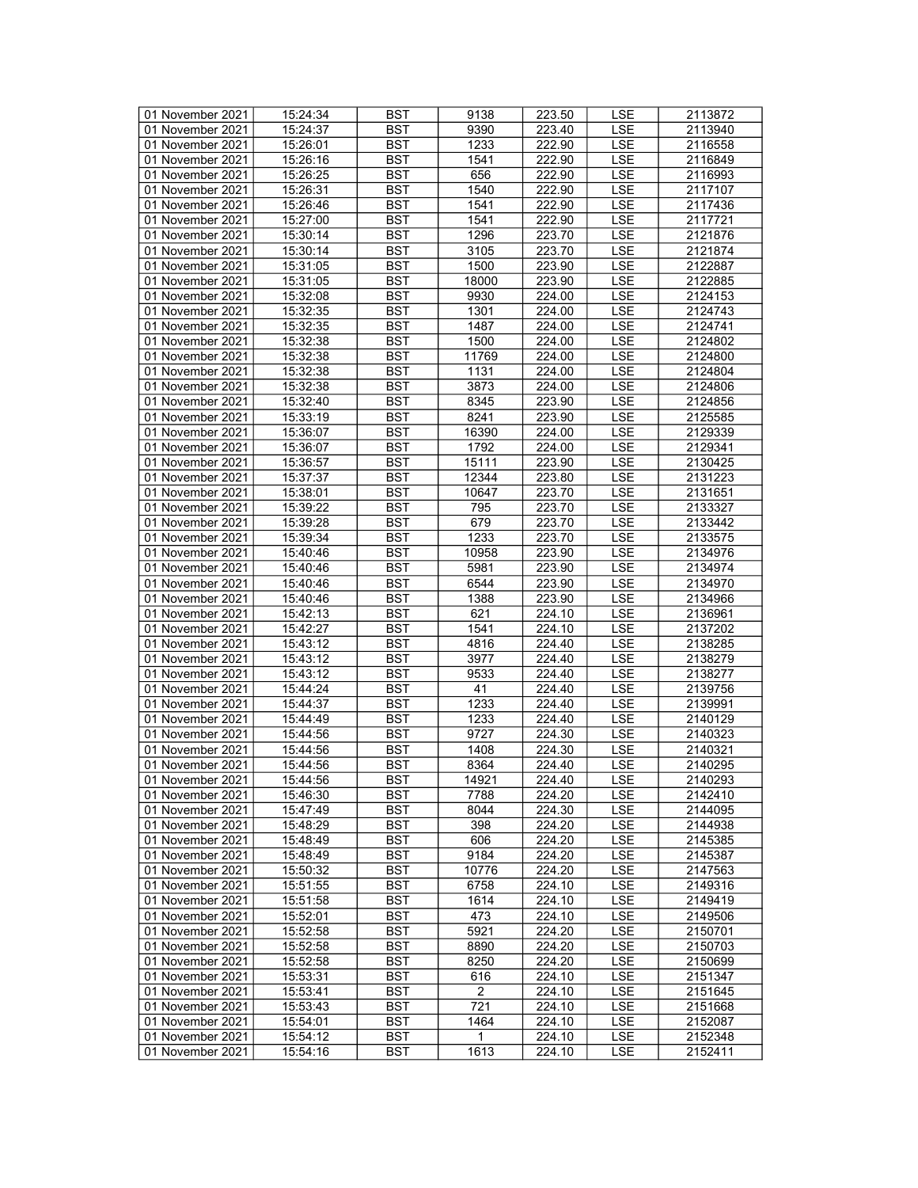| 01 November 2021 | 15:24:34 | <b>BST</b> | 9138           | 223.50               | LSE        | 2113872 |
|------------------|----------|------------|----------------|----------------------|------------|---------|
| 01 November 2021 | 15:24:37 | BST        | 9390           | $\overline{223}$ .40 | <b>LSE</b> | 2113940 |
| 01 November 2021 | 15:26:01 | <b>BST</b> | 1233           | 222.90               | <b>LSE</b> | 2116558 |
| 01 November 2021 | 15:26:16 | <b>BST</b> | 1541           | 222.90               | <b>LSE</b> | 2116849 |
| 01 November 2021 | 15:26:25 | <b>BST</b> | 656            | 222.90               | LSE        | 2116993 |
| 01 November 2021 | 15:26:31 | <b>BST</b> | 1540           | 222.90               | <b>LSE</b> | 2117107 |
| 01 November 2021 |          | <b>BST</b> | 1541           | 222.90               | LSE        |         |
|                  | 15:26:46 |            |                |                      |            | 2117436 |
| 01 November 2021 | 15:27:00 | <b>BST</b> | 1541           | 222.90               | <b>LSE</b> | 2117721 |
| 01 November 2021 | 15:30:14 | <b>BST</b> | 1296           | 223.70               | <b>LSE</b> | 2121876 |
| 01 November 2021 | 15:30:14 | <b>BST</b> | 3105           | 223.70               | LSE        | 2121874 |
| 01 November 2021 | 15:31:05 | <b>BST</b> | 1500           | 223.90               | LSE        | 2122887 |
| 01 November 2021 | 15:31:05 | <b>BST</b> | 18000          | 223.90               | <b>LSE</b> | 2122885 |
| 01 November 2021 | 15:32:08 | <b>BST</b> | 9930           | 224.00               | <b>LSE</b> | 2124153 |
| 01 November 2021 | 15:32:35 | <b>BST</b> | 1301           | 224.00               | <b>LSE</b> | 2124743 |
| 01 November 2021 | 15:32:35 | <b>BST</b> | 1487           | 224.00               | <b>LSE</b> | 2124741 |
| 01 November 2021 | 15:32:38 | <b>BST</b> | 1500           | 224.00               | LSE        | 2124802 |
| 01 November 2021 | 15:32:38 | <b>BST</b> | 11769          | 224.00               | LSE        | 2124800 |
| 01 November 2021 | 15:32:38 | <b>BST</b> | 1131           | 224.00               | <b>LSE</b> | 2124804 |
| 01 November 2021 | 15:32:38 | <b>BST</b> | 3873           | 224.00               | <b>LSE</b> | 2124806 |
| 01 November 2021 | 15:32:40 | <b>BST</b> | 8345           | 223.90               | <b>LSE</b> | 2124856 |
| 01 November 2021 | 15:33:19 | <b>BST</b> | 8241           | 223.90               | LSE        | 2125585 |
| 01 November 2021 | 15:36:07 | <b>BST</b> | 16390          | 224.00               | <b>LSE</b> | 2129339 |
|                  |          |            |                |                      |            |         |
| 01 November 2021 | 15:36:07 | <b>BST</b> | 1792           | 224.00               | <b>LSE</b> | 2129341 |
| 01 November 2021 | 15:36:57 | <b>BST</b> | 15111          | 223.90               | <b>LSE</b> | 2130425 |
| 01 November 2021 | 15:37:37 | <b>BST</b> | 12344          | 223.80               | LSE        | 2131223 |
| 01 November 2021 | 15:38:01 | <b>BST</b> | 10647          | 223.70               | <b>LSE</b> | 2131651 |
| 01 November 2021 | 15:39:22 | <b>BST</b> | 795            | 223.70               | <b>LSE</b> | 2133327 |
| 01 November 2021 | 15:39:28 | <b>BST</b> | 679            | 223.70               | <b>LSE</b> | 2133442 |
| 01 November 2021 | 15:39:34 | <b>BST</b> | 1233           | 223.70               | <b>LSE</b> | 2133575 |
| 01 November 2021 | 15:40:46 | <b>BST</b> | 10958          | 223.90               | LSE        | 2134976 |
| 01 November 2021 | 15:40:46 | <b>BST</b> | 5981           | 223.90               | <b>LSE</b> | 2134974 |
| 01 November 2021 | 15:40:46 | <b>BST</b> | 6544           | 223.90               | LSE        | 2134970 |
| 01 November 2021 | 15:40:46 | <b>BST</b> | 1388           | 223.90               | <b>LSE</b> | 2134966 |
| 01 November 2021 | 15:42:13 | <b>BST</b> | 621            | 224.10               | <b>LSE</b> | 2136961 |
| 01 November 2021 | 15:42:27 | <b>BST</b> | 1541           | 224.10               | <b>LSE</b> | 2137202 |
| 01 November 2021 | 15:43:12 | <b>BST</b> | 4816           | 224.40               | LSE        | 2138285 |
| 01 November 2021 | 15:43:12 | <b>BST</b> | 3977           | 224.40               | <b>LSE</b> | 2138279 |
| 01 November 2021 | 15:43:12 | <b>BST</b> | 9533           | 224.40               | <b>LSE</b> | 2138277 |
| 01 November 2021 | 15:44:24 | <b>BST</b> | 41             | 224.40               | <b>LSE</b> | 2139756 |
| 01 November 2021 | 15:44:37 | <b>BST</b> | 1233           | 224.40               | <b>LSE</b> | 2139991 |
| 01 November 2021 | 15:44:49 | <b>BST</b> | 1233           | 224.40               | LSE        | 2140129 |
|                  |          |            |                |                      |            |         |
| 01 November 2021 | 15:44:56 | <b>BST</b> | 9727           | 224.30<br>224.30     | <b>LSE</b> | 2140323 |
| 01 November 2021 | 15:44:56 | <b>BST</b> | 1408           |                      | <b>LSE</b> | 2140321 |
| 01 November 2021 | 15:44:56 | <b>BST</b> | 8364           | 224.40               | <b>LSE</b> | 2140295 |
| 01 November 2021 | 15:44:56 | <b>BST</b> | 14921          | 224.40               | <b>LSE</b> | 2140293 |
| 01 November 2021 | 15:46:30 | BST        | 7788           | 224.20               | LSE        | 2142410 |
| 01 November 2021 | 15:47:49 | <b>BST</b> | 8044           | 224.30               | LSE        | 2144095 |
| 01 November 2021 | 15:48:29 | <b>BST</b> | 398            | 224.20               | LSE        | 2144938 |
| 01 November 2021 | 15:48:49 | BST        | 606            | 224.20               | LSE        | 2145385 |
| 01 November 2021 | 15:48:49 | <b>BST</b> | 9184           | 224.20               | LSE        | 2145387 |
| 01 November 2021 | 15:50:32 | <b>BST</b> | 10776          | 224.20               | LSE        | 2147563 |
| 01 November 2021 | 15:51:55 | BST        | 6758           | 224.10               | LSE        | 2149316 |
| 01 November 2021 | 15:51:58 | <b>BST</b> | 1614           | 224.10               | LSE        | 2149419 |
| 01 November 2021 | 15:52:01 | <b>BST</b> | 473            | 224.10               | <b>LSE</b> | 2149506 |
| 01 November 2021 | 15:52:58 | <b>BST</b> | 5921           | 224.20               | LSE        | 2150701 |
| 01 November 2021 | 15:52:58 | <b>BST</b> | 8890           | 224.20               | LSE        | 2150703 |
| 01 November 2021 |          | <b>BST</b> | 8250           | 224.20               | LSE        |         |
| 01 November 2021 | 15:52:58 |            |                |                      |            | 2150699 |
|                  | 15:53:31 | <b>BST</b> | 616            | 224.10               | LSE        | 2151347 |
| 01 November 2021 | 15:53:41 | <b>BST</b> | $\overline{2}$ | 224.10               | <b>LSE</b> | 2151645 |
| 01 November 2021 | 15:53:43 | <b>BST</b> | 721            | 224.10               | LSE        | 2151668 |
| 01 November 2021 | 15:54:01 | BST        | 1464           | 224.10               | LSE        | 2152087 |
| 01 November 2021 | 15:54:12 | BST        | 1              | 224.10               | <b>LSE</b> | 2152348 |
| 01 November 2021 | 15:54:16 | <b>BST</b> | 1613           | 224.10               | LSE        | 2152411 |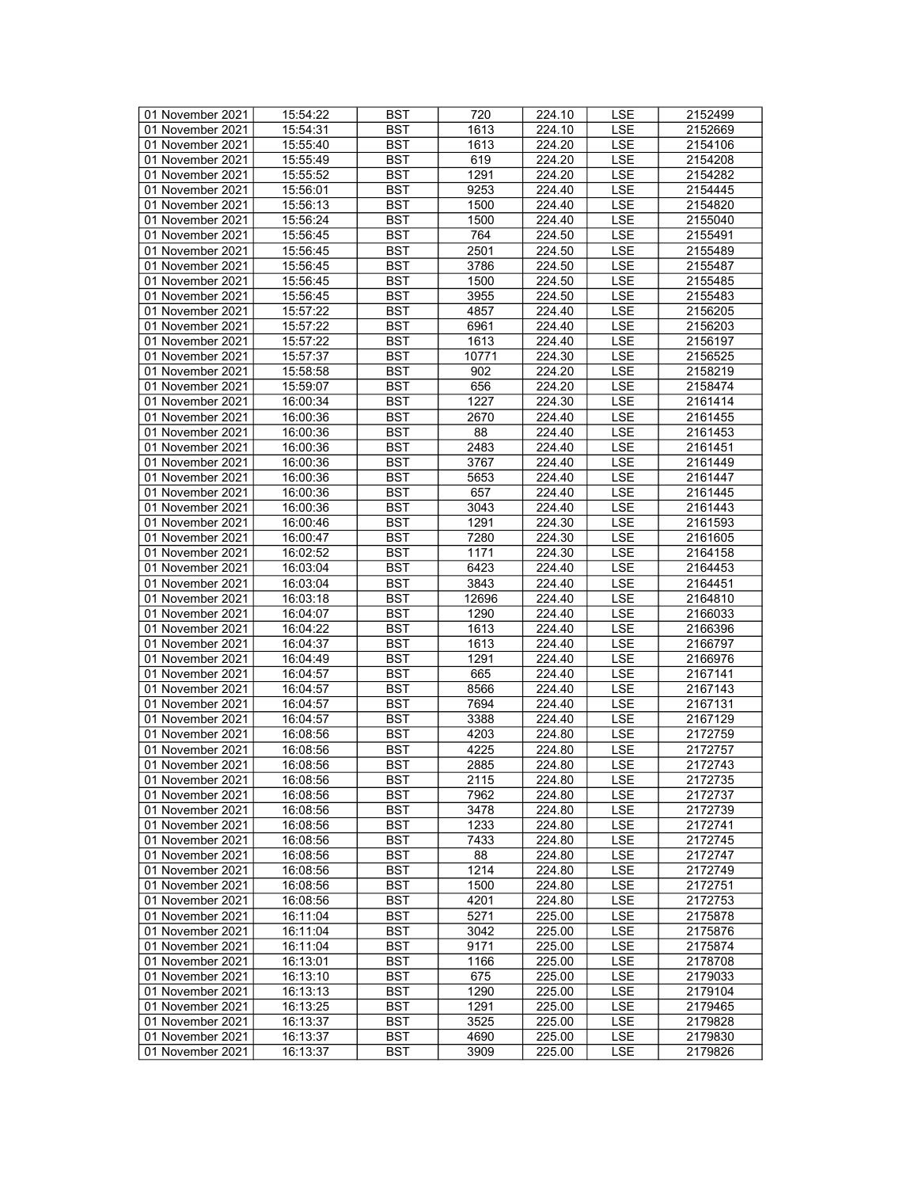| 01 November 2021 | 15:54:22 | <b>BST</b> | 720               | 224.10 | LSE        | 2152499 |
|------------------|----------|------------|-------------------|--------|------------|---------|
| 01 November 2021 | 15:54:31 | BST        | 1613              | 224.10 | <b>LSE</b> | 2152669 |
| 01 November 2021 | 15:55:40 | <b>BST</b> | 1613              | 224.20 | <b>LSE</b> | 2154106 |
| 01 November 2021 | 15:55:49 | <b>BST</b> | 619               | 224.20 | <b>LSE</b> | 2154208 |
| 01 November 2021 | 15:55:52 | <b>BST</b> | 1291              | 224.20 | LSE        | 2154282 |
|                  |          |            |                   |        |            |         |
| 01 November 2021 | 15:56:01 | <b>BST</b> | 9253              | 224.40 | <b>LSE</b> | 2154445 |
| 01 November 2021 | 15:56:13 | <b>BST</b> | 1500              | 224.40 | LSE        | 2154820 |
| 01 November 2021 | 15:56:24 | <b>BST</b> | 1500              | 224.40 | <b>LSE</b> | 2155040 |
| 01 November 2021 | 15:56:45 | <b>BST</b> | 764               | 224.50 | <b>LSE</b> | 2155491 |
| 01 November 2021 | 15:56:45 | <b>BST</b> | 2501              | 224.50 | LSE        | 2155489 |
| 01 November 2021 | 15:56:45 | <b>BST</b> | 3786              | 224.50 | LSE        | 2155487 |
| 01 November 2021 | 15:56:45 | <b>BST</b> | 1500              | 224.50 | <b>LSE</b> | 2155485 |
| 01 November 2021 | 15:56:45 | <b>BST</b> | 3955              | 224.50 | <b>LSE</b> | 2155483 |
| 01 November 2021 | 15:57:22 | <b>BST</b> | 4857              | 224.40 | LSE        | 2156205 |
| 01 November 2021 | 15:57:22 | <b>BST</b> | 6961              | 224.40 | <b>LSE</b> | 2156203 |
| 01 November 2021 | 15:57:22 | <b>BST</b> | 1613              | 224.40 | LSE        | 2156197 |
| 01 November 2021 | 15:57:37 | <b>BST</b> | 10771             | 224.30 | LSE        | 2156525 |
| 01 November 2021 | 15:58:58 | <b>BST</b> | 902               | 224.20 | <b>LSE</b> | 2158219 |
| 01 November 2021 | 15:59:07 | <b>BST</b> | 656               | 224.20 | <b>LSE</b> | 2158474 |
| 01 November 2021 | 16:00:34 | <b>BST</b> | 1227              | 224.30 | <b>LSE</b> | 2161414 |
|                  |          |            |                   |        |            |         |
| 01 November 2021 | 16:00:36 | <b>BST</b> | 2670              | 224.40 | LSE        | 2161455 |
| 01 November 2021 | 16:00:36 | <b>BST</b> | 88                | 224.40 | <b>LSE</b> | 2161453 |
| 01 November 2021 | 16:00:36 | <b>BST</b> | 2483              | 224.40 | LSE        | 2161451 |
| 01 November 2021 | 16:00:36 | <b>BST</b> | 3767              | 224.40 | LSE        | 2161449 |
| 01 November 2021 | 16:00:36 | <b>BST</b> | 5653              | 224.40 | LSE        | 2161447 |
| 01 November 2021 | 16:00:36 | <b>BST</b> | 657               | 224.40 | <b>LSE</b> | 2161445 |
| 01 November 2021 | 16:00:36 | <b>BST</b> | 3043              | 224.40 | <b>LSE</b> | 2161443 |
| 01 November 2021 | 16:00:46 | <b>BST</b> | 1291              | 224.30 | <b>LSE</b> | 2161593 |
| 01 November 2021 | 16:00:47 | <b>BST</b> | 7280              | 224.30 | <b>LSE</b> | 2161605 |
| 01 November 2021 | 16:02:52 | <b>BST</b> | 1171              | 224.30 | LSE        | 2164158 |
| 01 November 2021 | 16:03:04 | <b>BST</b> | 6423              | 224.40 | <b>LSE</b> | 2164453 |
| 01 November 2021 | 16:03:04 | <b>BST</b> | 3843              | 224.40 | LSE        | 2164451 |
| 01 November 2021 | 16:03:18 | <b>BST</b> | 12696             | 224.40 | <b>LSE</b> | 2164810 |
| 01 November 2021 | 16:04:07 | <b>BST</b> | 1290              | 224.40 | LSE        | 2166033 |
| 01 November 2021 | 16:04:22 | <b>BST</b> | 1613              | 224.40 | LSE        | 2166396 |
| 01 November 2021 | 16:04:37 | <b>BST</b> | 1613              | 224.40 | <b>LSE</b> | 2166797 |
|                  |          |            |                   |        |            |         |
| 01 November 2021 | 16:04:49 | <b>BST</b> | 1291              | 224.40 | <b>LSE</b> | 2166976 |
| 01 November 2021 | 16:04:57 | <b>BST</b> | 665               | 224.40 | <b>LSE</b> | 2167141 |
| 01 November 2021 | 16:04:57 | <b>BST</b> | 8566              | 224.40 | LSE        | 2167143 |
| 01 November 2021 | 16:04:57 | <b>BST</b> | 7694              | 224.40 | <b>LSE</b> | 2167131 |
| 01 November 2021 | 16:04:57 | <b>BST</b> | 3388              | 224.40 | LSE        | 2167129 |
| 01 November 2021 | 16:08:56 | <b>BST</b> | 4203              | 224.80 | LSE        | 2172759 |
| 01 November 2021 | 16:08:56 | <b>BST</b> | 4225              | 224.80 | <b>LSE</b> | 2172757 |
| 01 November 2021 | 16:08:56 | <b>BST</b> | 2885              | 224.80 | <b>LSE</b> | 2172743 |
| 01 November 2021 | 16:08:56 | <b>BST</b> | 2115              | 224.80 | <b>LSE</b> | 2172735 |
| 01 November 2021 | 16:08:56 | BST        | 7962              | 224.80 | LSE        | 2172737 |
| 01 November 2021 | 16:08:56 | <b>BST</b> | 3478              | 224.80 | LSE        | 2172739 |
| 01 November 2021 | 16:08:56 | <b>BST</b> | 1233              | 224.80 | LSE        | 2172741 |
| 01 November 2021 | 16:08:56 | BST        | 7433              | 224.80 | LSE        | 2172745 |
| 01 November 2021 | 16:08:56 | <b>BST</b> | 88                | 224.80 | <b>LSE</b> | 2172747 |
| 01 November 2021 | 16:08:56 | <b>BST</b> | 1214              | 224.80 | LSE        | 2172749 |
| 01 November 2021 | 16:08:56 | BST        | 1500              | 224.80 | LSE        | 2172751 |
| 01 November 2021 | 16:08:56 | <b>BST</b> | 4201              | 224.80 | LSE        | 2172753 |
|                  |          | <b>BST</b> | 5271              |        |            |         |
| 01 November 2021 | 16:11:04 |            |                   | 225.00 | <b>LSE</b> | 2175878 |
| 01 November 2021 | 16:11:04 | <b>BST</b> | 3042              | 225.00 | LSE        | 2175876 |
| 01 November 2021 | 16:11:04 | <b>BST</b> | $\overline{9171}$ | 225.00 | LSE        | 2175874 |
| 01 November 2021 | 16:13:01 | <b>BST</b> | 1166              | 225.00 | LSE        | 2178708 |
| 01 November 2021 | 16:13:10 | BST        | 675               | 225.00 | <b>LSE</b> | 2179033 |
| 01 November 2021 | 16:13:13 | <b>BST</b> | 1290              | 225.00 | <b>LSE</b> | 2179104 |
| 01 November 2021 | 16:13:25 | <b>BST</b> | 1291              | 225.00 | LSE        | 2179465 |
| 01 November 2021 | 16:13:37 | BST        | 3525              | 225.00 | LSE        | 2179828 |
| 01 November 2021 | 16:13:37 | <b>BST</b> | 4690              | 225.00 | <b>LSE</b> | 2179830 |
| 01 November 2021 | 16:13:37 | <b>BST</b> | 3909              | 225.00 | LSE        | 2179826 |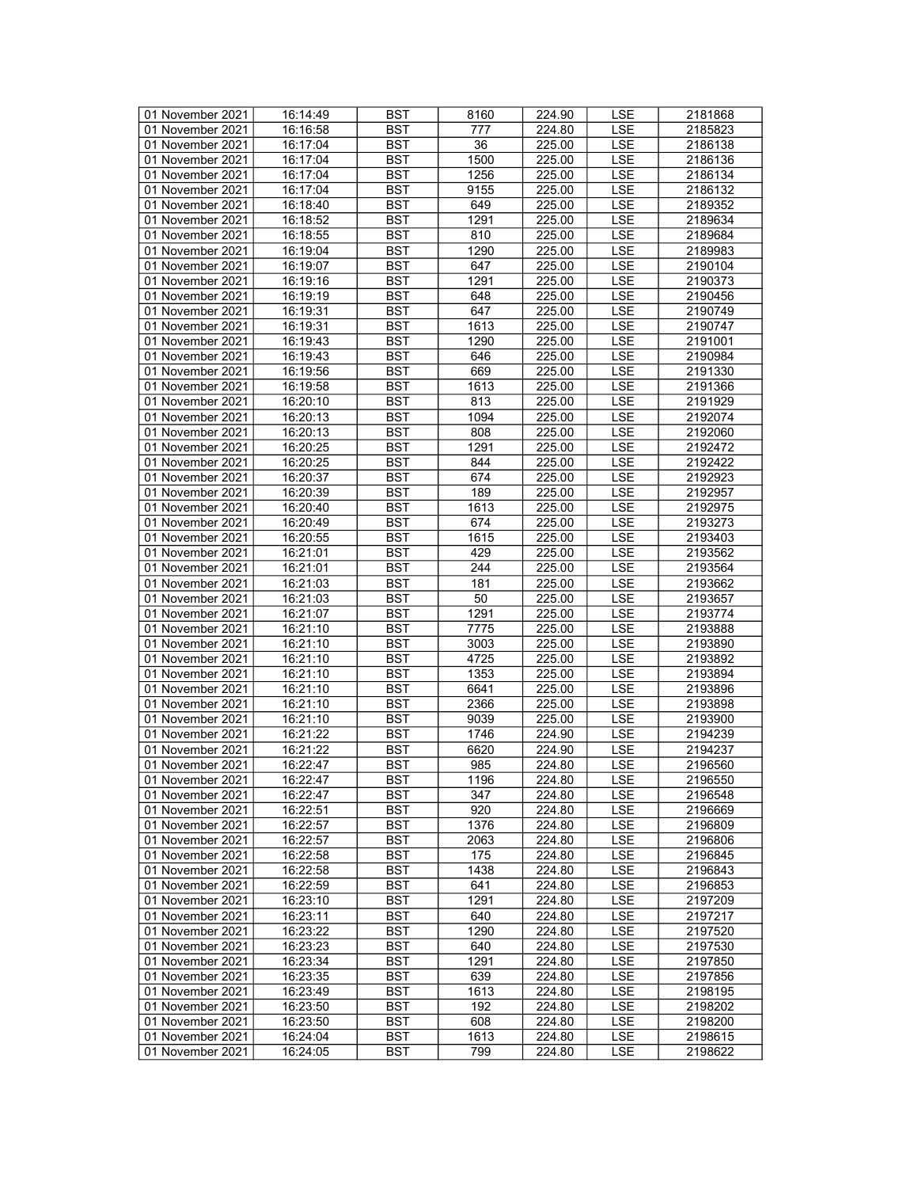| 01 November 2021 | 16:14:49 | <b>BST</b>       | 8160 | 224.90 | LSE        | 2181868 |
|------------------|----------|------------------|------|--------|------------|---------|
| 01 November 2021 | 16:16:58 | BST              | 777  | 224.80 | <b>LSE</b> | 2185823 |
| 01 November 2021 | 16:17:04 | <b>BST</b>       | 36   | 225.00 | <b>LSE</b> | 2186138 |
| 01 November 2021 | 16:17:04 | <b>BST</b>       | 1500 | 225.00 | <b>LSE</b> | 2186136 |
| 01 November 2021 | 16:17:04 | <b>BST</b>       | 1256 | 225.00 | LSE        | 2186134 |
| 01 November 2021 | 16:17:04 | <b>BST</b>       | 9155 | 225.00 | <b>LSE</b> | 2186132 |
|                  |          |                  |      |        |            |         |
| 01 November 2021 | 16:18:40 | <b>BST</b>       | 649  | 225.00 | LSE        | 2189352 |
| 01 November 2021 | 16:18:52 | <b>BST</b>       | 1291 | 225.00 | <b>LSE</b> | 2189634 |
| 01 November 2021 | 16:18:55 | <b>BST</b>       | 810  | 225.00 | <b>LSE</b> | 2189684 |
| 01 November 2021 | 16:19:04 | <b>BST</b>       | 1290 | 225.00 | LSE        | 2189983 |
| 01 November 2021 | 16:19:07 | <b>BST</b>       | 647  | 225.00 | LSE        | 2190104 |
| 01 November 2021 | 16:19:16 | <b>BST</b>       | 1291 | 225.00 | <b>LSE</b> | 2190373 |
| 01 November 2021 | 16:19:19 | <b>BST</b>       | 648  | 225.00 | <b>LSE</b> | 2190456 |
| 01 November 2021 | 16:19:31 | <b>BST</b>       | 647  | 225.00 | <b>LSE</b> | 2190749 |
| 01 November 2021 | 16:19:31 | <b>BST</b>       | 1613 | 225.00 | <b>LSE</b> | 2190747 |
| 01 November 2021 | 16:19:43 | <b>BST</b>       | 1290 | 225.00 | LSE        | 2191001 |
| 01 November 2021 | 16:19:43 | <b>BST</b>       | 646  | 225.00 | LSE        | 2190984 |
| 01 November 2021 | 16:19:56 | <b>BST</b>       | 669  | 225.00 | <b>LSE</b> | 2191330 |
|                  |          | <b>BST</b>       | 1613 |        | <b>LSE</b> |         |
| 01 November 2021 | 16:19:58 |                  |      | 225.00 |            | 2191366 |
| 01 November 2021 | 16:20:10 | <b>BST</b>       | 813  | 225.00 | <b>LSE</b> | 2191929 |
| 01 November 2021 | 16:20:13 | <b>BST</b>       | 1094 | 225.00 | LSE        | 2192074 |
| 01 November 2021 | 16:20:13 | <b>BST</b>       | 808  | 225.00 | <b>LSE</b> | 2192060 |
| 01 November 2021 | 16:20:25 | <b>BST</b>       | 1291 | 225.00 | <b>LSE</b> | 2192472 |
| 01 November 2021 | 16:20:25 | <b>BST</b>       | 844  | 225.00 | LSE        | 2192422 |
| 01 November 2021 | 16:20:37 | <b>BST</b>       | 674  | 225.00 | LSE        | 2192923 |
| 01 November 2021 | 16:20:39 | <b>BST</b>       | 189  | 225.00 | <b>LSE</b> | 2192957 |
| 01 November 2021 | 16:20:40 | <b>BST</b>       | 1613 | 225.00 | <b>LSE</b> | 2192975 |
| 01 November 2021 | 16:20:49 | <b>BST</b>       | 674  | 225.00 | <b>LSE</b> | 2193273 |
| 01 November 2021 | 16:20:55 | <b>BST</b>       | 1615 | 225.00 | <b>LSE</b> | 2193403 |
| 01 November 2021 | 16:21:01 | <b>BST</b>       | 429  | 225.00 | LSE        | 2193562 |
| 01 November 2021 | 16:21:01 | <b>BST</b>       | 244  | 225.00 | <b>LSE</b> | 2193564 |
| 01 November 2021 |          | <b>BST</b>       | 181  |        | LSE        |         |
|                  | 16:21:03 |                  |      | 225.00 |            | 2193662 |
| 01 November 2021 | 16:21:03 | <b>BST</b>       | 50   | 225.00 | <b>LSE</b> | 2193657 |
| 01 November 2021 | 16:21:07 | <b>BST</b>       | 1291 | 225.00 | LSE        | 2193774 |
| 01 November 2021 | 16:21:10 | <b>BST</b>       | 7775 | 225.00 | <b>LSE</b> | 2193888 |
| 01 November 2021 | 16:21:10 | <b>BST</b>       | 3003 | 225.00 | LSE        | 2193890 |
| 01 November 2021 | 16:21:10 | <b>BST</b>       | 4725 | 225.00 | LSE        | 2193892 |
| 01 November 2021 | 16:21:10 | <b>BST</b>       | 1353 | 225.00 | <b>LSE</b> | 2193894 |
| 01 November 2021 | 16:21:10 | <b>BST</b>       | 6641 | 225.00 | <b>LSE</b> | 2193896 |
| 01 November 2021 | 16:21:10 | <b>BST</b>       | 2366 | 225.00 | <b>LSE</b> | 2193898 |
| 01 November 2021 | 16:21:10 | <b>BST</b>       | 9039 | 225.00 | LSE        | 2193900 |
| 01 November 2021 | 16:21:22 | <b>BST</b>       | 1746 | 224.90 | <b>LSE</b> | 2194239 |
| 01 November 2021 | 16:21:22 | <b>BST</b>       | 6620 | 224.90 | <b>LSE</b> | 2194237 |
| 01 November 2021 | 16:22:47 | <b>BST</b>       | 985  | 224.80 | <b>LSE</b> | 2196560 |
| 01 November 2021 | 16:22:47 | $\overline{BST}$ | 1196 | 224.80 | <b>LSE</b> | 2196550 |
| 01 November 2021 | 16:22:47 | BST              | 347  | 224.80 | LSE        | 2196548 |
| 01 November 2021 |          | <b>BST</b>       | 920  | 224.80 |            | 2196669 |
|                  | 16:22:51 |                  |      |        | LSE        |         |
| 01 November 2021 | 16:22:57 | <b>BST</b>       | 1376 | 224.80 | LSE        | 2196809 |
| 01 November 2021 | 16:22:57 | BST              | 2063 | 224.80 | LSE        | 2196806 |
| 01 November 2021 | 16:22:58 | <b>BST</b>       | 175  | 224.80 | LSE        | 2196845 |
| 01 November 2021 | 16:22:58 | <b>BST</b>       | 1438 | 224.80 | LSE        | 2196843 |
| 01 November 2021 | 16:22:59 | BST              | 641  | 224.80 | LSE        | 2196853 |
| 01 November 2021 | 16:23:10 | <b>BST</b>       | 1291 | 224.80 | LSE        | 2197209 |
| 01 November 2021 | 16:23:11 | <b>BST</b>       | 640  | 224.80 | <b>LSE</b> | 2197217 |
| 01 November 2021 | 16:23:22 | <b>BST</b>       | 1290 | 224.80 | LSE        | 2197520 |
| 01 November 2021 | 16:23:23 | BST              | 640  | 224.80 | LSE        | 2197530 |
| 01 November 2021 | 16:23:34 | <b>BST</b>       | 1291 | 224.80 | LSE        | 2197850 |
| 01 November 2021 | 16:23:35 | <b>BST</b>       | 639  | 224.80 | <b>LSE</b> | 2197856 |
| 01 November 2021 | 16:23:49 | <b>BST</b>       | 1613 | 224.80 | <b>LSE</b> | 2198195 |
| 01 November 2021 |          | <b>BST</b>       | 192  |        | LSE        |         |
|                  | 16:23:50 |                  |      | 224.80 |            | 2198202 |
| 01 November 2021 | 16:23:50 | BST              | 608  | 224.80 | LSE        | 2198200 |
| 01 November 2021 | 16:24:04 | BST              | 1613 | 224.80 | <b>LSE</b> | 2198615 |
| 01 November 2021 | 16:24:05 | BST              | 799  | 224.80 | LSE        | 2198622 |